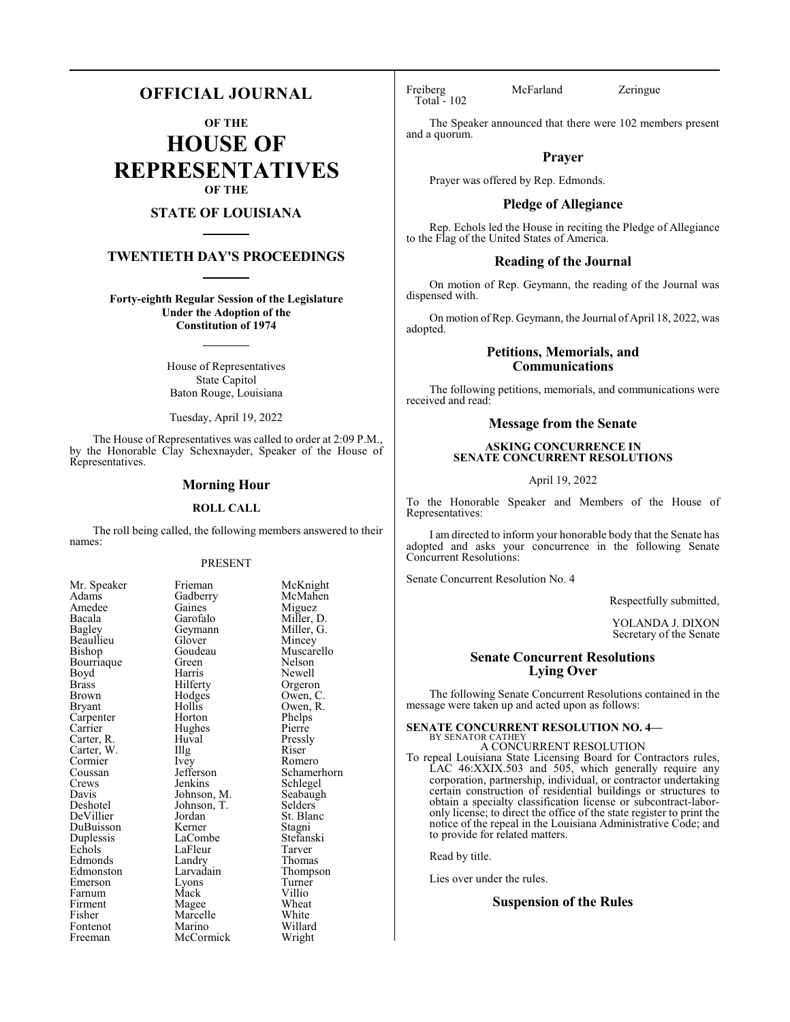# **OFFICIAL JOURNAL**

**OF THE**

**HOUSE OF REPRESENTATIVES OF THE**

# **STATE OF LOUISIANA**

# **TWENTIETH DAY'S PROCEEDINGS**

**Forty-eighth Regular Session of the Legislature Under the Adoption of the Constitution of 1974**

> House of Representatives State Capitol Baton Rouge, Louisiana

Tuesday, April 19, 2022

The House of Representatives was called to order at 2:09 P.M., by the Honorable Clay Schexnayder, Speaker of the House of Representatives.

## **Morning Hour**

#### **ROLL CALL**

The roll being called, the following members answered to their names:

#### PRESENT

| Mr. Speaker                        |
|------------------------------------|
| Adams                              |
| Amedee                             |
| Bacala                             |
| Bagley                             |
| Beaullieu                          |
| Bishop                             |
| Bourriaque                         |
| Boyd                               |
| <b>Brass</b>                       |
| Brown                              |
| Bryant                             |
| Carpenter<br>Carrier<br>Carter, R. |
|                                    |
|                                    |
| Carter, W.                         |
| Cormier                            |
| Coussan                            |
| Crews                              |
| Davis                              |
| Deshotel                           |
| DeVillier                          |
| DuBuisson                          |
| Duplessis                          |
| Echols                             |
| Edmonds                            |
| Edmonston                          |
| Emerson                            |
| Farnum                             |
| Firment                            |
| Fisher                             |
| Fontenot                           |
| Freeman                            |

Frieman McKnight<br>Gadberry McMahen McMahen<br>Miguez Gaines<br>Garofalo Miller, D.<br>Miller, G. Geymann Miller, Glover Mincey Glover<br>Goudeau Goudeau Muscarello<br>Green Nelson Green Nelson<br>Harris Newell Harris Newell<br>Hilferty Orgeror Hilferty Orgeron<br>Hodges Owen, C Hodges Owen, C.<br>Hollis Owen, R. Hollis Owen, R.<br>Horton Phelps Phelps<br>Pierre Huval Pressly<br>
Illg Riser Carter, W. Illg Riser Ivey Romero<br>Jefferson Schamer Jefferson Schamerhorn<br>Jenkins Schlegel Jenkins Schlegel<br>Johnson, M. Seabaugh Seabaugh<br>Selders Johnson, T.<br>Jordan St. Blanc<br>Stagni Kerner Stagni<br>LaCombe Stefanski LaCombe Stefans<br>LaFleur Tarver Example LaFleur Tarver<br>
Example 2011 Landry Thomas Landry<br>Larvadain Thompson<br>Turner Eyons Turner<br>
Mack Villio Farnum Mack Villio Magee Wheat<br>Marcelle White Marcelle White<br>
Marino Willard Marino Willard<br>
McCormick Wright McCormick

Hughes<br>Huval

Total - 102

Freiberg McFarland Zeringue

The Speaker announced that there were 102 members present and a quorum.

## **Prayer**

Prayer was offered by Rep. Edmonds.

# **Pledge of Allegiance**

Rep. Echols led the House in reciting the Pledge of Allegiance to the Flag of the United States of America.

## **Reading of the Journal**

On motion of Rep. Geymann, the reading of the Journal was dispensed with.

On motion of Rep. Geymann, the Journal of April 18, 2022, was adopted.

# **Petitions, Memorials, and Communications**

The following petitions, memorials, and communications were received and read:

# **Message from the Senate**

# **ASKING CONCURRENCE IN SENATE CONCURRENT RESOLUTIONS**

April 19, 2022

To the Honorable Speaker and Members of the House of Representatives:

I am directed to inform your honorable body that the Senate has adopted and asks your concurrence in the following Senate Concurrent Resolutions:

Senate Concurrent Resolution No. 4

Respectfully submitted,

YOLANDA J. DIXON Secretary of the Senate

## **Senate Concurrent Resolutions Lying Over**

The following Senate Concurrent Resolutions contained in the message were taken up and acted upon as follows:

#### **SENATE CONCURRENT RESOLUTION NO. 4—**

BY SENATOR CATHEY A CONCURRENT RESOLUTION

To repeal Louisiana State Licensing Board for Contractors rules, LAC 46:XXIX.503 and 505, which generally require any corporation, partnership, individual, or contractor undertaking certain construction of residential buildings or structures to obtain a specialty classification license or subcontract-laboronly license; to direct the office of the state register to print the notice of the repeal in the Louisiana Administrative Code; and to provide for related matters.

Read by title.

Lies over under the rules.

# **Suspension of the Rules**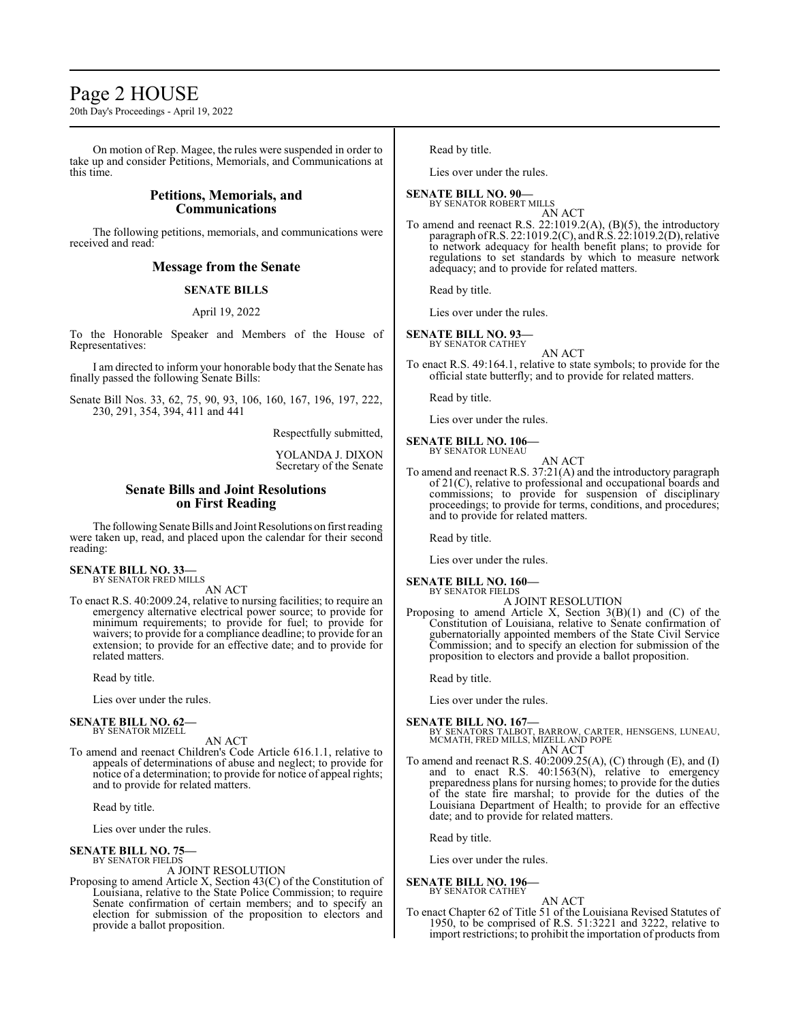# Page 2 HOUSE

20th Day's Proceedings - April 19, 2022

On motion of Rep. Magee, the rules were suspended in order to take up and consider Petitions, Memorials, and Communications at this time.

# **Petitions, Memorials, and Communications**

The following petitions, memorials, and communications were received and read:

# **Message from the Senate**

# **SENATE BILLS**

#### April 19, 2022

To the Honorable Speaker and Members of the House of Representatives:

I am directed to inform your honorable body that the Senate has finally passed the following Senate Bills:

Senate Bill Nos. 33, 62, 75, 90, 93, 106, 160, 167, 196, 197, 222, 230, 291, 354, 394, 411 and 441

Respectfully submitted,

YOLANDA J. DIXON Secretary of the Senate

# **Senate Bills and Joint Resolutions on First Reading**

The following Senate Bills and Joint Resolutions on first reading were taken up, read, and placed upon the calendar for their second reading:

#### **SENATE BILL NO. 33—** BY SENATOR FRED MILLS

AN ACT

To enact R.S. 40:2009.24, relative to nursing facilities; to require an emergency alternative electrical power source; to provide for minimum requirements; to provide for fuel; to provide for waivers; to provide for a compliance deadline; to provide for an extension; to provide for an effective date; and to provide for related matters.

Read by title.

Lies over under the rules.

**SENATE BILL NO. 62—** BY SENATOR MIZELL

AN ACT

To amend and reenact Children's Code Article 616.1.1, relative to appeals of determinations of abuse and neglect; to provide for notice of a determination; to provide for notice of appeal rights; and to provide for related matters.

Read by title.

Lies over under the rules.

**SENATE BILL NO. 75—** BY SENATOR FIELDS

#### A JOINT RESOLUTION

Proposing to amend Article X, Section 43(C) of the Constitution of Louisiana, relative to the State Police Commission; to require Senate confirmation of certain members; and to specify an election for submission of the proposition to electors and provide a ballot proposition.

Read by title.

Lies over under the rules.

## **SENATE BILL NO. 90—**

BY SENATOR ROBERT MILLS AN ACT

To amend and reenact R.S. 22:1019.2(A), (B)(5), the introductory paragraph of R.S. 22:1019.2(C), and R.S. 22:1019.2(D), relative to network adequacy for health benefit plans; to provide for regulations to set standards by which to measure network adequacy; and to provide for related matters.

Read by title.

Lies over under the rules.

# **SENATE BILL NO. 93—**

BY SENATOR CATHEY AN ACT

To enact R.S. 49:164.1, relative to state symbols; to provide for the official state butterfly; and to provide for related matters.

Read by title.

Lies over under the rules.

#### **SENATE BILL NO. 106—** BY SENATOR LUNEAU AN ACT

To amend and reenact R.S. 37:21(A) and the introductory paragraph of 21(C), relative to professional and occupational boards and commissions; to provide for suspension of disciplinary proceedings; to provide for terms, conditions, and procedures; and to provide for related matters.

Read by title.

Lies over under the rules.

**SENATE BILL NO. 160—** BY SENATOR FIELDS

## A JOINT RESOLUTION

Proposing to amend Article X, Section  $3(B)(1)$  and  $(C)$  of the Constitution of Louisiana, relative to Senate confirmation of gubernatorially appointed members of the State Civil Service Commission; and to specify an election for submission of the proposition to electors and provide a ballot proposition.

Read by title.

Lies over under the rules.

# **SENATE BILL NO. 167—**

BY SENATORS TALBOT, BARROW, CARTER, HENSGENS, LUNEAU, MCMATH, FRED MILLS, MIZELL AND POPE AN ACT

To amend and reenact R.S. 40:2009.25(A), (C) through (E), and (I) and to enact R.S. 40:1563(N), relative to emergency preparedness plans for nursing homes; to provide for the duties of the state fire marshal; to provide for the duties of the Louisiana Department of Health; to provide for an effective date; and to provide for related matters.

Read by title.

Lies over under the rules.

#### **SENATE BILL NO. 196—** BY SENATOR CATHEY

#### AN ACT

To enact Chapter 62 of Title 51 of the Louisiana Revised Statutes of 1950, to be comprised of R.S. 51:3221 and 3222, relative to import restrictions; to prohibit the importation of products from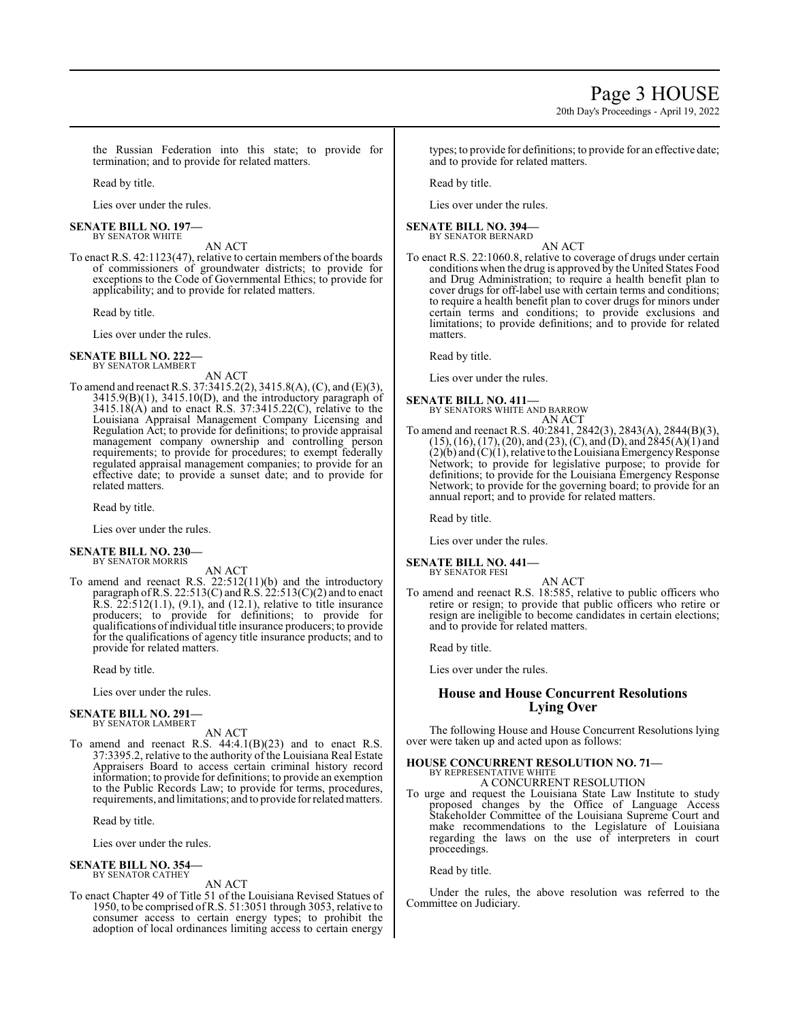20th Day's Proceedings - April 19, 2022

the Russian Federation into this state; to provide for termination; and to provide for related matters.

Read by title.

Lies over under the rules.

#### **SENATE BILL NO. 197—** BY SENATOR WHITE

AN ACT

To enact R.S. 42:1123(47), relative to certain members of the boards of commissioners of groundwater districts; to provide for exceptions to the Code of Governmental Ethics; to provide for applicability; and to provide for related matters.

Read by title.

Lies over under the rules.

#### **SENATE BILL NO. 222—** BY SENATOR LAMBERT

AN ACT

To amend and reenact R.S. 37:3415.2(2), 3415.8(A), (C), and (E)(3), 3415.9(B)(1), 3415.10(D), and the introductory paragraph of  $3415.18(A)$  and to enact R.S.  $37:3415.22(C)$ , relative to the Louisiana Appraisal Management Company Licensing and Regulation Act; to provide for definitions; to provide appraisal management company ownership and controlling person requirements; to provide for procedures; to exempt federally regulated appraisal management companies; to provide for an effective date; to provide a sunset date; and to provide for related matters.

Read by title.

Lies over under the rules.

#### **SENATE BILL NO. 230—** BY SENATOR MORRIS

AN ACT

To amend and reenact R.S. 22:512(11)(b) and the introductory paragraph of R.S. 22:513(C) and R.S.  $22:513(C)(2)$  and to enact R.S. 22:512(1.1), (9.1), and (12.1), relative to title insurance producers; to provide for definitions; to provide for qualifications ofindividual title insurance producers; to provide for the qualifications of agency title insurance products; and to provide for related matters.

Read by title.

Lies over under the rules.

#### **SENATE BILL NO. 291—** BY SENATOR LAMBERT

AN ACT

To amend and reenact R.S.  $44:4.1(B)(23)$  and to enact R.S. 37:3395.2, relative to the authority of the Louisiana Real Estate Appraisers Board to access certain criminal history record information; to provide for definitions; to provide an exemption to the Public Records Law; to provide for terms, procedures, requirements, and limitations; and to provide for relatedmatters.

Read by title.

Lies over under the rules.

#### **SENATE BILL NO. 354—** BY SENATOR CATHEY

AN ACT

To enact Chapter 49 of Title 51 of the Louisiana Revised Statues of 1950, to be comprised ofR.S. 51:3051 through 3053, relative to consumer access to certain energy types; to prohibit the adoption of local ordinances limiting access to certain energy

types; to provide for definitions; to provide for an effective date; and to provide for related matters.

Read by title.

Lies over under the rules.

#### **SENATE BILL NO. 394—** BY SENATOR BERNARD

AN ACT

To enact R.S. 22:1060.8, relative to coverage of drugs under certain conditions when the drug is approved by the United States Food and Drug Administration; to require a health benefit plan to cover drugs for off-label use with certain terms and conditions; to require a health benefit plan to cover drugs for minors under certain terms and conditions; to provide exclusions and limitations; to provide definitions; and to provide for related matters.

Read by title.

Lies over under the rules.

# **SENATE BILL NO. 411—**

BY SENATORS WHITE AND BARROW AN ACT

To amend and reenact R.S. 40:2841, 2842(3), 2843(A), 2844(B)(3),  $(15)$ ,  $(16)$ ,  $(17)$ ,  $(20)$ , and  $(23)$ ,  $(C)$ , and  $(D)$ , and  $2845(A)(1)$  and  $(2)(6)$  and  $(C)(1)$ , relative to the Louisiana Emergency Response Network; to provide for legislative purpose; to provide for definitions; to provide for the Louisiana Emergency Response Network; to provide for the governing board; to provide for an annual report; and to provide for related matters.

Read by title.

Lies over under the rules.

#### **SENATE BILL NO. 441—** BY SENATOR FESI

AN ACT

To amend and reenact R.S. 18:585, relative to public officers who retire or resign; to provide that public officers who retire or resign are ineligible to become candidates in certain elections; and to provide for related matters.

Read by title.

Lies over under the rules.

# **House and House Concurrent Resolutions Lying Over**

The following House and House Concurrent Resolutions lying over were taken up and acted upon as follows:

#### **HOUSE CONCURRENT RESOLUTION NO. 71—** BY REPRESENTATIVE WHITE

A CONCURRENT RESOLUTION

To urge and request the Louisiana State Law Institute to study proposed changes by the Office of Language Access Stakeholder Committee of the Louisiana Supreme Court and make recommendations to the Legislature of Louisiana regarding the laws on the use of interpreters in court proceedings.

Read by title.

Under the rules, the above resolution was referred to the Committee on Judiciary.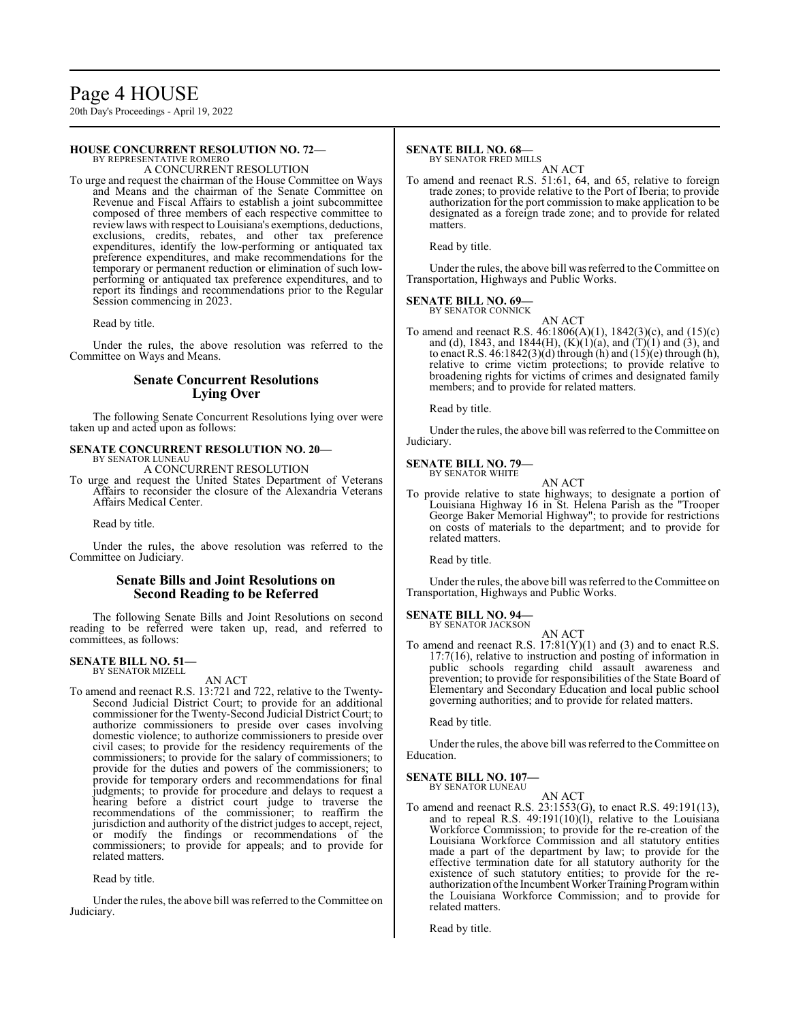# Page 4 HOUSE

20th Day's Proceedings - April 19, 2022

#### **HOUSE CONCURRENT RESOLUTION NO. 72—** BY REPRESENTATIVE ROMERO

A CONCURRENT RESOLUTION

To urge and request the chairman of the House Committee on Ways and Means and the chairman of the Senate Committee on Revenue and Fiscal Affairs to establish a joint subcommittee composed of three members of each respective committee to reviewlaws with respect to Louisiana's exemptions, deductions, exclusions, credits, rebates, and other tax preference expenditures, identify the low-performing or antiquated tax preference expenditures, and make recommendations for the temporary or permanent reduction or elimination of such lowperforming or antiquated tax preference expenditures, and to report its findings and recommendations prior to the Regular Session commencing in 2023.

Read by title.

Under the rules, the above resolution was referred to the Committee on Ways and Means.

# **Senate Concurrent Resolutions Lying Over**

The following Senate Concurrent Resolutions lying over were taken up and acted upon as follows:

#### **SENATE CONCURRENT RESOLUTION NO. 20—** BY SENATOR LUNEAU

A CONCURRENT RESOLUTION

To urge and request the United States Department of Veterans Affairs to reconsider the closure of the Alexandria Veterans Affairs Medical Center.

Read by title.

Under the rules, the above resolution was referred to the Committee on Judiciary.

# **Senate Bills and Joint Resolutions on Second Reading to be Referred**

The following Senate Bills and Joint Resolutions on second reading to be referred were taken up, read, and referred to committees, as follows:

#### **SENATE BILL NO. 51—** BY SENATOR MIZELL

#### AN ACT

To amend and reenact R.S. 13:721 and 722, relative to the Twenty-Second Judicial District Court; to provide for an additional commissioner for the Twenty-Second Judicial District Court; to authorize commissioners to preside over cases involving domestic violence; to authorize commissioners to preside over civil cases; to provide for the residency requirements of the commissioners; to provide for the salary of commissioners; to provide for the duties and powers of the commissioners; to provide for temporary orders and recommendations for final judgments; to provide for procedure and delays to request a hearing before a district court judge to traverse the recommendations of the commissioner; to reaffirm the jurisdiction and authority of the district judges to accept, reject, or modify the findings or recommendations of the commissioners; to provide for appeals; and to provide for related matters.

Read by title.

Under the rules, the above bill was referred to the Committee on Judiciary.

# **SENATE BILL NO. 68—**

BY SENATOR FRED MILLS

AN ACT To amend and reenact R.S. 51:61, 64, and 65, relative to foreign trade zones; to provide relative to the Port of Iberia; to provide authorization for the port commission to make application to be designated as a foreign trade zone; and to provide for related matters.

Read by title.

Under the rules, the above bill was referred to the Committee on Transportation, Highways and Public Works.

**SENATE BILL NO. 69—** BY SENATOR CONNICK

AN ACT

To amend and reenact R.S. 46:1806(A)(1), 1842(3)(c), and (15)(c) and (d), 1843, and 1844(H),  $(K)(1)(a)$ , and  $(T)(1)$  and  $(3)$ , and to enact R.S.  $46:1842(3)(d)$  through (h) and  $(15)(e)$  through (h), relative to crime victim protections; to provide relative to broadening rights for victims of crimes and designated family members; and to provide for related matters.

Read by title.

Under the rules, the above bill was referred to the Committee on Judiciary.

#### **SENATE BILL NO. 79—** BY SENATOR WHITE

AN ACT

To provide relative to state highways; to designate a portion of Louisiana Highway 16 in St. Helena Parish as the "Trooper George Baker Memorial Highway"; to provide for restrictions on costs of materials to the department; and to provide for related matters.

Read by title.

Under the rules, the above bill was referred to the Committee on Transportation, Highways and Public Works.

#### **SENATE BILL NO. 94—** BY SENATOR JACKSON

AN ACT

To amend and reenact R.S.  $17:81(Y)(1)$  and (3) and to enact R.S. 17:7(16), relative to instruction and posting of information in public schools regarding child assault awareness and prevention; to provide for responsibilities of the State Board of Elementary and Secondary Education and local public school governing authorities; and to provide for related matters.

Read by title.

Under the rules, the above bill was referred to the Committee on Education.

# **SENATE BILL NO. 107—**

BY SENATOR LUNEAU

AN ACT To amend and reenact R.S. 23:1553(G), to enact R.S. 49:191(13), and to repeal R.S. 49:191(10)(l), relative to the Louisiana Workforce Commission; to provide for the re-creation of the Louisiana Workforce Commission and all statutory entities made a part of the department by law; to provide for the effective termination date for all statutory authority for the existence of such statutory entities; to provide for the reauthorization of the Incumbent Worker Training Program within the Louisiana Workforce Commission; and to provide for related matters.

Read by title.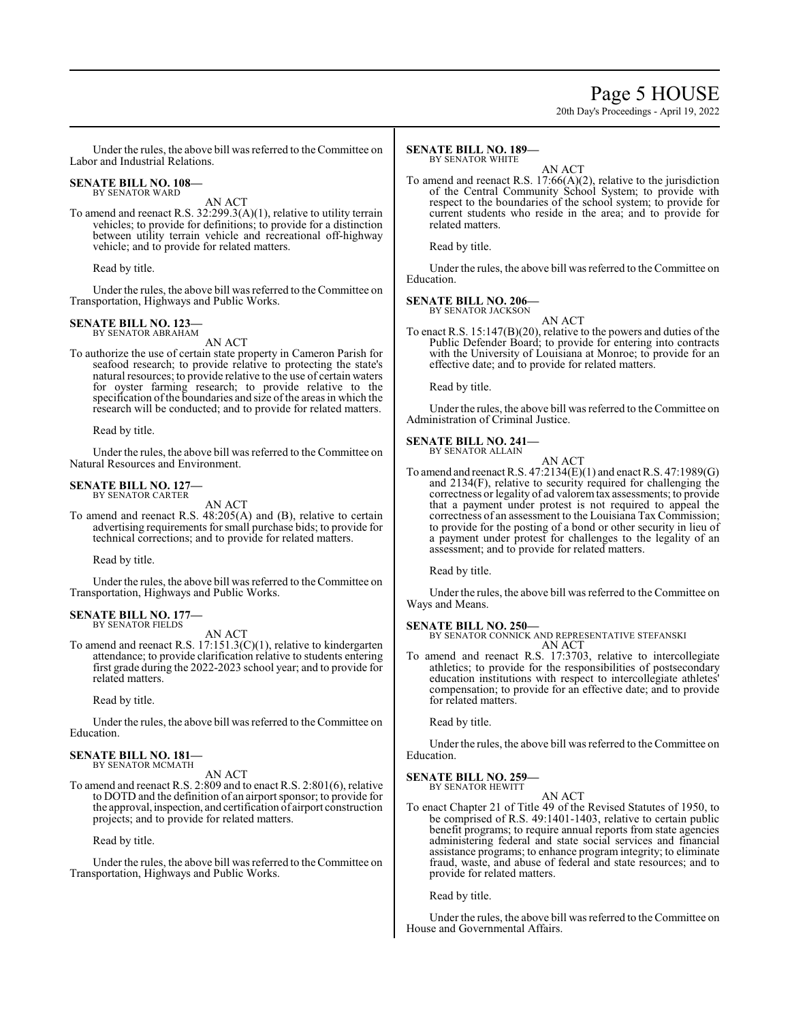# Page 5 HOUSE

20th Day's Proceedings - April 19, 2022

Under the rules, the above bill was referred to the Committee on Labor and Industrial Relations.

#### **SENATE BILL NO. 108—** BY SENATOR WARD

AN ACT

To amend and reenact R.S. 32:299.3(A)(1), relative to utility terrain vehicles; to provide for definitions; to provide for a distinction between utility terrain vehicle and recreational off-highway vehicle; and to provide for related matters.

Read by title.

Under the rules, the above bill was referred to the Committee on Transportation, Highways and Public Works.

#### **SENATE BILL NO. 123—** BY SENATOR ABRAHAM

AN ACT

To authorize the use of certain state property in Cameron Parish for seafood research; to provide relative to protecting the state's natural resources; to provide relative to the use of certain waters for oyster farming research; to provide relative to the specification of the boundaries and size of the areas in which the research will be conducted; and to provide for related matters.

Read by title.

Under the rules, the above bill was referred to the Committee on Natural Resources and Environment.

#### **SENATE BILL NO. 127—** BY SENATOR CARTER

AN ACT

To amend and reenact R.S. 48:205(A) and (B), relative to certain advertising requirements forsmall purchase bids; to provide for technical corrections; and to provide for related matters.

Read by title.

Under the rules, the above bill was referred to the Committee on Transportation, Highways and Public Works.

# **SENATE BILL NO. 177—** BY SENATOR FIELDS

AN ACT

To amend and reenact R.S. 17:151.3(C)(1), relative to kindergarten attendance; to provide clarification relative to students entering first grade during the 2022-2023 school year; and to provide for related matters.

Read by title.

Under the rules, the above bill was referred to the Committee on Education.

#### **SENATE BILL NO. 181—** BY SENATOR MCMATH

AN ACT

To amend and reenact R.S. 2:809 and to enact R.S. 2:801(6), relative to DOTD and the definition of an airport sponsor; to provide for the approval, inspection, and certification of airport construction projects; and to provide for related matters.

Read by title.

Under the rules, the above bill was referred to the Committee on Transportation, Highways and Public Works.

#### **SENATE BILL NO. 189—** BY SENATOR WHITE

AN ACT

To amend and reenact R.S. 17:66(A)(2), relative to the jurisdiction of the Central Community School System; to provide with respect to the boundaries of the school system; to provide for current students who reside in the area; and to provide for related matters.

Read by title.

Under the rules, the above bill was referred to the Committee on Education.

**SENATE BILL NO. 206—** BY SENATOR JACKSON

AN ACT

To enact R.S. 15:147(B)(20), relative to the powers and duties of the Public Defender Board; to provide for entering into contracts with the University of Louisiana at Monroe; to provide for an effective date; and to provide for related matters.

Read by title.

Under the rules, the above bill was referred to the Committee on Administration of Criminal Justice.

#### **SENATE BILL NO. 241—** BY SENATOR ALLAIN

AN ACT

To amend and reenact R.S. 47:2134(E)(1) and enact R.S. 47:1989(G) and 2134(F), relative to security required for challenging the correctness or legality of ad valoremtax assessments; to provide that a payment under protest is not required to appeal the correctness of an assessment to the Louisiana Tax Commission; to provide for the posting of a bond or other security in lieu of a payment under protest for challenges to the legality of an assessment; and to provide for related matters.

Read by title.

Under the rules, the above bill was referred to the Committee on Ways and Means.

#### **SENATE BILL NO. 250—**

BY SENATOR CONNICK AND REPRESENTATIVE STEFANSKI AN ACT

To amend and reenact R.S. 17:3703, relative to intercollegiate athletics; to provide for the responsibilities of postsecondary education institutions with respect to intercollegiate athletes' compensation; to provide for an effective date; and to provide for related matters.

Read by title.

Under the rules, the above bill was referred to the Committee on Education.

# **SENATE BILL NO. 259—**

BY SENATOR HEWITT

AN ACT To enact Chapter 21 of Title 49 of the Revised Statutes of 1950, to be comprised of R.S. 49:1401-1403, relative to certain public benefit programs; to require annual reports from state agencies administering federal and state social services and financial assistance programs; to enhance program integrity; to eliminate fraud, waste, and abuse of federal and state resources; and to provide for related matters.

Read by title.

Under the rules, the above bill was referred to the Committee on House and Governmental Affairs.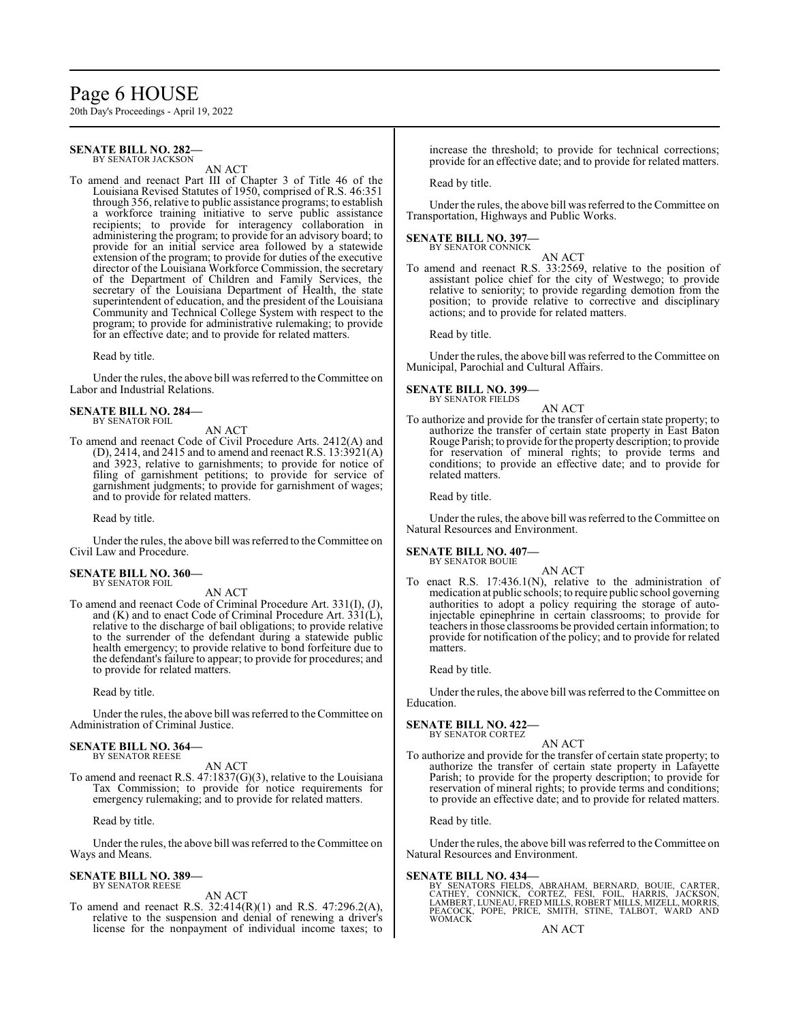# Page 6 HOUSE

20th Day's Proceedings - April 19, 2022

#### **SENATE BILL NO. 282—** BY SENATOR JACKSON

AN ACT

To amend and reenact Part III of Chapter 3 of Title 46 of the Louisiana Revised Statutes of 1950, comprised of R.S. 46:351 through 356, relative to public assistance programs; to establish a workforce training initiative to serve public assistance recipients; to provide for interagency collaboration in administering the program; to provide for an advisory board; to provide for an initial service area followed by a statewide extension of the program; to provide for duties of the executive director of the Louisiana Workforce Commission, the secretary of the Department of Children and Family Services, the secretary of the Louisiana Department of Health, the state superintendent of education, and the president of the Louisiana Community and Technical College System with respect to the program; to provide for administrative rulemaking; to provide for an effective date; and to provide for related matters.

Read by title.

Under the rules, the above bill was referred to the Committee on Labor and Industrial Relations.

#### **SENATE BILL NO. 284—** BY SENATOR FOIL

AN ACT

To amend and reenact Code of Civil Procedure Arts. 2412(A) and (D), 2414, and 2415 and to amend and reenact R.S.  $13:3921(A)$ and 3923, relative to garnishments; to provide for notice of filing of garnishment petitions; to provide for service of garnishment judgments; to provide for garnishment of wages; and to provide for related matters.

Read by title.

Under the rules, the above bill was referred to theCommittee on Civil Law and Procedure.

#### **SENATE BILL NO. 360—** BY SENATOR FOIL

AN ACT

To amend and reenact Code of Criminal Procedure Art. 331(I), (J), and (K) and to enact Code of Criminal Procedure Art. 331(L), relative to the discharge of bail obligations; to provide relative to the surrender of the defendant during a statewide public health emergency; to provide relative to bond forfeiture due to the defendant's failure to appear; to provide for procedures; and to provide for related matters.

Read by title.

Under the rules, the above bill was referred to the Committee on Administration of Criminal Justice.

#### **SENATE BILL NO. 364—** BY SENATOR REESE

AN ACT

To amend and reenact R.S. 47:1837(G)(3), relative to the Louisiana Tax Commission; to provide for notice requirements for emergency rulemaking; and to provide for related matters.

Read by title.

Under the rules, the above bill was referred to the Committee on Ways and Means.

#### **SENATE BILL NO. 389—** BY SENATOR REESE

AN ACT

To amend and reenact R.S. 32:414(R)(1) and R.S. 47:296.2(A), relative to the suspension and denial of renewing a driver's license for the nonpayment of individual income taxes; to increase the threshold; to provide for technical corrections; provide for an effective date; and to provide for related matters.

Read by title.

Under the rules, the above bill was referred to the Committee on Transportation, Highways and Public Works.

## **SENATE BILL NO. 397—**

BY SENATOR CONNICK

AN ACT To amend and reenact R.S. 33:2569, relative to the position of assistant police chief for the city of Westwego; to provide relative to seniority; to provide regarding demotion from the position; to provide relative to corrective and disciplinary actions; and to provide for related matters.

Read by title.

Under the rules, the above bill was referred to the Committee on Municipal, Parochial and Cultural Affairs.

**SENATE BILL NO. 399—** BY SENATOR FIELDS

# AN ACT

To authorize and provide for the transfer of certain state property; to authorize the transfer of certain state property in East Baton Rouge Parish; to provide for the property description; to provide for reservation of mineral rights; to provide terms and conditions; to provide an effective date; and to provide for related matters.

Read by title.

Under the rules, the above bill was referred to the Committee on Natural Resources and Environment.

# **SENATE BILL NO. 407—**

BY SENATOR BOUIE

AN ACT To enact R.S. 17:436.1(N), relative to the administration of medication at public schools; to require public school governing authorities to adopt a policy requiring the storage of autoinjectable epinephrine in certain classrooms; to provide for teachers in those classrooms be provided certain information; to provide for notification of the policy; and to provide for related matters.

Read by title.

Under the rules, the above bill was referred to the Committee on Education.

#### **SENATE BILL NO. 422—** BY SENATOR CORTEZ

AN ACT

To authorize and provide for the transfer of certain state property; to authorize the transfer of certain state property in Lafayette Parish; to provide for the property description; to provide for reservation of mineral rights; to provide terms and conditions; to provide an effective date; and to provide for related matters.

Read by title.

Under the rules, the above bill was referred to the Committee on Natural Resources and Environment.

#### **SENATE BILL NO. 434—**

BY SENATORS FIELDS, ABRAHAM, BERNARD, BOUIE, CARTER,<br>CATHEY, CONNICK, CORTEZ, FESI, FOIL, HARRIS, JACKSON,<br>LAMBERT,LUNEAU,FREDMILLS,ROBERT MILLS,MIZELL,MORRIS,<br>PEACOCK, POPE, PRICE, SMITH, STINE, TALBOT, WARD AND WOMACK

AN ACT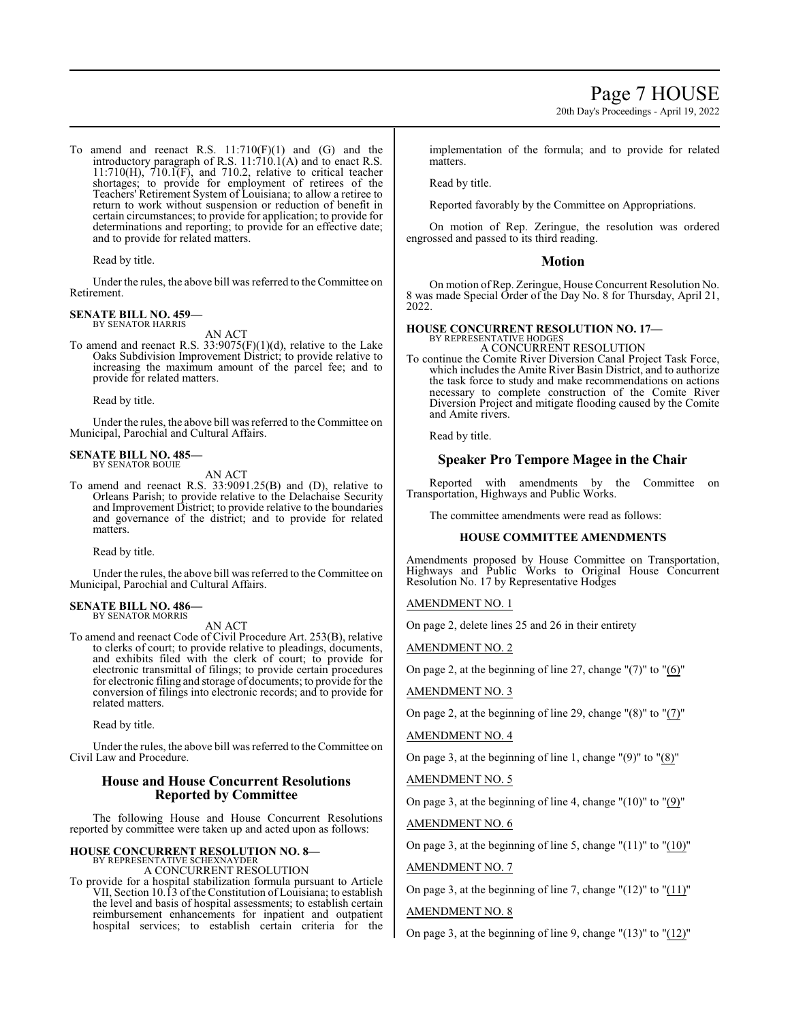20th Day's Proceedings - April 19, 2022

To amend and reenact R.S.  $11:710(F)(1)$  and  $(G)$  and the introductory paragraph of R.S. 11:710.1(A) and to enact R.S. 11:710(H), 710.1(F), and 710.2, relative to critical teacher shortages; to provide for employment of retirees of the Teachers' Retirement System of Louisiana; to allow a retiree to return to work without suspension or reduction of benefit in certain circumstances; to provide for application; to provide for determinations and reporting; to provide for an effective date; and to provide for related matters.

Read by title.

Under the rules, the above bill was referred to theCommittee on Retirement.

# **SENATE BILL NO. 459—**

BY SENATOR HARRIS AN ACT

To amend and reenact R.S.  $33:9075(F)(1)(d)$ , relative to the Lake Oaks Subdivision Improvement District; to provide relative to increasing the maximum amount of the parcel fee; and to provide for related matters.

Read by title.

Under the rules, the above bill was referred to the Committee on Municipal, Parochial and Cultural Affairs.

#### **SENATE BILL NO. 485—** BY SENATOR BOUIE

AN ACT

To amend and reenact R.S. 33:9091.25(B) and (D), relative to Orleans Parish; to provide relative to the Delachaise Security and Improvement District; to provide relative to the boundaries and governance of the district; and to provide for related matters.

Read by title.

Under the rules, the above bill was referred to the Committee on Municipal, Parochial and Cultural Affairs.

#### **SENATE BILL NO. 486—** BY SENATOR MORRIS

AN ACT

To amend and reenact Code of Civil Procedure Art. 253(B), relative to clerks of court; to provide relative to pleadings, documents, and exhibits filed with the clerk of court; to provide for electronic transmittal of filings; to provide certain procedures for electronic filing and storage of documents; to provide for the conversion of filings into electronic records; and to provide for related matters.

Read by title.

Under the rules, the above bill was referred to theCommittee on Civil Law and Procedure.

# **House and House Concurrent Resolutions Reported by Committee**

The following House and House Concurrent Resolutions reported by committee were taken up and acted upon as follows:

# **HOUSE CONCURRENT RESOLUTION NO. 8—** BY REPRESENTATIVE SCHEXNAYDER

A CONCURRENT RESOLUTION

To provide for a hospital stabilization formula pursuant to Article VII, Section 10.13 of the Constitution of Louisiana; to establish the level and basis of hospital assessments; to establish certain reimbursement enhancements for inpatient and outpatient hospital services; to establish certain criteria for the

implementation of the formula; and to provide for related matters.

Read by title.

Reported favorably by the Committee on Appropriations.

On motion of Rep. Zeringue, the resolution was ordered engrossed and passed to its third reading.

### **Motion**

On motion ofRep. Zeringue, House Concurrent Resolution No. 8 was made Special Order of the Day No. 8 for Thursday, April 21, 2022.

# **HOUSE CONCURRENT RESOLUTION NO. 17—**

BY REPRESENTATIVE HODGES A CONCURRENT RESOLUTION

To continue the Comite River Diversion Canal Project Task Force, which includes the Amite River Basin District, and to authorize the task force to study and make recommendations on actions necessary to complete construction of the Comite River Diversion Project and mitigate flooding caused by the Comite and Amite rivers.

Read by title.

# **Speaker Pro Tempore Magee in the Chair**

Reported with amendments by the Committee on Transportation, Highways and Public Works.

The committee amendments were read as follows:

#### **HOUSE COMMITTEE AMENDMENTS**

Amendments proposed by House Committee on Transportation, Highways and Public Works to Original House Concurrent Resolution No. 17 by Representative Hodges

#### AMENDMENT NO. 1

On page 2, delete lines 25 and 26 in their entirety

AMENDMENT NO. 2

On page 2, at the beginning of line 27, change "(7)" to "(6)"

AMENDMENT NO. 3

On page 2, at the beginning of line 29, change "(8)" to "(7)"

AMENDMENT NO. 4

On page 3, at the beginning of line 1, change " $(9)$ " to " $(8)$ "

AMENDMENT NO. 5

On page 3, at the beginning of line 4, change "(10)" to "(9)"

AMENDMENT NO. 6

On page 3, at the beginning of line 5, change " $(11)$ " to " $(10)$ " AMENDMENT NO. 7

On page 3, at the beginning of line 7, change " $(12)$ " to " $(11)$ "

# AMENDMENT NO. 8

On page 3, at the beginning of line 9, change  $(13)$ " to  $(12)$ "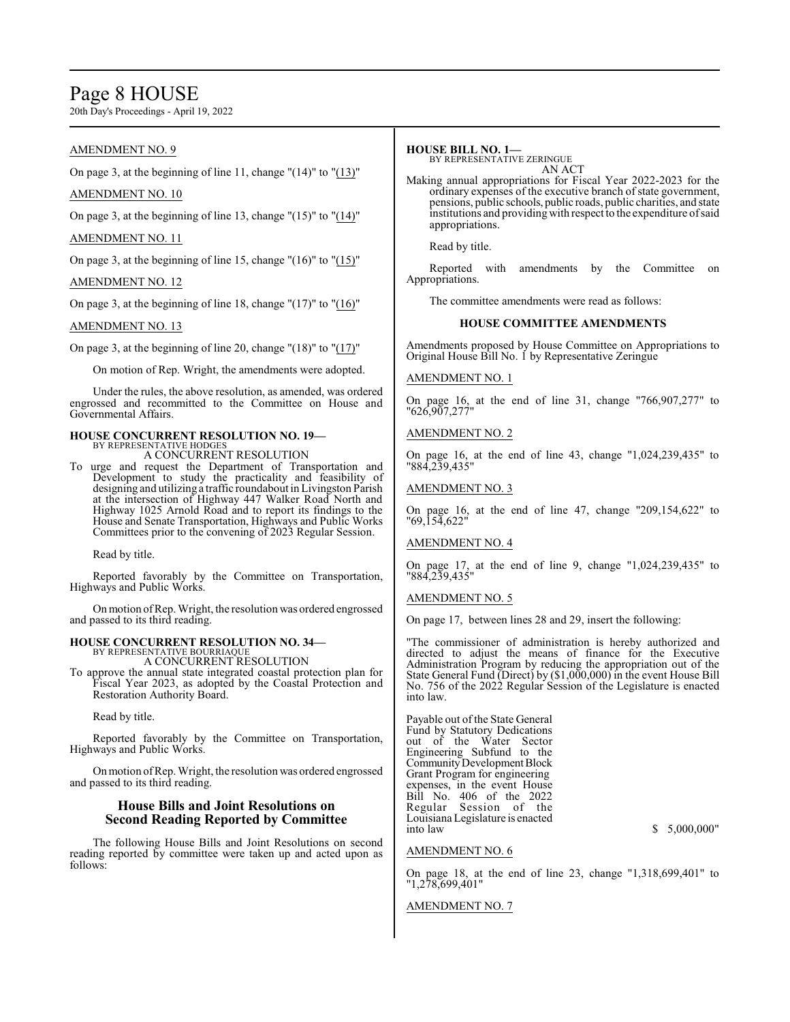# Page 8 HOUSE

20th Day's Proceedings - April 19, 2022

# AMENDMENT NO. 9

On page 3, at the beginning of line 11, change  $\Gamma(14)$ " to  $\Gamma(13)$ "

# AMENDMENT NO. 10

On page 3, at the beginning of line 13, change "(15)" to "(14)"

## AMENDMENT NO. 11

On page 3, at the beginning of line 15, change " $(16)$ " to " $(15)$ "

## AMENDMENT NO. 12

On page 3, at the beginning of line 18, change "(17)" to "(16)"

## AMENDMENT NO. 13

On page 3, at the beginning of line 20, change " $(18)$ " to " $(17)$ "

On motion of Rep. Wright, the amendments were adopted.

Under the rules, the above resolution, as amended, was ordered engrossed and recommitted to the Committee on House and Governmental Affairs.

# **HOUSE CONCURRENT RESOLUTION NO. 19—** BY REPRESENTATIVE HODGES A CONCURRENT RESOLUTION

To urge and request the Department of Transportation and Development to study the practicality and feasibility of designing and utilizing a traffic roundabout in Livingston Parish at the intersection of Highway 447 Walker Road North and Highway 1025 Arnold Road and to report its findings to the House and Senate Transportation, Highways and Public Works Committees prior to the convening of 2023 Regular Session.

Read by title.

Reported favorably by the Committee on Transportation, Highways and Public Works.

Onmotion ofRep. Wright, the resolution was ordered engrossed and passed to its third reading.

# **HOUSE CONCURRENT RESOLUTION NO. 34—** BY REPRESENTATIVE BOURRIAQUE

A CONCURRENT RESOLUTION

To approve the annual state integrated coastal protection plan for Fiscal Year 2023, as adopted by the Coastal Protection and Restoration Authority Board.

Read by title.

Reported favorably by the Committee on Transportation, Highways and Public Works.

Onmotion ofRep. Wright, the resolution was ordered engrossed and passed to its third reading.

# **House Bills and Joint Resolutions on Second Reading Reported by Committee**

The following House Bills and Joint Resolutions on second reading reported by committee were taken up and acted upon as follows:

## **HOUSE BILL NO. 1—**

BY REPRESENTATIVE ZERINGUE AN ACT

Making annual appropriations for Fiscal Year 2022-2023 for the ordinary expenses of the executive branch of state government, pensions, public schools, public roads, public charities, and state institutions and providing with respect to the expenditure of said appropriations.

Read by title.

Reported with amendments by the Committee on Appropriations.

The committee amendments were read as follows:

### **HOUSE COMMITTEE AMENDMENTS**

Amendments proposed by House Committee on Appropriations to Original House Bill No. 1 by Representative Zeringue

### AMENDMENT NO. 1

On page 16, at the end of line 31, change "766,907,277" to "626,907,277"

### AMENDMENT NO. 2

On page 16, at the end of line 43, change "1,024,239,435" to "884,239,435"

## AMENDMENT NO. 3

On page 16, at the end of line 47, change "209,154,622" to "69,154,622"

#### AMENDMENT NO. 4

On page 17, at the end of line 9, change "1,024,239,435" to "884,239,435"

#### AMENDMENT NO. 5

On page 17, between lines 28 and 29, insert the following:

"The commissioner of administration is hereby authorized and directed to adjust the means of finance for the Executive Administration Program by reducing the appropriation out of the State General Fund (Direct) by (\$1,000,000) in the event House Bill No. 756 of the 2022 Regular Session of the Legislature is enacted into law.

Payable out of the State General Fund by Statutory Dedications out of the Water Sector Engineering Subfund to the Community Development Block Grant Program for engineering expenses, in the event House Bill No. 406 of the 2022 Regular Session of the Louisiana Legislature is enacted

 $$5,000,000"$ 

### AMENDMENT NO. 6

On page 18, at the end of line 23, change "1,318,699,401" to "1,278,699,401"

#### AMENDMENT NO. 7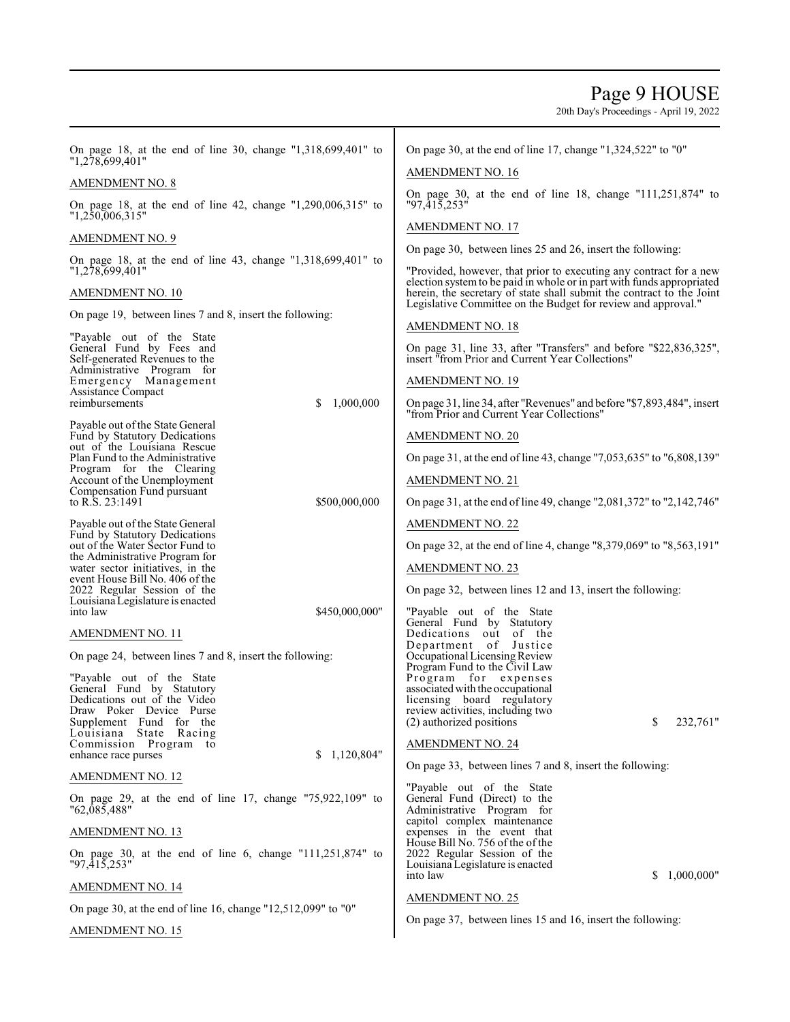# Page 9 HOUSE

| On page 18, at the end of line 30, change "1,318,699,401" to<br>"1,278,699,401"          | On page 30, at the end of line 17, change " $1,324,522$ " to "0"                                                                             |
|------------------------------------------------------------------------------------------|----------------------------------------------------------------------------------------------------------------------------------------------|
| AMENDMENT NO. 8                                                                          | <b>AMENDMENT NO. 16</b>                                                                                                                      |
| On page 18, at the end of line 42, change "1,290,006,315" to<br>"1,250,006,315"          | On page 30, at the end of line 18, change $"111,251,874"$ to<br>"97,415,253"                                                                 |
| AMENDMENT NO. 9                                                                          | <b>AMENDMENT NO. 17</b>                                                                                                                      |
| On page 18, at the end of line 43, change $"1,318,699,401"$ to                           | On page 30, between lines 25 and 26, insert the following:                                                                                   |
| "1,278,699,401"                                                                          | "Provided, however, that prior to executing any contract for a new<br>election system to be paid in whole or in part with funds appropriated |
| AMENDMENT NO. 10                                                                         | herein, the secretary of state shall submit the contract to the Joint<br>Legislative Committee on the Budget for review and approval."       |
| On page 19, between lines 7 and 8, insert the following:                                 | <b>AMENDMENT NO. 18</b>                                                                                                                      |
| "Payable out of the State"<br>General Fund by Fees and<br>Self-generated Revenues to the | On page 31, line 33, after "Transfers" and before "\$22,836,325",<br>insert "from Prior and Current Year Collections"                        |
| Administrative Program for<br>Emergency Management<br>Assistance Compact                 | <b>AMENDMENT NO. 19</b>                                                                                                                      |
| 1,000,000<br>reimbursements<br>S                                                         | On page 31, line 34, after "Revenues" and before "\$7,893,484", insert<br>"from Prior and Current Year Collections"                          |
| Payable out of the State General<br>Fund by Statutory Dedications                        | <b>AMENDMENT NO. 20</b>                                                                                                                      |
| out of the Louisiana Rescue<br>Plan Fund to the Administrative                           | On page 31, at the end of line 43, change "7,053,635" to "6,808,139"                                                                         |
| Program for the Clearing<br>Account of the Unemployment                                  | <b>AMENDMENT NO. 21</b>                                                                                                                      |
| Compensation Fund pursuant<br>to R.S. 23:1491<br>\$500,000,000                           | On page 31, at the end of line 49, change "2,081,372" to "2,142,746"                                                                         |
| Payable out of the State General                                                         | <b>AMENDMENT NO. 22</b>                                                                                                                      |
| Fund by Statutory Dedications<br>out of the Water Sector Fund to                         | On page 32, at the end of line 4, change "8,379,069" to "8,563,191"                                                                          |
| the Administrative Program for<br>water sector initiatives, in the                       | <b>AMENDMENT NO. 23</b>                                                                                                                      |
| event House Bill No. 406 of the<br>2022 Regular Session of the                           | On page 32, between lines 12 and 13, insert the following:                                                                                   |
| Louisiana Legislature is enacted<br>\$450,000,000"<br>into law                           | "Payable out of the State"                                                                                                                   |
| AMENDMENT NO. 11                                                                         | General Fund by Statutory<br>Dedications out<br>of the                                                                                       |
| On page 24, between lines 7 and 8, insert the following:                                 | Department of Justice<br>Occupational Licensing Review                                                                                       |
| "Payable out of the State                                                                | Program Fund to the Civil Law<br>Program for expenses                                                                                        |
| General Fund by Statutory<br>Dedications out of the Video                                | associated with the occupational<br>licensing board regulatory                                                                               |
| Draw Poker Device Purse                                                                  | review activities, including two<br>\$<br>232,761"                                                                                           |
| Supplement Fund for the<br>Louisiana<br>State<br>Racing                                  | (2) authorized positions                                                                                                                     |
| Commission Program to<br>\$1,120,804"<br>enhance race purses                             | <b>AMENDMENT NO. 24</b>                                                                                                                      |
| <b>AMENDMENT NO. 12</b>                                                                  | On page 33, between lines 7 and 8, insert the following:                                                                                     |
| On page 29, at the end of line 17, change $"75,922,109"$ to<br>"62,085,488"              | "Payable out of the State<br>General Fund (Direct) to the<br>Administrative Program for                                                      |
| <u>AMENDMENT NO. 13</u>                                                                  | capitol complex maintenance<br>expenses in the event that                                                                                    |
| On page 30, at the end of line 6, change $"111,251,874"$ to<br>"97,415,253"              | House Bill No. 756 of the of the<br>2022 Regular Session of the<br>Louisiana Legislature is enacted                                          |
| <u>AMENDMENT NO. 14</u>                                                                  | 1,000,000"<br>into law<br>S.                                                                                                                 |
| On page 30, at the end of line 16, change "12,512,099" to "0"                            | <b>AMENDMENT NO. 25</b>                                                                                                                      |
| AMENDMENT NO. 15                                                                         | On page 37, between lines 15 and 16, insert the following:                                                                                   |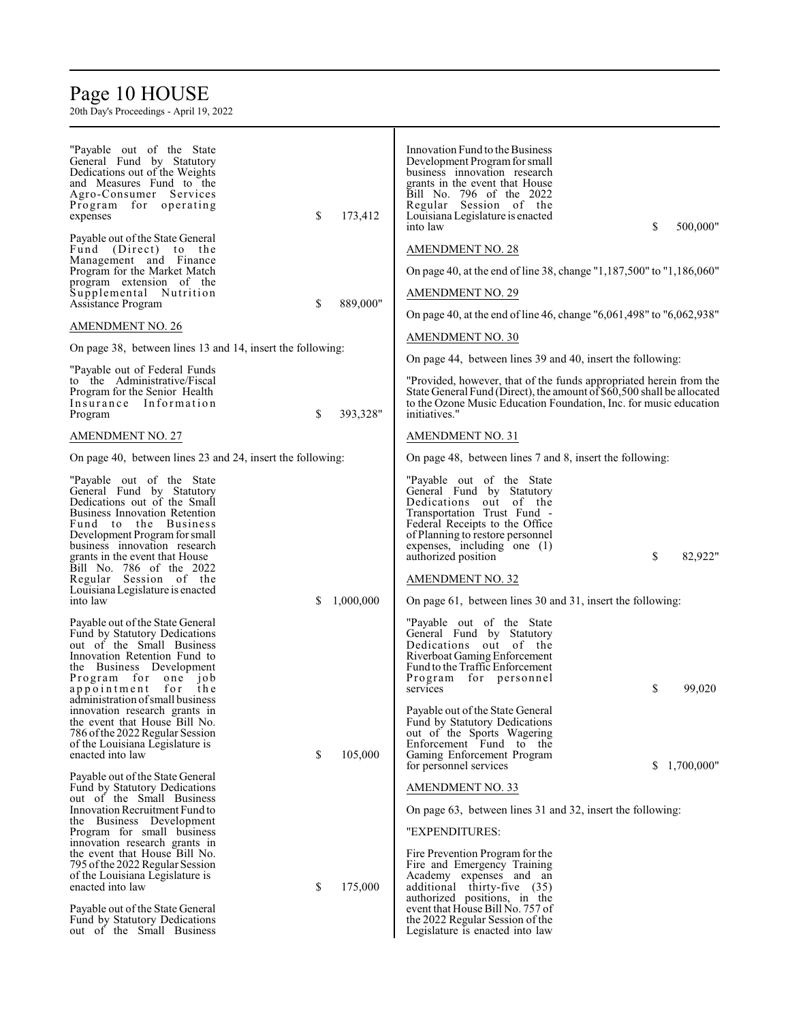# Page 10 HOUSE

| "Payable out of the State"<br>General Fund by Statutory<br>Dedications out of the Weights<br>and Measures Fund to the<br>Agro-Consumer Services<br>Program for operating<br>expenses                                                                       | \$<br>173,412   | Innovation Fund to the Business<br>Development Program for small<br>business innovation research<br>grants in the event that House<br>Bill No. 796 of the 2022<br>Regular Session of the<br>Louisiana Legislature is enacted<br>\$<br>into law       | 500,000"     |
|------------------------------------------------------------------------------------------------------------------------------------------------------------------------------------------------------------------------------------------------------------|-----------------|------------------------------------------------------------------------------------------------------------------------------------------------------------------------------------------------------------------------------------------------------|--------------|
| Payable out of the State General<br>Fund (Direct) to the<br>Management and Finance                                                                                                                                                                         |                 | <b>AMENDMENT NO. 28</b>                                                                                                                                                                                                                              |              |
| Program for the Market Match                                                                                                                                                                                                                               |                 | On page 40, at the end of line 38, change "1,187,500" to "1,186,060"                                                                                                                                                                                 |              |
| program extension of the                                                                                                                                                                                                                                   |                 |                                                                                                                                                                                                                                                      |              |
| Supplemental Nutrition<br>Assistance Program                                                                                                                                                                                                               | \$<br>889,000"  | <b>AMENDMENT NO. 29</b>                                                                                                                                                                                                                              |              |
|                                                                                                                                                                                                                                                            |                 | On page 40, at the end of line 46, change "6,061,498" to "6,062,938"                                                                                                                                                                                 |              |
| AMENDMENT NO. 26                                                                                                                                                                                                                                           |                 |                                                                                                                                                                                                                                                      |              |
| On page 38, between lines 13 and 14, insert the following:                                                                                                                                                                                                 |                 | <b>AMENDMENT NO. 30</b>                                                                                                                                                                                                                              |              |
|                                                                                                                                                                                                                                                            |                 | On page 44, between lines 39 and 40, insert the following:                                                                                                                                                                                           |              |
| "Payable out of Federal Funds<br>to the Administrative/Fiscal<br>Program for the Senior Health<br>Insurance Information<br>Program                                                                                                                         | \$<br>393,328"  | "Provided, however, that of the funds appropriated herein from the<br>State General Fund (Direct), the amount of \$60,500 shall be allocated<br>to the Ozone Music Education Foundation, Inc. for music education<br>initiatives."                   |              |
| <b>AMENDMENT NO. 27</b>                                                                                                                                                                                                                                    |                 | <b>AMENDMENT NO. 31</b>                                                                                                                                                                                                                              |              |
| On page 40, between lines 23 and 24, insert the following:                                                                                                                                                                                                 |                 | On page 48, between lines 7 and 8, insert the following:                                                                                                                                                                                             |              |
| "Payable out of the State"<br>General Fund by Statutory<br>Dedications out of the Small<br><b>Business Innovation Retention</b><br>Fund to the Business<br>Development Program for small<br>business innovation research<br>grants in the event that House |                 | "Payable out of the State"<br>General Fund by Statutory<br>Dedications out of the<br>Transportation Trust Fund -<br>Federal Receipts to the Office<br>of Planning to restore personnel<br>expenses, including one $(1)$<br>\$<br>authorized position | 82,922"      |
| Bill No. 786 of the 2022                                                                                                                                                                                                                                   |                 |                                                                                                                                                                                                                                                      |              |
| Regular Session of the                                                                                                                                                                                                                                     |                 | <b>AMENDMENT NO. 32</b>                                                                                                                                                                                                                              |              |
| Louisiana Legislature is enacted<br>into law                                                                                                                                                                                                               | \$<br>1,000,000 | On page 61, between lines 30 and 31, insert the following:                                                                                                                                                                                           |              |
| Payable out of the State General<br>Fund by Statutory Dedications<br>out of the Small Business<br>Innovation Retention Fund to<br>the Business Development<br>Program for one<br>10b<br>appointment for the<br>administration of small business            |                 | "Payable out of the State"<br>General Fund by Statutory<br>Dedications out of the<br>Riverboat Gaming Enforcement<br>Fund to the Traffic Enforcement<br>Program for personnel<br>\$<br>services                                                      | 99,020       |
| innovation research grants in<br>the event that House Bill No.<br>786 of the 2022 Regular Session<br>of the Louisiana Legislature is<br>enacted into law                                                                                                   | \$<br>105,000   | Payable out of the State General<br>Fund by Statutory Dedications<br>out of the Sports Wagering<br>Enforcement Fund to the<br>Gaming Enforcement Program                                                                                             | \$1,700,000" |
| Payable out of the State General<br>Fund by Statutory Dedications                                                                                                                                                                                          |                 | for personnel services<br><b>AMENDMENT NO. 33</b>                                                                                                                                                                                                    |              |
| out of the Small Business                                                                                                                                                                                                                                  |                 |                                                                                                                                                                                                                                                      |              |
| Innovation Recruitment Fund to                                                                                                                                                                                                                             |                 | On page 63, between lines 31 and 32, insert the following:                                                                                                                                                                                           |              |
| the Business Development<br>Program for small business                                                                                                                                                                                                     |                 | "EXPENDITURES:                                                                                                                                                                                                                                       |              |
| innovation research grants in                                                                                                                                                                                                                              |                 |                                                                                                                                                                                                                                                      |              |
| the event that House Bill No.                                                                                                                                                                                                                              |                 | Fire Prevention Program for the                                                                                                                                                                                                                      |              |
| 795 of the 2022 Regular Session<br>of the Louisiana Legislature is                                                                                                                                                                                         |                 | Fire and Emergency Training<br>Academy expenses and an                                                                                                                                                                                               |              |
| enacted into law                                                                                                                                                                                                                                           | \$<br>175,000   | additional thirty-five (35)                                                                                                                                                                                                                          |              |
| Payable out of the State General<br>Fund by Statutory Dedications<br>out of the Small Business                                                                                                                                                             |                 | authorized positions, in the<br>event that House Bill No. 757 of<br>the 2022 Regular Session of the<br>Legislature is enacted into law                                                                                                               |              |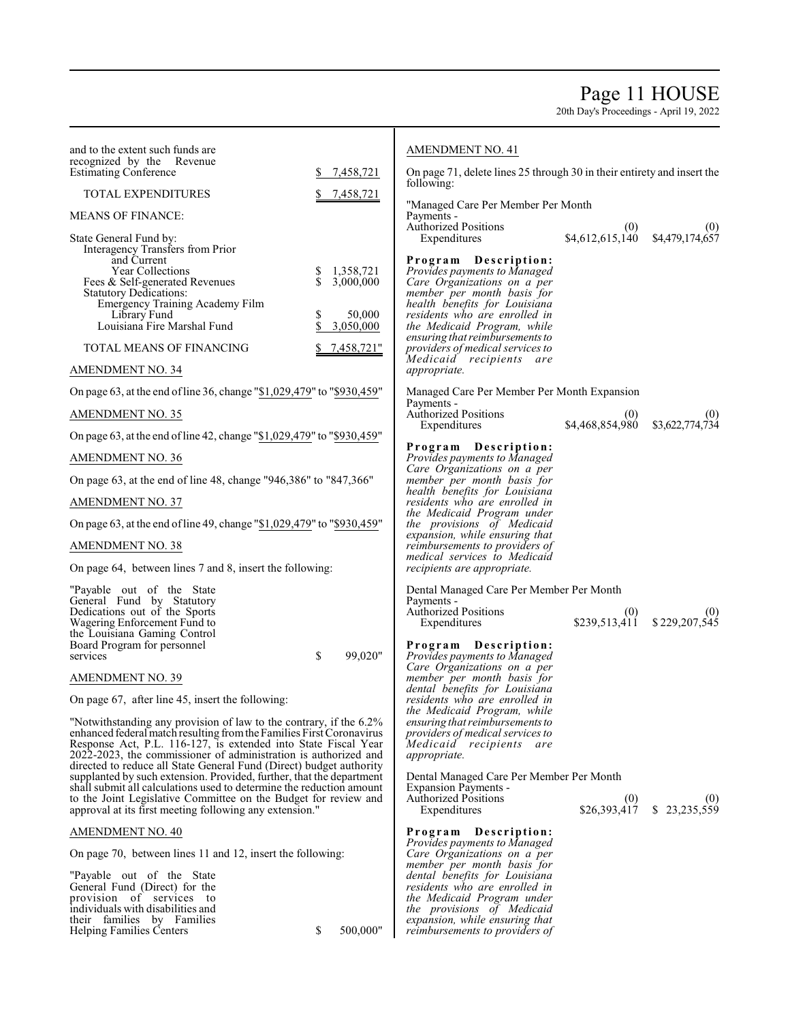# Page 11 HOUSE

|                                                                                                                                                                                                                                                                                 | <b>AMENDMENT NO. 41</b>                                                                                                                                                                                                                                                  |                                                                                                                                                                                                                                                                                                                                                                                                                                                                                                                            |                                                                                                                                                                                                                                                                                                                         |
|---------------------------------------------------------------------------------------------------------------------------------------------------------------------------------------------------------------------------------------------------------------------------------|--------------------------------------------------------------------------------------------------------------------------------------------------------------------------------------------------------------------------------------------------------------------------|----------------------------------------------------------------------------------------------------------------------------------------------------------------------------------------------------------------------------------------------------------------------------------------------------------------------------------------------------------------------------------------------------------------------------------------------------------------------------------------------------------------------------|-------------------------------------------------------------------------------------------------------------------------------------------------------------------------------------------------------------------------------------------------------------------------------------------------------------------------|
| 7,458,721                                                                                                                                                                                                                                                                       | following:                                                                                                                                                                                                                                                               |                                                                                                                                                                                                                                                                                                                                                                                                                                                                                                                            |                                                                                                                                                                                                                                                                                                                         |
|                                                                                                                                                                                                                                                                                 |                                                                                                                                                                                                                                                                          |                                                                                                                                                                                                                                                                                                                                                                                                                                                                                                                            |                                                                                                                                                                                                                                                                                                                         |
|                                                                                                                                                                                                                                                                                 | Payments -                                                                                                                                                                                                                                                               |                                                                                                                                                                                                                                                                                                                                                                                                                                                                                                                            |                                                                                                                                                                                                                                                                                                                         |
|                                                                                                                                                                                                                                                                                 | Expenditures                                                                                                                                                                                                                                                             |                                                                                                                                                                                                                                                                                                                                                                                                                                                                                                                            |                                                                                                                                                                                                                                                                                                                         |
| 1,358,721<br>\$<br>$\mathbb{S}$<br>3,000,000<br>\$<br>50,000<br>\$<br>3,050,000                                                                                                                                                                                                 | Provides payments to Managed<br>Care Organizations on a per<br>member per month basis for<br>health benefits for Louisiana<br>residents who are enrolled in<br>the Medicaid Program, while<br>ensuring that reimbursements to                                            |                                                                                                                                                                                                                                                                                                                                                                                                                                                                                                                            |                                                                                                                                                                                                                                                                                                                         |
|                                                                                                                                                                                                                                                                                 | Medicaid recipients are<br>appropriate.                                                                                                                                                                                                                                  |                                                                                                                                                                                                                                                                                                                                                                                                                                                                                                                            |                                                                                                                                                                                                                                                                                                                         |
|                                                                                                                                                                                                                                                                                 |                                                                                                                                                                                                                                                                          |                                                                                                                                                                                                                                                                                                                                                                                                                                                                                                                            |                                                                                                                                                                                                                                                                                                                         |
|                                                                                                                                                                                                                                                                                 | Payments -<br>Authorized Positions                                                                                                                                                                                                                                       | (0)                                                                                                                                                                                                                                                                                                                                                                                                                                                                                                                        | (0)                                                                                                                                                                                                                                                                                                                     |
| On page 63, at the end of line 42, change "\$1,029,479" to "\$930,459"                                                                                                                                                                                                          |                                                                                                                                                                                                                                                                          |                                                                                                                                                                                                                                                                                                                                                                                                                                                                                                                            | \$3,622,774,734                                                                                                                                                                                                                                                                                                         |
|                                                                                                                                                                                                                                                                                 | Provides payments to Managed                                                                                                                                                                                                                                             |                                                                                                                                                                                                                                                                                                                                                                                                                                                                                                                            |                                                                                                                                                                                                                                                                                                                         |
| On page 63, at the end of line 48, change "946,386" to "847,366"                                                                                                                                                                                                                | member per month basis for                                                                                                                                                                                                                                               |                                                                                                                                                                                                                                                                                                                                                                                                                                                                                                                            |                                                                                                                                                                                                                                                                                                                         |
|                                                                                                                                                                                                                                                                                 | residents who are enrolled in                                                                                                                                                                                                                                            |                                                                                                                                                                                                                                                                                                                                                                                                                                                                                                                            |                                                                                                                                                                                                                                                                                                                         |
| On page 63, at the end of line 49, change "\$1,029,479" to "\$930,459"                                                                                                                                                                                                          | the provisions of Medicaid                                                                                                                                                                                                                                               |                                                                                                                                                                                                                                                                                                                                                                                                                                                                                                                            |                                                                                                                                                                                                                                                                                                                         |
|                                                                                                                                                                                                                                                                                 | reimbursements to providers of                                                                                                                                                                                                                                           |                                                                                                                                                                                                                                                                                                                                                                                                                                                                                                                            |                                                                                                                                                                                                                                                                                                                         |
| On page 64, between lines 7 and 8, insert the following:                                                                                                                                                                                                                        | recipients are appropriate.                                                                                                                                                                                                                                              |                                                                                                                                                                                                                                                                                                                                                                                                                                                                                                                            |                                                                                                                                                                                                                                                                                                                         |
|                                                                                                                                                                                                                                                                                 | Payments -<br><b>Authorized Positions</b><br>Expenditures                                                                                                                                                                                                                | (0)<br>\$239,513,411                                                                                                                                                                                                                                                                                                                                                                                                                                                                                                       | (0)<br>\$229,207,545                                                                                                                                                                                                                                                                                                    |
|                                                                                                                                                                                                                                                                                 | Program Description:                                                                                                                                                                                                                                                     |                                                                                                                                                                                                                                                                                                                                                                                                                                                                                                                            |                                                                                                                                                                                                                                                                                                                         |
|                                                                                                                                                                                                                                                                                 | Care Organizations on a per                                                                                                                                                                                                                                              |                                                                                                                                                                                                                                                                                                                                                                                                                                                                                                                            |                                                                                                                                                                                                                                                                                                                         |
|                                                                                                                                                                                                                                                                                 | dental benefits for Louisiana                                                                                                                                                                                                                                            |                                                                                                                                                                                                                                                                                                                                                                                                                                                                                                                            |                                                                                                                                                                                                                                                                                                                         |
|                                                                                                                                                                                                                                                                                 |                                                                                                                                                                                                                                                                          |                                                                                                                                                                                                                                                                                                                                                                                                                                                                                                                            |                                                                                                                                                                                                                                                                                                                         |
| "Notwithstanding any provision of law to the contrary, if the 6.2%<br>enhanced federal match resulting from the Families First Coronavirus<br>Response Act, P.L. 116-127, is extended into State Fiscal Year<br>2022-2023, the commissioner of administration is authorized and | ensuring that reimbursements to<br>providers of medical services to<br>Medicaid recipients<br>are<br><i>appropriate.</i>                                                                                                                                                 |                                                                                                                                                                                                                                                                                                                                                                                                                                                                                                                            |                                                                                                                                                                                                                                                                                                                         |
| supplanted by such extension. Provided, further, that the department                                                                                                                                                                                                            |                                                                                                                                                                                                                                                                          |                                                                                                                                                                                                                                                                                                                                                                                                                                                                                                                            |                                                                                                                                                                                                                                                                                                                         |
| to the Joint Legislative Committee on the Budget for review and<br>approval at its first meeting following any extension."                                                                                                                                                      | <b>Authorized Positions</b><br>Expenditures                                                                                                                                                                                                                              |                                                                                                                                                                                                                                                                                                                                                                                                                                                                                                                            | $$26,393,417$ $$23,235,559$                                                                                                                                                                                                                                                                                             |
|                                                                                                                                                                                                                                                                                 | Program Description:                                                                                                                                                                                                                                                     |                                                                                                                                                                                                                                                                                                                                                                                                                                                                                                                            |                                                                                                                                                                                                                                                                                                                         |
| On page 70, between lines 11 and 12, insert the following:                                                                                                                                                                                                                      | Care Organizations on a per                                                                                                                                                                                                                                              |                                                                                                                                                                                                                                                                                                                                                                                                                                                                                                                            |                                                                                                                                                                                                                                                                                                                         |
| \$<br>500,000"                                                                                                                                                                                                                                                                  | dental benefits for Louisiana<br>residents who are enrolled in<br>the Medicaid Program under<br>the provisions of Medicaid<br>expansion, while ensuring that<br>reimbursements to providers of                                                                           |                                                                                                                                                                                                                                                                                                                                                                                                                                                                                                                            |                                                                                                                                                                                                                                                                                                                         |
|                                                                                                                                                                                                                                                                                 | 7,458,721<br><u>7,458,721"</u><br>On page 63, at the end of line 36, change "\$1,029,479" to "\$930,459"<br>\$<br>99.020"<br>directed to reduce all State General Fund (Direct) budget authority<br>shall submit all calculations used to determine the reduction amount | <b>Authorized Positions</b><br>Program Description:<br>providers of medical services to<br>Expenditures<br>Program Description:<br>Care Organizations on a per<br>health benefits for Louisiana<br>the Medicaid Program under<br>expansion, while ensuring that<br>medical services to Medicaid<br>Provides payments to Managed<br>member per month basis for<br>residents who are enrolled in<br>the Medicaid Program, while<br><b>Expansion Payments -</b><br>Provides payments to Managed<br>member per month basis for | On page 71, delete lines 25 through 30 in their entirety and insert the<br>"Managed Care Per Member Per Month<br>$(0)$ (0)<br>\$4,612,615,140 \$4,479,174,657<br>Managed Care Per Member Per Month Expansion<br>\$4,468,854,980<br>Dental Managed Care Per Member Per Month<br>Dental Managed Care Per Member Per Month |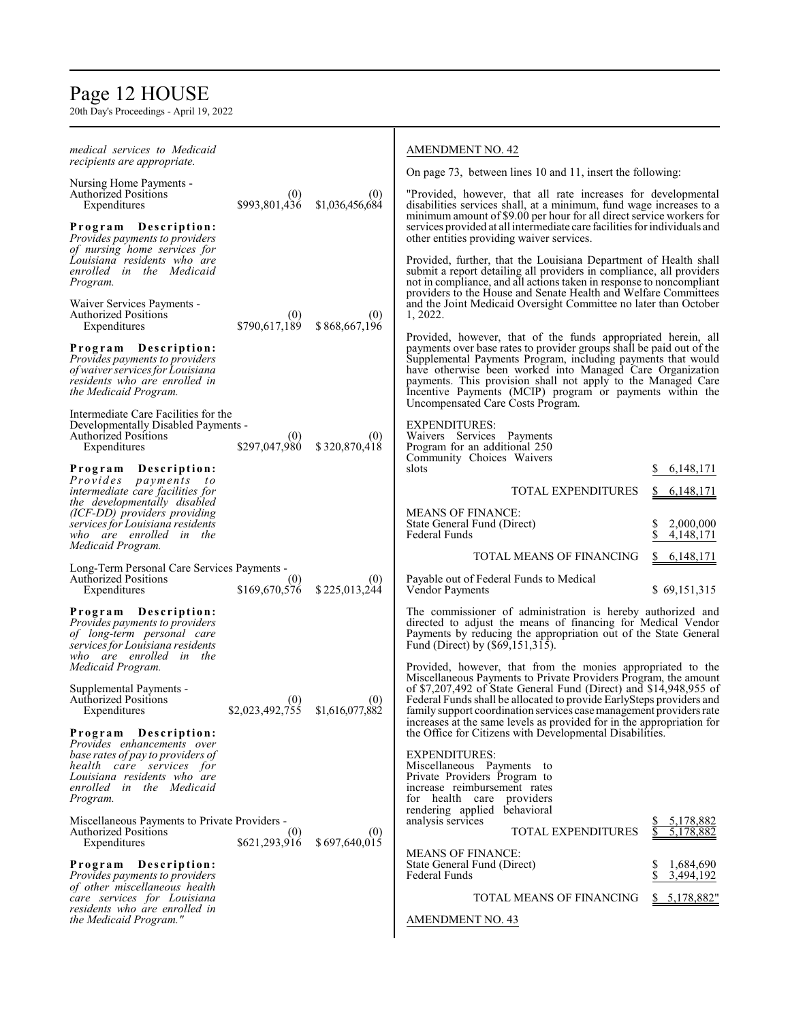# Page 12 HOUSE

| medical services to Medicaid<br><i>recipients are appropriate.</i>                                                                   |                        |                        | <b>AMENDMENT NO. 42</b>                                                                                                                                                                                                                                                                                                                                      |                              |
|--------------------------------------------------------------------------------------------------------------------------------------|------------------------|------------------------|--------------------------------------------------------------------------------------------------------------------------------------------------------------------------------------------------------------------------------------------------------------------------------------------------------------------------------------------------------------|------------------------------|
| Nursing Home Payments -                                                                                                              |                        |                        | On page 73, between lines 10 and 11, insert the following:                                                                                                                                                                                                                                                                                                   |                              |
| <b>Authorized Positions</b><br>Expenditures                                                                                          | (0)<br>\$993,801,436   | (0)<br>\$1,036,456,684 | "Provided, however, that all rate increases for developmental<br>disabilities services shall, at a minimum, fund wage increases to a                                                                                                                                                                                                                         |                              |
| Program Description:<br>Provides payments to providers                                                                               |                        |                        | minimum amount of \$9.00 per hour for all direct service workers for<br>services provided at all intermediate care facilities for individuals and<br>other entities providing waiver services.                                                                                                                                                               |                              |
| of nursing home services for<br>Louisiana residents who are<br>enrolled in the Medicaid<br>Program.                                  |                        |                        | Provided, further, that the Louisiana Department of Health shall<br>submit a report detailing all providers in compliance, all providers<br>not in compliance, and all actions taken in response to noncompliant                                                                                                                                             |                              |
| Waiver Services Payments -<br><b>Authorized Positions</b><br>Expenditures                                                            | (0)<br>\$790,617,189   | (0)<br>\$868,667,196   | providers to the House and Senate Health and Welfare Committees<br>and the Joint Medicaid Oversight Committee no later than October<br>1, 2022.                                                                                                                                                                                                              |                              |
| Program Description:                                                                                                                 |                        |                        | Provided, however, that of the funds appropriated herein, all<br>payments over base rates to provider groups shall be paid out of the                                                                                                                                                                                                                        |                              |
| Provides payments to providers<br>of waiver services for Louisiana<br>residents who are enrolled in<br>the Medicaid Program.         |                        |                        | Supplemental Payments Program, including payments that would<br>have otherwise been worked into Managed Care Organization<br>payments. This provision shall not apply to the Managed Care<br>Incentive Payments (MCIP) program or payments within the<br>Uncompensated Care Costs Program.                                                                   |                              |
| Intermediate Care Facilities for the                                                                                                 |                        |                        | <b>EXPENDITURES:</b>                                                                                                                                                                                                                                                                                                                                         |                              |
| Developmentally Disabled Payments -<br><b>Authorized Positions</b><br>Expenditures                                                   | (0)<br>\$297,047,980   | (0)<br>\$320,870,418   | Waivers Services Payments<br>Program for an additional 250                                                                                                                                                                                                                                                                                                   |                              |
| Program<br>Description:                                                                                                              |                        |                        | Community Choices Waivers<br>slots                                                                                                                                                                                                                                                                                                                           | 6, 148, 171                  |
| Provides payments<br>$\frac{1}{2}$<br>intermediate care facilities for                                                               |                        |                        | <b>TOTAL EXPENDITURES</b>                                                                                                                                                                                                                                                                                                                                    | 6, 148, 171                  |
| the developmentally disabled<br>(ICF-DD) providers providing                                                                         |                        |                        | <b>MEANS OF FINANCE:</b>                                                                                                                                                                                                                                                                                                                                     |                              |
| services for Louisiana residents<br>who are enrolled in the                                                                          |                        |                        | State General Fund (Direct)<br>Federal Funds                                                                                                                                                                                                                                                                                                                 | 2,000,000<br>\$<br>4,148,171 |
| Medicaid Program.                                                                                                                    |                        |                        | TOTAL MEANS OF FINANCING                                                                                                                                                                                                                                                                                                                                     | 6, 148, 171<br>\$.           |
| Long-Term Personal Care Services Payments -<br><b>Authorized Positions</b><br>Expenditures                                           | (0)<br>\$169,670,576   | (0)<br>\$225,013,244   | Payable out of Federal Funds to Medical<br>Vendor Payments                                                                                                                                                                                                                                                                                                   | \$69,151,315                 |
| Program Description:<br>Provides payments to providers<br>of long-term personal care<br>services for Louisiana residents             |                        |                        | The commissioner of administration is hereby authorized and<br>directed to adjust the means of financing for Medical Vendor<br>Payments by reducing the appropriation out of the State General<br>Fund (Direct) by (\$69,151,315).                                                                                                                           |                              |
| who are enrolled in the<br>Medicaid Program.                                                                                         |                        |                        | Provided, however, that from the monies appropriated to the                                                                                                                                                                                                                                                                                                  |                              |
| Supplemental Payments -<br><b>Authorized Positions</b><br>Expenditures                                                               | (0)<br>\$2,023,492,755 | (0)<br>\$1,616,077,882 | Miscellaneous Payments to Private Providers Program, the amount<br>of \$7,207,492 of State General Fund (Direct) and \$14,948,955 of<br>Federal Funds shall be allocated to provide EarlySteps providers and<br>family support coordination services case management providers rate<br>increases at the same levels as provided for in the appropriation for |                              |
| Program Description:<br>Provides enhancements over                                                                                   |                        |                        | the Office for Citizens with Developmental Disabilities.                                                                                                                                                                                                                                                                                                     |                              |
| base rates of pay to providers of<br>health care services for<br>Louisiana residents who are<br>enrolled in the Medicaid<br>Program. |                        |                        | <b>EXPENDITURES:</b><br>Miscellaneous Payments to<br>Private Providers Program to<br>increase reimbursement rates<br>for health care providers<br>rendering applied behavioral                                                                                                                                                                               |                              |
| Miscellaneous Payments to Private Providers -<br><b>Authorized Positions</b><br>Expenditures                                         | (0)<br>\$621,293,916   | (0)<br>\$697,640,015   | analysis services<br>TOTAL EXPENDITURES                                                                                                                                                                                                                                                                                                                      | 5,178,882<br>5,178,882       |
| Program Description:<br>Provides payments to providers                                                                               |                        |                        | <b>MEANS OF FINANCE:</b><br>State General Fund (Direct)<br><b>Federal Funds</b>                                                                                                                                                                                                                                                                              | 1,684,690<br>3,494,192       |
| of other miscellaneous health<br>care services for Louisiana                                                                         |                        |                        | TOTAL MEANS OF FINANCING                                                                                                                                                                                                                                                                                                                                     | \$5,178,882"                 |
| residents who are enrolled in<br>the Medicaid Program."                                                                              |                        |                        | <b>AMENDMENT NO. 43</b>                                                                                                                                                                                                                                                                                                                                      |                              |
|                                                                                                                                      |                        |                        |                                                                                                                                                                                                                                                                                                                                                              |                              |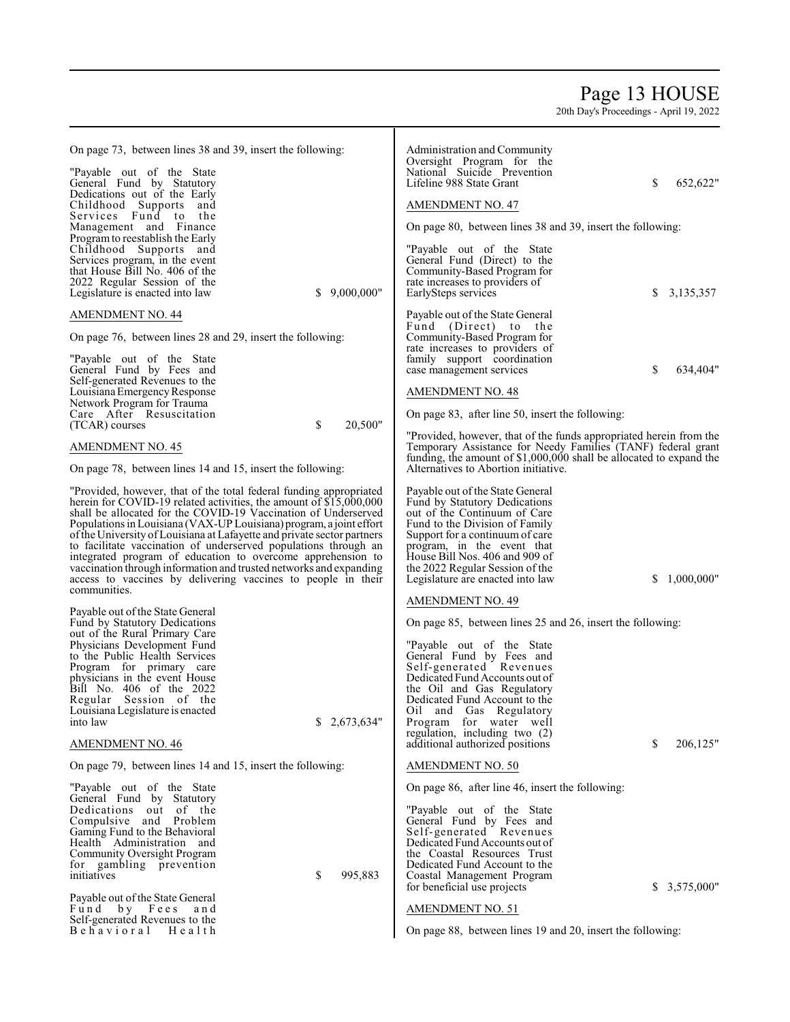# Page 13 HOUSE

| On page 73, between lines 38 and 39, insert the following:                                                                                     | Administration and Community                                                                                                        |
|------------------------------------------------------------------------------------------------------------------------------------------------|-------------------------------------------------------------------------------------------------------------------------------------|
| "Payable out of the State"                                                                                                                     | Oversight Program for the<br>National Suicide Prevention                                                                            |
| General Fund by Statutory                                                                                                                      | Lifeline 988 State Grant<br>S<br>652,622"                                                                                           |
| Dedications out of the Early<br>Childhood Supports and                                                                                         | <b>AMENDMENT NO. 47</b>                                                                                                             |
| Services Fund to the<br>Management and Finance                                                                                                 | On page 80, between lines 38 and 39, insert the following:                                                                          |
| Program to reestablish the Early                                                                                                               |                                                                                                                                     |
| Childhood Supports and<br>Services program, in the event                                                                                       | "Payable out of the State"<br>General Fund (Direct) to the                                                                          |
| that House Bill No. 406 of the<br>2022 Regular Session of the                                                                                  | Community-Based Program for<br>rate increases to providers of                                                                       |
| \$9,000,000"<br>Legislature is enacted into law                                                                                                | 3,135,357<br>EarlySteps services<br>S                                                                                               |
| AMENDMENT NO. 44                                                                                                                               | Payable out of the State General<br>Fund (Direct) to the                                                                            |
| On page 76, between lines 28 and 29, insert the following:                                                                                     | Community-Based Program for                                                                                                         |
| "Payable out of the State"                                                                                                                     | rate increases to providers of<br>family support coordination                                                                       |
| General Fund by Fees and<br>Self-generated Revenues to the                                                                                     | S<br>634,404"<br>case management services                                                                                           |
| Louisiana Emergency Response<br>Network Program for Trauma                                                                                     | <b>AMENDMENT NO. 48</b>                                                                                                             |
| Care After Resuscitation<br>\$<br>20,500"<br>(TCAR) courses                                                                                    | On page 83, after line 50, insert the following:                                                                                    |
|                                                                                                                                                | "Provided, however, that of the funds appropriated herein from the                                                                  |
| AMENDMENT NO. 45                                                                                                                               | Temporary Assistance for Needy Families (TANF) federal grant<br>funding, the amount of \$1,000,000 shall be allocated to expand the |
| On page 78, between lines 14 and 15, insert the following:                                                                                     | Alternatives to Abortion initiative.                                                                                                |
| "Provided, however, that of the total federal funding appropriated<br>herein for COVID-19 related activities, the amount of \$15,000,000       | Payable out of the State General<br>Fund by Statutory Dedications                                                                   |
| shall be allocated for the COVID-19 Vaccination of Underserved                                                                                 | out of the Continuum of Care                                                                                                        |
| Populations in Louisiana (VAX-UP Louisiana) program, a joint effort<br>of the University of Louisiana at Lafayette and private sector partners | Fund to the Division of Family<br>Support for a continuum of care                                                                   |
| to facilitate vaccination of underserved populations through an<br>integrated program of education to overcome apprehension to                 | program, in the event that<br>House Bill Nos. 406 and 909 of                                                                        |
| vaccination through information and trusted networks and expanding                                                                             | the 2022 Regular Session of the                                                                                                     |
| access to vaccines by delivering vaccines to people in their<br>communities.                                                                   | Legislature are enacted into law<br>1,000,000"<br>S                                                                                 |
| Payable out of the State General                                                                                                               | AMENDMENT NO. 49                                                                                                                    |
| Fund by Statutory Dedications<br>out of the Rural Primary Care                                                                                 | On page 85, between lines 25 and 26, insert the following:                                                                          |
| Physicians Development Fund<br>to the Public Health Services                                                                                   | "Payable out of the State"<br>General Fund by Fees and                                                                              |
| Program for primary care                                                                                                                       | Self-generated Revenues                                                                                                             |
| physicians in the event House<br>Bill No. 406 of the 2022                                                                                      | Dedicated Fund Accounts out of<br>the Oil and Gas Regulatory                                                                        |
| Regular Session of the<br>Louisiana Legislature is enacted                                                                                     | Dedicated Fund Account to the<br>Oil and Gas Regulatory                                                                             |
| \$2,673,634"<br>into law                                                                                                                       | Program for water well<br>regulation, including two (2)                                                                             |
| AMENDMENT NO. 46                                                                                                                               | S<br>206,125"<br>additional authorized positions                                                                                    |
| On page 79, between lines 14 and 15, insert the following:                                                                                     | AMENDMENT NO. 50                                                                                                                    |
| "Payable out of the State                                                                                                                      | On page 86, after line 46, insert the following:                                                                                    |
| General Fund by Statutory<br>Dedications out of the                                                                                            | "Payable out of the State"                                                                                                          |
| Compulsive and Problem<br>Gaming Fund to the Behavioral                                                                                        | General Fund by Fees and<br>Self-generated Revenues                                                                                 |
| Health Administration and                                                                                                                      | Dedicated Fund Accounts out of                                                                                                      |
| Community Oversight Program<br>for gambling prevention                                                                                         | the Coastal Resources Trust<br>Dedicated Fund Account to the                                                                        |
| \$<br>995,883<br>initiatives                                                                                                                   | Coastal Management Program<br>for beneficial use projects<br>\$3,575,000"                                                           |
| Payable out of the State General<br>by Fees<br>Fund<br>and                                                                                     | <b>AMENDMENT NO. 51</b>                                                                                                             |
| Self-generated Revenues to the<br>Behavioral                                                                                                   |                                                                                                                                     |
| Health                                                                                                                                         | On page 88, between lines 19 and 20, insert the following:                                                                          |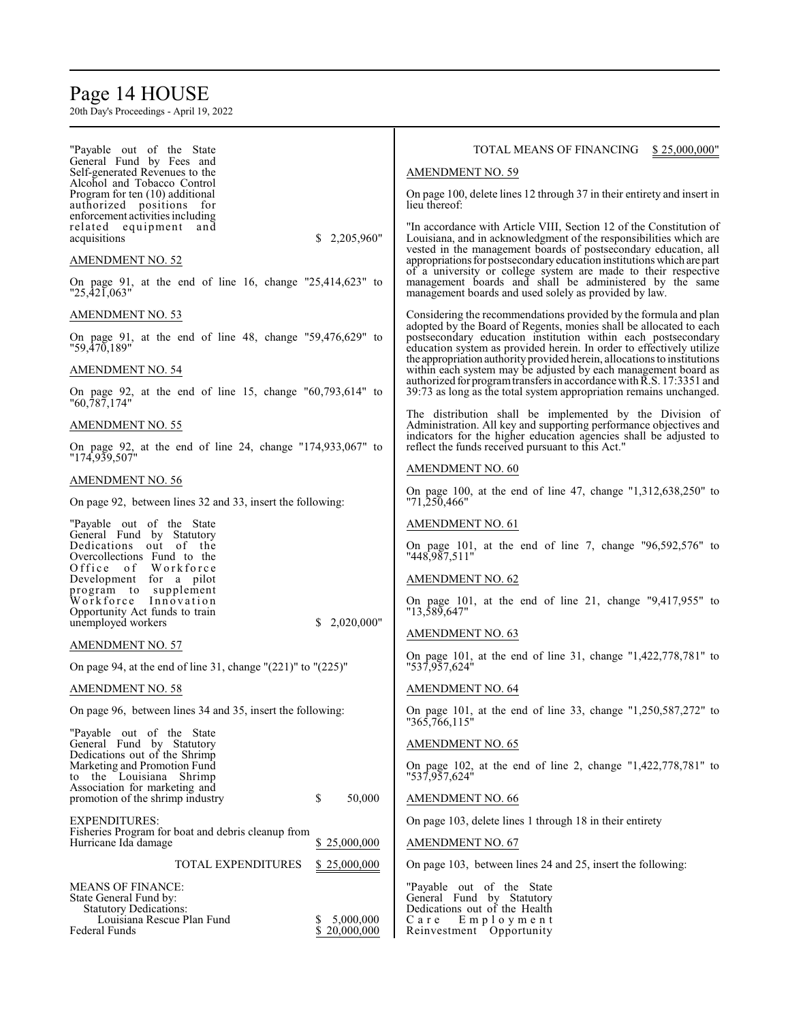# Page 14 HOUSE

| "Payable out of the State"<br>General Fund by Fees and                                                    | TOTAL MEANS OF FINANCING<br>\$25,000,000"                                                                                                                                                                   |
|-----------------------------------------------------------------------------------------------------------|-------------------------------------------------------------------------------------------------------------------------------------------------------------------------------------------------------------|
| Self-generated Revenues to the                                                                            | <b>AMENDMENT NO. 59</b>                                                                                                                                                                                     |
| Alcohol and Tobacco Control<br>Program for ten (10) additional<br>authorized positions for                | On page 100, delete lines 12 through 37 in their entirety and insert in<br>lieu thereof:                                                                                                                    |
| enforcement activities including<br>related equipment<br>and<br>\$<br>2,205,960"<br>acquisitions          | "In accordance with Article VIII, Section 12 of the Constitution of<br>Louisiana, and in acknowledgment of the responsibilities which are                                                                   |
| <u>AMENDMENT NO. 52</u>                                                                                   | vested in the management boards of postsecondary education, all<br>appropriations for postsecondary education institutions which are part                                                                   |
| On page 91, at the end of line 16, change $"25,414,623"$ to<br>"25,421,063"                               | of a university or college system are made to their respective<br>management boards and shall be administered by the same<br>management boards and used solely as provided by law.                          |
| AMENDMENT NO. 53                                                                                          | Considering the recommendations provided by the formula and plan                                                                                                                                            |
| On page 91, at the end of line 48, change "59,476,629" to<br>"59,470,189"                                 | adopted by the Board of Regents, monies shall be allocated to each<br>postsecondary education institution within each postsecondary<br>education system as provided herein. In order to effectively utilize |
| AMENDMENT NO. 54                                                                                          | the appropriation authority provided herein, allocations to institutions<br>within each system may be adjusted by each management board as                                                                  |
| On page 92, at the end of line 15, change $\frac{1}{60}$ , 793, 614" to<br>"60,787,174"                   | authorized for program transfers in accordance with R.S. 17:3351 and<br>39:73 as long as the total system appropriation remains unchanged.                                                                  |
| AMENDMENT NO. 55                                                                                          | The distribution shall be implemented by the Division of<br>Administration. All key and supporting performance objectives and                                                                               |
| On page 92, at the end of line 24, change "174,933,067" to<br>"174,939,507"                               | indicators for the higher education agencies shall be adjusted to<br>reflect the funds received pursuant to this Act."                                                                                      |
| AMENDMENT NO. 56                                                                                          | <b>AMENDMENT NO. 60</b>                                                                                                                                                                                     |
| On page 92, between lines 32 and 33, insert the following:                                                | On page 100, at the end of line 47, change $"1,312,638,250"$ to<br>"71,250,466"                                                                                                                             |
| "Payable out of the State"                                                                                | <b>AMENDMENT NO. 61</b>                                                                                                                                                                                     |
| General Fund by Statutory<br>Dedications out of the<br>Overcollections Fund to the                        | On page 101, at the end of line 7, change $"96,592,576"$ to<br>"448,987,511"                                                                                                                                |
| Office of Workforce<br>Development for a pilot                                                            | <b>AMENDMENT NO. 62</b>                                                                                                                                                                                     |
| program to supplement<br>Workforce Innovation                                                             | On page 101, at the end of line 21, change $"9,417,955"$ to                                                                                                                                                 |
| Opportunity Act funds to train<br>unemployed workers<br>2,020,000"<br>S.                                  | "13,589,647"                                                                                                                                                                                                |
|                                                                                                           | <b>AMENDMENT NO. 63</b>                                                                                                                                                                                     |
| <b>AMENDMENT NO. 57</b>                                                                                   | On page 101, at the end of line 31, change "1,422,778,781" to                                                                                                                                               |
| On page 94, at the end of line 31, change " $(221)$ " to " $(225)$ "                                      | "537,957,624"                                                                                                                                                                                               |
| AMENDMENT NO. 58                                                                                          | <b>AMENDMENT NO. 64</b>                                                                                                                                                                                     |
| On page 96, between lines 34 and 35, insert the following:<br>"Payable out of the State"                  | On page 101, at the end of line 33, change "1,250,587,272" to<br>"365,766,115"                                                                                                                              |
| General Fund by Statutory                                                                                 | <b>AMENDMENT NO. 65</b>                                                                                                                                                                                     |
| Dedications out of the Shrimp<br>Marketing and Promotion Fund<br>to the Louisiana Shrimp                  | On page 102, at the end of line 2, change $"1,422,778,781"$ to<br>"537,957,624"                                                                                                                             |
| Association for marketing and<br>\$<br>50,000<br>promotion of the shrimp industry                         | <b>AMENDMENT NO. 66</b>                                                                                                                                                                                     |
| <b>EXPENDITURES:</b>                                                                                      | On page 103, delete lines 1 through 18 in their entirety                                                                                                                                                    |
| Fisheries Program for boat and debris cleanup from<br>Hurricane Ida damage<br>\$25,000,000                | <b>AMENDMENT NO. 67</b>                                                                                                                                                                                     |
| TOTAL EXPENDITURES<br>\$25,000,000                                                                        | On page 103, between lines 24 and 25, insert the following:                                                                                                                                                 |
| MEANS OF FINANCE:                                                                                         | "Payable out of the State"                                                                                                                                                                                  |
| State General Fund by:                                                                                    | General Fund by Statutory                                                                                                                                                                                   |
| <b>Statutory Dedications:</b><br>Louisiana Rescue Plan Fund<br>5,000,000<br>Federal Funds<br>\$20,000,000 | Dedications out of the Health<br>Care<br>Employment<br>Reinvestment Opportunity                                                                                                                             |
|                                                                                                           |                                                                                                                                                                                                             |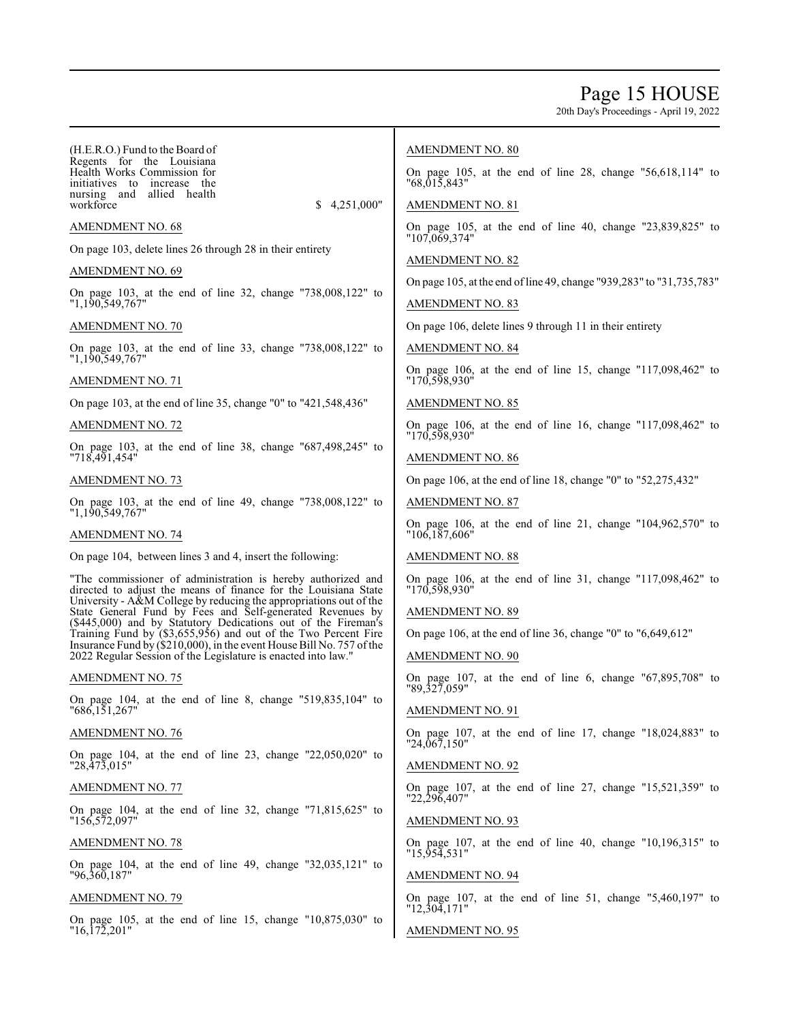# Page 15 HOUSE

20th Day's Proceedings - April 19, 2022

| (H.E.R.O.) Fund to the Board of<br>Regents for the Louisiana<br>Health Works Commission for<br>initiatives to increase the<br>nursing and allied health<br>4,251,000"<br>workforce<br>S.<br>AMENDMENT NO. 68<br>On page 103, delete lines 26 through 28 in their entirety<br>AMENDMENT NO. 69<br>On page 103, at the end of line 32, change "738,008,122" to<br>"1,190,549,767"                                                                                                                                                                    | <b>AMENDMENT NO. 80</b><br>On page 105, at the end of line 28, change $"56,618,114"$ to<br>"68,015,843"<br><b>AMENDMENT NO. 81</b><br>On page 105, at the end of line 40, change "23,839,825" to<br>"107,069,374"<br><b>AMENDMENT NO. 82</b><br>On page 105, at the end of line 49, change "939,283" to "31,735,783"<br><b>AMENDMENT NO. 83</b> |
|----------------------------------------------------------------------------------------------------------------------------------------------------------------------------------------------------------------------------------------------------------------------------------------------------------------------------------------------------------------------------------------------------------------------------------------------------------------------------------------------------------------------------------------------------|-------------------------------------------------------------------------------------------------------------------------------------------------------------------------------------------------------------------------------------------------------------------------------------------------------------------------------------------------|
| AMENDMENT NO. 70                                                                                                                                                                                                                                                                                                                                                                                                                                                                                                                                   | On page 106, delete lines 9 through 11 in their entirety                                                                                                                                                                                                                                                                                        |
| On page 103, at the end of line 33, change "738,008,122" to<br>"1,190,549,767"                                                                                                                                                                                                                                                                                                                                                                                                                                                                     | <b>AMENDMENT NO. 84</b>                                                                                                                                                                                                                                                                                                                         |
| AMENDMENT NO. 71                                                                                                                                                                                                                                                                                                                                                                                                                                                                                                                                   | On page 106, at the end of line 15, change "117,098,462" to<br>"170,598,930"                                                                                                                                                                                                                                                                    |
| On page 103, at the end of line 35, change "0" to "421,548,436"                                                                                                                                                                                                                                                                                                                                                                                                                                                                                    | AMENDMENT NO. 85                                                                                                                                                                                                                                                                                                                                |
| AMENDMENT NO. 72                                                                                                                                                                                                                                                                                                                                                                                                                                                                                                                                   | On page 106, at the end of line 16, change "117,098,462" to<br>"170,598,930"                                                                                                                                                                                                                                                                    |
| On page 103, at the end of line 38, change $\frac{87}{498,245}$ to<br>"718,491,454"                                                                                                                                                                                                                                                                                                                                                                                                                                                                | <b>AMENDMENT NO. 86</b>                                                                                                                                                                                                                                                                                                                         |
| AMENDMENT NO. 73                                                                                                                                                                                                                                                                                                                                                                                                                                                                                                                                   | On page 106, at the end of line 18, change "0" to "52,275,432"                                                                                                                                                                                                                                                                                  |
| On page 103, at the end of line 49, change "738,008,122" to<br>"1,190,549,767"                                                                                                                                                                                                                                                                                                                                                                                                                                                                     | <b>AMENDMENT NO. 87</b>                                                                                                                                                                                                                                                                                                                         |
| AMENDMENT NO. 74                                                                                                                                                                                                                                                                                                                                                                                                                                                                                                                                   | On page 106, at the end of line 21, change "104,962,570" to<br>"106,187,606"                                                                                                                                                                                                                                                                    |
| On page 104, between lines 3 and 4, insert the following:                                                                                                                                                                                                                                                                                                                                                                                                                                                                                          | <b>AMENDMENT NO. 88</b>                                                                                                                                                                                                                                                                                                                         |
| "The commissioner of administration is hereby authorized and<br>directed to adjust the means of finance for the Louisiana State<br>University - A&M College by reducing the appropriations out of the<br>State General Fund by Fees and Self-generated Revenues by<br>(\$445,000) and by Statutory Dedications out of the Fireman's<br>Training Fund by (\$3,655,956) and out of the Two Percent Fire<br>Insurance Fund by $(\$210,000)$ , in the event House Bill No. 757 of the<br>2022 Regular Session of the Legislature is enacted into law." | On page 106, at the end of line 31, change $"117,098,462"$ to<br>"170,598,930"<br><b>AMENDMENT NO. 89</b><br>On page 106, at the end of line 36, change "0" to "6,649,612"<br><b>AMENDMENT NO. 90</b>                                                                                                                                           |
| AMENDMENT NO. 75                                                                                                                                                                                                                                                                                                                                                                                                                                                                                                                                   | On page 107, at the end of line 6, change "67,895,708" to "89,327,059"                                                                                                                                                                                                                                                                          |
| On page 104, at the end of line 8, change "519,835,104" to<br>"686,151,267"                                                                                                                                                                                                                                                                                                                                                                                                                                                                        | AMENDMENT NO. 91                                                                                                                                                                                                                                                                                                                                |
| AMENDMENT NO. 76                                                                                                                                                                                                                                                                                                                                                                                                                                                                                                                                   | On page 107, at the end of line 17, change $"18,024,883"$ to<br>"24,067,150"                                                                                                                                                                                                                                                                    |
| On page 104, at the end of line 23, change $"22,050,020"$ to<br>"28,473,015"                                                                                                                                                                                                                                                                                                                                                                                                                                                                       | <b>AMENDMENT NO. 92</b>                                                                                                                                                                                                                                                                                                                         |
| AMENDMENT NO. 77                                                                                                                                                                                                                                                                                                                                                                                                                                                                                                                                   | On page 107, at the end of line 27, change $"15,521,359"$ to<br>$"22,\!29\bar{6},\!407"$                                                                                                                                                                                                                                                        |
| On page 104, at the end of line 32, change $"71,815,625"$ to<br>"156,572,097"                                                                                                                                                                                                                                                                                                                                                                                                                                                                      | <b>AMENDMENT NO. 93</b>                                                                                                                                                                                                                                                                                                                         |
| AMENDMENT NO. 78                                                                                                                                                                                                                                                                                                                                                                                                                                                                                                                                   | On page 107, at the end of line 40, change $"10,196,315"$ to<br>"15,954,531"                                                                                                                                                                                                                                                                    |
| On page 104, at the end of line 49, change $"32,035,121"$ to<br>"96,360,187"                                                                                                                                                                                                                                                                                                                                                                                                                                                                       | <b>AMENDMENT NO. 94</b>                                                                                                                                                                                                                                                                                                                         |
| AMENDMENT NO. 79                                                                                                                                                                                                                                                                                                                                                                                                                                                                                                                                   | On page 107, at the end of line 51, change $"5,460,197"$ to<br>"12,304,171"                                                                                                                                                                                                                                                                     |

AMENDMENT NO. 95

 $\mathbf{I}$ 

On page 105, at the end of line 15, change "10,875,030" to "16,172,201"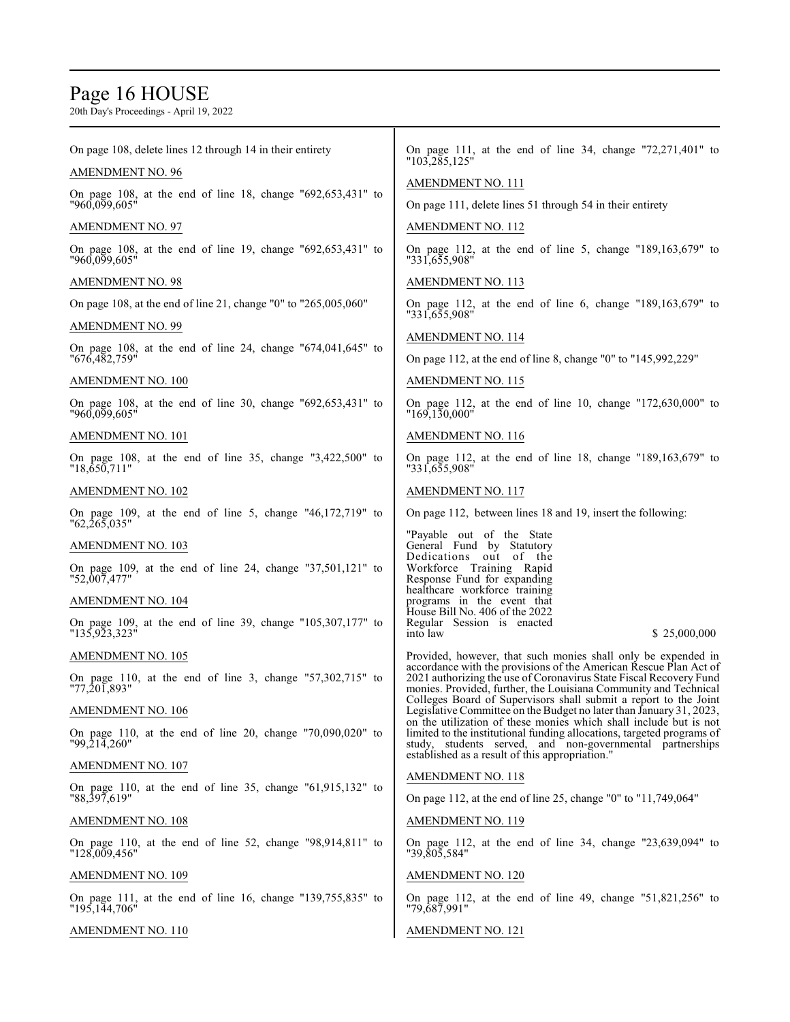# Page 16 HOUSE

| On page 108, delete lines 12 through 14 in their entirety                                   | On page 111, at the end of line 34, change $"72,271,401"$ to<br>"103,285,125"                                                                                                                                                                               |
|---------------------------------------------------------------------------------------------|-------------------------------------------------------------------------------------------------------------------------------------------------------------------------------------------------------------------------------------------------------------|
| <b>AMENDMENT NO. 96</b>                                                                     | <b>AMENDMENT NO. 111</b>                                                                                                                                                                                                                                    |
| "960,099,605"                                                                               | On page 111, delete lines 51 through 54 in their entirety                                                                                                                                                                                                   |
| AMENDMENT NO. 97                                                                            | <b>AMENDMENT NO. 112</b>                                                                                                                                                                                                                                    |
| On page 108, at the end of line 19, change $\frac{10}{2,653,431}$ to<br>"960,099,605"       | On page 112, at the end of line 5, change $"189,163,679"$ to<br>"331,655,908"                                                                                                                                                                               |
| AMENDMENT NO. 98                                                                            | <b>AMENDMENT NO. 113</b>                                                                                                                                                                                                                                    |
| On page 108, at the end of line 21, change "0" to "265,005,060"                             | On page 112, at the end of line 6, change "189,163,679" to<br>"331,655,908"                                                                                                                                                                                 |
| AMENDMENT NO. 99                                                                            | <b>AMENDMENT NO. 114</b>                                                                                                                                                                                                                                    |
| On page 108, at the end of line 24, change "674,041,645" to<br>"676,482,759"                | On page 112, at the end of line 8, change "0" to "145,992,229"                                                                                                                                                                                              |
| AMENDMENT NO. 100                                                                           | <b>AMENDMENT NO. 115</b>                                                                                                                                                                                                                                    |
| On page 108, at the end of line 30, change $\frac{1}{92,653,431}$ to<br>"960,099,605"       | On page 112, at the end of line 10, change $"172,630,000"$ to<br>"169,130,000"                                                                                                                                                                              |
| AMENDMENT NO. 101                                                                           | <b>AMENDMENT NO. 116</b>                                                                                                                                                                                                                                    |
| On page 108, at the end of line $35$ , change $"3,422,500"$ to<br>$"18.\overline{6}50.711"$ | On page 112, at the end of line 18, change $"189,163,679"$ to<br>"331,655,908"                                                                                                                                                                              |
| AMENDMENT NO. 102                                                                           | <b>AMENDMENT NO. 117</b>                                                                                                                                                                                                                                    |
| On page 109, at the end of line 5, change "46,172,719" to<br>"62,265,035"                   | On page 112, between lines 18 and 19, insert the following:                                                                                                                                                                                                 |
| AMENDMENT NO. 103                                                                           | "Payable out of the State"<br>General Fund by Statutory                                                                                                                                                                                                     |
| On page 109, at the end of line 24, change "37,501,121" to<br>"52,007,477"                  | Dedications out of the<br>Workforce Training Rapid<br>Response Fund for expanding                                                                                                                                                                           |
| AMENDMENT NO. 104                                                                           | healthcare workforce training<br>programs in the event that                                                                                                                                                                                                 |
| On page 109, at the end of line 39, change $"105,307,177"$ to<br>"135,923,323"              | House Bill No. 406 of the 2022<br>Regular Session is enacted<br>\$25,000,000<br>into law                                                                                                                                                                    |
| <b>AMENDMENT NO. 105</b>                                                                    | Provided, however, that such monies shall only be expended in<br>accordance with the provisions of the American Rescue Plan Act of                                                                                                                          |
| On page 110, at the end of line 3, change "57,302,715" to<br>"77,201,893"                   | 2021 authorizing the use of Coronavirus State Fiscal Recovery Fund<br>monies. Provided, further, the Louisiana Community and Technical<br>Colleges Board of Supervisors shall submit a report to the Joint                                                  |
| <b>AMENDMENT NO. 106</b>                                                                    | Legislative Committee on the Budget no later than January 31, 2023,                                                                                                                                                                                         |
| On page 110, at the end of line 20, change $"70,090,020"$ to<br>"99,214,260"                | on the utilization of these monies which shall include but is not<br>limited to the institutional funding allocations, targeted programs of<br>study, students served, and non-governmental partnerships<br>established as a result of this appropriation." |
| <u>AMENDMENT NO. 107</u>                                                                    | <b>AMENDMENT NO. 118</b>                                                                                                                                                                                                                                    |
| On page 110, at the end of line 35, change $\frac{10!}{15!}$ to<br>"88,397,619"             | On page 112, at the end of line 25, change "0" to "11,749,064"                                                                                                                                                                                              |
| AMENDMENT NO. 108                                                                           | <b>AMENDMENT NO. 119</b>                                                                                                                                                                                                                                    |
| On page 110, at the end of line 52, change $"98,914,811"$ to<br>"128,009,456"               | On page 112, at the end of line $34$ , change "23,639,094" to<br>"39,805,584"                                                                                                                                                                               |
| <b>AMENDMENT NO. 109</b>                                                                    | <b>AMENDMENT NO. 120</b>                                                                                                                                                                                                                                    |
| On page 111, at the end of line 16, change $"139,755,835"$ to<br>"195,144,706"              | On page 112, at the end of line 49, change "51,821,256" to<br>"79,687,991"                                                                                                                                                                                  |
| AMENDMENT NO. 110                                                                           | AMENDMENT NO. 121                                                                                                                                                                                                                                           |
|                                                                                             |                                                                                                                                                                                                                                                             |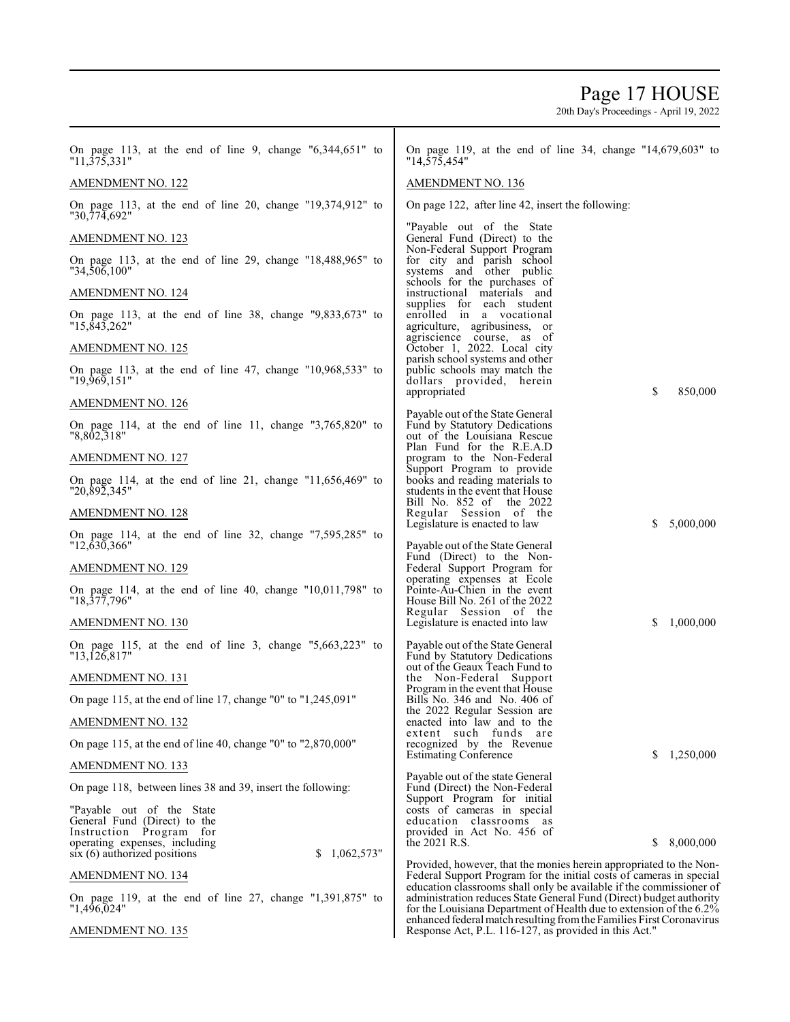# Page 17 HOUSE

20th Day's Proceedings - April 19, 2022

| On page 113, at the end of line 9, change $\frac{1}{3}$ 44,651" to<br>"11,375,331"                                                                                    | On page 119, at the end of line 34, change $"14,679,603"$ to<br>"14,575,454"                                                                                                                                      |
|-----------------------------------------------------------------------------------------------------------------------------------------------------------------------|-------------------------------------------------------------------------------------------------------------------------------------------------------------------------------------------------------------------|
| <b>AMENDMENT NO. 122</b>                                                                                                                                              | <b>AMENDMENT NO. 136</b>                                                                                                                                                                                          |
| On page 113, at the end of line 20, change $"19,374,912"$ to<br>"30,774,692"                                                                                          | On page 122, after line 42, insert the following:                                                                                                                                                                 |
| <b>AMENDMENT NO. 123</b>                                                                                                                                              | "Payable out of the State"<br>General Fund (Direct) to the                                                                                                                                                        |
| On page 113, at the end of line 29, change $18,488,965$ " to<br>"34,506,100"                                                                                          | Non-Federal Support Program<br>for city and parish school<br>systems and other public                                                                                                                             |
| <b>AMENDMENT NO. 124</b>                                                                                                                                              | schools for the purchases of<br>instructional materials and                                                                                                                                                       |
| On page 113, at the end of line 38, change $"9,833,673"$ to<br>"15,843,262"                                                                                           | supplies for each student<br>enrolled in a vocational<br>agriculture, agribusiness, or                                                                                                                            |
| <b>AMENDMENT NO. 125</b>                                                                                                                                              | agriscience course, as of<br>October 1, 2022. Local city                                                                                                                                                          |
| On page 113, at the end of line 47, change "10,968,533" to<br>"19,969,151"                                                                                            | parish school systems and other<br>public schools may match the<br>dollars provided, herein                                                                                                                       |
| AMENDMENT NO. 126                                                                                                                                                     | \$<br>850,000<br>appropriated                                                                                                                                                                                     |
| On page 114, at the end of line 11, change $"3,765,820"$ to<br>"8,802,318"                                                                                            | Payable out of the State General<br>Fund by Statutory Dedications<br>out of the Louisiana Rescue                                                                                                                  |
| <b>AMENDMENT NO. 127</b>                                                                                                                                              | Plan Fund for the R.E.A.D<br>program to the Non-Federal                                                                                                                                                           |
| On page 114, at the end of line 21, change $"11,656,469"$ to<br>"20,892,345"                                                                                          | Support Program to provide<br>books and reading materials to<br>students in the event that House                                                                                                                  |
| AMENDMENT NO. 128                                                                                                                                                     | Bill No. 852 of the 2022<br>Regular Session of the                                                                                                                                                                |
| On page 114, at the end of line 32, change $7,595,285$ " to<br>"12,630,366"                                                                                           | 5,000,000<br>Legislature is enacted to law<br>S<br>Payable out of the State General                                                                                                                               |
| AMENDMENT NO. 129                                                                                                                                                     | Fund (Direct) to the Non-<br>Federal Support Program for                                                                                                                                                          |
| On page 114, at the end of line 40, change $"10,011,798"$ to<br>"18,377,796"                                                                                          | operating expenses at Ecole<br>Pointe-Au-Chien in the event<br>House Bill No. 261 of the 2022                                                                                                                     |
| <b>AMENDMENT NO. 130</b>                                                                                                                                              | Regular Session of the<br>1,000,000<br>Legislature is enacted into law<br>S                                                                                                                                       |
| On page 115, at the end of line 3, change $"5,663,223"$ to<br>"13,126,817"                                                                                            | Payable out of the State General<br>Fund by Statutory Dedications                                                                                                                                                 |
| AMENDMENT NO. 131                                                                                                                                                     | out of the Geaux Teach Fund to<br>the Non-Federal Support                                                                                                                                                         |
| On page 115, at the end of line 17, change "0" to "1,245,091"                                                                                                         | Program in the event that House<br>Bills No. 346 and No. 406 of                                                                                                                                                   |
| <b>AMENDMENT NO. 132</b>                                                                                                                                              | the 2022 Regular Session are<br>enacted into law and to the                                                                                                                                                       |
| On page 115, at the end of line 40, change "0" to "2,870,000"                                                                                                         | extent such funds<br>are<br>recognized by the Revenue                                                                                                                                                             |
| <b>AMENDMENT NO. 133</b>                                                                                                                                              | <b>Estimating Conference</b><br>1,250,000<br>S                                                                                                                                                                    |
| On page 118, between lines 38 and 39, insert the following:                                                                                                           | Payable out of the state General<br>Fund (Direct) the Non-Federal                                                                                                                                                 |
| "Payable out of the State"<br>General Fund (Direct) to the<br>Instruction Program for<br>operating expenses, including<br>1,062,573"<br>$six(6)$ authorized positions | Support Program for initial<br>costs of cameras in special<br>education classrooms as<br>provided in Act No. 456 of<br>\$<br>8,000,000<br>the 2021 R.S.                                                           |
| <b>AMENDMENT NO. 134</b>                                                                                                                                              | Provided, however, that the monies herein appropriated to the Non-<br>Federal Support Program for the initial costs of cameras in special                                                                         |
| On page 119, at the end of line 27, change $"1,391,875"$ to<br>"1,496,024"                                                                                            | education classrooms shall only be available if the commissioner of<br>administration reduces State General Fund (Direct) budget authority<br>for the Louisiana Department of Health due to extension of the 6.2% |

 $\mathbf I$ 

AMENDMENT NO. 135

administration reduces State General Fund (Direct) budget authority for the Louisiana Department of Health due to extension of the 6.2% enhanced federal match resulting fromtheFamilies First Coronavirus Response Act, P.L. 116-127, as provided in this Act."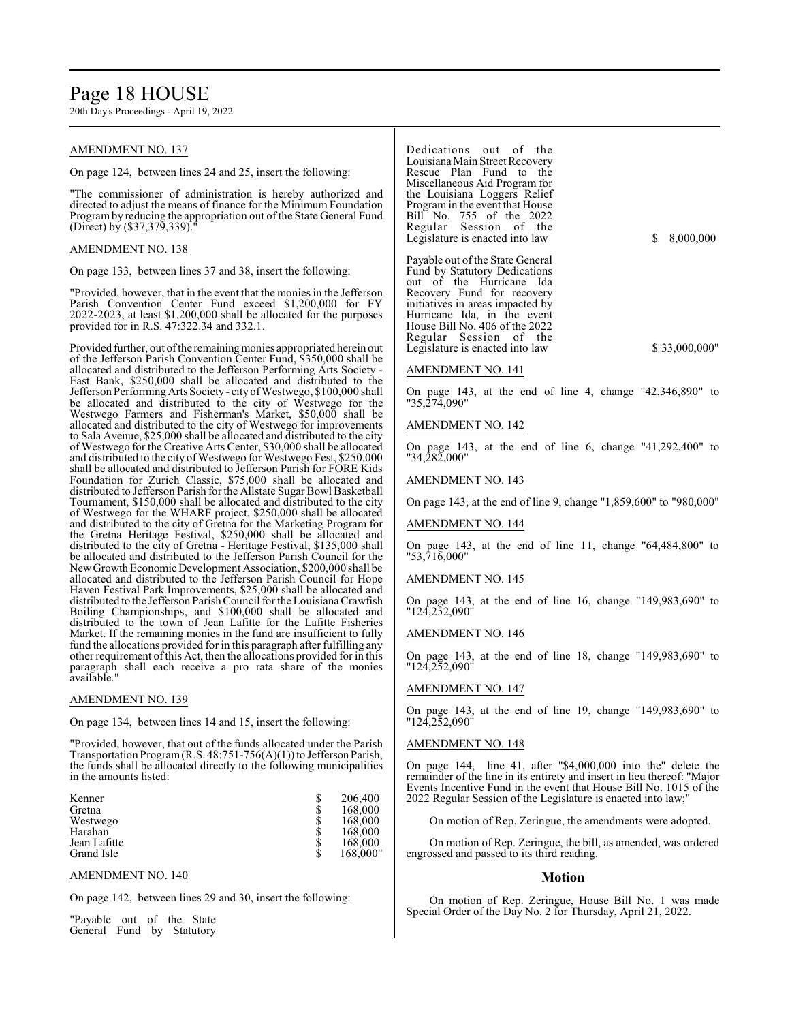# Page 18 HOUSE

20th Day's Proceedings - April 19, 2022

# AMENDMENT NO. 137

On page 124, between lines 24 and 25, insert the following:

"The commissioner of administration is hereby authorized and directed to adjust the means of finance for the Minimum Foundation Programby reducing the appropriation out of the State General Fund (Direct) by (\$37,379,339).

# AMENDMENT NO. 138

On page 133, between lines 37 and 38, insert the following:

"Provided, however, that in the event that the monies in the Jefferson Parish Convention Center Fund exceed \$1,200,000 for FY 2022-2023, at least \$1,200,000 shall be allocated for the purposes provided for in R.S. 47:322.34 and 332.1.

Provided further, out of the remaining monies appropriated herein out of the Jefferson Parish Convention Center Fund, \$350,000 shall be allocated and distributed to the Jefferson Performing Arts Society - East Bank, \$250,000 shall be allocated and distributed to the Jefferson PerformingArts Society- city ofWestwego, \$100,000 shall be allocated and distributed to the city of Westwego for the Westwego Farmers and Fisherman's Market, \$50,000 shall be allocated and distributed to the city of Westwego for improvements to Sala Avenue, \$25,000 shall be allocated and distributed to the city of Westwego for the Creative Arts Center, \$30,000 shall be allocated and distributed to the city ofWestwego for Westwego Fest, \$250,000 shall be allocated and distributed to Jefferson Parish for FORE Kids Foundation for Zurich Classic, \$75,000 shall be allocated and distributed to Jefferson Parish for the Allstate Sugar Bowl Basketball Tournament, \$150,000 shall be allocated and distributed to the city of Westwego for the WHARF project, \$250,000 shall be allocated and distributed to the city of Gretna for the Marketing Program for the Gretna Heritage Festival, \$250,000 shall be allocated and distributed to the city of Gretna - Heritage Festival, \$135,000 shall be allocated and distributed to the Jefferson Parish Council for the New Growth Economic Development Association, \$200,000 shall be allocated and distributed to the Jefferson Parish Council for Hope Haven Festival Park Improvements, \$25,000 shall be allocated and distributed to the Jefferson Parish Council for the Louisiana Crawfish Boiling Championships, and \$100,000 shall be allocated and distributed to the town of Jean Lafitte for the Lafitte Fisheries Market. If the remaining monies in the fund are insufficient to fully fund the allocations provided for in this paragraph after fulfilling any other requirement ofthis Act, then the allocations provided for in this paragraph shall each receive a pro rata share of the monies available."

### AMENDMENT NO. 139

On page 134, between lines 14 and 15, insert the following:

"Provided, however, that out of the funds allocated under the Parish Transportation Program(R.S. 48:751-756(A)(1)) to Jefferson Parish, the funds shall be allocated directly to the following municipalities in the amounts listed:

| Kenner<br>Gretna<br>Westwego<br>Harahan | \$<br>\$ | 206,400<br>168,000<br>168,000<br>168,000 |
|-----------------------------------------|----------|------------------------------------------|
| Jean Lafitte<br>Grand Isle              | \$       | 168,000<br>168,000"                      |

#### AMENDMENT NO. 140

On page 142, between lines 29 and 30, insert the following:

"Payable out of the State General Fund by Statutory Dedications out of the Louisiana Main Street Recovery Rescue Plan Fund to the Miscellaneous Aid Program for the Louisiana Loggers Relief Program in the event that House Bill No. 755 of the 2022 Regular Session of the Legislature is enacted into law \$ 8,000,000

Payable out of the State General Fund by Statutory Dedications out of the Hurricane Ida Recovery Fund for recovery initiatives in areas impacted by Hurricane Ida, in the event House Bill No. 406 of the 2022 Regular Session of the Legislature is enacted into law \$ 33,000,000"

### AMENDMENT NO. 141

On page 143, at the end of line 4, change "42,346,890" to "35,274,090"

#### AMENDMENT NO. 142

On page 143, at the end of line 6, change "41,292,400" to "34,282,000"

#### AMENDMENT NO. 143

On page 143, at the end of line 9, change "1,859,600" to "980,000"

#### AMENDMENT NO. 144

On page 143, at the end of line 11, change "64,484,800" to "53,716,000"

#### AMENDMENT NO. 145

On page 143, at the end of line 16, change "149,983,690" to "124,252,090"

#### AMENDMENT NO. 146

On page 143, at the end of line 18, change "149,983,690" to "124,252,090"

#### AMENDMENT NO. 147

On page 143, at the end of line 19, change "149,983,690" to "124,252,090"

#### AMENDMENT NO. 148

On page 144, line 41, after "\$4,000,000 into the" delete the remainder of the line in its entirety and insert in lieu thereof: "Major Events Incentive Fund in the event that House Bill No. 1015 of the 2022 Regular Session of the Legislature is enacted into law;"

On motion of Rep. Zeringue, the amendments were adopted.

On motion of Rep. Zeringue, the bill, as amended, was ordered engrossed and passed to its third reading.

#### **Motion**

On motion of Rep. Zeringue, House Bill No. 1 was made Special Order of the Day No. 2 for Thursday, April 21, 2022.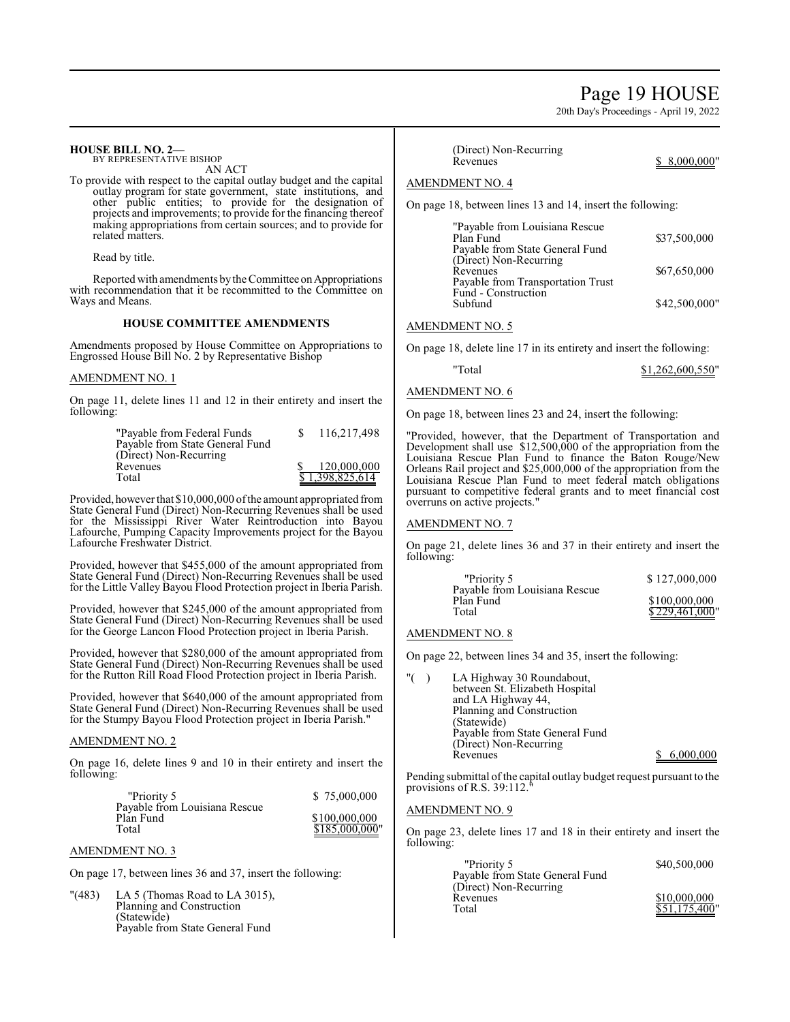# Page 19 HOUSE

20th Day's Proceedings - April 19, 2022

## **HOUSE BILL NO. 2—**

BY REPRESENTATIVE BISHOP AN ACT

To provide with respect to the capital outlay budget and the capital outlay program for state government, state institutions, and other public entities; to provide for the designation of projects and improvements; to provide for the financing thereof making appropriations from certain sources; and to provide for related matters.

Read by title.

Reported with amendments by the Committee on Appropriations with recommendation that it be recommitted to the Committee on Ways and Means.

### **HOUSE COMMITTEE AMENDMENTS**

Amendments proposed by House Committee on Appropriations to Engrossed House Bill No. 2 by Representative Bishop

## AMENDMENT NO. 1

On page 11, delete lines 11 and 12 in their entirety and insert the following:

| "Payable from Federal Funds     | 116,217,498     |
|---------------------------------|-----------------|
| Payable from State General Fund |                 |
| (Direct) Non-Recurring          |                 |
| Revenues                        | 120,000,000     |
| Total                           | \$1,398,825,614 |

Provided, however that \$10,000,000 of the amount appropriated from State General Fund (Direct) Non-Recurring Revenues shall be used for the Mississippi River Water Reintroduction into Bayou Lafourche, Pumping Capacity Improvements project for the Bayou Lafourche Freshwater District.

Provided, however that \$455,000 of the amount appropriated from State General Fund (Direct) Non-Recurring Revenues shall be used for the Little Valley Bayou Flood Protection project in Iberia Parish.

Provided, however that \$245,000 of the amount appropriated from State General Fund (Direct) Non-Recurring Revenues shall be used for the George Lancon Flood Protection project in Iberia Parish.

Provided, however that \$280,000 of the amount appropriated from State General Fund (Direct) Non-Recurring Revenues shall be used for the Rutton Rill Road Flood Protection project in Iberia Parish.

Provided, however that \$640,000 of the amount appropriated from State General Fund (Direct) Non-Recurring Revenues shall be used for the Stumpy Bayou Flood Protection project in Iberia Parish."

#### AMENDMENT NO. 2

On page 16, delete lines 9 and 10 in their entirety and insert the following:

| "Priority 5                                | \$75,000,000   |
|--------------------------------------------|----------------|
| Payable from Louisiana Rescue<br>Plan Fund | \$100,000,000  |
| Total                                      | \$185,000,000" |

### AMENDMENT NO. 3

On page 17, between lines 36 and 37, insert the following:

"(483) LA 5 (Thomas Road to LA 3015), Planning and Construction (Statewide) Payable from State General Fund

(Direct) Non-Recurring

\$ 8,000,000"

#### AMENDMENT NO. 4

On page 18, between lines 13 and 14, insert the following:

| "Payable from Louisiana Rescue<br>Plan Fund               | \$37,500,000  |
|-----------------------------------------------------------|---------------|
| Payable from State General Fund<br>(Direct) Non-Recurring |               |
| Revenues                                                  | \$67,650,000  |
| Payable from Transportation Trust<br>Fund - Construction  |               |
| Subfund                                                   | \$42,500,000" |

### AMENDMENT NO. 5

On page 18, delete line 17 in its entirety and insert the following:

```
"Total $1,262,600,550"
```
#### AMENDMENT NO. 6

On page 18, between lines 23 and 24, insert the following:

"Provided, however, that the Department of Transportation and Development shall use \$12,500,000 of the appropriation from the Louisiana Rescue Plan Fund to finance the Baton Rouge/New Orleans Rail project and \$25,000,000 of the appropriation from the Louisiana Rescue Plan Fund to meet federal match obligations pursuant to competitive federal grants and to meet financial cost overruns on active projects."

## AMENDMENT NO. 7

On page 21, delete lines 36 and 37 in their entirety and insert the following:

| "Priority 5                   | \$127,000,000  |
|-------------------------------|----------------|
| Payable from Louisiana Rescue |                |
| Plan Fund                     | \$100,000,000  |
| Total                         | \$229,461,000" |

# AMENDMENT NO. 8

On page 22, between lines 34 and 35, insert the following:

| "( | LA Highway 30 Roundabout,<br>between St. Elizabeth Hospital<br>and LA Highway 44, |           |
|----|-----------------------------------------------------------------------------------|-----------|
|    | Planning and Construction                                                         |           |
|    | (Statewide)                                                                       |           |
|    | Payable from State General Fund                                                   |           |
|    | (Direct) Non-Recurring                                                            |           |
|    | Revenues                                                                          | 6,000,000 |
|    |                                                                                   |           |

Pending submittal of the capital outlay budget request pursuant to the provisions of R.S. 39:112.

#### AMENDMENT NO. 9

On page 23, delete lines 17 and 18 in their entirety and insert the following:

| "Priority 5<br>Payable from State General Fund | \$40,500,000  |
|------------------------------------------------|---------------|
| (Direct) Non-Recurring                         |               |
| Revenues                                       | \$10,000,000  |
| Total                                          | \$51,175,400" |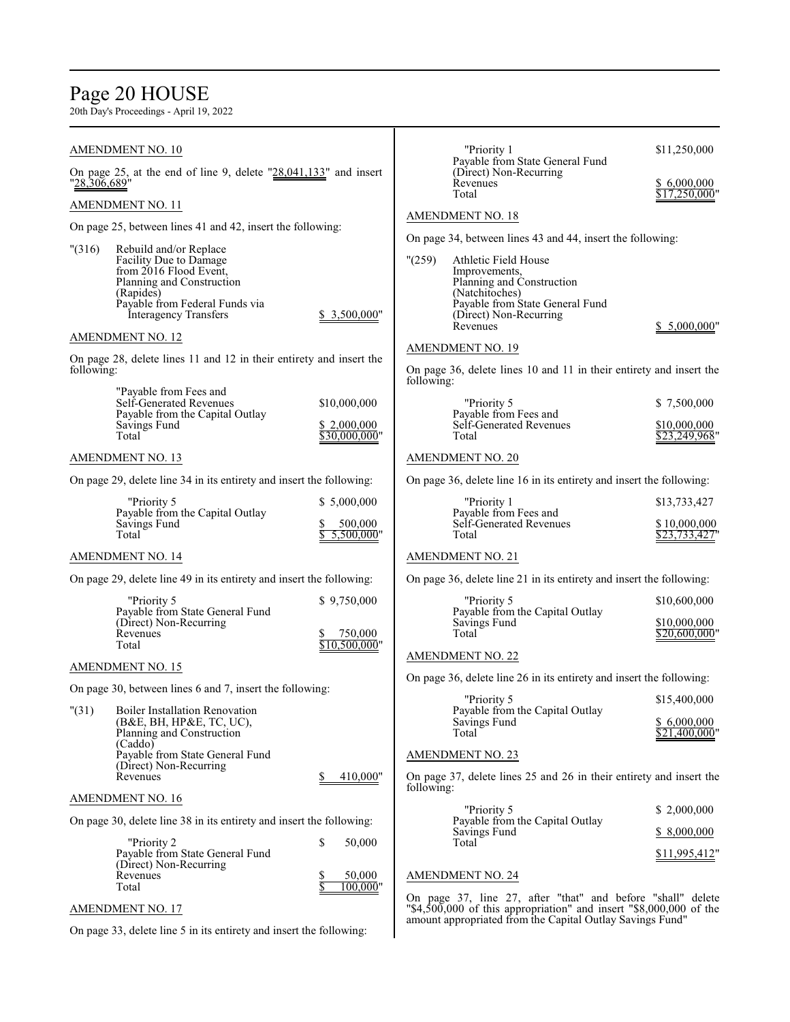# Page 20 HOUSE

|              | <b>AMENDMENT NO. 10</b>                                                                                                                                                         |                                         | "Priority 1<br>Payable from State General Fund                                                                                                                                                                                        | \$11,250,000                                  |
|--------------|---------------------------------------------------------------------------------------------------------------------------------------------------------------------------------|-----------------------------------------|---------------------------------------------------------------------------------------------------------------------------------------------------------------------------------------------------------------------------------------|-----------------------------------------------|
| "28,306,689" | On page 25, at the end of line 9, delete $"28,041,133"$ and insert                                                                                                              |                                         | (Direct) Non-Recurring<br>Revenues<br>Total                                                                                                                                                                                           | \$ 6,000,000<br>\$17,250,000"                 |
|              | AMENDMENT NO. 11                                                                                                                                                                |                                         |                                                                                                                                                                                                                                       |                                               |
|              | On page 25, between lines 41 and 42, insert the following:                                                                                                                      |                                         | <b>AMENDMENT NO. 18</b>                                                                                                                                                                                                               |                                               |
| "(316)       | Rebuild and/or Replace<br>Facility Due to Damage<br>from 2016 Flood Event,<br>Planning and Construction<br>(Rapides)<br>Payable from Federal Funds via<br>Interagency Transfers | \$3,500,000"                            | On page 34, between lines 43 and 44, insert the following:<br>"(259)<br>Athletic Field House<br>Improvements,<br>Planning and Construction<br>(Natchitoches)<br>Payable from State General Fund<br>(Direct) Non-Recurring<br>Revenues | \$ 5,000,000"                                 |
|              | <b>AMENDMENT NO. 12</b>                                                                                                                                                         |                                         |                                                                                                                                                                                                                                       |                                               |
| following:   | On page 28, delete lines 11 and 12 in their entirety and insert the                                                                                                             |                                         | <b>AMENDMENT NO. 19</b><br>On page 36, delete lines 10 and 11 in their entirety and insert the<br>following:                                                                                                                          |                                               |
|              | "Payable from Fees and<br>Self-Generated Revenues                                                                                                                               | \$10,000,000                            | "Priority 5                                                                                                                                                                                                                           | \$7,500,000                                   |
|              | Payable from the Capital Outlay<br>Savings Fund<br>Total                                                                                                                        | \$2,000,000<br>\$30,000,000"            | Payable from Fees and<br>Self-Generated Revenues<br>Total                                                                                                                                                                             | \$10,000,000<br>\$23,249,968'                 |
|              | <b>AMENDMENT NO. 13</b>                                                                                                                                                         |                                         | <b>AMENDMENT NO. 20</b>                                                                                                                                                                                                               |                                               |
|              | On page 29, delete line 34 in its entirety and insert the following:                                                                                                            |                                         | On page 36, delete line 16 in its entirety and insert the following:                                                                                                                                                                  |                                               |
|              | "Priority 5                                                                                                                                                                     | \$5,000,000                             | "Priority 1                                                                                                                                                                                                                           | \$13,733,427                                  |
|              | Payable from the Capital Outlay<br>Savings Fund<br>Total                                                                                                                        | 500,000<br>5,500,000"                   | Payable from Fees and<br>Self-Generated Revenues<br>Total                                                                                                                                                                             | \$10,000,000<br>\$23,733,427"                 |
|              | <b>AMENDMENT NO. 14</b>                                                                                                                                                         |                                         | <b>AMENDMENT NO. 21</b>                                                                                                                                                                                                               |                                               |
|              | On page 29, delete line 49 in its entirety and insert the following:                                                                                                            |                                         | On page 36, delete line 21 in its entirety and insert the following:                                                                                                                                                                  |                                               |
|              | "Priority 5<br>Payable from State General Fund<br>(Direct) Non-Recurring<br>Revenues<br>Total                                                                                   | \$9,750,000<br>750,000<br>\$10,500,000" | "Priority 5<br>Payable from the Capital Outlay<br>Savings Fund<br>Total                                                                                                                                                               | \$10,600,000<br>\$10,000,000<br>\$20,600,000" |
|              | <b>AMENDMENT NO. 15</b>                                                                                                                                                         |                                         | <b>AMENDMENT NO. 22</b>                                                                                                                                                                                                               |                                               |
|              | On page 30, between lines 6 and 7, insert the following:                                                                                                                        |                                         | On page 36, delete line 26 in its entirety and insert the following:                                                                                                                                                                  |                                               |
| "(31)        | <b>Boiler Installation Renovation</b><br>(B&E, BH, HP&E, TC, UC),<br>Planning and Construction<br>(Caddo)                                                                       |                                         | "Priority 5<br>Payable from the Capital Outlay<br>Savings Fund<br>Total                                                                                                                                                               | \$15,400,000<br>\$6,000,000<br>\$21,400,000"  |
|              | Payable from State General Fund<br>(Direct) Non-Recurring                                                                                                                       |                                         | <b>AMENDMENT NO. 23</b>                                                                                                                                                                                                               |                                               |
|              | Revenues                                                                                                                                                                        | 410,000"                                | On page 37, delete lines 25 and 26 in their entirety and insert the<br>following:                                                                                                                                                     |                                               |
|              | AMENDMENT NO. 16                                                                                                                                                                |                                         | "Priority 5                                                                                                                                                                                                                           | \$2,000,000                                   |
|              | On page 30, delete line 38 in its entirety and insert the following:                                                                                                            |                                         | Payable from the Capital Outlay<br>Savings Fund                                                                                                                                                                                       | \$ 8,000,000                                  |
|              | "Priority 2<br>Payable from State General Fund<br>(Direct) Non-Recurring                                                                                                        | \$<br>50,000                            | Total                                                                                                                                                                                                                                 | \$11,995,412"                                 |
|              | Revenues<br>Total                                                                                                                                                               | 50,000<br>100,000"                      | <b>AMENDMENT NO. 24</b>                                                                                                                                                                                                               |                                               |
|              | <b>AMENDMENT NO. 17</b>                                                                                                                                                         |                                         | On page 37, line 27, after "that" and before "shall" delete<br>" $$4,500,000$ of this appropriation" and insert " $$8,000,000$ of the                                                                                                 |                                               |
|              | On page 33, delete line 5 in its entirety and insert the following:                                                                                                             |                                         | amount appropriated from the Capital Outlay Savings Fund"                                                                                                                                                                             |                                               |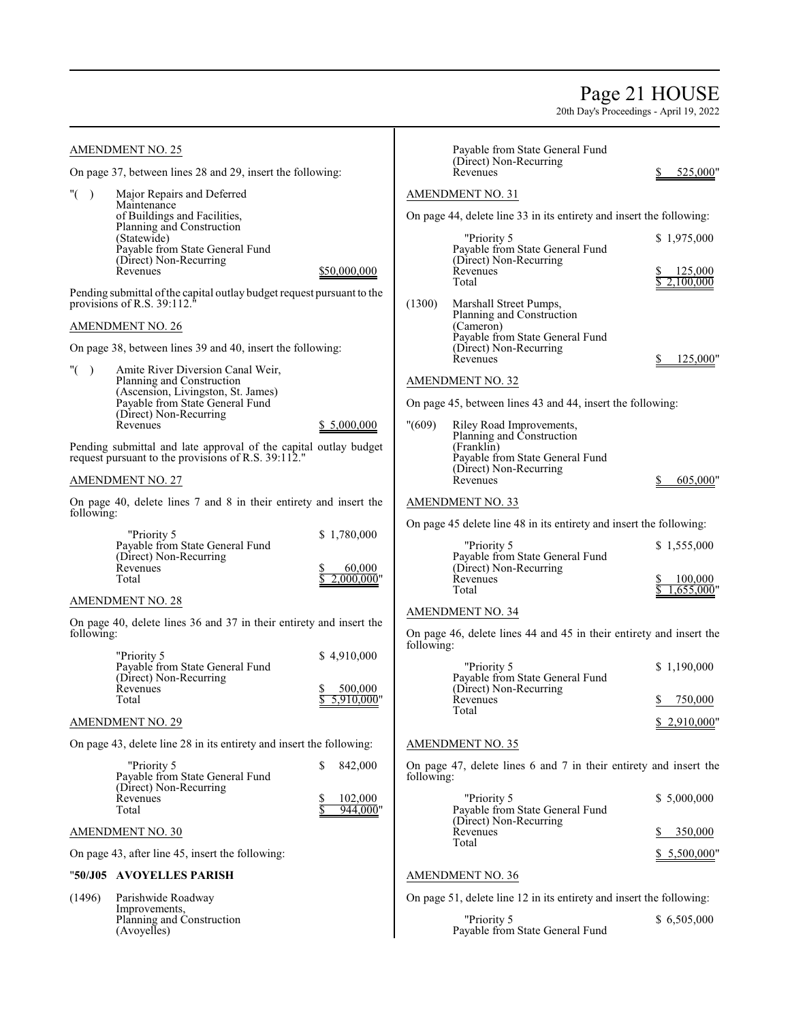# Page 21 HOUSE

| <b>AMENDMENT NO. 25</b>                                                                                                 |                         |            | Payable from State General Fund<br>(Direct) Non-Recurring                                            |                        |
|-------------------------------------------------------------------------------------------------------------------------|-------------------------|------------|------------------------------------------------------------------------------------------------------|------------------------|
| On page 37, between lines 28 and 29, insert the following:                                                              |                         |            | Revenues                                                                                             | 525,000"               |
| " $($ )<br>Major Repairs and Deferred<br>Maintenance<br>of Buildings and Facilities,                                    |                         |            | <b>AMENDMENT NO. 31</b><br>On page 44, delete line 33 in its entirety and insert the following:      |                        |
| Planning and Construction<br>(Statewide)<br>Payable from State General Fund<br>(Direct) Non-Recurring<br>Revenues       | \$50,000,000            |            | "Priority 5<br>Payable from State General Fund<br>(Direct) Non-Recurring<br>Revenues                 | \$1,975,000<br>125,000 |
| Pending submittal of the capital outlay budget request pursuant to the<br>provisions of R.S. 39:112.                    |                         | (1300)     | Total<br>Marshall Street Pumps,                                                                      | 2.100,000              |
| <b>AMENDMENT NO. 26</b>                                                                                                 |                         |            | Planning and Construction<br>(Cameron)                                                               |                        |
| On page 38, between lines 39 and 40, insert the following:                                                              |                         |            | Payable from State General Fund<br>(Direct) Non-Recurring<br>Revenues                                | 125,000"<br>S.         |
| " $($ )<br>Amite River Diversion Canal Weir,                                                                            |                         |            |                                                                                                      |                        |
| Planning and Construction<br>(Ascension, Livingston, St. James)<br>Payable from State General Fund                      |                         |            | <b>AMENDMENT NO. 32</b><br>On page 45, between lines 43 and 44, insert the following:                |                        |
| (Direct) Non-Recurring<br>Revenues                                                                                      | \$5,000,000             | "(609)     | Riley Road Improvements,                                                                             |                        |
| Pending submittal and late approval of the capital outlay budget<br>request pursuant to the provisions of R.S. 39:112." |                         |            | Planning and Construction<br>(Franklin)<br>Payable from State General Fund<br>(Direct) Non-Recurring |                        |
| <b>AMENDMENT NO. 27</b>                                                                                                 |                         |            | Revenues                                                                                             | 605,000"               |
| On page 40, delete lines 7 and 8 in their entirety and insert the<br>following:                                         |                         |            | <b>AMENDMENT NO. 33</b>                                                                              |                        |
| "Priority 5                                                                                                             | \$1,780,000             |            | On page 45 delete line 48 in its entirety and insert the following:                                  |                        |
| Payable from State General Fund<br>(Direct) Non-Recurring<br>Revenues<br>Total                                          | 60,000<br>$2,000,000$ " |            | "Priority 5<br>Payable from State General Fund<br>(Direct) Non-Recurring<br>Revenues                 | \$1,555,000<br>100,000 |
| <b>AMENDMENT NO. 28</b>                                                                                                 |                         |            | Total                                                                                                | 1,655,000"             |
|                                                                                                                         |                         |            | <b>AMENDMENT NO. 34</b>                                                                              |                        |
| On page 40, delete lines 36 and 37 in their entirety and insert the<br>following:                                       |                         | following: | On page 46, delete lines 44 and 45 in their entirety and insert the                                  |                        |
| "Priority 5<br>Payable from State General Fund<br>(Direct) Non-Recurring                                                | \$4,910,000             |            | "Priority 5<br>Payable from State General Fund                                                       | \$1,190,000            |
| Revenues<br>Total                                                                                                       | 500,000<br>5,910,000"   |            | (Direct) Non-Recurring<br>Revenues                                                                   | \$<br>750,000          |
| <b>AMENDMENT NO. 29</b>                                                                                                 |                         |            | Total                                                                                                | \$2,910,000"           |
| On page 43, delete line 28 in its entirety and insert the following:                                                    |                         |            | AMENDMENT NO. 35                                                                                     |                        |
| "Priority 5<br>Payable from State General Fund<br>(Direct) Non-Recurring                                                | \$<br>842,000           | following: | On page 47, delete lines 6 and 7 in their entirety and insert the                                    |                        |
| Revenues<br>Total                                                                                                       | 102,000<br>944,000"     |            | "Priority 5<br>Payable from State General Fund                                                       | \$5,000,000            |
| <b>AMENDMENT NO. 30</b>                                                                                                 |                         |            | (Direct) Non-Recurring<br>Revenues                                                                   | 350,000                |
| On page 43, after line 45, insert the following:                                                                        |                         |            | Total                                                                                                | \$5,500,000"           |
| "50/J05 AVOYELLES PARISH                                                                                                |                         |            | <b>AMENDMENT NO. 36</b>                                                                              |                        |
| (1496)<br>Parishwide Roadway<br>Improvements,                                                                           |                         |            | On page 51, delete line 12 in its entirety and insert the following:                                 |                        |
| Planning and Construction<br>(Avoyelles)                                                                                |                         |            | "Priority 5<br>Payable from State General Fund                                                       | \$6,505,000            |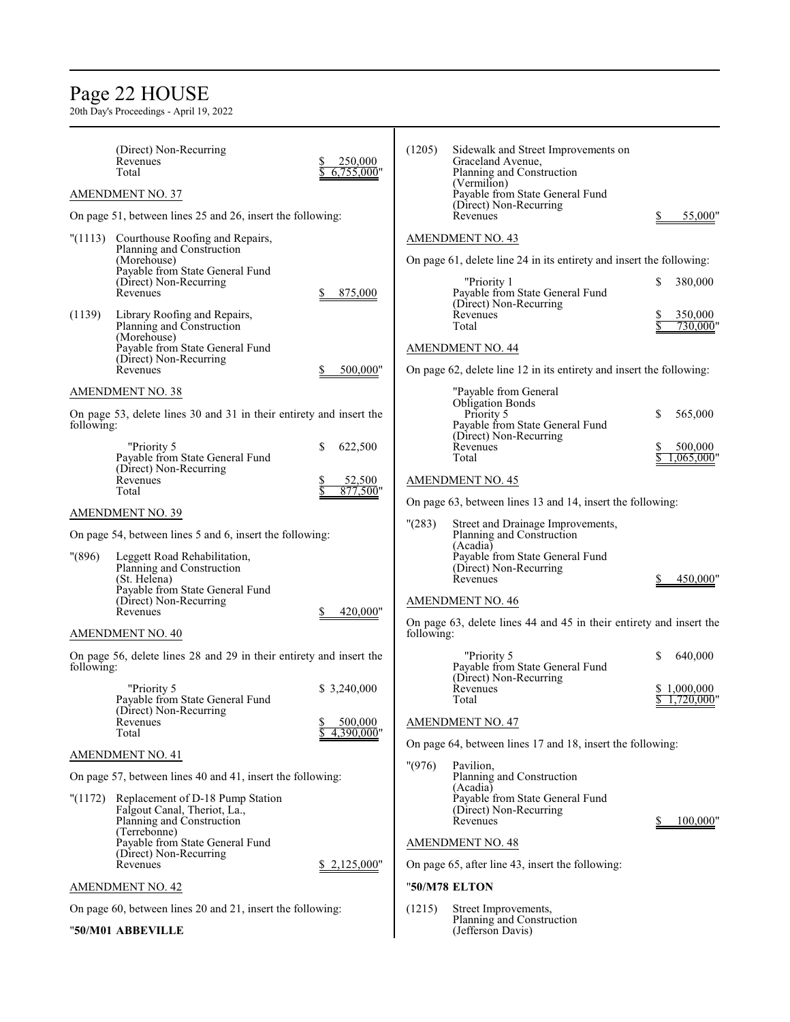# Page 22 HOUSE

|            | (Direct) Non-Recurring<br>Revenues<br>Total<br><b>AMENDMENT NO. 37</b>                                                                                                                                                                   | 250,000<br>$6,755,000$ " | (1205)     | Sidewalk and Street Improvements on<br>Graceland Avenue,<br>Planning and Construction<br>(Vermilion)<br>Payable from State General Fund<br>(Direct) Non-Recurring                                |                                     |
|------------|------------------------------------------------------------------------------------------------------------------------------------------------------------------------------------------------------------------------------------------|--------------------------|------------|--------------------------------------------------------------------------------------------------------------------------------------------------------------------------------------------------|-------------------------------------|
|            | On page 51, between lines 25 and 26, insert the following:                                                                                                                                                                               |                          |            | Revenues                                                                                                                                                                                         | 55,000"                             |
| (1139)     | "(1113) Courthouse Roofing and Repairs,<br>Planning and Construction<br>(Morehouse)<br>Payable from State General Fund<br>(Direct) Non-Recurring<br>Revenues<br>Library Roofing and Repairs,<br>Planning and Construction<br>(Morehouse) | 875,000                  |            | <b>AMENDMENT NO. 43</b><br>On page 61, delete line 24 in its entirety and insert the following:<br>"Priority 1<br>Payable from State General Fund<br>(Direct) Non-Recurring<br>Revenues<br>Total | 380,000<br>S<br>350,000<br>730,000' |
|            | Payable from State General Fund<br>(Direct) Non-Recurring<br>Revenues                                                                                                                                                                    | 500,000"                 |            | <b>AMENDMENT NO. 44</b><br>On page 62, delete line 12 in its entirety and insert the following:                                                                                                  |                                     |
|            | <b>AMENDMENT NO. 38</b>                                                                                                                                                                                                                  |                          |            | "Payable from General                                                                                                                                                                            |                                     |
| following: | On page 53, delete lines 30 and 31 in their entirety and insert the                                                                                                                                                                      |                          |            | <b>Obligation Bonds</b><br>Priority 5<br>Payable from State General Fund<br>(Direct) Non-Recurring                                                                                               | \$<br>565,000                       |
|            | "Priority 5<br>Payable from State General Fund<br>(Direct) Non-Recurring                                                                                                                                                                 | \$<br>622,500            |            | Revenues<br>Total                                                                                                                                                                                | 500,000<br>,065,000'                |
|            | Revenues<br>Total                                                                                                                                                                                                                        | 52,500<br>877,500"       |            | <b>AMENDMENT NO. 45</b><br>On page 63, between lines 13 and 14, insert the following:                                                                                                            |                                     |
|            | <b>AMENDMENT NO. 39</b>                                                                                                                                                                                                                  |                          | "(283)     | Street and Drainage Improvements,                                                                                                                                                                |                                     |
| "(896)     | On page 54, between lines 5 and 6, insert the following:<br>Leggett Road Rehabilitation,<br>Planning and Construction<br>(St. Helena)<br>Payable from State General Fund<br>(Direct) Non-Recurring<br>Revenues                           | 420,000"                 |            | Planning and Construction<br>(Acadia)<br>Payable from State General Fund<br>(Direct) Non-Recurring<br>Revenues<br><b>AMENDMENT NO. 46</b>                                                        | 450,000"                            |
|            | <b>AMENDMENT NO. 40</b>                                                                                                                                                                                                                  |                          | following: | On page 63, delete lines 44 and 45 in their entirety and insert the                                                                                                                              |                                     |
| following: | On page 56, delete lines 28 and 29 in their entirety and insert the                                                                                                                                                                      |                          |            | "Priority 5<br>Payable from State General Fund                                                                                                                                                   | S<br>640,000                        |
|            | "Priority 5<br>Pavable from State General Fund<br>(Direct) Non-Recurring                                                                                                                                                                 | \$3,240,000              |            | (Direct) Non-Recurring<br>Revenues<br>Total                                                                                                                                                      | 1,000,000<br>1,720,000              |
|            | Revenues<br>Total                                                                                                                                                                                                                        | 500,000<br>4,390,000"    |            | <b>AMENDMENT NO. 47</b>                                                                                                                                                                          |                                     |
|            | <b>AMENDMENT NO. 41</b>                                                                                                                                                                                                                  |                          |            | On page 64, between lines 17 and 18, insert the following:                                                                                                                                       |                                     |
|            | On page 57, between lines 40 and 41, insert the following:                                                                                                                                                                               |                          | "(976)     | Pavilion,<br>Planning and Construction                                                                                                                                                           |                                     |
|            | "(1172) Replacement of D-18 Pump Station<br>Falgout Canal, Theriot, La.,<br>Planning and Construction<br>(Terrebonne)                                                                                                                    |                          |            | (Acadia)<br>Payable from State General Fund<br>(Direct) Non-Recurring<br>Revenues                                                                                                                | 100,000"                            |
|            | Payable from State General Fund                                                                                                                                                                                                          |                          |            | <b>AMENDMENT NO. 48</b>                                                                                                                                                                          |                                     |
|            | (Direct) Non-Recurring<br>Revenues                                                                                                                                                                                                       | \$ 2,125,000"            |            | On page 65, after line 43, insert the following:                                                                                                                                                 |                                     |
|            | AMENDMENT NO. 42                                                                                                                                                                                                                         |                          |            | "50/M78 ELTON                                                                                                                                                                                    |                                     |
|            | On page 60, between lines 20 and 21, insert the following:                                                                                                                                                                               |                          | (1215)     | Street Improvements,                                                                                                                                                                             |                                     |
|            | "50/M01 ABBEVILLE                                                                                                                                                                                                                        |                          |            | Planning and Construction<br>(Jefferson Davis)                                                                                                                                                   |                                     |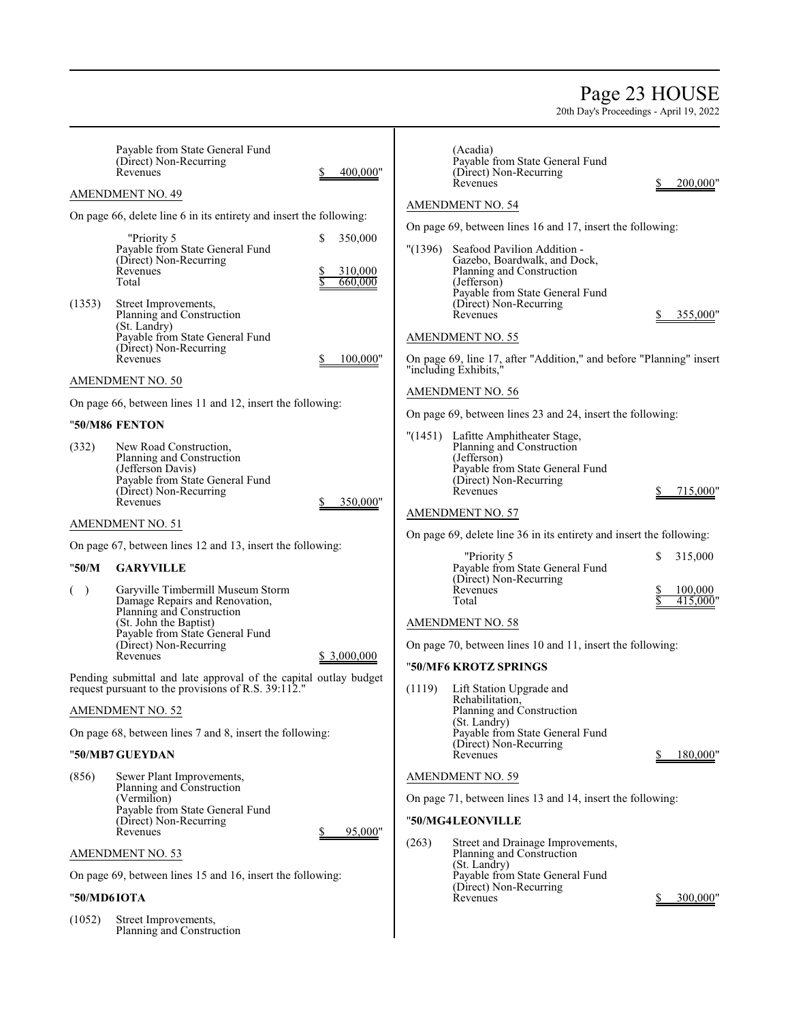# Page 23 HOUSE

| Payable from State General Fund<br>(Direct) Non-Recurring<br>Revenues<br><b>AMENDMENT NO. 49</b>                                                                                                                                          | 400,000"                           | (Acadia)<br>Payable from State General Fund<br>(Direct) Non-Recurring<br>200,000"<br>Revenues                                                                                                                                          |
|-------------------------------------------------------------------------------------------------------------------------------------------------------------------------------------------------------------------------------------------|------------------------------------|----------------------------------------------------------------------------------------------------------------------------------------------------------------------------------------------------------------------------------------|
|                                                                                                                                                                                                                                           |                                    | AMENDMENT NO. 54                                                                                                                                                                                                                       |
| On page 66, delete line 6 in its entirety and insert the following:                                                                                                                                                                       |                                    | On page 69, between lines 16 and 17, insert the following:                                                                                                                                                                             |
| "Priority 5<br>Payable from State General Fund<br>(Direct) Non-Recurring<br>Revenues<br>Total<br>(1353)<br>Street Improvements,<br>Planning and Construction<br>(St. Landry)<br>Payable from State General Fund<br>(Direct) Non-Recurring | S<br>350,000<br>310,000<br>660,000 | (1396)<br>Seafood Pavilion Addition -<br>Gazebo, Boardwalk, and Dock,<br>Planning and Construction<br>(Jefferson)<br>Payable from State General Fund<br>(Direct) Non-Recurring<br>Revenues<br>355,000"<br><b>AMENDMENT NO. 55</b>      |
| Revenues                                                                                                                                                                                                                                  | 100,000"                           | On page 69, line 17, after "Addition," and before "Planning" insert<br>"including Exhibits,"                                                                                                                                           |
| AMENDMENT NO. 50                                                                                                                                                                                                                          |                                    | <b>AMENDMENT NO. 56</b>                                                                                                                                                                                                                |
| On page 66, between lines 11 and 12, insert the following:<br>"50/M86 FENTON                                                                                                                                                              |                                    | On page 69, between lines 23 and 24, insert the following:                                                                                                                                                                             |
| (332)<br>New Road Construction,<br>Planning and Construction<br>(Jefferson Davis)<br>Payable from State General Fund<br>(Direct) Non-Recurring<br>Revenues                                                                                | 350,000"                           | "(1451) Lafitte Amphitheater Stage,<br>Planning and Construction<br>(Jefferson)<br>Payable from State General Fund<br>(Direct) Non-Recurring<br>Revenues<br>715,000"                                                                   |
| <b>AMENDMENT NO. 51</b>                                                                                                                                                                                                                   |                                    | <b>AMENDMENT NO. 57</b>                                                                                                                                                                                                                |
| On page 67, between lines 12 and 13, insert the following:                                                                                                                                                                                |                                    | On page 69, delete line 36 in its entirety and insert the following:                                                                                                                                                                   |
| "50/M<br><b>GARYVILLE</b><br>( )<br>Garyville Timbermill Museum Storm<br>Damage Repairs and Renovation,<br>Planning and Construction<br>(St. John the Baptist)<br>Payable from State General Fund<br>(Direct) Non-Recurring<br>Revenues   | \$ 3,000,000                       | "Priority 5<br>315,000<br>Payable from State General Fund<br>(Direct) Non-Recurring<br>Revenues<br>100,000<br>$41\overline{5.000}$ "<br>Total<br><b>AMENDMENT NO. 58</b><br>On page 70, between lines 10 and 11, insert the following: |
| Pending submittal and late approval of the capital outlay budget                                                                                                                                                                          |                                    | "50/MF6 KROTZ SPRINGS                                                                                                                                                                                                                  |
| request pursuant to the provisions of R.S. 39:112."<br><b>AMENDMENT NO. 52</b>                                                                                                                                                            |                                    | (1119)<br>Lift Station Upgrade and<br>Rehabilitation,<br>Planning and Construction<br>(St. Landry)                                                                                                                                     |
| On page 68, between lines 7 and 8, insert the following:                                                                                                                                                                                  |                                    | Payable from State General Fund<br>(Direct) Non-Recurring                                                                                                                                                                              |
| "50/MB7 GUEYDAN                                                                                                                                                                                                                           |                                    | Revenues<br>180,000"                                                                                                                                                                                                                   |
| (856)<br>Sewer Plant Improvements,<br>Planning and Construction<br>(Vermilion)<br>Payable from State General Fund<br>(Direct) Non-Recurring<br>Revenues                                                                                   | 95,000"                            | <b>AMENDMENT NO. 59</b><br>On page 71, between lines 13 and 14, insert the following:<br>"50/MG4LEONVILLE                                                                                                                              |
| <b>AMENDMENT NO. 53</b>                                                                                                                                                                                                                   |                                    | (263)<br>Street and Drainage Improvements,<br>Planning and Construction                                                                                                                                                                |
| On page 69, between lines 15 and 16, insert the following:                                                                                                                                                                                |                                    | (St. Landry)<br>Payable from State General Fund                                                                                                                                                                                        |
| "50/MD6IOTA                                                                                                                                                                                                                               |                                    | (Direct) Non-Recurring<br>Revenues<br>300,000"                                                                                                                                                                                         |
| (1052)<br>Street Improvements,<br>Planning and Construction                                                                                                                                                                               |                                    |                                                                                                                                                                                                                                        |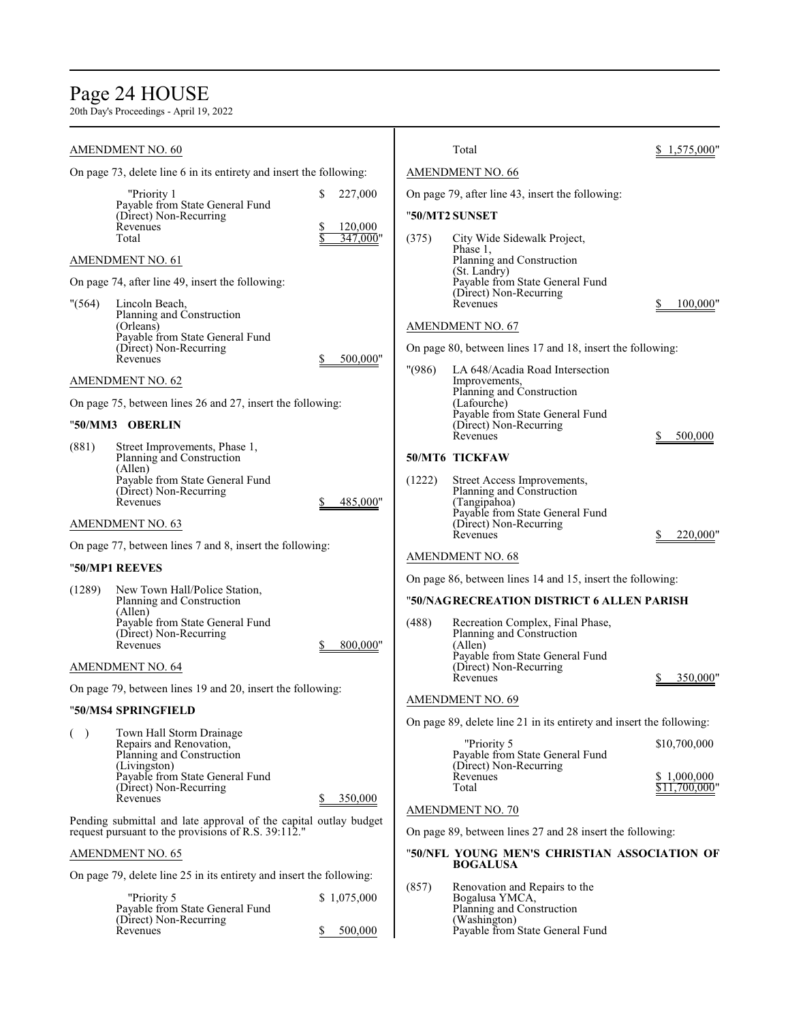# Page 24 HOUSE

|         | <b>AMENDMENT NO. 60</b>                                                                                                 |                          |        | Total                                                                | 1,575,000"                   |
|---------|-------------------------------------------------------------------------------------------------------------------------|--------------------------|--------|----------------------------------------------------------------------|------------------------------|
|         | On page 73, delete line 6 in its entirety and insert the following:                                                     |                          |        | <b>AMENDMENT NO. 66</b>                                              |                              |
|         | "Priority 1                                                                                                             | \$<br>227,000            |        | On page 79, after line 43, insert the following:                     |                              |
|         | Payable from State General Fund<br>(Direct) Non-Recurring                                                               |                          |        | "50/MT2 SUNSET                                                       |                              |
|         | Revenues<br>Total                                                                                                       | 120,000<br>2<br>347,000" | (375)  | City Wide Sidewalk Project,                                          |                              |
|         | <b>AMENDMENT NO. 61</b>                                                                                                 |                          |        | Phase 1,<br>Planning and Construction                                |                              |
|         | On page 74, after line 49, insert the following:                                                                        |                          |        | (St. Landry)<br>Payable from State General Fund                      |                              |
| " (564) | Lincoln Beach,                                                                                                          |                          |        | (Direct) Non-Recurring<br>Revenues                                   | 100,000"                     |
|         | Planning and Construction<br>(Orleans)                                                                                  |                          |        | <b>AMENDMENT NO. 67</b>                                              |                              |
|         | Payable from State General Fund<br>(Direct) Non-Recurring                                                               |                          |        | On page 80, between lines 17 and 18, insert the following:           |                              |
|         | Revenues                                                                                                                | 500,000"<br>S.           | "(986) | LA 648/Acadia Road Intersection                                      |                              |
|         | <b>AMENDMENT NO. 62</b>                                                                                                 |                          |        | Improvements,<br>Planning and Construction                           |                              |
|         | On page 75, between lines 26 and 27, insert the following:                                                              |                          |        | (Lafourche)<br>Payable from State General Fund                       |                              |
|         | "50/MM3 OBERLIN                                                                                                         |                          |        | (Direct) Non-Recurring<br>Revenues                                   |                              |
| (881)   | Street Improvements, Phase 1,                                                                                           |                          |        | 50/MT6 TICKFAW                                                       | 500,000                      |
|         | Planning and Construction<br>(Allen)                                                                                    |                          |        |                                                                      |                              |
|         | Payable from State General Fund<br>(Direct) Non-Recurring                                                               |                          | (1222) | Street Access Improvements,<br>Planning and Construction             |                              |
|         | Revenues                                                                                                                | 485,000"                 |        | (Tangipahoa)<br>Payable from State General Fund                      |                              |
|         | <b>AMENDMENT NO. 63</b>                                                                                                 |                          |        | (Direct) Non-Recurring<br>Revenues                                   | 220,000"                     |
|         | On page 77, between lines 7 and 8, insert the following:                                                                |                          |        | <b>AMENDMENT NO. 68</b>                                              |                              |
|         | "50/MP1 REEVES                                                                                                          |                          |        | On page 86, between lines 14 and 15, insert the following:           |                              |
| (1289)  | New Town Hall/Police Station,<br>Planning and Construction                                                              |                          |        | "50/NAGRECREATION DISTRICT 6 ALLEN PARISH                            |                              |
|         | (Allen)<br>Payable from State General Fund                                                                              |                          | (488)  | Recreation Complex, Final Phase,                                     |                              |
|         | (Direct) Non-Recurring<br>Revenues                                                                                      | 800,000"                 |        | Planning and Construction<br>(Allen)                                 |                              |
|         |                                                                                                                         |                          |        | Payable from State General Fund<br>(Direct) Non-Recurring            |                              |
|         | <b>AMENDMENT NO. 64</b>                                                                                                 |                          |        | Revenues                                                             | 350,000"                     |
|         | On page 79, between lines 19 and 20, insert the following:                                                              |                          |        | <b>AMENDMENT NO. 69</b>                                              |                              |
|         | "50/MS4 SPRINGFIELD                                                                                                     |                          |        | On page 89, delete line 21 in its entirety and insert the following: |                              |
| ( )     | Town Hall Storm Drainage<br>Repairs and Renovation,                                                                     |                          |        | "Priority 5                                                          | \$10,700,000                 |
|         | Planning and Construction<br>(Livingston)                                                                               |                          |        | Payable from State General Fund<br>(Direct) Non-Recurring            |                              |
|         | Payable from State General Fund<br>(Direct) Non-Recurring                                                               |                          |        | Revenues<br>Total                                                    | \$1,000,000<br>\$11,700,000" |
|         | Revenues                                                                                                                | 350,000                  |        | <b>AMENDMENT NO. 70</b>                                              |                              |
|         | Pending submittal and late approval of the capital outlay budget<br>request pursuant to the provisions of R.S. 39:112." |                          |        | On page 89, between lines 27 and 28 insert the following:            |                              |
|         | AMENDMENT NO. 65                                                                                                        |                          |        | "50/NFL YOUNG MEN'S CHRISTIAN ASSOCIATION OF                         |                              |
|         |                                                                                                                         |                          |        | <b>BOGALUSA</b>                                                      |                              |
|         | On page 79, delete line 25 in its entirety and insert the following:                                                    |                          | (857)  | Renovation and Repairs to the                                        |                              |
|         | "Priority 5<br>Payable from State General Fund                                                                          | \$1,075,000              |        | Bogalusa YMCA,<br>Planning and Construction                          |                              |
|         | (Direct) Non-Recurring<br>Revenues                                                                                      | 500,000<br>S.            |        | (Washington)<br>Payable from State General Fund                      |                              |
|         |                                                                                                                         |                          |        |                                                                      |                              |
|         |                                                                                                                         |                          |        |                                                                      |                              |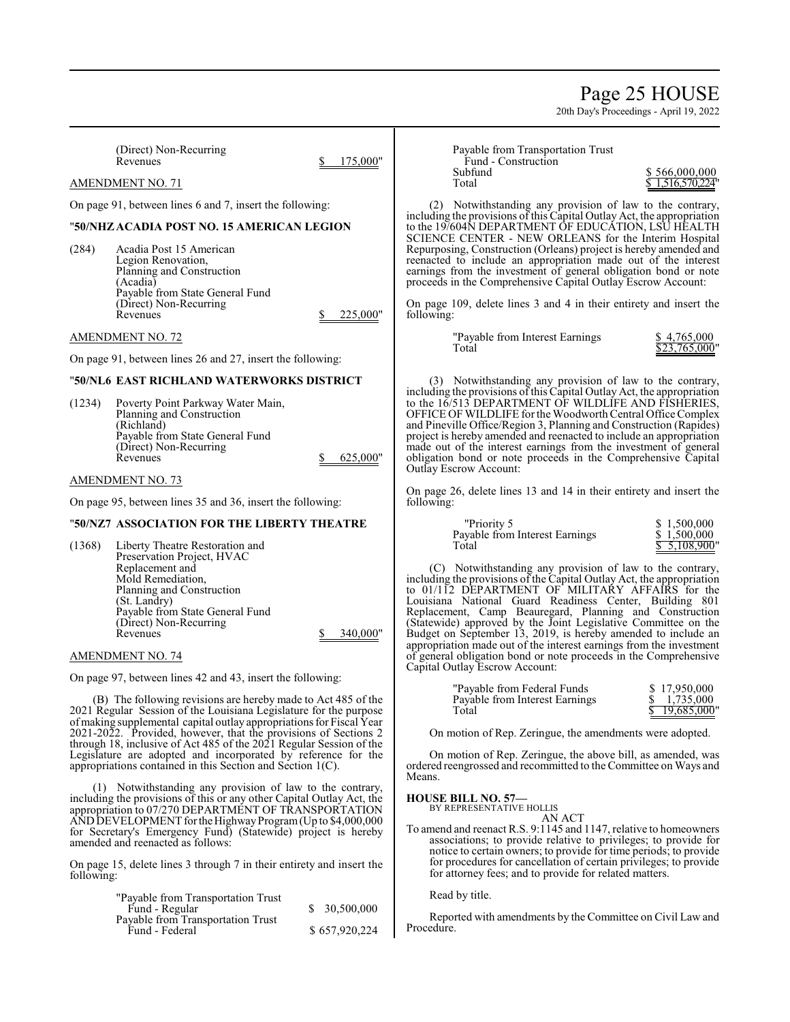# Page 25 HOUSE

20th Day's Proceedings - April 19, 2022

(Direct) Non-Recurring

175,000"

 $625,000"$ 

AMENDMENT NO. 71

On page 91, between lines 6 and 7, insert the following:

# "**50/NHZACADIA POST NO. 15 AMERICAN LEGION**

(284) Acadia Post 15 American Legion Renovation, Planning and Construction (Acadia) Payable from State General Fund (Direct) Non-Recurring  $\text{Revennes}$   $\text{S}$  225,000"

## AMENDMENT NO. 72

On page 91, between lines 26 and 27, insert the following:

# "**50/NL6 EAST RICHLAND WATERWORKS DISTRICT**

(1234) Poverty Point Parkway Water Main, Planning and Construction (Richland) Payable from State General Fund (Direct) Non-Recurring

## AMENDMENT NO. 73

On page 95, between lines 35 and 36, insert the following:

### "**50/NZ7 ASSOCIATION FOR THE LIBERTY THEATRE**

(1368) Liberty Theatre Restoration and Preservation Project, HVAC Replacement and Mold Remediation, Planning and Construction (St. Landry) Payable from State General Fund (Direct) Non-Recurring Revenues \$ 340,000"

#### AMENDMENT NO. 74

On page 97, between lines 42 and 43, insert the following:

(B) The following revisions are hereby made to Act 485 of the 2021 Regular Session of the Louisiana Legislature for the purpose ofmaking supplemental capital outlay appropriations for Fiscal Year 2021-2022. Provided, however, that the provisions of Sections 2 through 18, inclusive of Act 485 of the 2021 Regular Session of the Legislature are adopted and incorporated by reference for the appropriations contained in this Section and Section 1(C).

(1) Notwithstanding any provision of law to the contrary, including the provisions of this or any other Capital Outlay Act, the appropriation to 07/270 DEPARTMENT OF TRANSPORTATION AND DEVELOPMENT for the Highway Program (Up to  $$4,000,000$ ) for Secretary's Emergency Fund) (Statewide) project is hereby amended and reenacted as follows:

On page 15, delete lines 3 through 7 in their entirety and insert the following:

| "Payable from Transportation Trust<br>Fund - Regular | \$ 30,500,000 |
|------------------------------------------------------|---------------|
| Payable from Transportation Trust                    |               |
| Fund - Federal                                       | \$657,920,224 |

Payable from Transportation Trust Fund - Construction<br>Subfund Subfund \$ 566,000,000

\$ 1,516,570,224

(2) Notwithstanding any provision of law to the contrary, including the provisions of this Capital Outlay Act, the appropriation to the 19/604N DEPARTMENT OF EDUCATION, LSU HEALTH SCIENCE CENTER - NEW ORLEANS for the Interim Hospital Repurposing, Construction (Orleans) project is hereby amended and reenacted to include an appropriation made out of the interest earnings from the investment of general obligation bond or note proceeds in the Comprehensive Capital Outlay Escrow Account:

On page 109, delete lines 3 and 4 in their entirety and insert the following:

| "Payable from Interest Earnings | \$4.765.000   |
|---------------------------------|---------------|
| Total                           | \$23,765,000" |

(3) Notwithstanding any provision of law to the contrary, including the provisions of this Capital Outlay Act, the appropriation to the 16/513 DEPARTMENT OF WILDLIFE AND FISHERIES, OFFICE OF WILDLIFE for the Woodworth Central Office Complex and Pineville Office/Region 3, Planning and Construction (Rapides) project is hereby amended and reenacted to include an appropriation made out of the interest earnings from the investment of general obligation bond or note proceeds in the Comprehensive Capital Outlay Escrow Account:

On page 26, delete lines 13 and 14 in their entirety and insert the following:

| "Priority 5                    | \$1,500,000  |
|--------------------------------|--------------|
| Payable from Interest Earnings | \$1.500,000  |
| Total                          | \$5,108,900" |

(C) Notwithstanding any provision of law to the contrary, including the provisions of the Capital Outlay Act, the appropriation to 01/112 DEPARTMENT OF MILITARY AFFAIRS for the Louisiana National Guard Readiness Center, Building 801 Replacement, Camp Beauregard, Planning and Construction (Statewide) approved by the Joint Legislative Committee on the Budget on September 13, 2019, is hereby amended to include an appropriation made out of the interest earnings from the investment of general obligation bond or note proceeds in the Comprehensive Capital Outlay Escrow Account:

| "Payable from Federal Funds"   | \$17,950,000  |
|--------------------------------|---------------|
| Payable from Interest Earnings | 1.735,000     |
| Total                          | \$19,685,000" |

On motion of Rep. Zeringue, the amendments were adopted.

On motion of Rep. Zeringue, the above bill, as amended, was ordered reengrossed and recommitted to the Committee on Ways and Means.

# **HOUSE BILL NO. 57—** BY REPRESENTATIVE HOLLIS

AN ACT

To amend and reenact R.S. 9:1145 and 1147, relative to homeowners associations; to provide relative to privileges; to provide for notice to certain owners; to provide for time periods; to provide for procedures for cancellation of certain privileges; to provide for attorney fees; and to provide for related matters.

Read by title.

Reported with amendments by the Committee on Civil Law and Procedure.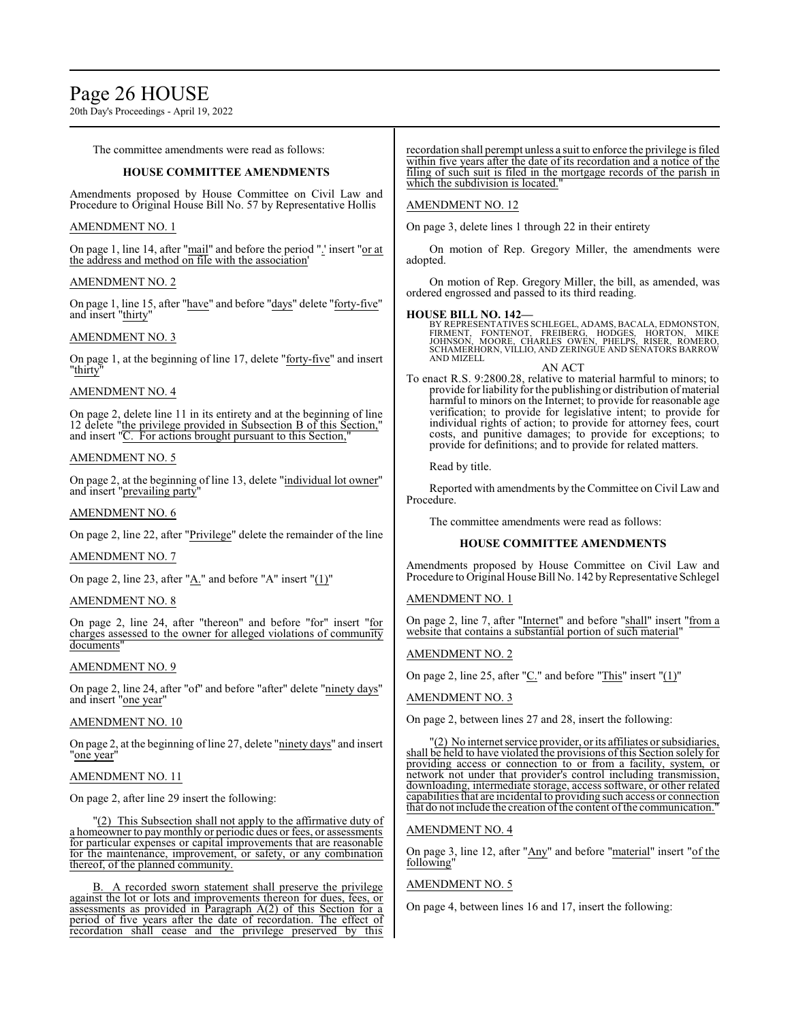# Page 26 HOUSE

20th Day's Proceedings - April 19, 2022

The committee amendments were read as follows:

# **HOUSE COMMITTEE AMENDMENTS**

Amendments proposed by House Committee on Civil Law and Procedure to Original House Bill No. 57 by Representative Hollis

# AMENDMENT NO. 1

On page 1, line 14, after "mail" and before the period ".' insert "or at the address and method on file with the association'

## AMENDMENT NO. 2

On page 1, line 15, after "have" and before "days" delete "forty-five" and insert "thirty"

## AMENDMENT NO. 3

On page 1, at the beginning of line 17, delete "forty-five" and insert "thirty"

# AMENDMENT NO. 4

On page 2, delete line 11 in its entirety and at the beginning of line 12 delete "the privilege provided in Subsection B of this Section," and insert "C. For actions brought pursuant to this Section,

## AMENDMENT NO. 5

On page 2, at the beginning of line 13, delete "individual lot owner" and insert "prevailing party"

### AMENDMENT NO. 6

On page 2, line 22, after "Privilege" delete the remainder of the line

#### AMENDMENT NO. 7

On page 2, line 23, after "A." and before "A" insert "(1)"

# AMENDMENT NO. 8

On page 2, line 24, after "thereon" and before "for" insert "for charges assessed to the owner for alleged violations of community documents

# AMENDMENT NO. 9

On page 2, line 24, after "of" and before "after" delete "ninety days" and insert "one year"

# AMENDMENT NO. 10

On page 2, at the beginning of line 27, delete "ninety days" and insert "one year"

# AMENDMENT NO. 11

On page 2, after line 29 insert the following:

"(2) This Subsection shall not apply to the affirmative duty of a homeowner to pay monthly or periodic dues or fees, or assessments for particular expenses or capital improvements that are reasonable for the maintenance, improvement, or safety, or any combination thereof, of the planned community.

B. A recorded sworn statement shall preserve the privilege against the lot or lots and improvements thereon for dues, fees, or assessments as provided in Paragraph A(2) of this Section for a period of five years after the date of recordation. The effect of recordation shall cease and the privilege preserved by this recordation shall perempt unless a suit to enforce the privilege is filed within five years after the date of its recordation and a notice of the filing of such suit is filed in the mortgage records of the parish in which the subdivision is located.

# AMENDMENT NO. 12

On page 3, delete lines 1 through 22 in their entirety

On motion of Rep. Gregory Miller, the amendments were adopted.

On motion of Rep. Gregory Miller, the bill, as amended, was ordered engrossed and passed to its third reading.

#### **HOUSE BILL NO. 142—**

BY REPRESENTATIVES SCHLEGEL, ADAMS, BACALA, EDMONSTON,<br>FIRMENT, FONTENOT, FREIBERG, HODGES, HORTON, MIKE<br>JOHNSON, MOORE, CHARLES OWEN, PHELPS, RISER, ROMERO,<br>SCHAMERHORN, VILLIO, AND ZERINGUE AND AND MIZELL

AN ACT To enact R.S. 9:2800.28, relative to material harmful to minors; to provide for liability for the publishing or distribution ofmaterial harmful to minors on the Internet; to provide for reasonable age verification; to provide for legislative intent; to provide for individual rights of action; to provide for attorney fees, court costs, and punitive damages; to provide for exceptions; to provide for definitions; and to provide for related matters.

Read by title.

Reported with amendments by the Committee on Civil Law and Procedure.

The committee amendments were read as follows:

# **HOUSE COMMITTEE AMENDMENTS**

Amendments proposed by House Committee on Civil Law and Procedure to Original House Bill No. 142 by Representative Schlegel

AMENDMENT NO. 1

On page 2, line 7, after "Internet" and before "shall" insert "from a website that contains a substantial portion of such material"

# AMENDMENT NO. 2

On page 2, line 25, after "C." and before "This" insert "(1)"

AMENDMENT NO. 3

On page 2, between lines 27 and 28, insert the following:

"(2) No internet service provider, or its affiliates or subsidiaries, shall be held to have violated the provisions of this Section solely for providing access or connection to or from a facility, system, or network not under that provider's control including transmission, downloading, intermediate storage, access software, or other related capabilities that are incidental to providing such access or connection that do not include the creation of the content of the communication.

#### AMENDMENT NO. 4

On page 3, line 12, after "Any" and before "material" insert "of the following"

# AMENDMENT NO. 5

On page 4, between lines 16 and 17, insert the following: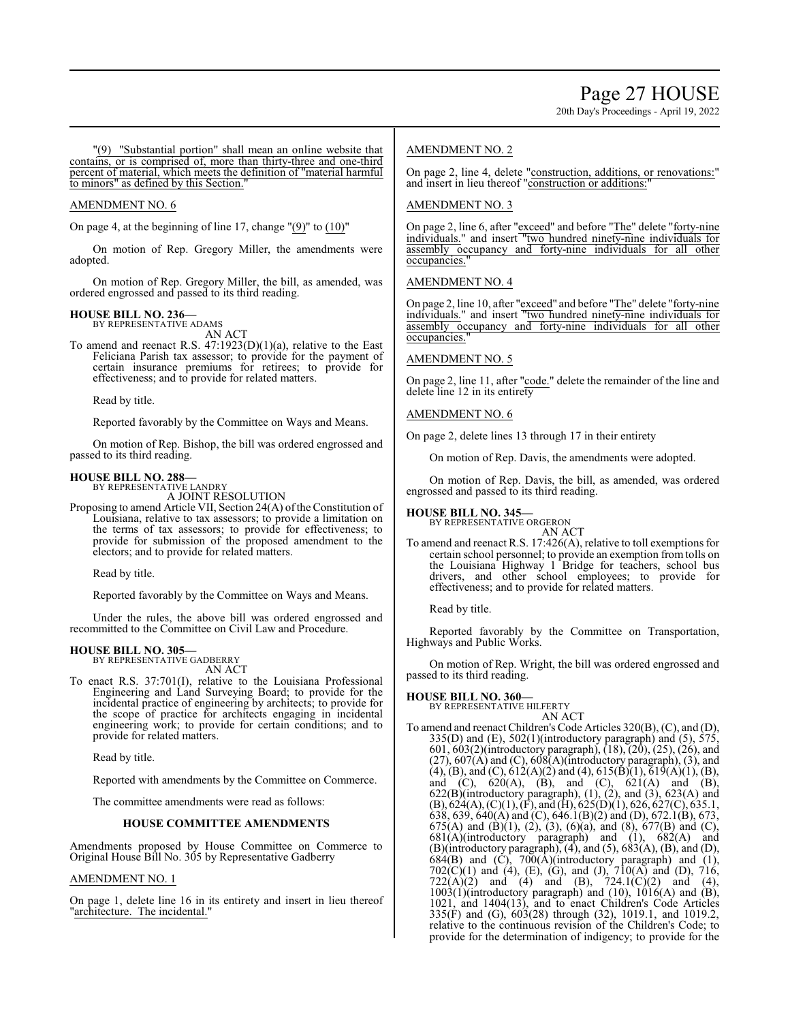20th Day's Proceedings - April 19, 2022

"(9) "Substantial portion" shall mean an online website that contains, or is comprised of, more than thirty-three and one-third percent of material, which meets the definition of "material harmful to minors" as defined by this Section.

## AMENDMENT NO. 6

On page 4, at the beginning of line 17, change  $"(9)"$  to  $(10)"$ 

On motion of Rep. Gregory Miller, the amendments were adopted.

On motion of Rep. Gregory Miller, the bill, as amended, was ordered engrossed and passed to its third reading.

**HOUSE BILL NO. 236—** BY REPRESENTATIVE ADAMS AN ACT

To amend and reenact R.S.  $47:1923(D)(1)(a)$ , relative to the East Feliciana Parish tax assessor; to provide for the payment of certain insurance premiums for retirees; to provide for effectiveness; and to provide for related matters.

Read by title.

Reported favorably by the Committee on Ways and Means.

On motion of Rep. Bishop, the bill was ordered engrossed and passed to its third reading.

### **HOUSE BILL NO. 288—**

BY REPRESENTATIVE LANDRY A JOINT RESOLUTION

Proposing to amend Article VII, Section 24(A) of the Constitution of Louisiana, relative to tax assessors; to provide a limitation on the terms of tax assessors; to provide for effectiveness; to provide for submission of the proposed amendment to the electors; and to provide for related matters.

Read by title.

Reported favorably by the Committee on Ways and Means.

Under the rules, the above bill was ordered engrossed and recommitted to the Committee on Civil Law and Procedure.

#### **HOUSE BILL NO. 305—** BY REPRESENTATIVE GADBERRY

AN ACT

To enact R.S. 37:701(I), relative to the Louisiana Professional Engineering and Land Surveying Board; to provide for the incidental practice of engineering by architects; to provide for the scope of practice for architects engaging in incidental engineering work; to provide for certain conditions; and to provide for related matters.

Read by title.

Reported with amendments by the Committee on Commerce.

The committee amendments were read as follows:

#### **HOUSE COMMITTEE AMENDMENTS**

Amendments proposed by House Committee on Commerce to Original House Bill No. 305 by Representative Gadberry

### AMENDMENT NO. 1

On page 1, delete line 16 in its entirety and insert in lieu thereof "architecture. The incidental."

## AMENDMENT NO. 2

On page 2, line 4, delete "construction, additions, or renovations:" and insert in lieu thereof "construction or additions:"

### AMENDMENT NO. 3

On page 2, line 6, after "exceed" and before "The" delete "forty-nine individuals." and insert "two hundred ninety-nine individuals for assembly occupancy and forty-nine individuals for all other occupancies.

### AMENDMENT NO. 4

On page 2, line 10, after "exceed" and before "The" delete "forty-nine individuals." and insert "two hundred ninety-nine individuals for assembly occupancy and forty-nine individuals for occupancies."

## AMENDMENT NO. 5

On page 2, line 11, after "code." delete the remainder of the line and delete line 12 in its entirety

## AMENDMENT NO. 6

On page 2, delete lines 13 through 17 in their entirety

On motion of Rep. Davis, the amendments were adopted.

On motion of Rep. Davis, the bill, as amended, was ordered engrossed and passed to its third reading.

#### **HOUSE BILL NO. 345—**

BY REPRESENTATIVE ORGERON AN ACT

To amend and reenact R.S. 17:426(A), relative to toll exemptions for certain school personnel; to provide an exemption from tolls on the Louisiana Highway 1 Bridge for teachers, school bus drivers, and other school employees; to provide for effectiveness; and to provide for related matters.

Read by title.

Reported favorably by the Committee on Transportation, Highways and Public Works.

On motion of Rep. Wright, the bill was ordered engrossed and passed to its third reading.

#### **HOUSE BILL NO. 360—**

BY REPRESENTATIVE HILFERTY AN ACT

To amend and reenact Children's Code Articles 320(B), (C), and (D),  $335(D)$  and  $(E)$ ,  $502(1)$ (introductory paragraph) and  $(5)$ ,  $575$ , 601, 603(2)(introductory paragraph), (18), (20), (25), (26), and (27),  $607(A)$  and (C),  $608(A)$ (introductory paragraph), (3), and  $(4)$ ,  $(B)$ , and  $(C)$ ,  $612(A)(2)$  and  $(4)$ ,  $615(B(1), 619(A)(1), (B),$ and (C),  $620(A)$ , (B), and (C),  $621(A)$  and (B),  $622(B)$ (introductory paragraph),  $(1)$ ,  $(2)$ , and  $(3)$ ,  $623(A)$  and  $(B)$ , 624(A), (C)(1), (F), and (H), 625(D)(1), 626, 627(C), 635.1, 638, 639, 640(A) and (C), 646.1(B)(2) and (D), 672.1(B), 673, 675(A) and (B)(1), (2), (3), (6)(a), and (8), 677(B) and (C), 681(A)(introductory paragraph) and (1), 682(A) and  $(B)$ (introductory paragraph),  $(4)$ , and  $(5)$ ,  $683(A)$ ,  $(B)$ , and  $(D)$ ,  $684(B)$  and  $(\dot{C})$ ,  $700(\dot{A})$ (introductory paragraph) and  $(1)$ ,  $702(C)(1)$  and  $(4)$ ,  $(E)$ ,  $(G)$ , and  $(J)$ ,  $710(A)$  and  $(D)$ ,  $716$ ,  $722(A)(2)$  and  $(4)$  and  $(B)$ ,  $724.1(C)(2)$  and  $(4)$ ,  $1003(1)$ (introductory paragraph) and  $(10)$ ,  $1016(A)$  and  $(B)$ , 1021, and 1404(13), and to enact Children's Code Articles  $335(\hat{F})$  and (G),  $603(28)$  through (32), 1019.1, and 1019.2, relative to the continuous revision of the Children's Code; to provide for the determination of indigency; to provide for the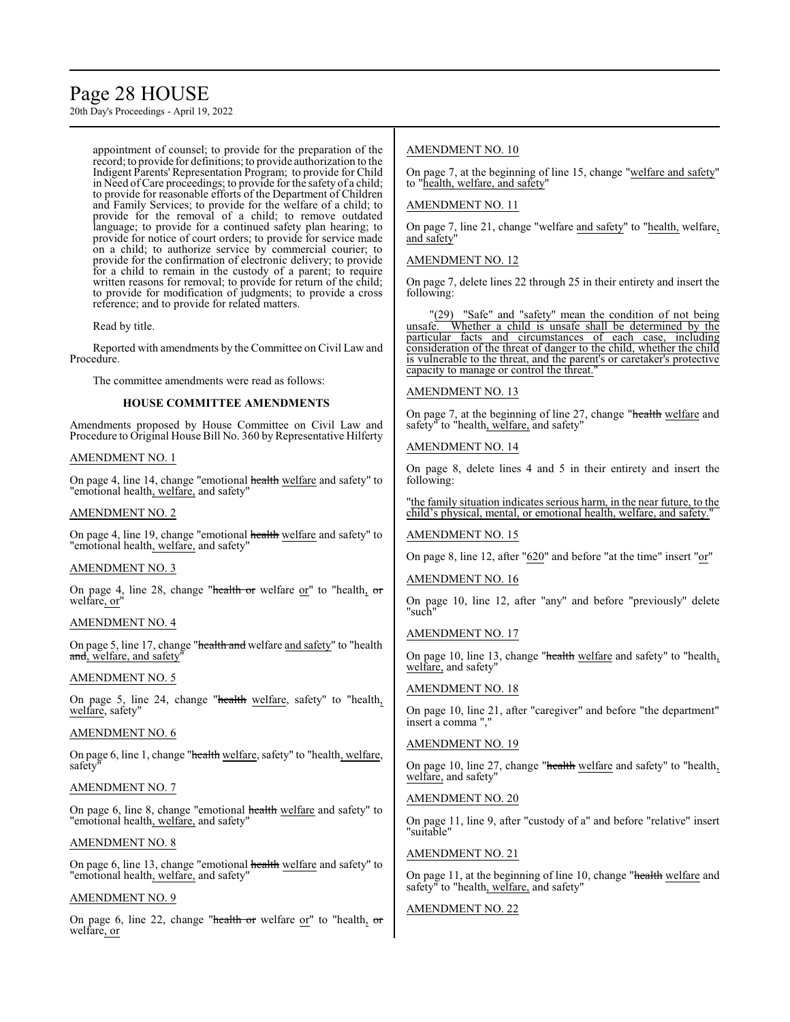# Page 28 HOUSE

20th Day's Proceedings - April 19, 2022

appointment of counsel; to provide for the preparation of the record; to provide for definitions; to provide authorization to the Indigent Parents' Representation Program; to provide for Child in Need ofCare proceedings; to provide for the safety of a child; to provide for reasonable efforts of the Department of Children and Family Services; to provide for the welfare of a child; to provide for the removal of a child; to remove outdated language; to provide for a continued safety plan hearing; to provide for notice of court orders; to provide for service made on a child; to authorize service by commercial courier; to provide for the confirmation of electronic delivery; to provide for a child to remain in the custody of a parent; to require written reasons for removal; to provide for return of the child; to provide for modification of judgments; to provide a cross reference; and to provide for related matters.

Read by title.

Reported with amendments by the Committee on Civil Law and Procedure.

The committee amendments were read as follows:

# **HOUSE COMMITTEE AMENDMENTS**

Amendments proposed by House Committee on Civil Law and Procedure to Original House Bill No. 360 by Representative Hilferty

## AMENDMENT NO. 1

On page 4, line 14, change "emotional health welfare and safety" to "emotional health, welfare, and safety"

## AMENDMENT NO. 2

On page 4, line 19, change "emotional health welfare and safety" to "emotional health, welfare, and safety"

# AMENDMENT NO. 3

On page 4, line 28, change "health or welfare or" to "health, or welfare, or"

# AMENDMENT NO. 4

On page 5, line 17, change "health and welfare and safety" to "health and, welfare, and safety

# AMENDMENT NO. 5

On page 5, line 24, change "health welfare, safety" to "health, welfare, safety"

### AMENDMENT NO. 6

On page 6, line 1, change "health welfare, safety" to "health, welfare, safety

# AMENDMENT NO. 7

On page 6, line 8, change "emotional health welfare and safety" to "emotional health, welfare, and safety"

## AMENDMENT NO. 8

On page 6, line 13, change "emotional health welfare and safety" to "emotional health, welfare, and safety"

# AMENDMENT NO. 9

On page 6, line 22, change "health or welfare or" to "health,  $\sigma$ r welfare, or

# AMENDMENT NO. 10

On page 7, at the beginning of line 15, change "welfare and safety" to "health, welfare, and safety"

# AMENDMENT NO. 11

On page 7, line 21, change "welfare and safety" to "health, welfare, and safety"

# AMENDMENT NO. 12

On page 7, delete lines 22 through 25 in their entirety and insert the following:

"(29) "Safe" and "safety" mean the condition of not being<br>unsafe. Whether a child is unsafe shall be determined by the Whether a child is unsafe shall be determined by the particular facts and circumstances of each case, including consideration of the threat of danger to the child, whether the child is vulnerable to the threat, and the parent's or caretaker's protective capacity to manage or control the threat."

# AMENDMENT NO. 13

On page 7, at the beginning of line 27, change "health welfare and safety" to "health, welfare, and safety"

# AMENDMENT NO. 14

On page 8, delete lines 4 and 5 in their entirety and insert the following:

"the family situation indicates serious harm, in the near future, to the child's physical, mental, or emotional health, welfare, and safety."

# AMENDMENT NO. 15

On page 8, line 12, after "620" and before "at the time" insert "or"

# AMENDMENT NO. 16

On page 10, line 12, after "any" and before "previously" delete "such"

# AMENDMENT NO. 17

On page 10, line 13, change "health welfare and safety" to "health, welfare, and safety"

# AMENDMENT NO. 18

On page 10, line 21, after "caregiver" and before "the department" insert a comma ",

# AMENDMENT NO. 19

On page 10, line 27, change "health welfare and safety" to "health, welfare, and safety"

# AMENDMENT NO. 20

On page 11, line 9, after "custody of a" and before "relative" insert "suitable"

# AMENDMENT NO. 21

On page 11, at the beginning of line 10, change "health welfare and safety" to "health, welfare, and safety"

# AMENDMENT NO. 22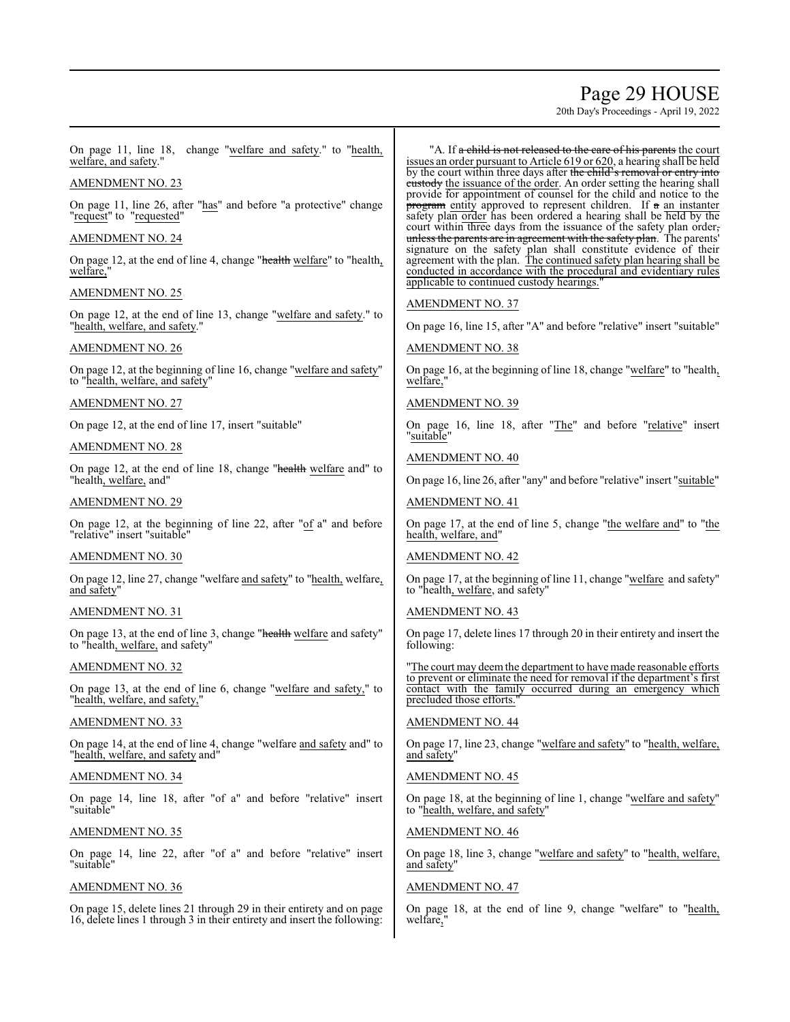# Page 29 HOUSE

20th Day's Proceedings - April 19, 2022

On page 11, line 18, change "welfare and safety." to "health, welfare, and safety."

## AMENDMENT NO. 23

On page 11, line 26, after "has" and before "a protective" change "request" to "requested"

# AMENDMENT NO. 24

On page 12, at the end of line 4, change "health welfare" to "health, welfare,

# AMENDMENT NO. 25

On page 12, at the end of line 13, change "welfare and safety." to "health, welfare, and safety."

# AMENDMENT NO. 26

On page 12, at the beginning of line 16, change "welfare and safety" to "health, welfare, and safety"

AMENDMENT NO. 27

On page 12, at the end of line 17, insert "suitable"

## AMENDMENT NO. 28

On page 12, at the end of line 18, change "health welfare and" to "health, welfare, and"

# AMENDMENT NO. 29

On page 12, at the beginning of line 22, after "of a" and before "relative" insert "suitable"

### AMENDMENT NO. 30

On page 12, line 27, change "welfare and safety" to "health, welfare, and safety"

# AMENDMENT NO. 31

On page 13, at the end of line 3, change "health welfare and safety" to "health, welfare, and safety"

### AMENDMENT NO. 32

On page 13, at the end of line 6, change "welfare and safety," to "health, welfare, and safety,"

# AMENDMENT NO. 33

On page 14, at the end of line 4, change "welfare and safety and" to "health, welfare, and safety and"

## AMENDMENT NO. 34

On page 14, line 18, after "of a" and before "relative" insert "suitable"

# AMENDMENT NO. 35

On page 14, line 22, after "of a" and before "relative" insert "suitable"

# AMENDMENT NO. 36

On page 15, delete lines 21 through 29 in their entirety and on page 16, delete lines 1 through 3 in their entirety and insert the following:

"A. If a child is not released to the care of his parents the court issues an order pursuant to Article 619 or 620, a hearing shall be held by the court within three days after the child's removal or entry into eustody the issuance of the order. An order setting the hearing shall provide for appointment of counsel for the child and notice to the program entity approved to represent children. If a an instanter safety plan order has been ordered a hearing shall be held by the court within three days from the issuance of the safety plan order, unless the parents are in agreement with the safety plan. The parents' signature on the safety plan shall constitute evidence of their agreement with the plan. The continued safety plan hearing shall be conducted in accordance with the procedural and evidentiary rules applicable to continued custody hearings."

## AMENDMENT NO. 37

On page 16, line 15, after "A" and before "relative" insert "suitable"

### AMENDMENT NO. 38

On page 16, at the beginning of line 18, change "welfare" to "health, welfare,'

# AMENDMENT NO. 39

On page 16, line 18, after "The" and before "relative" insert "suitable"

# AMENDMENT NO. 40

On page 16, line 26, after "any" and before "relative" insert "suitable"

## AMENDMENT NO. 41

On page 17, at the end of line 5, change "the welfare and" to "the health, welfare, and"

#### AMENDMENT NO. 42

On page 17, at the beginning of line 11, change "welfare and safety" to "health, welfare, and safety"

# AMENDMENT NO. 43

On page 17, delete lines 17 through 20 in their entirety and insert the following:

"The court may deemthe department to have made reasonable efforts to prevent or eliminate the need for removal if the department's first contact with the family occurred during an emergency which precluded those efforts.

# AMENDMENT NO. 44

On page 17, line 23, change "welfare and safety" to "health, welfare, and safety"

# AMENDMENT NO. 45

On page 18, at the beginning of line 1, change "welfare and safety" to "health, welfare, and safety"

### AMENDMENT NO. 46

On page 18, line 3, change "welfare and safety" to "health, welfare, and safety"

# AMENDMENT NO. 47

On page 18, at the end of line 9, change "welfare" to "health, welfare,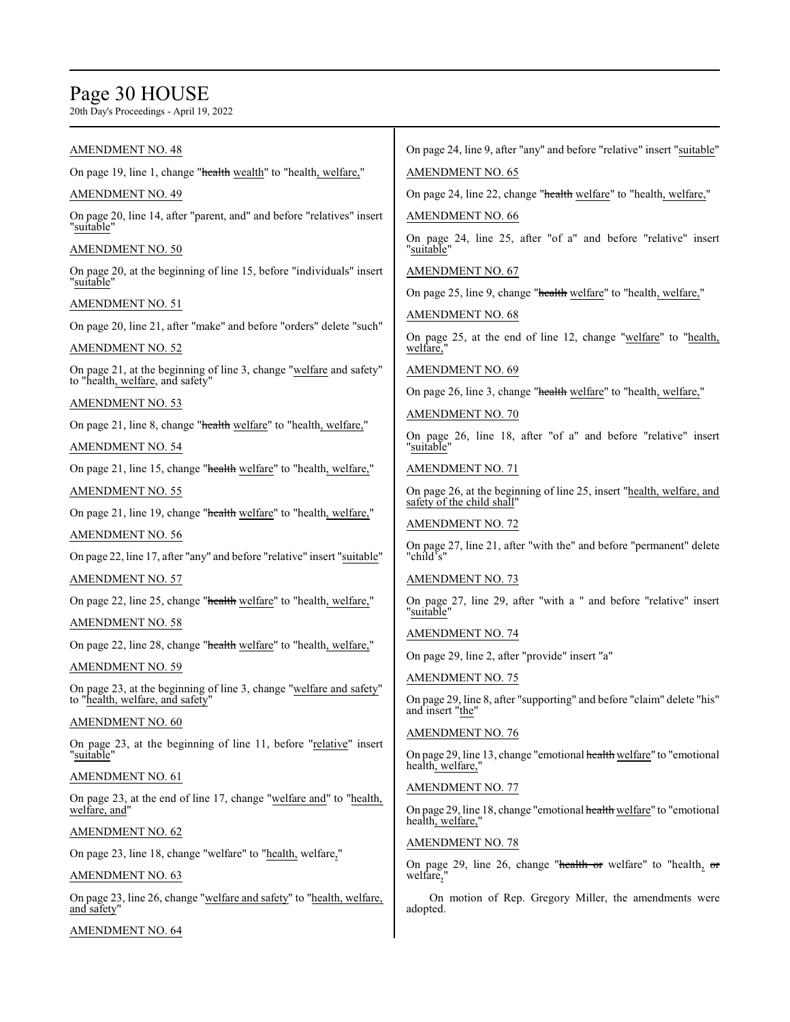# Page 30 HOUSE

| <b>AMENDMENT NO. 48</b>                                                                                 | On page 24, line 9, after "any" and before "relative" insert "suitable"                           |
|---------------------------------------------------------------------------------------------------------|---------------------------------------------------------------------------------------------------|
| On page 19, line 1, change "health wealth" to "health, welfare,"                                        | <b>AMENDMENT NO. 65</b>                                                                           |
| <b>AMENDMENT NO. 49</b>                                                                                 | On page 24, line 22, change "health welfare" to "health, welfare,"                                |
| On page 20, line 14, after "parent, and" and before "relatives" insert                                  | <b>AMENDMENT NO. 66</b>                                                                           |
| "suitable"<br>AMENDMENT NO. 50                                                                          | On page 24, line 25, after "of a" and before "relative" insert<br>"suitable"                      |
| On page 20, at the beginning of line 15, before "individuals" insert<br>"suitable"                      | <b>AMENDMENT NO. 67</b>                                                                           |
| AMENDMENT NO. 51                                                                                        | On page 25, line 9, change "health welfare" to "health, welfare,"                                 |
| On page 20, line 21, after "make" and before "orders" delete "such"                                     | <b>AMENDMENT NO. 68</b>                                                                           |
| <u>AMENDMENT NO. 52</u>                                                                                 | On page 25, at the end of line 12, change "welfare" to "health,<br>welfare,"                      |
| On page 21, at the beginning of line 3, change "welfare and safety"                                     | <b>AMENDMENT NO. 69</b>                                                                           |
| to "health, welfare, and safety"                                                                        | On page 26, line 3, change "health welfare" to "health, welfare,"                                 |
| AMENDMENT NO. 53                                                                                        | AMENDMENT NO. 70                                                                                  |
| On page 21, line 8, change "health welfare" to "health, welfare,"                                       | On page 26, line 18, after "of a" and before "relative" insert<br>"suitable"                      |
| AMENDMENT NO. 54<br>On page 21, line 15, change "health welfare" to "health, welfare,"                  | <b>AMENDMENT NO. 71</b>                                                                           |
| <b>AMENDMENT NO. 55</b>                                                                                 | On page 26, at the beginning of line 25, insert "health, welfare, and                             |
| On page 21, line 19, change "health welfare" to "health, welfare,"                                      | safety of the child shall"                                                                        |
| <b>AMENDMENT NO. 56</b>                                                                                 | <b>AMENDMENT NO. 72</b>                                                                           |
| On page 22, line 17, after "any" and before "relative" insert "suitable"                                | On page 27, line 21, after "with the" and before "permanent" delete<br>"child's"                  |
| <b>AMENDMENT NO. 57</b>                                                                                 | <b>AMENDMENT NO. 73</b>                                                                           |
| On page 22, line 25, change "health welfare" to "health, welfare,"                                      | On page 27, line 29, after "with a " and before "relative" insert<br>"suitable"                   |
| <b>AMENDMENT NO. 58</b>                                                                                 | <b>AMENDMENT NO. 74</b>                                                                           |
| On page 22, line 28, change "health welfare" to "health, welfare,"                                      | On page 29, line 2, after "provide" insert "a"                                                    |
| <b>AMENDMENT NO. 59</b>                                                                                 |                                                                                                   |
| On page 23, at the beginning of line 3, change "welfare and safety"<br>to "health, welfare, and safety" | <b>AMENDMENT NO. 75</b><br>On page 29, line 8, after "supporting" and before "claim" delete "his" |
| AMENDMENT NO. 60                                                                                        | and insert "the"                                                                                  |
| On page 23, at the beginning of line 11, before "relative" insert<br>"suitable"                         | <b>AMENDMENT NO. 76</b><br>On page 29, line 13, change "emotional health welfare" to "emotional   |
| AMENDMENT NO. 61                                                                                        | health, welfare,"                                                                                 |
| On page 23, at the end of line 17, change "welfare and" to "health,                                     | <b>AMENDMENT NO. 77</b>                                                                           |
| welfare, and"                                                                                           | On page 29, line 18, change "emotional health welfare" to "emotional<br>health, welfare,"         |
| AMENDMENT NO. 62                                                                                        | <b>AMENDMENT NO. 78</b>                                                                           |
| On page 23, line 18, change "welfare" to "health, welfare,"                                             | On page 29, line 26, change "health or welfare" to "health, $\sigma$ r                            |
| <u>AMENDMENT NO. 63</u>                                                                                 | welfare,"                                                                                         |
| On page 23, line 26, change "welfare and safety" to "health, welfare,<br>and safety"                    | On motion of Rep. Gregory Miller, the amendments were<br>adopted.                                 |
| <b>AMENDMENT NO. 64</b>                                                                                 |                                                                                                   |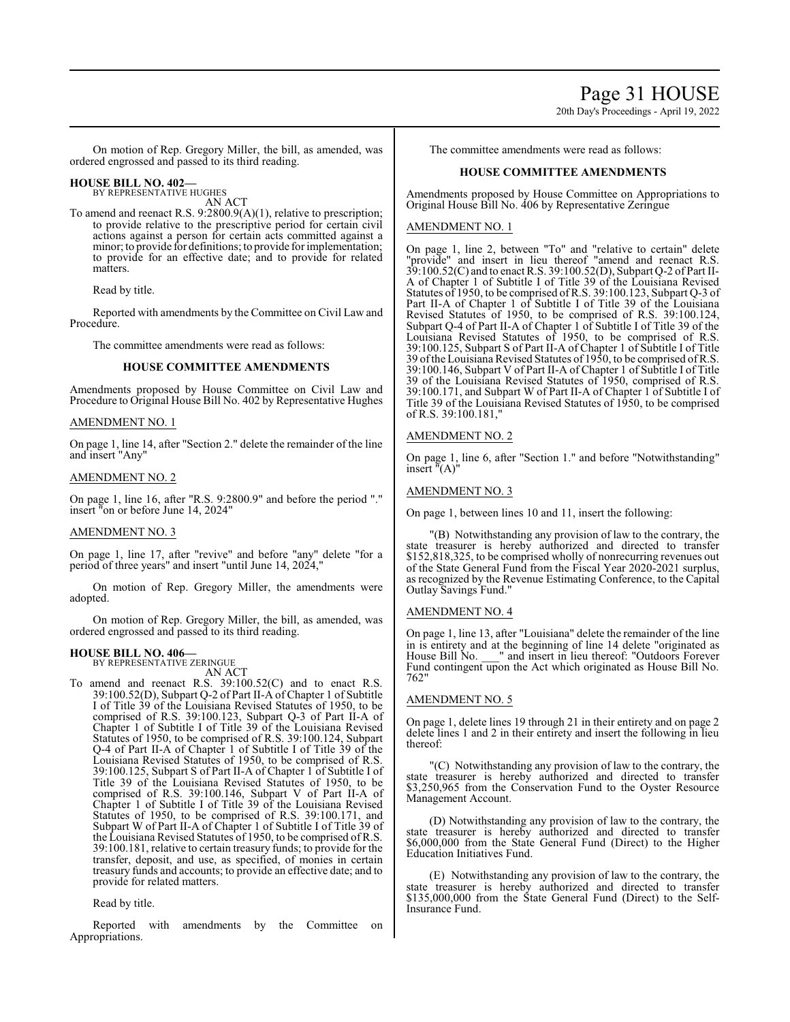# Page 31 HOUSE

20th Day's Proceedings - April 19, 2022

On motion of Rep. Gregory Miller, the bill, as amended, was ordered engrossed and passed to its third reading.

#### **HOUSE BILL NO. 402—** BY REPRESENTATIVE HUGHES

AN ACT

To amend and reenact R.S. 9:2800.9(A)(1), relative to prescription; to provide relative to the prescriptive period for certain civil actions against a person for certain acts committed against a minor; to provide for definitions; to provide for implementation; to provide for an effective date; and to provide for related matters.

Read by title.

Reported with amendments by the Committee on Civil Law and Procedure.

The committee amendments were read as follows:

## **HOUSE COMMITTEE AMENDMENTS**

Amendments proposed by House Committee on Civil Law and Procedure to Original House Bill No. 402 by Representative Hughes

## AMENDMENT NO. 1

On page 1, line 14, after "Section 2." delete the remainder of the line and insert "Any"

## AMENDMENT NO. 2

On page 1, line 16, after "R.S. 9:2800.9" and before the period "." insert "on or before June 14, 2024"

#### AMENDMENT NO. 3

On page 1, line 17, after "revive" and before "any" delete "for a period of three years" and insert "until June 14, 2024,"

On motion of Rep. Gregory Miller, the amendments were adopted.

On motion of Rep. Gregory Miller, the bill, as amended, was ordered engrossed and passed to its third reading.

# **HOUSE BILL NO. 406—** BY REPRESENTATIVE ZERINGUE

AN ACT

To amend and reenact R.S. 39:100.52(C) and to enact R.S. 39:100.52(D), Subpart Q-2 of Part II-A of Chapter 1 of Subtitle I of Title 39 of the Louisiana Revised Statutes of 1950, to be comprised of R.S. 39:100.123, Subpart Q-3 of Part II-A of Chapter 1 of Subtitle I of Title 39 of the Louisiana Revised Statutes of 1950, to be comprised of R.S. 39:100.124, Subpart Q-4 of Part II-A of Chapter 1 of Subtitle I of Title 39 of the Louisiana Revised Statutes of 1950, to be comprised of R.S. 39:100.125, Subpart S of Part II-A of Chapter 1 of Subtitle I of Title 39 of the Louisiana Revised Statutes of 1950, to be comprised of R.S. 39:100.146, Subpart V of Part II-A of Chapter 1 of Subtitle I of Title 39 of the Louisiana Revised Statutes of 1950, to be comprised of R.S. 39:100.171, and Subpart W of Part II-A of Chapter 1 of Subtitle I of Title 39 of the Louisiana Revised Statutes of 1950, to be comprised of R.S. 39:100.181, relative to certain treasury funds; to provide for the transfer, deposit, and use, as specified, of monies in certain treasury funds and accounts; to provide an effective date; and to provide for related matters.

Read by title.

Reported with amendments by the Committee on Appropriations.

The committee amendments were read as follows:

# **HOUSE COMMITTEE AMENDMENTS**

Amendments proposed by House Committee on Appropriations to Original House Bill No. 406 by Representative Zeringue

# AMENDMENT NO. 1

On page 1, line 2, between "To" and "relative to certain" delete "provide" and insert in lieu thereof "amend and reenact R.S. 39:100.52(C) and to enact R.S. 39:100.52(D), Subpart Q-2 of Part II-A of Chapter 1 of Subtitle I of Title 39 of the Louisiana Revised Statutes of 1950, to be comprised ofR.S. 39:100.123, Subpart Q-3 of Part II-A of Chapter 1 of Subtitle I of Title 39 of the Louisiana Revised Statutes of 1950, to be comprised of R.S. 39:100.124, Subpart Q-4 of Part II-A of Chapter 1 of Subtitle I of Title 39 of the Louisiana Revised Statutes of 1950, to be comprised of R.S. 39:100.125, Subpart S of Part II-A of Chapter 1 of Subtitle I of Title 39 ofthe Louisiana Revised Statutes of 1950, to be comprised ofR.S. 39:100.146, Subpart V of Part II-A of Chapter 1 of Subtitle I of Title 39 of the Louisiana Revised Statutes of 1950, comprised of R.S. 39:100.171, and Subpart W of Part II-A of Chapter 1 of Subtitle I of Title 39 of the Louisiana Revised Statutes of 1950, to be comprised of R.S. 39:100.181,"

## AMENDMENT NO. 2

On page 1, line 6, after "Section 1." and before "Notwithstanding" insert "(A)"

# AMENDMENT NO. 3

On page 1, between lines 10 and 11, insert the following:

"(B) Notwithstanding any provision of law to the contrary, the state treasurer is hereby authorized and directed to transfer \$152,818,325, to be comprised wholly of nonrecurring revenues out of the State General Fund from the Fiscal Year 2020-2021 surplus, as recognized by the Revenue Estimating Conference, to the Capital Outlay Savings Fund."

# AMENDMENT NO. 4

On page 1, line 13, after "Louisiana" delete the remainder of the line in is entirety and at the beginning of line 14 delete "originated as House Bill No. \_\_\_" and insert in lieu thereof: "Outdoors Forever Fund contingent upon the Act which originated as House Bill No. 762"

# AMENDMENT NO. 5

On page 1, delete lines 19 through 21 in their entirety and on page 2 delete lines 1 and 2 in their entirety and insert the following in lieu thereof:

"(C) Notwithstanding any provision of law to the contrary, the state treasurer is hereby authorized and directed to transfer \$3,250,965 from the Conservation Fund to the Oyster Resource Management Account.

(D) Notwithstanding any provision of law to the contrary, the state treasurer is hereby authorized and directed to transfer \$6,000,000 from the State General Fund (Direct) to the Higher Education Initiatives Fund.

(E) Notwithstanding any provision of law to the contrary, the state treasurer is hereby authorized and directed to transfer \$135,000,000 from the State General Fund (Direct) to the Self-Insurance Fund.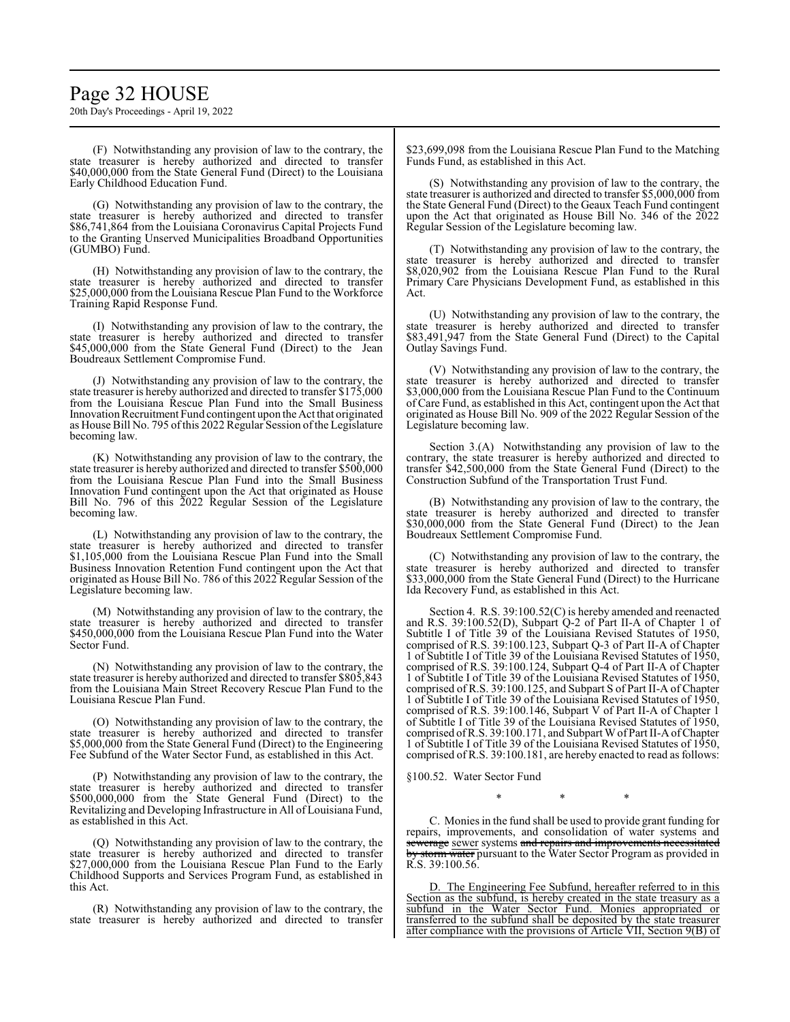# Page 32 HOUSE

20th Day's Proceedings - April 19, 2022

(F) Notwithstanding any provision of law to the contrary, the state treasurer is hereby authorized and directed to transfer \$40,000,000 from the State General Fund (Direct) to the Louisiana Early Childhood Education Fund.

(G) Notwithstanding any provision of law to the contrary, the state treasurer is hereby authorized and directed to transfer \$86,741,864 from the Louisiana Coronavirus Capital Projects Fund to the Granting Unserved Municipalities Broadband Opportunities (GUMBO) Fund.

(H) Notwithstanding any provision of law to the contrary, the state treasurer is hereby authorized and directed to transfer \$25,000,000 from the Louisiana Rescue Plan Fund to the Workforce Training Rapid Response Fund.

(I) Notwithstanding any provision of law to the contrary, the state treasurer is hereby authorized and directed to transfer \$45,000,000 from the State General Fund (Direct) to the Jean Boudreaux Settlement Compromise Fund.

(J) Notwithstanding any provision of law to the contrary, the state treasurer is hereby authorized and directed to transfer \$175,000 from the Louisiana Rescue Plan Fund into the Small Business Innovation Recruitment Fund contingent upon the Act that originated as House Bill No. 795 ofthis 2022 Regular Session ofthe Legislature becoming law.

(K) Notwithstanding any provision of law to the contrary, the state treasurer is hereby authorized and directed to transfer \$500,000 from the Louisiana Rescue Plan Fund into the Small Business Innovation Fund contingent upon the Act that originated as House Bill No. 796 of this 2022 Regular Session of the Legislature becoming law.

(L) Notwithstanding any provision of law to the contrary, the state treasurer is hereby authorized and directed to transfer \$1,105,000 from the Louisiana Rescue Plan Fund into the Small Business Innovation Retention Fund contingent upon the Act that originated as House Bill No. 786 of this 2022 Regular Session of the Legislature becoming law.

(M) Notwithstanding any provision of law to the contrary, the state treasurer is hereby authorized and directed to transfer \$450,000,000 from the Louisiana Rescue Plan Fund into the Water Sector Fund.

(N) Notwithstanding any provision of law to the contrary, the state treasurer is hereby authorized and directed to transfer \$805,843 from the Louisiana Main Street Recovery Rescue Plan Fund to the Louisiana Rescue Plan Fund.

(O) Notwithstanding any provision of law to the contrary, the state treasurer is hereby authorized and directed to transfer \$5,000,000 from the State General Fund (Direct) to the Engineering Fee Subfund of the Water Sector Fund, as established in this Act.

(P) Notwithstanding any provision of law to the contrary, the state treasurer is hereby authorized and directed to transfer \$500,000,000 from the State General Fund (Direct) to the Revitalizing and Developing Infrastructure in All of Louisiana Fund, as established in this Act.

(Q) Notwithstanding any provision of law to the contrary, the state treasurer is hereby authorized and directed to transfer \$27,000,000 from the Louisiana Rescue Plan Fund to the Early Childhood Supports and Services Program Fund, as established in this Act.

(R) Notwithstanding any provision of law to the contrary, the state treasurer is hereby authorized and directed to transfer

\$23,699,098 from the Louisiana Rescue Plan Fund to the Matching Funds Fund, as established in this Act.

(S) Notwithstanding any provision of law to the contrary, the state treasurer is authorized and directed to transfer \$5,000,000 from the State General Fund (Direct) to the Geaux Teach Fund contingent upon the Act that originated as House Bill No. 346 of the 2022 Regular Session of the Legislature becoming law.

(T) Notwithstanding any provision of law to the contrary, the state treasurer is hereby authorized and directed to transfer \$8,020,902 from the Louisiana Rescue Plan Fund to the Rural Primary Care Physicians Development Fund, as established in this Act.

(U) Notwithstanding any provision of law to the contrary, the state treasurer is hereby authorized and directed to transfer \$83,491,947 from the State General Fund (Direct) to the Capital Outlay Savings Fund.

(V) Notwithstanding any provision of law to the contrary, the state treasurer is hereby authorized and directed to transfer \$3,000,000 from the Louisiana Rescue Plan Fund to the Continuum of Care Fund, as established in this Act, contingent upon the Act that originated as House Bill No. 909 of the 2022 Regular Session of the Legislature becoming law.

Section 3.(A) Notwithstanding any provision of law to the contrary, the state treasurer is hereby authorized and directed to transfer \$42,500,000 from the State General Fund (Direct) to the Construction Subfund of the Transportation Trust Fund.

(B) Notwithstanding any provision of law to the contrary, the state treasurer is hereby authorized and directed to transfer \$30,000,000 from the State General Fund (Direct) to the Jean Boudreaux Settlement Compromise Fund.

(C) Notwithstanding any provision of law to the contrary, the state treasurer is hereby authorized and directed to transfer \$33,000,000 from the State General Fund (Direct) to the Hurricane Ida Recovery Fund, as established in this Act.

Section 4. R.S. 39:100.52(C) is hereby amended and reenacted and R.S. 39:100.52(D), Subpart Q-2 of Part II-A of Chapter 1 of Subtitle I of Title 39 of the Louisiana Revised Statutes of 1950, comprised of R.S. 39:100.123, Subpart Q-3 of Part II-A of Chapter 1 of Subtitle I of Title 39 of the Louisiana Revised Statutes of 1950, comprised of R.S. 39:100.124, Subpart Q-4 of Part II-A of Chapter 1 of Subtitle I of Title 39 of the Louisiana Revised Statutes of 1950, comprised of R.S. 39:100.125, and Subpart S of Part II-A of Chapter 1 of Subtitle I of Title 39 of the Louisiana Revised Statutes of 1950, comprised of R.S. 39:100.146, Subpart V of Part II-A of Chapter 1 of Subtitle I of Title 39 of the Louisiana Revised Statutes of 1950, comprised ofR.S. 39:100.171, and Subpart WofPart II-A ofChapter 1 of Subtitle I of Title 39 of the Louisiana Revised Statutes of 1950, comprised of R.S. 39:100.181, are hereby enacted to read as follows:

§100.52. Water Sector Fund

\* \* \*

C. Monies in the fund shall be used to provide grant funding for repairs, improvements, and consolidation of water systems and sewerage sewer systems and repairs and improvements necessitated storm water pursuant to the Water Sector Program as provided in R.S. 39:100.56.

D. The Engineering Fee Subfund, hereafter referred to in this Section as the subfund, is hereby created in the state treasury as a subfund in the Water Sector Fund. Monies appropriated or transferred to the subfund shall be deposited by the state treasurer after compliance with the provisions of Article VII, Section 9(B) of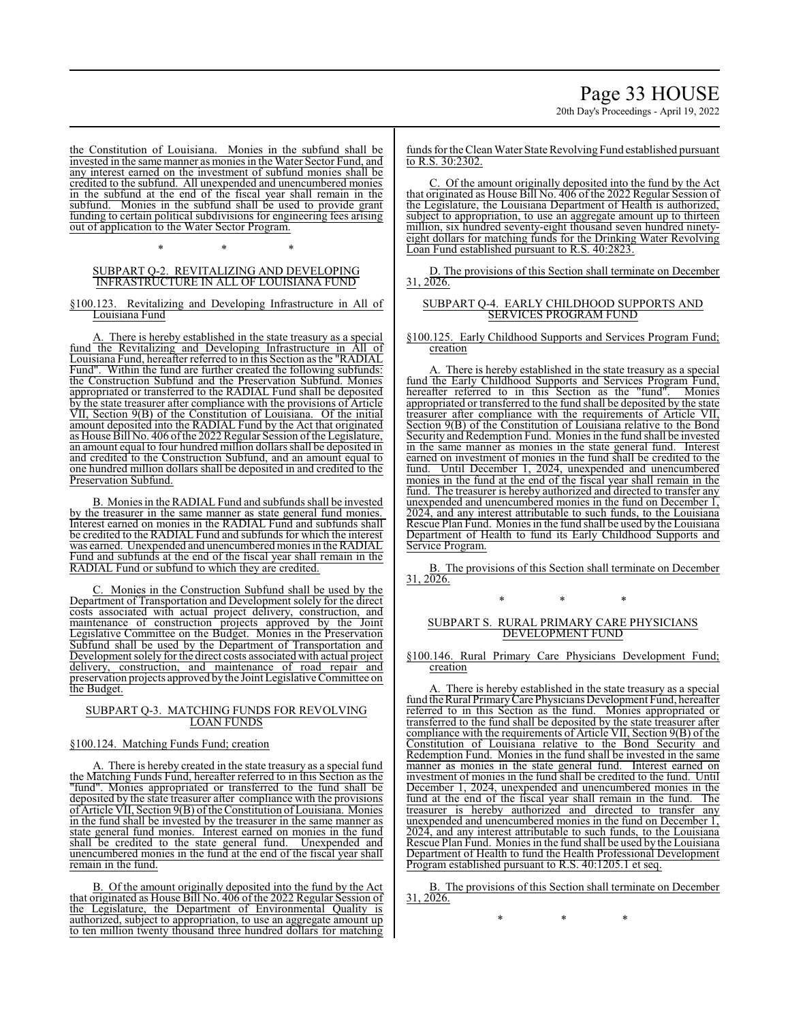20th Day's Proceedings - April 19, 2022

the Constitution of Louisiana. Monies in the subfund shall be invested in the same manner as monies in the Water Sector Fund, and any interest earned on the investment of subfund monies shall be credited to the subfund. All unexpended and unencumbered monies in the subfund at the end of the fiscal year shall remain in the subfund. Monies in the subfund shall be used to provide grant funding to certain political subdivisions for engineering fees arising out of application to the Water Sector Program.

\* \* \*

#### SUBPART Q-2. REVITALIZING AND DEVELOPING INFRASTRUCTURE IN ALL OF LOUISIANA FUND

§100.123. Revitalizing and Developing Infrastructure in All of Louisiana Fund

There is hereby established in the state treasury as a special fund the Revitalizing and Developing Infrastructure in All of Louisiana Fund, hereafter referred to in this Section as the "RADIAL Fund". Within the fund are further created the following subfunds: the Construction Subfund and the Preservation Subfund. Monies appropriated or transferred to the RADIAL Fund shall be deposited by the state treasurer after compliance with the provisions of Article VII, Section 9(B) of the Constitution of Louisiana. Of the initial amount deposited into the RADIAL Fund by the Act that originated as House Bill No. 406 ofthe 2022 Regular Session ofthe Legislature, an amount equal to four hundred million dollars shall be deposited in and credited to the Construction Subfund, and an amount equal to one hundred million dollars shall be deposited in and credited to the Preservation Subfund.

B. Monies in the RADIAL Fund and subfunds shall be invested by the treasurer in the same manner as state general fund monies. Interest earned on monies in the RADIAL Fund and subfunds shall be credited to the RADIAL Fund and subfunds for which the interest was earned. Unexpended and unencumbered monies in the RADIAL Fund and subfunds at the end of the fiscal year shall remain in the RADIAL Fund or subfund to which they are credited.

Monies in the Construction Subfund shall be used by the Department of Transportation and Development solely for the direct costs associated with actual project delivery, construction, and maintenance of construction projects approved by the Joint Legislative Committee on the Budget. Monies in the Preservation Subfund shall be used by the Department of Transportation and Development solely for the direct costs associated with actual project delivery, construction, and maintenance of road repair and preservation projects approved bythe Joint Legislative Committee on the Budget.

### SUBPART Q-3. MATCHING FUNDS FOR REVOLVING LOAN FUNDS

# §100.124. Matching Funds Fund; creation

A. There is hereby created in the state treasury as a special fund the Matching Funds Fund, hereafter referred to in this Section as the "fund". Monies appropriated or transferred to the fund shall be deposited by the state treasurer after compliance with the provisions of Article VII, Section 9(B) ofthe Constitution ofLouisiana. Monies in the fund shall be invested by the treasurer in the same manner as state general fund monies. Interest earned on monies in the fund shall be credited to the state general fund. Unexpended and unencumbered monies in the fund at the end of the fiscal year shall remain in the fund.

B. Of the amount originally deposited into the fund by the Act that originated as House Bill No. 406 of the 2022 Regular Session of the Legislature, the Department of Environmental Quality is authorized, subject to appropriation, to use an aggregate amount up to ten million twenty thousand three hundred dollars for matching

funds for the Clean Water State Revolving Fund established pursuant to R.S. 30:2302.

C. Of the amount originally deposited into the fund by the Act that originated as House Bill No. 406 of the 2022 Regular Session of the Legislature, the Louisiana Department of Health is authorized, subject to appropriation, to use an aggregate amount up to thirteen million, six hundred seventy-eight thousand seven hundred ninetyeight dollars for matching funds for the Drinking Water Revolving Loan Fund established pursuant to R.S. 40:2823.

D. The provisions of this Section shall terminate on December 31, 2026.

### SUBPART Q-4. EARLY CHILDHOOD SUPPORTS AND SERVICES PROGRAM FUND

§100.125. Early Childhood Supports and Services Program Fund; creation

A. There is hereby established in the state treasury as a special fund the Early Childhood Supports and Services Program Fund, hereafter referred to in this Section as the "fund". Monies appropriated or transferred to the fund shall be deposited by the state treasurer after compliance with the requirements of Article VII, Section 9(B) of the Constitution of Louisiana relative to the Bond Security and Redemption Fund. Monies in the fund shall be invested in the same manner as monies in the state general fund. Interest earned on investment of monies in the fund shall be credited to the fund. Until December 1, 2024, unexpended and unencumbered monies in the fund at the end of the fiscal year shall remain in the fund. The treasurer is hereby authorized and directed to transfer any unexpended and unencumbered monies in the fund on December 1, 2024, and any interest attributable to such funds, to the Louisiana Rescue Plan Fund. Monies in the fund shall be used by the Louisiana Department of Health to fund its Early Childhood Supports and Service Program.

B. The provisions of this Section shall terminate on December 31, 2026.

\* \* \*

#### SUBPART S. RURAL PRIMARY CARE PHYSICIANS DEVELOPMENT FUND

§100.146. Rural Primary Care Physicians Development Fund; creation

A. There is hereby established in the state treasury as a special fund the Rural PrimaryCare Physicians Development Fund, hereafter referred to in this Section as the fund. Monies appropriated or transferred to the fund shall be deposited by the state treasurer after compliance with the requirements of Article VII, Section 9(B) of the Constitution of Louisiana relative to the Bond Security and Redemption Fund. Monies in the fund shall be invested in the same manner as monies in the state general fund. Interest earned on investment of monies in the fund shall be credited to the fund. Until December 1, 2024, unexpended and unencumbered monies in the fund at the end of the fiscal year shall remain in the fund. The fund at the end of the fiscal year shall remain in the fund. treasurer is hereby authorized and directed to transfer any unexpended and unencumbered monies in the fund on December 1, 2024, and any interest attributable to such funds, to the Louisiana Rescue Plan Fund. Monies in the fund shall be used by the Louisiana Department of Health to fund the Health Professional Development Program established pursuant to R.S. 40:1205.1 et seq.

B. The provisions of this Section shall terminate on December  $31, 2026.$ 

\* \* \*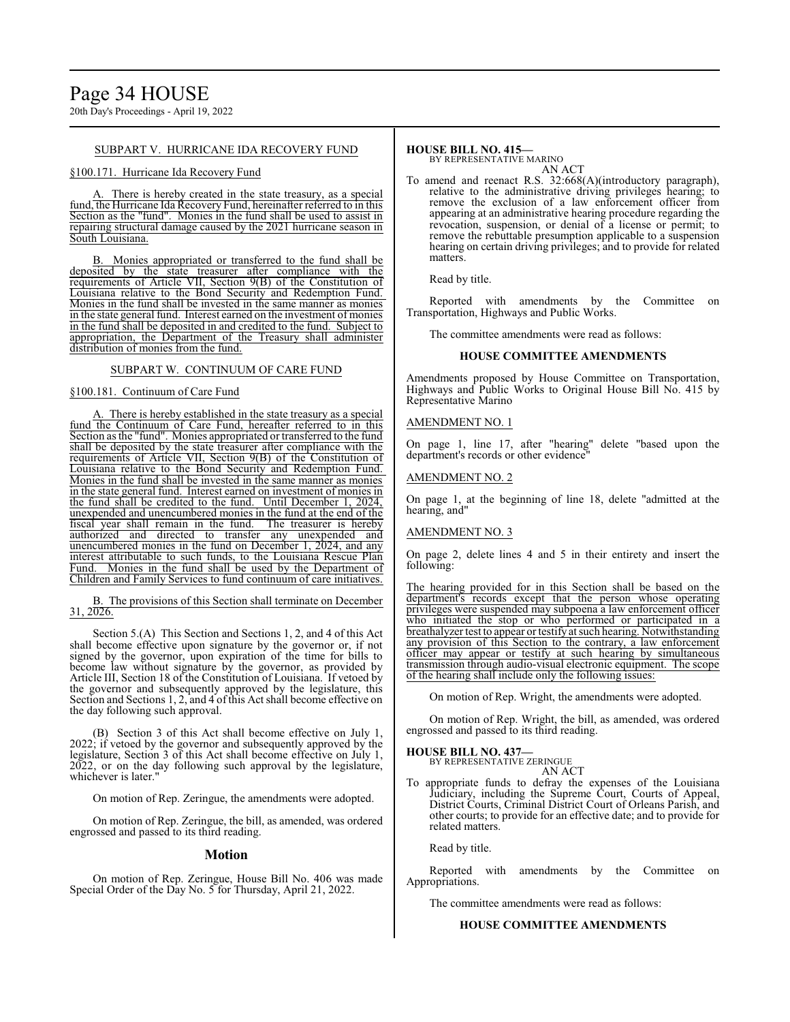SUBPART V. HURRICANE IDA RECOVERY FUND

#### §100.171. Hurricane Ida Recovery Fund

There is hereby created in the state treasury, as a special fund, the Hurricane Ida Recovery Fund, hereinafter referred to in this Section as the "fund". Monies in the fund shall be used to assist in repairing structural damage caused by the 2021 hurricane season in South Louisiana.

B. Monies appropriated or transferred to the fund shall be deposited by the state treasurer after compliance with the requirements of Article VII, Section 9(B) of the Constitution of Louisiana relative to the Bond Security and Redemption Fund. Monies in the fund shall be invested in the same manner as monies in the state general fund. Interest earned on the investment of monies in the fund shall be deposited in and credited to the fund. Subject to appropriation, the Department of the Treasury shall administer distribution of monies from the fund.

### SUBPART W. CONTINUUM OF CARE FUND

### §100.181. Continuum of Care Fund

There is hereby established in the state treasury as a special fund the Continuum of Care Fund, hereafter referred to in this Section as the "fund". Monies appropriated or transferred to the fund shall be deposited by the state treasurer after compliance with the requirements of Article VII, Section 9(B) of the Constitution of Louisiana relative to the Bond Security and Redemption Fund. Monies in the fund shall be invested in the same manner as monies in the state general fund. Interest earned on investment of monies in the fund shall be credited to the fund. Until December 1, 2024, unexpended and unencumbered monies in the fund at the end of the fiscal year shall remain in the fund. The treasurer is hereby authorized and directed to transfer any unexpended and unencumbered monies in the fund on December 1, 2024, and any interest attributable to such funds, to the Louisiana Rescue Plan Monies in the fund shall be used by the Department of Children and Family Services to fund continuum of care initiatives.

B. The provisions of this Section shall terminate on December 31, 2026.

Section 5.(A) This Section and Sections 1, 2, and 4 of this Act shall become effective upon signature by the governor or, if not signed by the governor, upon expiration of the time for bills to become law without signature by the governor, as provided by Article III, Section 18 of the Constitution of Louisiana. If vetoed by the governor and subsequently approved by the legislature, this Section and Sections 1, 2, and 4 of this Act shall become effective on the day following such approval.

(B) Section 3 of this Act shall become effective on July 1, 2022; if vetoed by the governor and subsequently approved by the legislature, Section 3 of this Act shall become effective on July 1, 2022, or on the day following such approval by the legislature, whichever is later."

On motion of Rep. Zeringue, the amendments were adopted.

On motion of Rep. Zeringue, the bill, as amended, was ordered engrossed and passed to its third reading.

#### **Motion**

On motion of Rep. Zeringue, House Bill No. 406 was made Special Order of the Day No. 5 for Thursday, April 21, 2022.

# **HOUSE BILL NO. 415—**

BY REPRESENTATIVE MARINO AN ACT

To amend and reenact R.S. 32:668(A)(introductory paragraph), relative to the administrative driving privileges hearing; to remove the exclusion of a law enforcement officer from appearing at an administrative hearing procedure regarding the revocation, suspension, or denial of a license or permit; to remove the rebuttable presumption applicable to a suspension hearing on certain driving privileges; and to provide for related matters.

#### Read by title.

Reported with amendments by the Committee on Transportation, Highways and Public Works.

The committee amendments were read as follows:

#### **HOUSE COMMITTEE AMENDMENTS**

Amendments proposed by House Committee on Transportation, Highways and Public Works to Original House Bill No. 415 by Representative Marino

#### AMENDMENT NO. 1

On page 1, line 17, after "hearing" delete "based upon the department's records or other evidence

#### AMENDMENT NO. 2

On page 1, at the beginning of line 18, delete "admitted at the hearing, and"

#### AMENDMENT NO. 3

On page 2, delete lines 4 and 5 in their entirety and insert the following:

The hearing provided for in this Section shall be based on the department's records except that the person whose operating privileges were suspended may subpoena a law enforcement officer who initiated the stop or who performed or participated in a breathalyzer test to appear or testify at such hearing. Notwithstanding any provision of this Section to the contrary, a law enforcement officer may appear or testify at such hearing by simultaneous transmission through audio-visual electronic equipment. The scope of the hearing shall include only the following issues:

On motion of Rep. Wright, the amendments were adopted.

On motion of Rep. Wright, the bill, as amended, was ordered engrossed and passed to its third reading.

### **HOUSE BILL NO. 437—**

BY REPRESENTATIVE ZERINGUE

AN ACT To appropriate funds to defray the expenses of the Louisiana Judiciary, including the Supreme Court, Courts of Appeal, District Courts, Criminal District Court of Orleans Parish, and other courts; to provide for an effective date; and to provide for related matters.

Read by title.

Reported with amendments by the Committee on Appropriations.

The committee amendments were read as follows:

## **HOUSE COMMITTEE AMENDMENTS**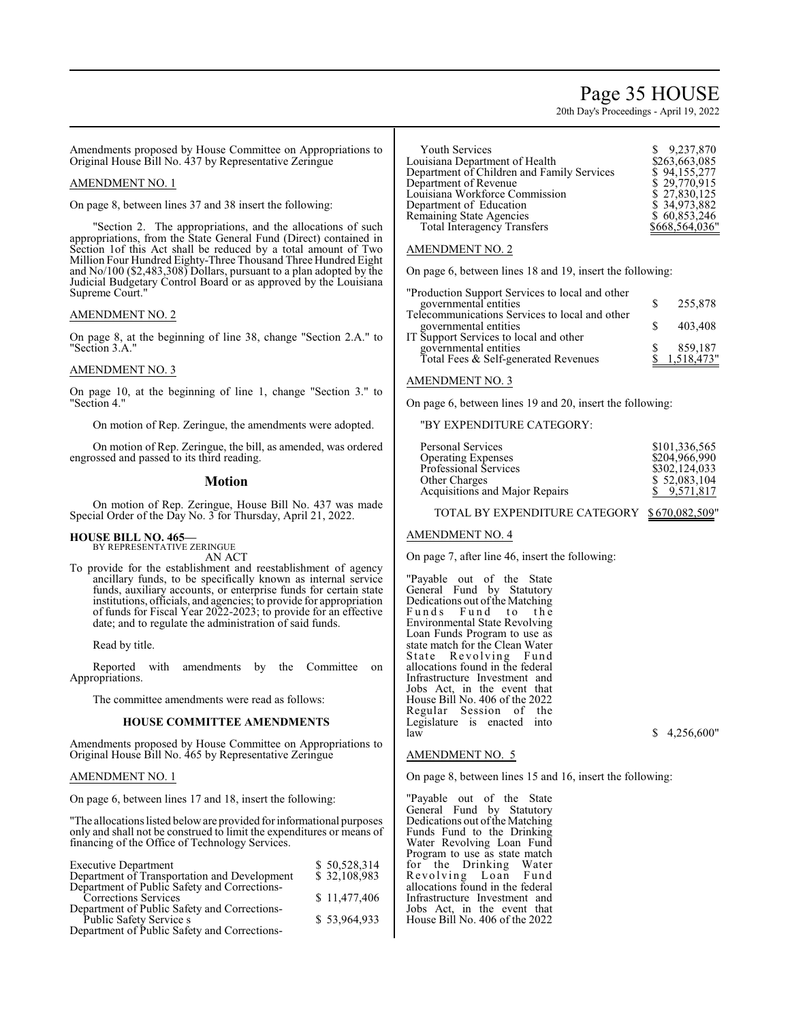# Page 35 HOUSE

20th Day's Proceedings - April 19, 2022

Amendments proposed by House Committee on Appropriations to Original House Bill No. 437 by Representative Zeringue

#### AMENDMENT NO. 1

On page 8, between lines 37 and 38 insert the following:

"Section 2. The appropriations, and the allocations of such appropriations, from the State General Fund (Direct) contained in Section 1of this Act shall be reduced by a total amount of Two Million Four Hundred Eighty-Three Thousand Three Hundred Eight and No/100 (\$2,483,308) Dollars, pursuant to a plan adopted by the Judicial Budgetary Control Board or as approved by the Louisiana Supreme Court."

#### AMENDMENT NO. 2

On page 8, at the beginning of line 38, change "Section 2.A." to "Section 3.A."

### AMENDMENT NO. 3

On page 10, at the beginning of line 1, change "Section 3." to "Section 4."

On motion of Rep. Zeringue, the amendments were adopted.

On motion of Rep. Zeringue, the bill, as amended, was ordered engrossed and passed to its third reading.

#### **Motion**

On motion of Rep. Zeringue, House Bill No. 437 was made Special Order of the Day No. 3 for Thursday, April 21, 2022.

#### **HOUSE BILL NO. 465—** BY REPRESENTATIVE ZERINGUE

AN ACT

To provide for the establishment and reestablishment of agency ancillary funds, to be specifically known as internal service funds, auxiliary accounts, or enterprise funds for certain state institutions, officials, and agencies; to provide for appropriation of funds for Fiscal Year 2022-2023; to provide for an effective date; and to regulate the administration of said funds.

Read by title.

Reported with amendments by the Committee on Appropriations.

The committee amendments were read as follows:

# **HOUSE COMMITTEE AMENDMENTS**

Amendments proposed by House Committee on Appropriations to Original House Bill No. 465 by Representative Zeringue

#### AMENDMENT NO. 1

On page 6, between lines 17 and 18, insert the following:

"The allocations listed below are provided for informational purposes only and shall not be construed to limit the expenditures or means of financing of the Office of Technology Services.

| <b>Executive Department</b>                  | \$50,528,314 |
|----------------------------------------------|--------------|
| Department of Transportation and Development | \$32,108,983 |
| Department of Public Safety and Corrections- |              |
| Corrections Services                         | \$11,477,406 |
| Department of Public Safety and Corrections- |              |
| Public Safety Service s                      | \$53,964,933 |
| Department of Public Safety and Corrections- |              |

| <b>Youth Services</b>                      | \$9,237,870    |
|--------------------------------------------|----------------|
| Louisiana Department of Health             | \$263,663,085  |
| Department of Children and Family Services | \$94,155,277   |
| Department of Revenue                      | \$29,770,915   |
| Louisiana Workforce Commission             | \$27,830,125   |
| Department of Education                    | \$34,973,882   |
| <b>Remaining State Agencies</b>            | \$60,853,246   |
| <b>Total Interagency Transfers</b>         | \$668,564,036" |
|                                            |                |

#### AMENDMENT NO. 2

On page 6, between lines 18 and 19, insert the following:

| governmental entities<br>255,878                                           |  |
|----------------------------------------------------------------------------|--|
|                                                                            |  |
| Telecommunications Services to local and other                             |  |
| governmental entities<br>IT Support Services to local and other<br>403,408 |  |
|                                                                            |  |
| governmental entities<br>859,187<br>1,518,473"                             |  |
| Total Fees & Self-generated Revenues                                       |  |

## AMENDMENT NO. 3

On page 6, between lines 19 and 20, insert the following:

"BY EXPENDITURE CATEGORY:

| Personal Services              | \$101,336,565 |
|--------------------------------|---------------|
| <b>Operating Expenses</b>      | \$204,966,990 |
| <b>Professional Services</b>   | \$302,124,033 |
| Other Charges                  | \$52,083,104  |
| Acquisitions and Major Repairs | \$9,571,817   |
|                                |               |

TOTAL BY EXPENDITURE CATEGORY \$ 670,082,509"

#### AMENDMENT NO. 4

On page 7, after line 46, insert the following:

"Payable out of the State General Fund by Statutory Dedications out of the Matching Funds Fund to the Environmental State Revolving Loan Funds Program to use as state match for the Clean Water State Revolving Fund allocations found in the federal Infrastructure Investment and Jobs Act, in the event that House Bill No. 406 of the 2022 Regular Session of the Legislature is enacted into  $\frac{1}{\sqrt{2}}$  law  $\frac{1}{\sqrt{2}}$  4,256,600"

#### AMENDMENT NO. 5

On page 8, between lines 15 and 16, insert the following:

"Payable out of the State General Fund by Statutory Dedications out of the Matching Funds Fund to the Drinking Water Revolving Loan Fund Program to use as state match<br>for the Drinking Water for the Drinking Revolving Loan Fund allocations found in the federal Infrastructure Investment and Jobs Act, in the event that House Bill No. 406 of the 2022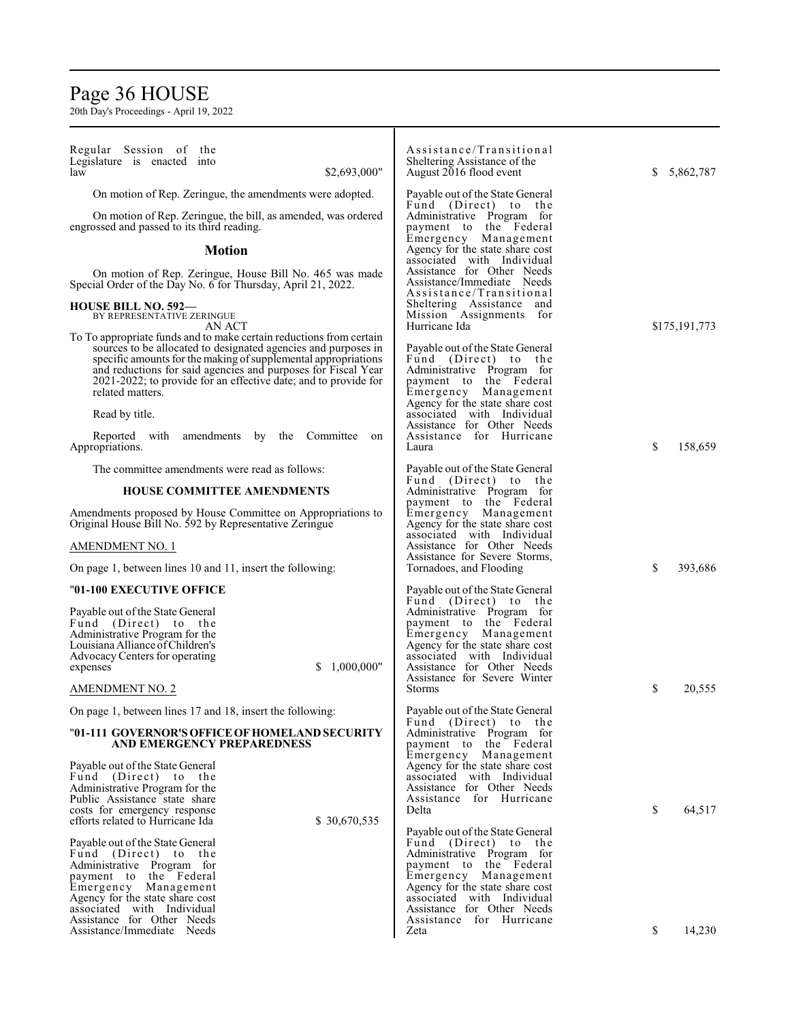# Page 36 HOUSE

| Regular Session of the<br>Legislature is enacted into<br>law<br>\$2,693,000"                                                                                                                                                                                                                                                                                    | Assistance/Transitional<br>Sheltering Assistance of the<br>August 2016 flood event                                                                                                                                                      | 5,862,787<br>S. |
|-----------------------------------------------------------------------------------------------------------------------------------------------------------------------------------------------------------------------------------------------------------------------------------------------------------------------------------------------------------------|-----------------------------------------------------------------------------------------------------------------------------------------------------------------------------------------------------------------------------------------|-----------------|
| On motion of Rep. Zeringue, the amendments were adopted.                                                                                                                                                                                                                                                                                                        | Payable out of the State General                                                                                                                                                                                                        |                 |
| On motion of Rep. Zeringue, the bill, as amended, was ordered<br>engrossed and passed to its third reading.                                                                                                                                                                                                                                                     | Fund (Direct) to the<br>Administrative Program for<br>payment to the Federal                                                                                                                                                            |                 |
| <b>Motion</b>                                                                                                                                                                                                                                                                                                                                                   | Emergency Management<br>Agency for the state share cost<br>associated with Individual                                                                                                                                                   |                 |
| On motion of Rep. Zeringue, House Bill No. 465 was made<br>Special Order of the Day No. 6 for Thursday, April 21, 2022.                                                                                                                                                                                                                                         | Assistance for Other Needs<br>Assistance/Immediate Needs<br>Assistance/Transitional                                                                                                                                                     |                 |
| <b>HOUSE BILL NO. 592—</b><br>BY REPRESENTATIVE ZERINGUE<br>AN ACT                                                                                                                                                                                                                                                                                              | Sheltering Assistance and<br>Mission Assignments for<br>Hurricane Ida                                                                                                                                                                   | \$175,191,773   |
| To To appropriate funds and to make certain reductions from certain<br>sources to be allocated to designated agencies and purposes in<br>specific amounts for the making of supplemental appropriations<br>and reductions for said agencies and purposes for Fiscal Year<br>2021-2022; to provide for an effective date; and to provide for<br>related matters. | Payable out of the State General<br>Fund (Direct) to the<br>Administrative Program for<br>payment to the Federal<br>Emergency Management                                                                                                |                 |
| Read by title.                                                                                                                                                                                                                                                                                                                                                  | Agency for the state share cost<br>associated with Individual                                                                                                                                                                           |                 |
| Reported with amendments by the Committee<br>on<br>Appropriations.                                                                                                                                                                                                                                                                                              | Assistance for Other Needs<br>Assistance for Hurricane<br>Laura                                                                                                                                                                         | \$<br>158,659   |
| The committee amendments were read as follows:                                                                                                                                                                                                                                                                                                                  | Payable out of the State General                                                                                                                                                                                                        |                 |
| <b>HOUSE COMMITTEE AMENDMENTS</b>                                                                                                                                                                                                                                                                                                                               | Fund (Direct) to the<br>Administrative Program for<br>payment to the Federal                                                                                                                                                            |                 |
| Amendments proposed by House Committee on Appropriations to<br>Original House Bill No. 592 by Representative Zeringue                                                                                                                                                                                                                                           | Emergency Management<br>Agency for the state share cost<br>associated with Individual                                                                                                                                                   |                 |
| AMENDMENT NO. 1                                                                                                                                                                                                                                                                                                                                                 | Assistance for Other Needs                                                                                                                                                                                                              |                 |
| On page 1, between lines 10 and 11, insert the following:                                                                                                                                                                                                                                                                                                       | Assistance for Severe Storms,<br>Tornadoes, and Flooding                                                                                                                                                                                | \$<br>393,686   |
| "01-100 EXECUTIVE OFFICE                                                                                                                                                                                                                                                                                                                                        | Payable out of the State General<br>Fund (Direct) to the                                                                                                                                                                                |                 |
| Payable out of the State General<br>Fund (Direct) to the<br>Administrative Program for the<br>Louisiana Alliance of Children's<br>Advocacy Centers for operating<br>1,000,000"<br>S.<br>expenses<br>AMENDMENT NO. 2                                                                                                                                             | Administrative Program for<br>payment to the Federal<br>Emergency Management<br>Agency for the state share cost<br>associated with Individual<br>Assistance for Other Needs<br>Assistance for Severe Winter<br><b>Storms</b>            | \$<br>20,555    |
| On page 1, between lines 17 and 18, insert the following:                                                                                                                                                                                                                                                                                                       | Payable out of the State General                                                                                                                                                                                                        |                 |
| "01-111 GOVERNOR'S OFFICE OF HOMELAND SECURITY<br>AND EMERGENCY PREPAREDNESS                                                                                                                                                                                                                                                                                    | Fund (Direct) to the<br>Administrative Program for<br>payment to the Federal                                                                                                                                                            |                 |
| Payable out of the State General<br>Fund (Direct) to the<br>Administrative Program for the<br>Public Assistance state share<br>costs for emergency response<br>efforts related to Hurricane Ida<br>\$30,670,535                                                                                                                                                 | Emergency Management<br>Agency for the state share cost<br>associated with Individual<br>Assistance for Other Needs<br>Assistance for Hurricane<br>Delta                                                                                | \$<br>64,517    |
| Payable out of the State General<br>Fund (Direct) to the<br>Administrative Program for<br>payment to the Federal<br>Emergency Management<br>Agency for the state share cost<br>associated with Individual                                                                                                                                                       | Payable out of the State General<br>Fund (Direct) to the<br>Administrative Program for<br>payment to the Federal<br>Emergency Management<br>Agency for the state share cost<br>associated with Individual<br>Assistance for Other Needs |                 |
| Assistance for Other Needs<br>Assistance/Immediate Needs                                                                                                                                                                                                                                                                                                        | Assistance for Hurricane<br>Zeta                                                                                                                                                                                                        | \$<br>14,230    |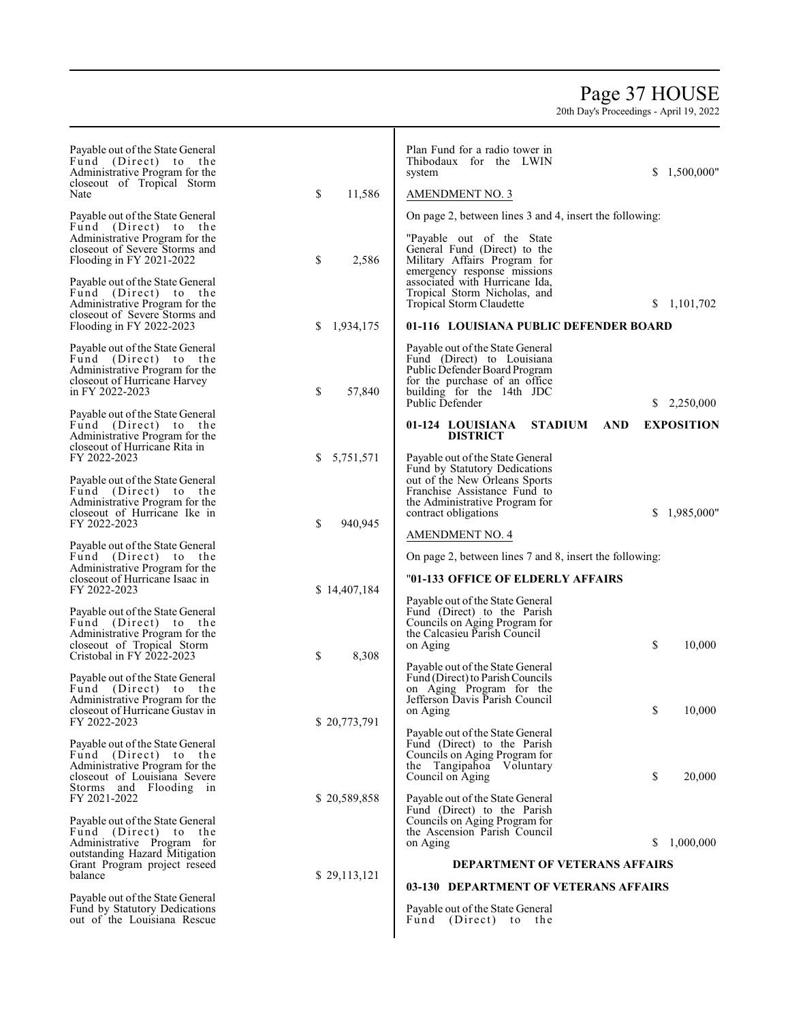## Page 3 7 HOUSE

| Payable out of the State General<br>Fund (Direct) to the<br>Administrative Program for the<br>closeout of Tropical Storm<br>Nate<br>Payable out of the State General<br>Fund (Direct) to the<br>Administrative Program for the<br>closeout of Severe Storms and<br>Flooding in FY 2021-2022<br>Payable out of the State General<br>Fund (Direct) to the<br>Administrative Program for the<br>closeout of Severe Storms and | \$<br>11,586<br>\$<br>2,586    | Plan Fund for a radio tower in<br>Thibodaux for the LWIN<br>\$1,500,000"<br>system<br><b>AMENDMENT NO. 3</b><br>On page 2, between lines 3 and 4, insert the following:<br>"Payable out of the State"<br>General Fund (Direct) to the<br>Military Affairs Program for<br>emergency response missions<br>associated with Hurricane Ida,<br>Tropical Storm Nicholas, and<br>Tropical Storm Claudette<br>S.<br>1,101,702 |
|----------------------------------------------------------------------------------------------------------------------------------------------------------------------------------------------------------------------------------------------------------------------------------------------------------------------------------------------------------------------------------------------------------------------------|--------------------------------|-----------------------------------------------------------------------------------------------------------------------------------------------------------------------------------------------------------------------------------------------------------------------------------------------------------------------------------------------------------------------------------------------------------------------|
| Flooding in FY 2022-2023<br>Payable out of the State General<br>Fund (Direct) to the<br>Administrative Program for the<br>closeout of Hurricane Harvey<br>in FY 2022-2023<br>Payable out of the State General                                                                                                                                                                                                              | 1,934,175<br>S<br>\$<br>57,840 | 01-116 LOUISIANA PUBLIC DEFENDER BOARD<br>Payable out of the State General<br>Fund (Direct) to Louisiana<br>Public Defender Board Program<br>for the purchase of an office<br>building for the 14th JDC<br>Public Defender<br>2,250,000<br>S.                                                                                                                                                                         |
| Fund (Direct) to the<br>Administrative Program for the<br>closeout of Hurricane Rita in<br>FY 2022-2023<br>Payable out of the State General<br>Fund (Direct) to the<br>Administrative Program for the<br>closeout of Hurricane Ike in                                                                                                                                                                                      | 5,751,571<br>\$                | <b>EXPOSITION</b><br>01-124 LOUISIANA<br><b>STADIUM</b><br><b>AND</b><br><b>DISTRICT</b><br>Payable out of the State General<br>Fund by Statutory Dedications<br>out of the New Orleans Sports<br>Franchise Assistance Fund to<br>the Administrative Program for<br>\$1,985,000"<br>contract obligations                                                                                                              |
| FY 2022-2023<br>Payable out of the State General<br>Fund (Direct) to the<br>Administrative Program for the<br>closeout of Hurricane Isaac in<br>FY 2022-2023                                                                                                                                                                                                                                                               | 940,945<br>\$<br>\$14,407,184  | <b>AMENDMENT NO. 4</b><br>On page 2, between lines 7 and 8, insert the following:<br>"01-133 OFFICE OF ELDERLY AFFAIRS<br>Payable out of the State General                                                                                                                                                                                                                                                            |
| Payable out of the State General<br>Fund (Direct) to the<br>Administrative Program for the<br>closeout of Tropical Storm<br>Cristobal in FY 2022-2023<br>Payable out of the State General<br>Fund (Direct) to the<br>Administrative Program for the                                                                                                                                                                        | 8,308<br>\$                    | Fund (Direct) to the Parish<br>Councils on Aging Program for<br>the Calcasieu Parish Council<br>\$<br>10,000<br>on Aging<br>Payable out of the State General<br>Fund (Direct) to Parish Councils<br>on Aging Program for the<br>Jefferson Davis Parish Council                                                                                                                                                        |
| closeout of Hurricane Gustav in<br>FY 2022-2023<br>Payable out of the State General<br>Fund (Direct) to the<br>Administrative Program for the<br>closeout of Louisiana Severe<br>Storms and Flooding in                                                                                                                                                                                                                    | \$20,773,791                   | \$<br>10,000<br>on Aging<br>Payable out of the State General<br>Fund (Direct) to the Parish<br>Councils on Aging Program for<br>the Tangipahoa Voluntary<br>\$<br>Council on Aging<br>20,000                                                                                                                                                                                                                          |
| FY 2021-2022<br>Payable out of the State General<br>Fund (Direct) to<br>the<br>Administrative Program for<br>outstanding Hazard Mitigation<br>Grant Program project reseed<br>balance                                                                                                                                                                                                                                      | \$20,589,858<br>\$29,113,121   | Payable out of the State General<br>Fund (Direct) to the Parish<br>Councils on Aging Program for<br>the Ascension Parish Council<br>S.<br>1,000,000<br>on Aging<br><b>DEPARTMENT OF VETERANS AFFAIRS</b>                                                                                                                                                                                                              |
| Payable out of the State General<br>Fund by Statutory Dedications<br>out of the Louisiana Rescue                                                                                                                                                                                                                                                                                                                           |                                | 03-130 DEPARTMENT OF VETERANS AFFAIRS<br>Payable out of the State General<br>Fund (Direct) to the                                                                                                                                                                                                                                                                                                                     |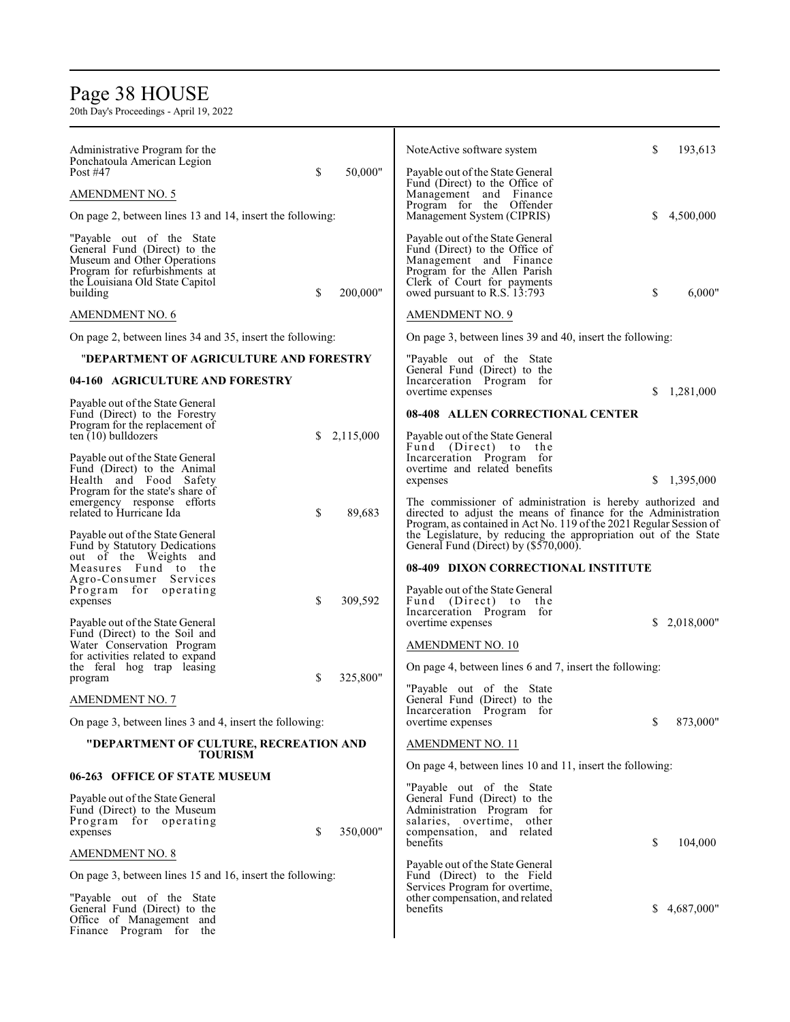## Page 38 HOUSE

| Administrative Program for the<br>Ponchatoula American Legion<br>Post #47                                                                                                          | \$ | 50,000"   | NoteActive software system                                                                                                                                                                                       | S  | 193,613    |
|------------------------------------------------------------------------------------------------------------------------------------------------------------------------------------|----|-----------|------------------------------------------------------------------------------------------------------------------------------------------------------------------------------------------------------------------|----|------------|
| <b>AMENDMENT NO. 5</b>                                                                                                                                                             |    |           | Payable out of the State General<br>Fund (Direct) to the Office of<br>Management and Finance                                                                                                                     |    |            |
| On page 2, between lines 13 and 14, insert the following:                                                                                                                          |    |           | Program for the Offender<br>Management System (CIPRIS)                                                                                                                                                           |    | 4,500,000  |
| "Payable out of the State"<br>General Fund (Direct) to the<br>Museum and Other Operations<br>Program for refurbishments at<br>the Louisiana Old State Capitol<br>building          | \$ | 200,000"  | Payable out of the State General<br>Fund (Direct) to the Office of<br>Management and Finance<br>Program for the Allen Parish<br>Clerk of Court for payments<br>owed pursuant to R.S. 13:793                      | \$ | 6,000"     |
| <b>AMENDMENT NO. 6</b>                                                                                                                                                             |    |           | <b>AMENDMENT NO. 9</b>                                                                                                                                                                                           |    |            |
| On page 2, between lines 34 and 35, insert the following:                                                                                                                          |    |           | On page 3, between lines 39 and 40, insert the following:                                                                                                                                                        |    |            |
| "DEPARTMENT OF AGRICULTURE AND FORESTRY                                                                                                                                            |    |           | "Payable out of the State                                                                                                                                                                                        |    |            |
| 04-160 AGRICULTURE AND FORESTRY                                                                                                                                                    |    |           | General Fund (Direct) to the<br>Incarceration Program for<br>overtime expenses                                                                                                                                   | S  | 1,281,000  |
| Payable out of the State General<br>Fund (Direct) to the Forestry                                                                                                                  |    |           | 08-408 ALLEN CORRECTIONAL CENTER                                                                                                                                                                                 |    |            |
| Program for the replacement of<br>ten $(10)$ bulldozers<br>Payable out of the State General<br>Fund (Direct) to the Animal                                                         | S  | 2,115,000 | Payable out of the State General<br>Fund (Direct) to the<br>Incarceration Program for<br>overtime and related benefits                                                                                           |    |            |
| Health and Food Safety<br>Program for the state's share of<br>emergency response efforts<br>related to Hurricane Ida                                                               | \$ | 89,683    | expenses<br>The commissioner of administration is hereby authorized and<br>directed to adjust the means of finance for the Administration<br>Program, as contained in Act No. 119 of the 2021 Regular Session of | S. | 1,395,000  |
| Payable out of the State General<br>Fund by Statutory Dedications<br>out of the Weights and<br>Measures Fund to the<br>Agro-Consumer Services<br>Program for operating<br>expenses | \$ | 309,592   | the Legislature, by reducing the appropriation out of the State<br>General Fund (Direct) by (\$570,000).<br>08-409 DIXON CORRECTIONAL INSTITUTE<br>Payable out of the State General<br>Fund (Direct) to the      |    |            |
| Payable out of the State General<br>Fund (Direct) to the Soil and<br>Water Conservation Program<br>for activities related to expand<br>the feral hog trap leasing                  |    |           | Incarceration Program for<br>overtime expenses<br><b>AMENDMENT NO. 10</b><br>On page 4, between lines 6 and 7, insert the following:                                                                             | \$ | 2,018,000" |
| program<br><b>AMENDMENT NO. 7</b><br>On page 3, between lines 3 and 4, insert the following:                                                                                       | \$ | 325,800"  | "Payable out of the State<br>General Fund (Direct) to the<br>Incarceration Program for<br>overtime expenses                                                                                                      | \$ | 873,000"   |
| "DEPARTMENT OF CULTURE, RECREATION AND                                                                                                                                             |    |           | <b>AMENDMENT NO. 11</b>                                                                                                                                                                                          |    |            |
| <b>TOURISM</b>                                                                                                                                                                     |    |           | On page 4, between lines 10 and 11, insert the following:                                                                                                                                                        |    |            |
| 06-263 OFFICE OF STATE MUSEUM                                                                                                                                                      |    |           |                                                                                                                                                                                                                  |    |            |
| Payable out of the State General<br>Fund (Direct) to the Museum<br>Program for operating<br>expenses                                                                               | \$ | 350,000"  | "Payable out of the State"<br>General Fund (Direct) to the<br>Administration Program for<br>salaries, overtime, other<br>compensation, and related<br>benefits                                                   | S  | 104,000    |
| <b>AMENDMENT NO. 8</b>                                                                                                                                                             |    |           | Payable out of the State General                                                                                                                                                                                 |    |            |
| On page 3, between lines 15 and 16, insert the following:<br>"Payable out of the State"<br>General Fund (Direct) to the<br>Office of Management and<br>Finance Program for the     |    |           | Fund (Direct) to the Field<br>Services Program for overtime,<br>other compensation, and related<br>benefits                                                                                                      | S. | 4,687,000" |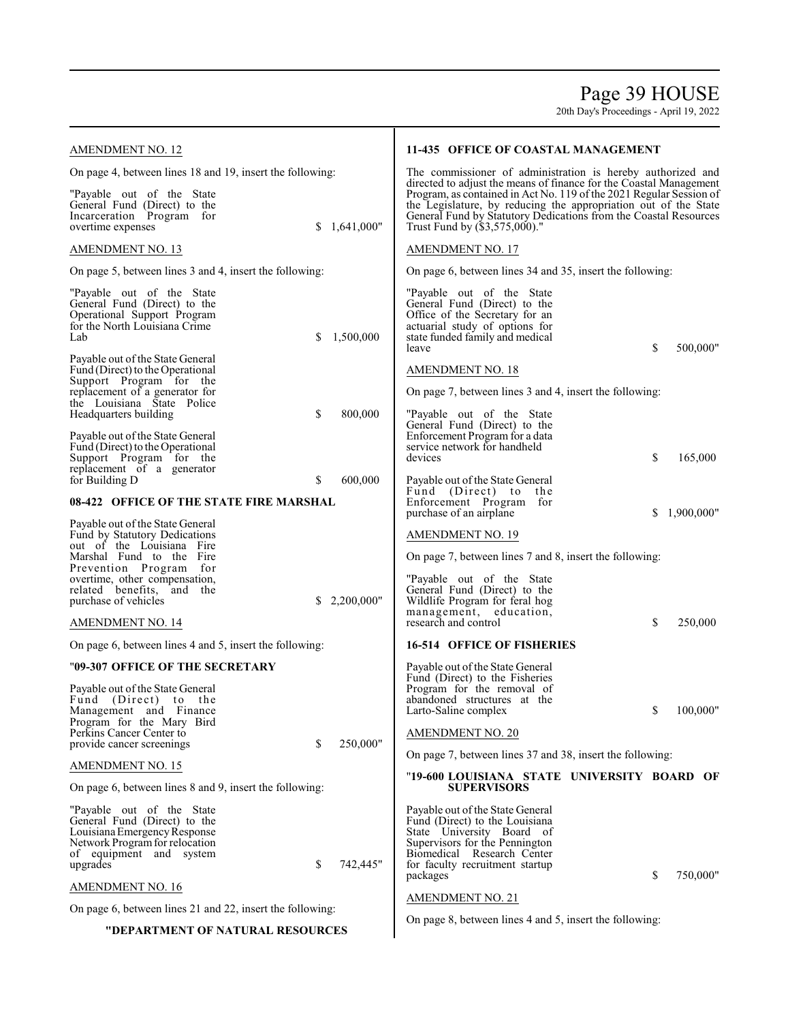Page 39 HOUSE

| AMENDMENT NO. 12                                                                                                                                                   |                  | 11-435 OFFICE OF COASTAL MANAGEMENT                                                                                                                                                                                                                                                                               |                 |  |
|--------------------------------------------------------------------------------------------------------------------------------------------------------------------|------------------|-------------------------------------------------------------------------------------------------------------------------------------------------------------------------------------------------------------------------------------------------------------------------------------------------------------------|-----------------|--|
| On page 4, between lines 18 and 19, insert the following:                                                                                                          |                  | The commissioner of administration is hereby authorized and                                                                                                                                                                                                                                                       |                 |  |
| "Payable out of the State"<br>General Fund (Direct) to the<br>Incarceration Program for<br>overtime expenses                                                       | 1,641,000"<br>S. | directed to adjust the means of finance for the Coastal Management<br>Program, as contained in Act No. 119 of the 2021 Regular Session of<br>the Legislature, by reducing the appropriation out of the State<br>General Fund by Statutory Dedications from the Coastal Resources<br>Trust Fund by (\$3,575,000)." |                 |  |
| AMENDMENT NO. 13                                                                                                                                                   |                  | AMENDMENT NO. 17                                                                                                                                                                                                                                                                                                  |                 |  |
| On page 5, between lines 3 and 4, insert the following:                                                                                                            |                  | On page 6, between lines 34 and 35, insert the following:                                                                                                                                                                                                                                                         |                 |  |
| "Payable out of the State"<br>General Fund (Direct) to the<br>Operational Support Program<br>for the North Louisiana Crime<br>Lab                                  | S<br>1,500,000   | "Payable out of the State<br>General Fund (Direct) to the<br>Office of the Secretary for an<br>actuarial study of options for<br>state funded family and medical<br>leave                                                                                                                                         | \$<br>500,000"  |  |
| Payable out of the State General<br>Fund (Direct) to the Operational                                                                                               |                  | <b>AMENDMENT NO. 18</b>                                                                                                                                                                                                                                                                                           |                 |  |
| Support Program for the<br>replacement of a generator for                                                                                                          |                  | On page 7, between lines 3 and 4, insert the following:                                                                                                                                                                                                                                                           |                 |  |
| the Louisiana State Police<br>Headquarters building<br>Payable out of the State General<br>Fund (Direct) to the Operational<br>Support Program for the             | \$<br>800,000    | "Payable out of the State<br>General Fund (Direct) to the<br>Enforcement Program for a data<br>service network for handheld<br>devices                                                                                                                                                                            | \$<br>165,000   |  |
| replacement of a generator<br>for Building D                                                                                                                       | \$<br>600,000    | Payable out of the State General                                                                                                                                                                                                                                                                                  |                 |  |
| 08-422 OFFICE OF THE STATE FIRE MARSHAL                                                                                                                            |                  | Fund (Direct) to<br>the<br>Enforcement Program for<br>purchase of an airplane                                                                                                                                                                                                                                     | 1,900,000"<br>S |  |
| Payable out of the State General<br>Fund by Statutory Dedications                                                                                                  |                  | AMENDMENT NO. 19                                                                                                                                                                                                                                                                                                  |                 |  |
| out of the Louisiana Fire<br>Marshal Fund to the Fire                                                                                                              |                  | On page 7, between lines 7 and 8, insert the following:                                                                                                                                                                                                                                                           |                 |  |
| Prevention Program<br>for<br>overtime, other compensation,<br>related benefits, and the<br>purchase of vehicles                                                    | 2,200,000"<br>S  | "Payable out of the State"<br>General Fund (Direct) to the<br>Wildlife Program for feral hog<br>management, education,                                                                                                                                                                                            |                 |  |
| <b>AMENDMENT NO. 14</b>                                                                                                                                            |                  | research and control                                                                                                                                                                                                                                                                                              | \$<br>250,000   |  |
| On page 6, between lines 4 and 5, insert the following:                                                                                                            |                  | <b>16-514 OFFICE OF FISHERIES</b>                                                                                                                                                                                                                                                                                 |                 |  |
| "09-307 OFFICE OF THE SECRETARY<br>Payable out of the State General<br>Fund (Direct) to the<br>Management and Finance<br>Program for the Mary Bird                 |                  | Payable out of the State General<br>Fund (Direct) to the Fisheries<br>Program for the removal of<br>abandoned structures at the<br>Larto-Saline complex                                                                                                                                                           | \$100,000"      |  |
| Perkins Cancer Center to<br>provide cancer screenings                                                                                                              | 250,000"<br>\$   | <b>AMENDMENT NO. 20</b>                                                                                                                                                                                                                                                                                           |                 |  |
| <b>AMENDMENT NO. 15</b>                                                                                                                                            |                  | On page 7, between lines 37 and 38, insert the following:                                                                                                                                                                                                                                                         |                 |  |
| On page 6, between lines 8 and 9, insert the following:                                                                                                            |                  | "19-600 LOUISIANA STATE UNIVERSITY BOARD OF<br><b>SUPERVISORS</b>                                                                                                                                                                                                                                                 |                 |  |
| "Payable out of the State<br>General Fund (Direct) to the<br>Louisiana Emergency Response<br>Network Program for relocation<br>of equipment and system<br>upgrades | \$<br>742,445"   | Payable out of the State General<br>Fund (Direct) to the Louisiana<br>State University Board of<br>Supervisors for the Pennington<br>Biomedical Research Center<br>for faculty recruitment startup<br>packages                                                                                                    | \$<br>750,000"  |  |
| <b>AMENDMENT NO. 16</b>                                                                                                                                            |                  | <b>AMENDMENT NO. 21</b>                                                                                                                                                                                                                                                                                           |                 |  |
| On page 6, between lines 21 and 22, insert the following:<br>"DEPARTMENT OF NATURAL RESOURCES                                                                      |                  | On page 8, between lines 4 and 5, insert the following:                                                                                                                                                                                                                                                           |                 |  |
|                                                                                                                                                                    |                  |                                                                                                                                                                                                                                                                                                                   |                 |  |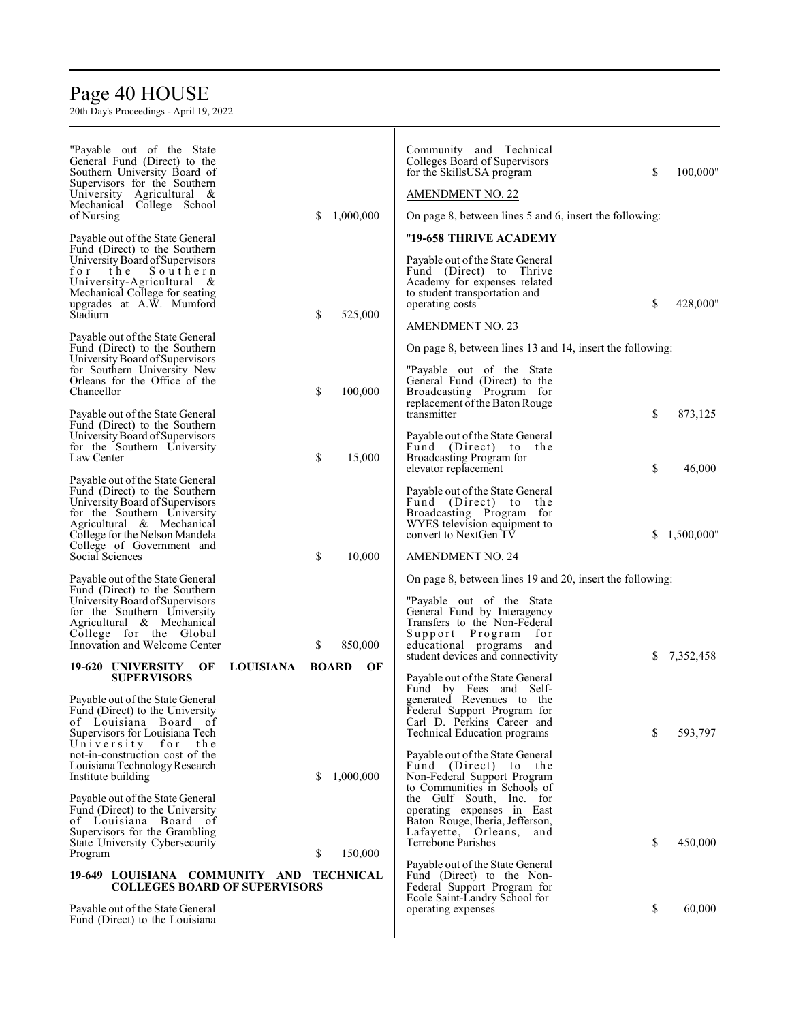# Page 40 HOUSE

| "Payable out of the State"<br>General Fund (Direct) to the<br>Southern University Board of<br>Supervisors for the Southern<br>University Agricultural &<br>Mechanical College School<br>of Nursing                                                                       | \$               | 1,000,000          | Community and Technical<br>Colleges Board of Supervisors<br>for the SkillsUSA program<br>AMENDMENT NO. 22<br>On page 8, between lines 5 and 6, insert the following:                                      | \$ | 100,000"   |
|--------------------------------------------------------------------------------------------------------------------------------------------------------------------------------------------------------------------------------------------------------------------------|------------------|--------------------|-----------------------------------------------------------------------------------------------------------------------------------------------------------------------------------------------------------|----|------------|
| Payable out of the State General<br>Fund (Direct) to the Southern<br>University Board of Supervisors<br>for<br>the<br>Southern<br>University-Agricultural &<br>Mechanical College for seating<br>upgrades at A.W. Mumford<br>Stadium<br>Payable out of the State General | \$               | 525,000            | "19-658 THRIVE ACADEMY<br>Payable out of the State General<br>Fund (Direct) to Thrive<br>Academy for expenses related<br>to student transportation and<br>operating costs<br><b>AMENDMENT NO. 23</b>      | \$ | 428,000"   |
| Fund (Direct) to the Southern<br>University Board of Supervisors<br>for Southern University New<br>Orleans for the Office of the<br>Chancellor<br>Payable out of the State General                                                                                       | \$               | 100,000            | On page 8, between lines 13 and 14, insert the following:<br>"Payable out of the State"<br>General Fund (Direct) to the<br>Broadcasting Program for<br>replacement of the Baton Rouge<br>transmitter      | \$ | 873,125    |
| Fund (Direct) to the Southern<br>University Board of Supervisors<br>for the Southern University<br>Law Center<br>Payable out of the State General                                                                                                                        | \$               | 15,000             | Payable out of the State General<br>Fund (Direct) to<br>the<br>Broadcasting Program for<br>elevator replacement<br>Payable out of the State General                                                       | \$ | 46,000     |
| Fund (Direct) to the Southern<br>University Board of Supervisors<br>for the Southern University<br>Agricultural & Mechanical<br>College for the Nelson Mandela<br>College of Government and<br>Social Sciences                                                           | \$               | 10,000             | Fund (Direct) to the<br>Broadcasting Program for<br>WYES television equipment to<br>convert to NextGen TV<br>AMENDMENT NO. 24                                                                             | S  | 1,500,000" |
| Payable out of the State General<br>Fund (Direct) to the Southern<br>University Board of Supervisors<br>for the Southern University<br>Agricultural & Mechanical<br>College for the Global<br>Innovation and Welcome Center                                              | \$               | 850,000            | On page 8, between lines 19 and 20, insert the following:<br>"Payable out of the State"<br>General Fund by Interagency<br>Transfers to the Non-Federal<br>Support Program for<br>educational programs and |    |            |
| 19-620 UNIVERSITY<br>OF<br><b>SUPERVISORS</b>                                                                                                                                                                                                                            | <b>LOUISIANA</b> | <b>BOARD</b><br>OF | student devices and connectivity<br>Payable out of the State General                                                                                                                                      | S. | 7,352,458  |
| Payable out of the State General<br>Fund (Direct) to the University<br>of Louisiana Board of<br>Supervisors for Louisiana Tech<br>University for<br>the<br>not-in-construction cost of the                                                                               |                  |                    | Fund by Fees and Self-<br>generated Revenues to the<br>Federal Support Program for<br>Carl D. Perkins Career and<br><b>Technical Education programs</b><br>Payable out of the State General               | S  | 593,797    |
| Louisiana Technology Research<br>Institute building                                                                                                                                                                                                                      | \$               | 1,000,000          | Fund (Direct) to the<br>Non-Federal Support Program<br>to Communities in Schools of                                                                                                                       |    |            |
| Payable out of the State General<br>Fund (Direct) to the University<br>of Louisiana Board of<br>Supervisors for the Grambling<br>State University Cybersecurity<br>Program                                                                                               | \$               | 150,000            | the Gulf South, Inc. for<br>operating expenses in East<br>Baton Rouge, Iberia, Jefferson,<br>Lafayette, Orleans,<br>and<br>Terrebone Parishes                                                             | \$ | 450,000    |
| 19-649 LOUISIANA COMMUNITY AND TECHNICAL<br><b>COLLEGES BOARD OF SUPERVISORS</b><br>Payable out of the State General<br>Fund (Direct) to the Louisiana                                                                                                                   |                  |                    | Payable out of the State General<br>Fund (Direct) to the Non-<br>Federal Support Program for<br>Ecole Saint-Landry School for<br>operating expenses                                                       | \$ | 60,000     |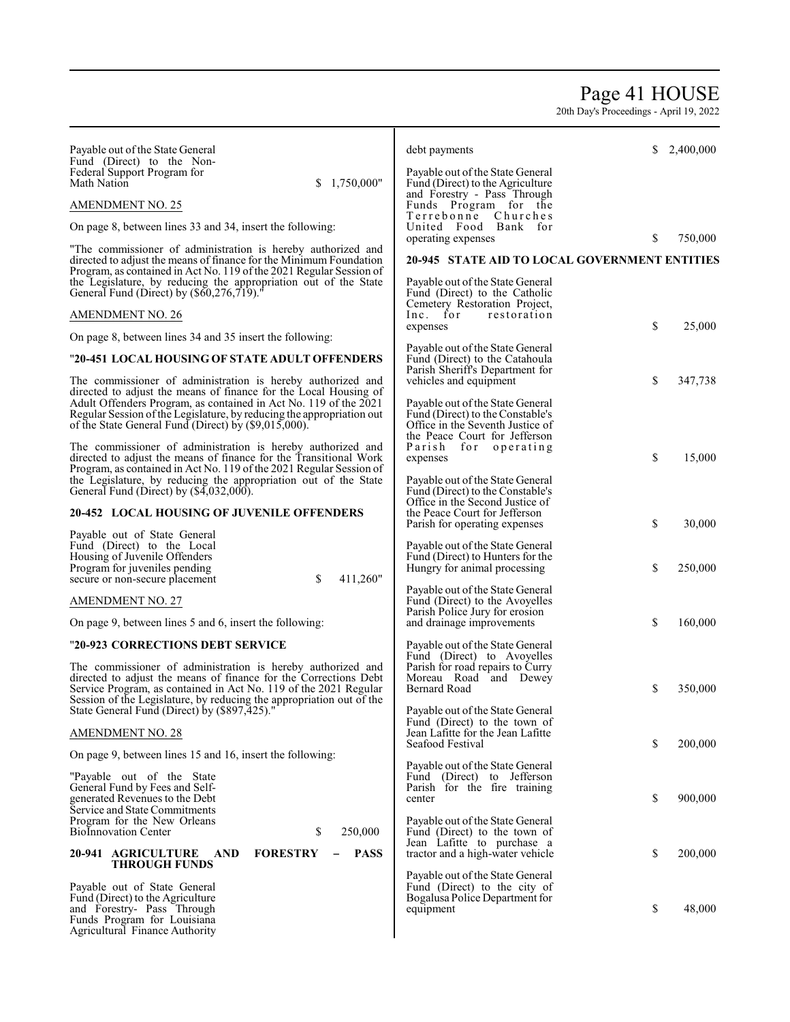## Page 41 HOUSE

| Payable out of the State General                                                                                                          | debt payments                                                        | S.<br>2,400,000 |
|-------------------------------------------------------------------------------------------------------------------------------------------|----------------------------------------------------------------------|-----------------|
| Fund (Direct) to the Non-<br>Federal Support Program for                                                                                  | Payable out of the State General                                     |                 |
| Math Nation<br>\$1,750,000"                                                                                                               | Fund (Direct) to the Agriculture<br>and Forestry - Pass Through      |                 |
| <b>AMENDMENT NO. 25</b>                                                                                                                   | Funds Program for the                                                |                 |
| On page 8, between lines 33 and 34, insert the following:                                                                                 | Terrebonne Churches<br>United Food Bank for                          |                 |
|                                                                                                                                           | operating expenses                                                   | \$<br>750,000   |
| "The commissioner of administration is hereby authorized and<br>directed to adjust the means of finance for the Minimum Foundation        | 20-945 STATE AID TO LOCAL GOVERNMENT ENTITIES                        |                 |
| Program, as contained in Act No. 119 of the 2021 Regular Session of                                                                       |                                                                      |                 |
| the Legislature, by reducing the appropriation out of the State<br>General Fund (Direct) by (\$60,276,719).                               | Payable out of the State General<br>Fund (Direct) to the Catholic    |                 |
|                                                                                                                                           | Cemetery Restoration Project,                                        |                 |
| <b>AMENDMENT NO. 26</b>                                                                                                                   | Inc. for<br>restoration<br>expenses                                  | \$<br>25,000    |
| On page 8, between lines 34 and 35 insert the following:                                                                                  |                                                                      |                 |
| "20-451 LOCAL HOUSING OF STATE ADULT OFFENDERS                                                                                            | Payable out of the State General<br>Fund (Direct) to the Catahoula   |                 |
| The commissioner of administration is hereby authorized and                                                                               | Parish Sheriff's Department for<br>vehicles and equipment            | \$<br>347,738   |
| directed to adjust the means of finance for the Local Housing of                                                                          |                                                                      |                 |
| Adult Offenders Program, as contained in Act No. 119 of the 2021<br>Regular Session of the Legislature, by reducing the appropriation out | Payable out of the State General<br>Fund (Direct) to the Constable's |                 |
| of the State General Fund (Direct) by (\$9,015,000).                                                                                      | Office in the Seventh Justice of                                     |                 |
| The commissioner of administration is hereby authorized and                                                                               | the Peace Court for Jefferson<br>Parish<br>for operating             |                 |
| directed to adjust the means of finance for the Transitional Work                                                                         | expenses                                                             | \$<br>15,000    |
| Program, as contained in Act No. 119 of the 2021 Regular Session of<br>the Legislature, by reducing the appropriation out of the State    | Payable out of the State General                                     |                 |
| General Fund (Direct) by (\$4,032,000).                                                                                                   | Fund (Direct) to the Constable's<br>Office in the Second Justice of  |                 |
| 20-452 LOCAL HOUSING OF JUVENILE OFFENDERS                                                                                                | the Peace Court for Jefferson                                        |                 |
| Payable out of State General                                                                                                              | Parish for operating expenses                                        | \$<br>30,000    |
| Fund (Direct) to the Local                                                                                                                | Payable out of the State General                                     |                 |
| Housing of Juvenile Offenders<br>Program for juveniles pending                                                                            | Fund (Direct) to Hunters for the<br>Hungry for animal processing     | \$<br>250,000   |
| \$<br>411,260"<br>secure or non-secure placement                                                                                          |                                                                      |                 |
| <b>AMENDMENT NO. 27</b>                                                                                                                   | Payable out of the State General<br>Fund (Direct) to the Avoyelles   |                 |
| On page 9, between lines 5 and 6, insert the following:                                                                                   | Parish Police Jury for erosion<br>and drainage improvements          | \$<br>160,000   |
|                                                                                                                                           |                                                                      |                 |
| "20-923 CORRECTIONS DEBT SERVICE                                                                                                          | Payable out of the State General<br>Fund (Direct) to Avoyelles       |                 |
| The commissioner of administration is hereby authorized and                                                                               | Parish for road repairs to Curry                                     |                 |
| directed to adjust the means of finance for the Corrections Debt<br>Service Program, as contained in Act No. 119 of the 2021 Regular      | Moreau Road and Dewey<br>Bernard Road                                | \$<br>350,000   |
| Session of the Legislature, by reducing the appropriation out of the                                                                      |                                                                      |                 |
| State General Fund (Direct) by (\$897,425).                                                                                               | Payable out of the State General<br>Fund (Direct) to the town of     |                 |
| <b>AMENDMENT NO. 28</b>                                                                                                                   | Jean Lafitte for the Jean Lafitte<br>Seafood Festival                |                 |
| On page 9, between lines 15 and 16, insert the following:                                                                                 |                                                                      | \$<br>200,000   |
| "Payable out of the State"                                                                                                                | Payable out of the State General<br>Fund (Direct) to Jefferson       |                 |
| General Fund by Fees and Self-<br>generated Revenues to the Debt                                                                          | Parish for the fire training<br>center                               | \$<br>900,000   |
| Service and State Commitments                                                                                                             |                                                                      |                 |
| Program for the New Orleans<br>\$<br>250,000<br><b>BioInnovation Center</b>                                                               | Payable out of the State General<br>Fund (Direct) to the town of     |                 |
|                                                                                                                                           | Jean Lafitte to purchase a                                           |                 |
| 20-941 AGRICULTURE<br><b>FORESTRY</b><br><b>PASS</b><br>AND<br><b>THROUGH FUNDS</b>                                                       | tractor and a high-water vehicle                                     | \$<br>200,000   |
| Payable out of State General                                                                                                              | Payable out of the State General                                     |                 |
| Fund (Direct) to the Agriculture                                                                                                          | Fund (Direct) to the city of<br>Bogalusa Police Department for       |                 |
| and Forestry- Pass Through<br>Funds Program for Louisiana                                                                                 | equipment                                                            | \$<br>48,000    |
| Agricultural Finance Authority                                                                                                            |                                                                      |                 |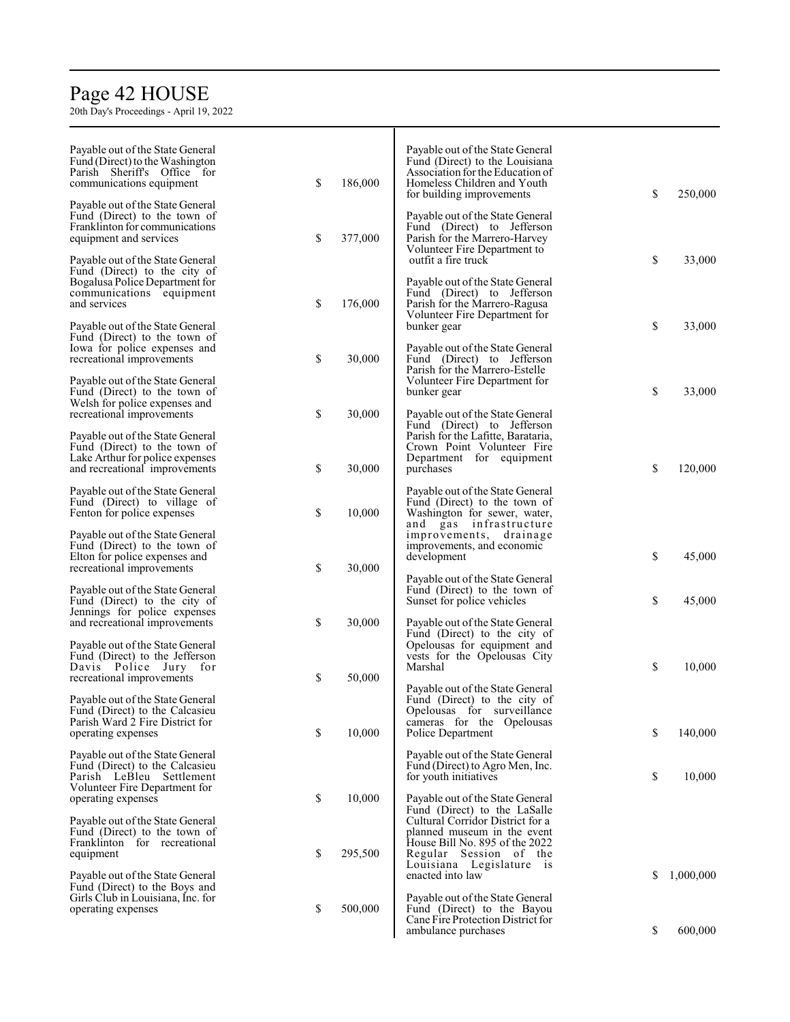# Page 4 2 HOUSE

| Payable out of the State General<br>Fund (Direct) to the Washington<br>Parish Sheriff's Office for<br>communications equipment<br>Payable out of the State General | \$<br>186,000 | Payable out of the State General<br>Fund (Direct) to the Louisiana<br>Association for the Education of<br>Homeless Children and Youth<br>for building improvements | \$ | 250,000   |
|--------------------------------------------------------------------------------------------------------------------------------------------------------------------|---------------|--------------------------------------------------------------------------------------------------------------------------------------------------------------------|----|-----------|
| Fund (Direct) to the town of<br>Franklinton for communications<br>equipment and services                                                                           | \$<br>377,000 | Payable out of the State General<br>Fund (Direct) to Jefferson<br>Parish for the Marrero-Harvey<br>Volunteer Fire Department to                                    |    |           |
| Payable out of the State General<br>Fund (Direct) to the city of<br>Bogalusa Police Department for<br>communications equipment                                     |               | outfit a fire truck<br>Payable out of the State General<br>Fund (Direct) to Jefferson                                                                              | \$ | 33,000    |
| and services<br>Payable out of the State General                                                                                                                   | \$<br>176,000 | Parish for the Marrero-Ragusa<br>Volunteer Fire Department for<br>bunker gear                                                                                      | \$ | 33,000    |
| Fund (Direct) to the town of<br>Iowa for police expenses and<br>recreational improvements                                                                          | \$<br>30,000  | Payable out of the State General<br>Fund (Direct) to Jefferson<br>Parish for the Marrero-Estelle                                                                   |    |           |
| Payable out of the State General<br>Fund (Direct) to the town of<br>Welsh for police expenses and                                                                  |               | Volunteer Fire Department for<br>bunker gear                                                                                                                       | \$ | 33,000    |
| recreational improvements<br>Payable out of the State General                                                                                                      | \$<br>30,000  | Payable out of the State General<br>Fund (Direct) to Jefferson<br>Parish for the Lafitte, Barataria,                                                               |    |           |
| Fund (Direct) to the town of<br>Lake Arthur for police expenses<br>and recreational improvements                                                                   | \$<br>30,000  | Crown Point Volunteer Fire<br>Department for equipment<br>purchases                                                                                                | \$ | 120,000   |
| Payable out of the State General<br>Fund (Direct) to village of<br>Fenton for police expenses                                                                      | \$<br>10,000  | Payable out of the State General<br>Fund (Direct) to the town of<br>Washington for sewer, water,                                                                   |    |           |
| Payable out of the State General<br>Fund (Direct) to the town of<br>Elton for police expenses and                                                                  |               | and gas infrastructure<br>improvements, drainage<br>improvements, and economic<br>development                                                                      | \$ | 45,000    |
| recreational improvements<br>Payable out of the State General<br>Fund (Direct) to the city of                                                                      | \$<br>30,000  | Payable out of the State General<br>Fund (Direct) to the town of<br>Sunset for police vehicles                                                                     | \$ | 45,000    |
| Jennings for police expenses<br>and recreational improvements                                                                                                      | \$<br>30,000  | Payable out of the State General<br>Fund (Direct) to the city of                                                                                                   |    |           |
| Payable out of the State General<br>Fund (Direct) to the Jefferson<br>Davis Police Jury for<br>recreational improvements                                           | \$<br>50,000  | Opelousas for equipment and<br>vests for the Opelousas City<br>Marshal                                                                                             | \$ | 10,000    |
| Payable out of the State General<br>Fund (Direct) to the Calcasieu                                                                                                 |               | Payable out of the State General<br>Fund (Direct) to the city of<br>Opelousas for surveillance                                                                     |    |           |
| Parish Ward 2 Fire District for<br>operating expenses                                                                                                              | \$<br>10,000  | cameras for the Opelousas<br>Police Department                                                                                                                     | \$ | 140,000   |
| Payable out of the State General<br>Fund (Direct) to the Calcasieu<br>Parish LeBleu Settlement<br>Volunteer Fire Department for                                    |               | Payable out of the State General<br>Fund (Direct) to Agro Men, Inc.<br>for youth initiatives                                                                       | \$ | 10,000    |
| operating expenses<br>Payable out of the State General                                                                                                             | \$<br>10,000  | Payable out of the State General<br>Fund (Direct) to the LaSalle<br>Cultural Corridor District for a                                                               |    |           |
| Fund (Direct) to the town of<br>Franklinton for recreational<br>equipment                                                                                          | \$<br>295,500 | planned museum in the event<br>House Bill No. 895 of the 2022<br>Regular Session of the<br>Louisiana Legislature is                                                |    |           |
| Payable out of the State General<br>Fund (Direct) to the Boys and<br>Girls Club in Louisiana, Inc. for                                                             |               | enacted into law<br>Payable out of the State General                                                                                                               | S. | 1,000,000 |
| operating expenses                                                                                                                                                 | \$<br>500,000 | Fund (Direct) to the Bayou<br>Cane Fire Protection District for<br>ambulance purchases                                                                             | \$ | 600,000   |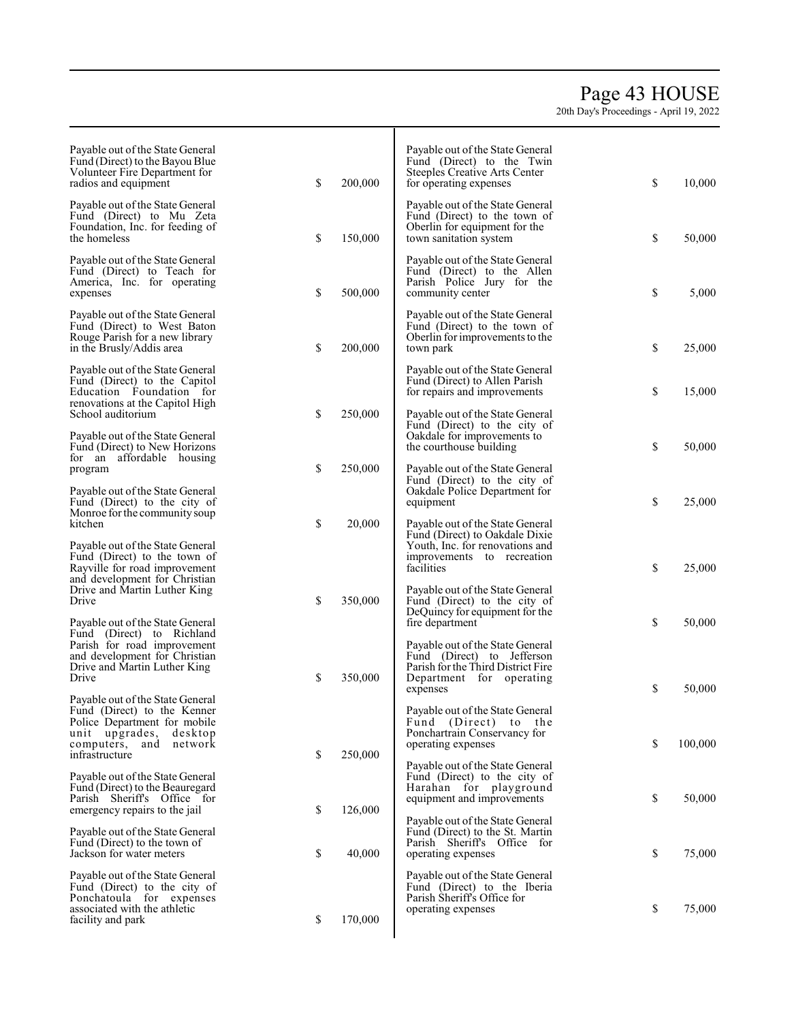## Page 4 3 HOUSE

| Payable out of the State General<br>Fund (Direct) to the Bayou Blue<br>Volunteer Fire Department for<br>radios and equipment                                                | \$<br>200,000 | Payable out of the State General<br>Fund (Direct) to the Twin<br>Steeples Creative Arts Center<br>for operating expenses    | \$<br>10,000  |
|-----------------------------------------------------------------------------------------------------------------------------------------------------------------------------|---------------|-----------------------------------------------------------------------------------------------------------------------------|---------------|
| Payable out of the State General<br>Fund (Direct) to Mu Zeta<br>Foundation, Inc. for feeding of<br>the homeless                                                             | \$<br>150,000 | Payable out of the State General<br>Fund (Direct) to the town of<br>Oberlin for equipment for the<br>town sanitation system | \$<br>50,000  |
| Payable out of the State General<br>Fund (Direct) to Teach for<br>America, Inc. for operating<br>expenses                                                                   | \$<br>500,000 | Payable out of the State General<br>Fund (Direct) to the Allen<br>Parish Police Jury for the<br>community center            | \$<br>5,000   |
| Payable out of the State General<br>Fund (Direct) to West Baton<br>Rouge Parish for a new library<br>in the Brusly/Addis area                                               | \$<br>200,000 | Payable out of the State General<br>Fund (Direct) to the town of<br>Oberlin for improvements to the<br>town park            | \$<br>25,000  |
| Payable out of the State General<br>Fund (Direct) to the Capitol<br>Education Foundation for<br>renovations at the Capitol High                                             |               | Payable out of the State General<br>Fund (Direct) to Allen Parish<br>for repairs and improvements                           | \$<br>15,000  |
| School auditorium<br>Payable out of the State General<br>Fund (Direct) to New Horizons                                                                                      | \$<br>250,000 | Payable out of the State General<br>Fund (Direct) to the city of<br>Oakdale for improvements to<br>the courthouse building  | \$<br>50,000  |
| for an affordable housing<br>program<br>Payable out of the State General<br>Fund (Direct) to the city of                                                                    | \$<br>250,000 | Payable out of the State General<br>Fund (Direct) to the city of<br>Oakdale Police Department for<br>equipment              | \$<br>25,000  |
| Monroe for the community soup<br>kitchen<br>Payable out of the State General                                                                                                | \$<br>20,000  | Payable out of the State General<br>Fund (Direct) to Oakdale Dixie<br>Youth, Inc. for renovations and                       |               |
| Fund (Direct) to the town of<br>Rayville for road improvement<br>and development for Christian<br>Drive and Martin Luther King<br>Drive                                     | \$<br>350,000 | improvements to recreation<br>facilities<br>Payable out of the State General<br>Fund (Direct) to the city of                | \$<br>25,000  |
| Payable out of the State General<br>Fund (Direct) to Richland<br>Parish for road improvement                                                                                |               | DeQuincy for equipment for the<br>fire department<br>Payable out of the State General                                       | \$<br>50,000  |
| and development for Christian<br>Drive and Martin Luther King<br>Drive                                                                                                      | \$<br>350,000 | Fund (Direct) to Jefferson<br>Parish for the Third District Fire<br>Department for operating<br>expenses                    | \$<br>50,000  |
| Payable out of the State General<br>Fund (Direct) to the Kenner<br>Police Department for mobile<br>unit upgrades,<br>desktop<br>computers,<br>and network<br>infrastructure | \$<br>250,000 | Payable out of the State General<br>Fund (Direct) to the<br>Ponchartrain Conservancy for<br>operating expenses              | \$<br>100,000 |
| Payable out of the State General<br>Fund (Direct) to the Beauregard<br>Parish Sheriff's Office for<br>emergency repairs to the jail                                         | \$<br>126,000 | Payable out of the State General<br>Fund (Direct) to the city of<br>Harahan for playground<br>equipment and improvements    | \$<br>50,000  |
| Payable out of the State General<br>Fund (Direct) to the town of<br>Jackson for water meters                                                                                | \$<br>40,000  | Payable out of the State General<br>Fund (Direct) to the St. Martin<br>Parish Sheriff's Office for<br>operating expenses    | \$<br>75,000  |
| Payable out of the State General<br>Fund (Direct) to the city of<br>Ponchatoula for expenses<br>associated with the athletic<br>facility and park                           | \$<br>170,000 | Payable out of the State General<br>Fund (Direct) to the Iberia<br>Parish Sheriff's Office for<br>operating expenses        | \$<br>75,000  |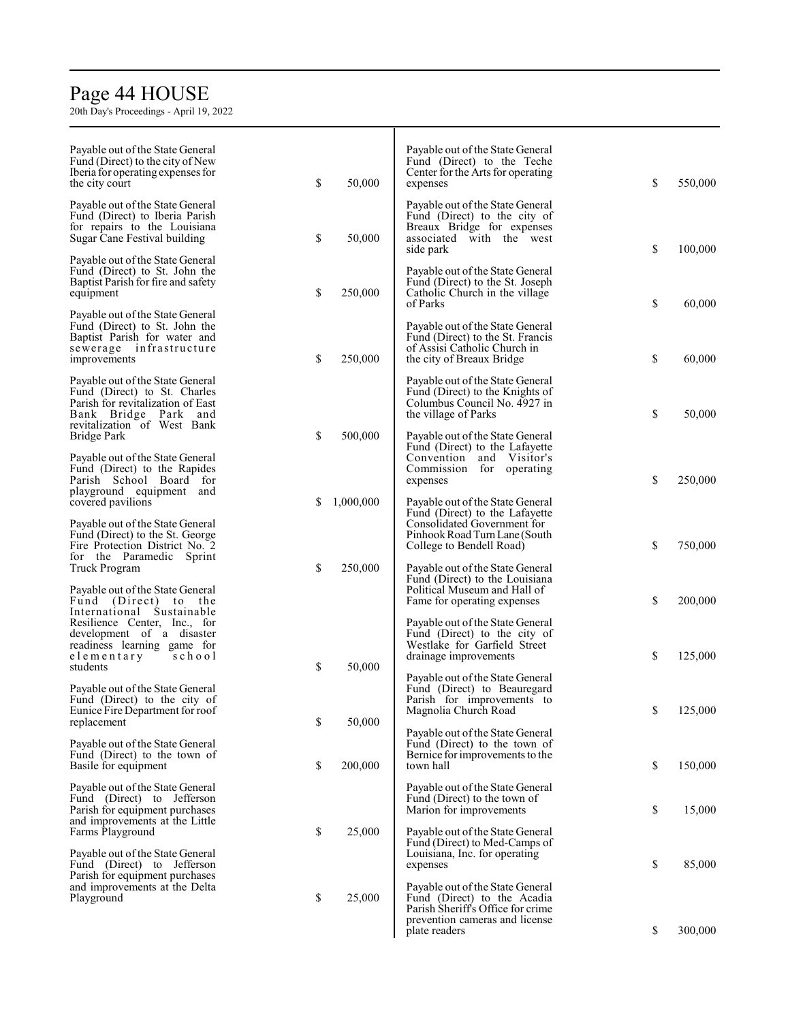# Page 4 4 HOUSE

| Payable out of the State General<br>Fund (Direct) to the city of New                                                                                         |    |           | Payable out of the State General<br>Fund (Direct) to the Teche                                                                                          |               |
|--------------------------------------------------------------------------------------------------------------------------------------------------------------|----|-----------|---------------------------------------------------------------------------------------------------------------------------------------------------------|---------------|
| Iberia for operating expenses for<br>the city court                                                                                                          | \$ | 50,000    | Center for the Arts for operating<br>expenses                                                                                                           | \$<br>550,000 |
| Payable out of the State General<br>Fund (Direct) to Iberia Parish<br>for repairs to the Louisiana<br>Sugar Cane Festival building                           | \$ | 50,000    | Payable out of the State General<br>Fund (Direct) to the city of<br>Breaux Bridge for expenses<br>associated with the west<br>side park                 | \$<br>100,000 |
| Payable out of the State General<br>Fund (Direct) to St. John the<br>Baptist Parish for fire and safety<br>equipment                                         | \$ | 250,000   | Payable out of the State General<br>Fund (Direct) to the St. Joseph<br>Catholic Church in the village<br>of Parks                                       | \$<br>60,000  |
| Payable out of the State General<br>Fund (Direct) to St. John the<br>Baptist Parish for water and<br>sewerage infrastructure<br>improvements                 | \$ | 250,000   | Payable out of the State General<br>Fund (Direct) to the St. Francis<br>of Assisi Catholic Church in<br>the city of Breaux Bridge                       | \$<br>60,000  |
| Payable out of the State General<br>Fund (Direct) to St. Charles<br>Parish for revitalization of East<br>Bank Bridge Park and<br>revitalization of West Bank |    |           | Payable out of the State General<br>Fund (Direct) to the Knights of<br>Columbus Council No. 4927 in<br>the village of Parks                             | \$<br>50,000  |
| Bridge Park<br>Payable out of the State General<br>Fund (Direct) to the Rapides<br>Parish School Board for                                                   | \$ | 500,000   | Payable out of the State General<br>Fund (Direct) to the Lafayette<br>Convention and Visitor's<br>Commission for operating<br>expenses                  | \$<br>250,000 |
| playground equipment and<br>covered pavilions                                                                                                                | S  | 1,000,000 | Payable out of the State General<br>Fund (Direct) to the Lafayette                                                                                      |               |
| Payable out of the State General<br>Fund (Direct) to the St. George<br>Fire Protection District No. 2<br>for the Paramedic Sprint                            |    |           | Consolidated Government for<br>Pinhook Road Turn Lane (South<br>College to Bendell Road)                                                                | \$<br>750,000 |
| Truck Program<br>Payable out of the State General<br>Fund (Direct) to the<br>International Sustainable                                                       | \$ | 250,000   | Payable out of the State General<br>Fund (Direct) to the Louisiana<br>Political Museum and Hall of<br>Fame for operating expenses                       | \$<br>200,000 |
| Resilience Center, Inc., for<br>development of a disaster<br>readiness learning game for<br>elementary<br>school<br>students                                 | \$ | 50,000    | Payable out of the State General<br>Fund (Direct) to the city of<br>Westlake for Garfield Street<br>drainage improvements                               | \$<br>125,000 |
| Payable out of the State General<br>Fund (Direct) to the city of<br>Eunice Fire Department for roof                                                          |    |           | Payable out of the State General<br>Fund (Direct) to Beauregard<br>Parish for improvements to<br>Magnolia Church Road                                   | \$<br>125,000 |
| replacement<br>Payable out of the State General                                                                                                              | \$ | 50,000    | Payable out of the State General<br>Fund (Direct) to the town of                                                                                        |               |
| Fund (Direct) to the town of<br>Basile for equipment                                                                                                         | \$ | 200,000   | Bernice for improvements to the<br>town hall                                                                                                            | \$<br>150,000 |
| Payable out of the State General<br>Fund (Direct) to Jefferson<br>Parish for equipment purchases<br>and improvements at the Little                           |    | 25,000    | Payable out of the State General<br>Fund (Direct) to the town of<br>Marion for improvements                                                             | \$<br>15,000  |
| Farms Playground<br>Payable out of the State General<br>Fund (Direct) to Jefferson<br>Parish for equipment purchases                                         | \$ |           | Payable out of the State General<br>Fund (Direct) to Med-Camps of<br>Louisiana, Inc. for operating<br>expenses                                          | \$<br>85,000  |
| and improvements at the Delta<br>Playground                                                                                                                  | \$ | 25,000    | Payable out of the State General<br>Fund (Direct) to the Acadia<br>Parish Sheriff's Office for crime<br>prevention cameras and license<br>plate readers | \$<br>300,000 |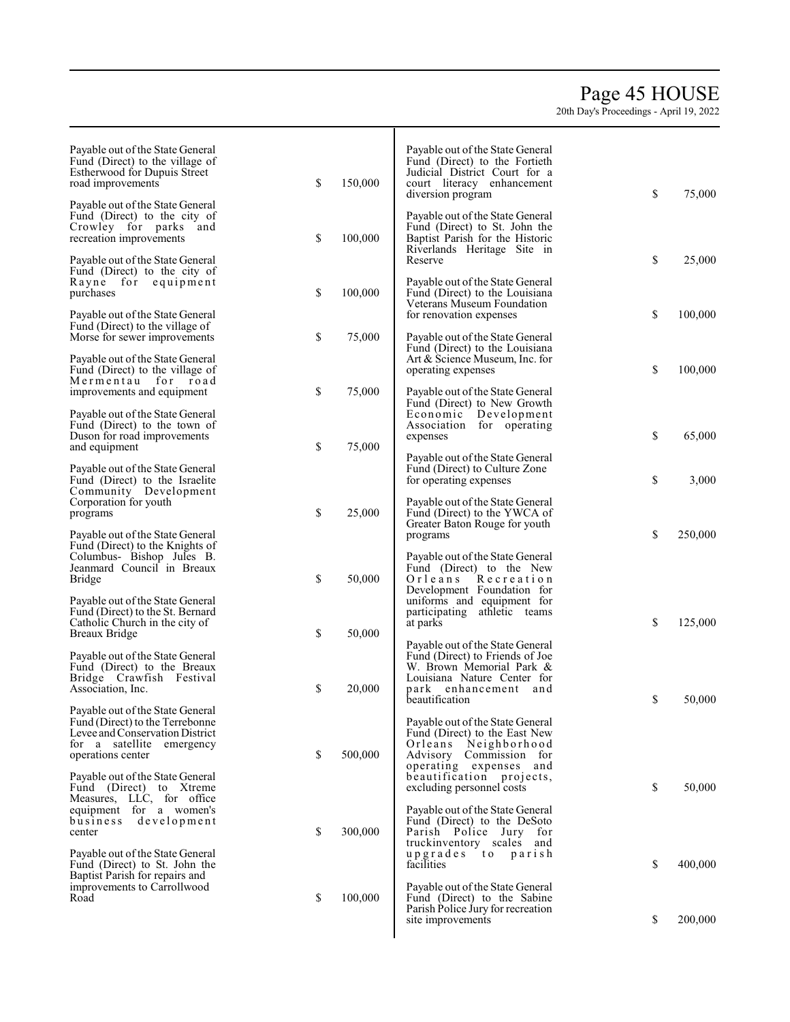## Page 4 5 HOUSE

| Payable out of the State General<br>Fund (Direct) to the village of<br>Estherwood for Dupuis Street<br>road improvements | \$<br>150,000 | Payable out of the State General<br>Fund (Direct) to the Fortieth<br>Judicial District Court for a<br>court literacy enhancement<br>diversion program | \$<br>75,000  |
|--------------------------------------------------------------------------------------------------------------------------|---------------|-------------------------------------------------------------------------------------------------------------------------------------------------------|---------------|
| Payable out of the State General<br>Fund (Direct) to the city of<br>Crowley for parks and<br>recreation improvements     | \$<br>100,000 | Payable out of the State General<br>Fund (Direct) to St. John the<br>Baptist Parish for the Historic<br>Riverlands Heritage Site in                   |               |
| Payable out of the State General<br>Fund (Direct) to the city of<br>Rayne for<br>equipment<br>purchases                  | \$<br>100,000 | Reserve<br>Payable out of the State General<br>Fund (Direct) to the Louisiana                                                                         | \$<br>25,000  |
| Payable out of the State General<br>Fund (Direct) to the village of<br>Morse for sewer improvements                      | \$<br>75,000  | Veterans Museum Foundation<br>for renovation expenses<br>Payable out of the State General                                                             | \$<br>100,000 |
| Payable out of the State General<br>Fund (Direct) to the village of                                                      |               | Fund (Direct) to the Louisiana<br>Art & Science Museum, Inc. for<br>operating expenses                                                                | \$<br>100,000 |
| Mermentau for road<br>improvements and equipment<br>Payable out of the State General                                     | \$<br>75,000  | Payable out of the State General<br>Fund (Direct) to New Growth<br>Development<br>Economic                                                            |               |
| Fund (Direct) to the town of<br>Duson for road improvements<br>and equipment                                             | \$<br>75,000  | Association for operating<br>expenses<br>Payable out of the State General                                                                             | \$<br>65,000  |
| Payable out of the State General<br>Fund (Direct) to the Israelite<br>Community Development                              |               | Fund (Direct) to Culture Zone<br>for operating expenses                                                                                               | \$<br>3,000   |
| Corporation for youth<br>programs<br>Payable out of the State General                                                    | \$<br>25,000  | Payable out of the State General<br>Fund (Direct) to the YWCA of<br>Greater Baton Rouge for youth<br>programs                                         | \$<br>250,000 |
| Fund (Direct) to the Knights of<br>Columbus- Bishop Jules B.<br>Jeanmard Council in Breaux<br>Bridge                     | \$<br>50,000  | Payable out of the State General<br>Fund (Direct) to the New<br>Orleans<br>Recreation<br>Development Foundation for                                   |               |
| Payable out of the State General<br>Fund (Direct) to the St. Bernard<br>Catholic Church in the city of<br>Breaux Bridge  | \$<br>50,000  | uniforms and equipment for<br>participating athletic teams<br>at parks                                                                                | \$<br>125,000 |
| Payable out of the State General<br>Fund (Direct) to the Breaux<br>Bridge Crawfish Festival                              |               | Payable out of the State General<br>Fund (Direct) to Friends of Joe<br>W. Brown Memorial Park &<br>Louisiana Nature Center for                        |               |
| Association, Inc.<br>Payable out of the State General                                                                    | \$<br>20,000  | park<br>enhancement and<br>beautification                                                                                                             | \$<br>50,000  |
| Fund (Direct) to the Terrebonne<br>Levee and Conservation District<br>for a satellite emergency<br>operations center     | \$<br>500,000 | Payable out of the State General<br>Fund (Direct) to the East New<br>Orleans Neighborhood<br>Advisory Commission for<br>operating expenses and        |               |
| Payable out of the State General<br>Fund (Direct) to Xtreme<br>Measures, LLC, for office<br>equipment for a women's      |               | beautification projects,<br>excluding personnel costs<br>Payable out of the State General                                                             | \$<br>50,000  |
| development<br>business<br>center<br>Payable out of the State General                                                    | \$<br>300,000 | Fund (Direct) to the DeSoto<br>Parish Police Jury for<br>truckinventory scales and<br>upgrades to parish                                              |               |
| Fund (Direct) to St. John the<br>Baptist Parish for repairs and<br>improvements to Carrollwood                           |               | facilities<br>Payable out of the State General                                                                                                        | \$<br>400,000 |
| Road                                                                                                                     | \$<br>100,000 | Fund (Direct) to the Sabine<br>Parish Police Jury for recreation<br>site improvements                                                                 | \$<br>200,000 |
|                                                                                                                          |               |                                                                                                                                                       |               |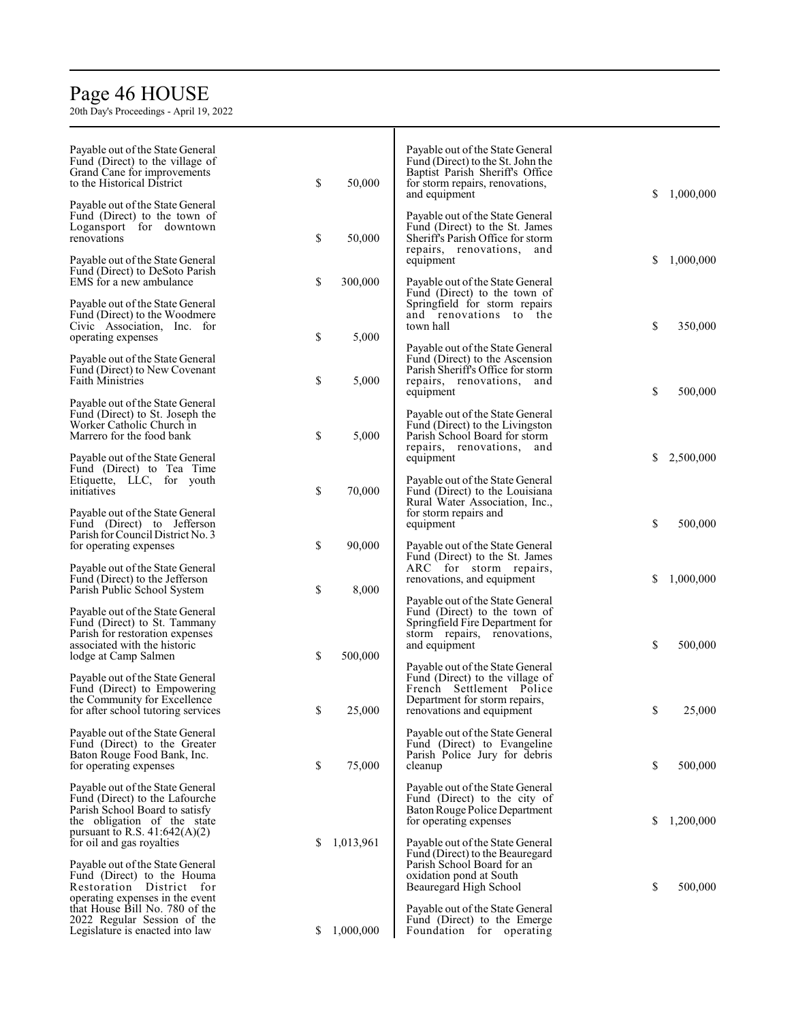# Page 4 6 HOUSE

20th Da y's Pro c e edings - Apri l 19, 2022

| Payable out of the State General<br>Fund (Direct) to the village of<br>Grand Cane for improvements<br>to the Historical District<br>Payable out of the State General   | \$ | 50,000    | Payable out of the State General<br>Fund (Direct) to the St. John the<br>Baptist Parish Sheriff's Office<br>for storm repairs, renovations,<br>and equipment  | \$ | 1,000,000 |
|------------------------------------------------------------------------------------------------------------------------------------------------------------------------|----|-----------|---------------------------------------------------------------------------------------------------------------------------------------------------------------|----|-----------|
| Fund (Direct) to the town of<br>Logansport for downtown<br>renovations                                                                                                 | \$ | 50,000    | Payable out of the State General<br>Fund (Direct) to the St. James<br>Sheriff's Parish Office for storm<br>repairs, renovations, and                          |    |           |
| Payable out of the State General<br>Fund (Direct) to DeSoto Parish<br>EMS for a new ambulance                                                                          | \$ | 300,000   | equipment<br>Payable out of the State General<br>Fund (Direct) to the town of                                                                                 | \$ | 1,000,000 |
| Payable out of the State General<br>Fund (Direct) to the Woodmere<br>Civic Association, Inc. for<br>operating expenses                                                 | \$ | 5,000     | Springfield for storm repairs<br>and renovations to the<br>town hall                                                                                          | \$ | 350,000   |
| Payable out of the State General<br>Fund (Direct) to New Covenant<br><b>Faith Ministries</b>                                                                           | \$ | 5,000     | Payable out of the State General<br>Fund (Direct) to the Ascension<br>Parish Sheriff's Office for storm<br>repairs, renovations, and                          | \$ | 500,000   |
| Payable out of the State General<br>Fund (Direct) to St. Joseph the<br>Worker Catholic Church in<br>Marrero for the food bank                                          | \$ | 5,000     | equipment<br>Payable out of the State General<br>Fund (Direct) to the Livingston<br>Parish School Board for storm<br>repairs, renovations, and                |    |           |
| Payable out of the State General<br>Fund (Direct) to Tea Time<br>Etiquette, LLC, for youth<br>initiatives                                                              | \$ | 70,000    | equipment<br>Payable out of the State General<br>Fund (Direct) to the Louisiana<br>Rural Water Association, Inc.,                                             | S  | 2,500,000 |
| Payable out of the State General<br>Fund (Direct) to Jefferson<br>Parish for Council District No. 3<br>for operating expenses                                          | \$ | 90,000    | for storm repairs and<br>equipment<br>Payable out of the State General                                                                                        | \$ | 500,000   |
| Payable out of the State General<br>Fund (Direct) to the Jefferson<br>Parish Public School System                                                                      | \$ | 8,000     | Fund (Direct) to the St. James<br>ARC for storm repairs,<br>renovations, and equipment                                                                        | \$ | 1,000,000 |
| Payable out of the State General<br>Fund (Direct) to St. Tammany<br>Parish for restoration expenses<br>associated with the historic<br>lodge at Camp Salmen            | \$ | 500,000   | Payable out of the State General<br>Fund (Direct) to the town of<br>Springfield Fire Department for<br>storm repairs, renovations,<br>and equipment           | \$ | 500,000   |
| Payable out of the State General<br>Fund (Direct) to Empowering<br>the Community for Excellence<br>for after school tutoring services                                  | \$ | 25,000    | Payable out of the State General<br>Fund (Direct) to the village of<br>French Settlement Police<br>Department for storm repairs,<br>renovations and equipment | S. | 25,000    |
| Payable out of the State General<br>Fund (Direct) to the Greater<br>Baton Rouge Food Bank, Inc.<br>for operating expenses                                              | \$ | 75,000    | Payable out of the State General<br>Fund (Direct) to Evangeline<br>Parish Police Jury for debris<br>cleanup                                                   | \$ | 500,000   |
| Payable out of the State General<br>Fund (Direct) to the Lafourche<br>Parish School Board to satisfy<br>the obligation of the state<br>pursuant to R.S. $41:642(A)(2)$ |    |           | Payable out of the State General<br>Fund (Direct) to the city of<br>Baton Rouge Police Department<br>for operating expenses                                   | \$ | 1,200,000 |
| for oil and gas royalties<br>Payable out of the State General<br>Fund (Direct) to the Houma<br>Restoration District for                                                | S  | 1,013,961 | Payable out of the State General<br>Fund (Direct) to the Beauregard<br>Parish School Board for an<br>oxidation pond at South<br>Beauregard High School        | \$ | 500,000   |
| operating expenses in the event<br>that House Bill No. 780 of the<br>2022 Regular Session of the<br>Legislature is enacted into law                                    | S  | 1,000,000 | Payable out of the State General<br>Fund (Direct) to the Emerge<br>Foundation for operating                                                                   |    |           |

Т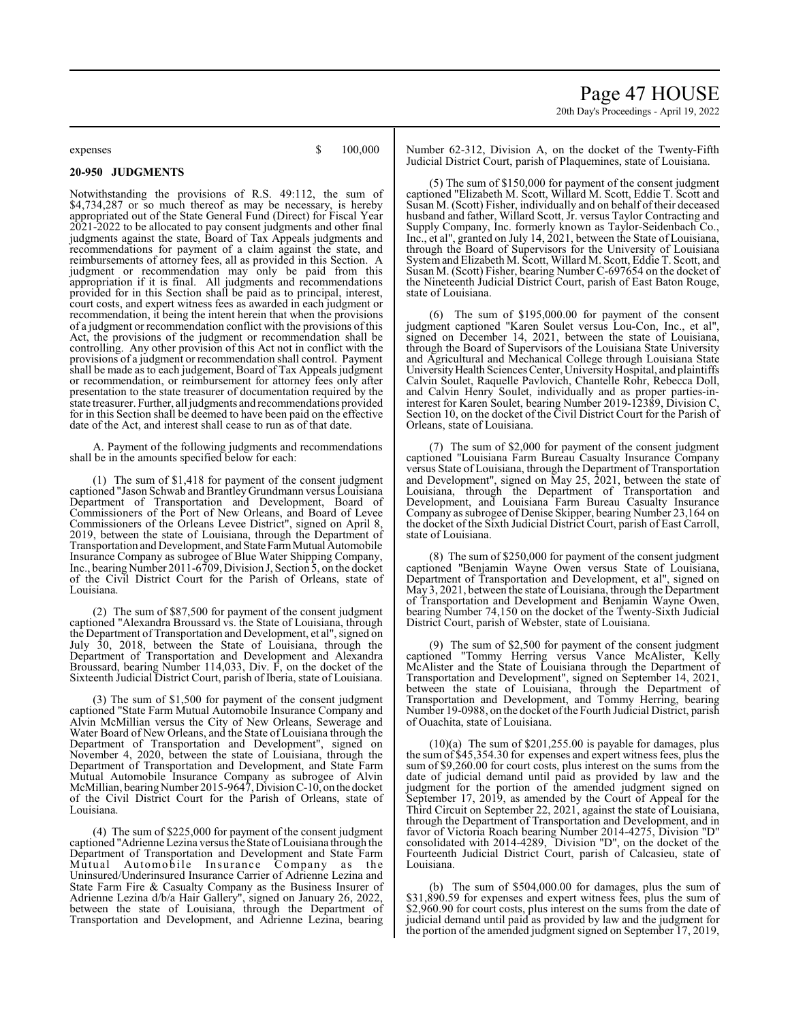Page 47 HOUSE 20th Day's Proceedings - April 19, 2022

expenses  $$ 100,000$ 

**20-950 JUDGMENTS**

Notwithstanding the provisions of R.S. 49:112, the sum of \$4,734,287 or so much thereof as may be necessary, is hereby appropriated out of the State General Fund (Direct) for Fiscal Year 2021-2022 to be allocated to pay consent judgments and other final judgments against the state, Board of Tax Appeals judgments and recommendations for payment of a claim against the state, and reimbursements of attorney fees, all as provided in this Section. A judgment or recommendation may only be paid from this appropriation if it is final. All judgments and recommendations provided for in this Section shall be paid as to principal, interest, court costs, and expert witness fees as awarded in each judgment or recommendation, it being the intent herein that when the provisions of a judgment or recommendation conflict with the provisions of this Act, the provisions of the judgment or recommendation shall be controlling. Any other provision of this Act not in conflict with the provisions of a judgment or recommendation shall control. Payment shall be made as to each judgement, Board of Tax Appeals judgment or recommendation, or reimbursement for attorney fees only after presentation to the state treasurer of documentation required by the state treasurer. Further, all judgments and recommendations provided for in this Section shall be deemed to have been paid on the effective date of the Act, and interest shall cease to run as of that date.

A. Payment of the following judgments and recommendations shall be in the amounts specified below for each:

(1) The sum of \$1,418 for payment of the consent judgment captioned "Jason Schwab and Brantley Grundmann versus Louisiana Department of Transportation and Development, Board of Commissioners of the Port of New Orleans, and Board of Levee Commissioners of the Orleans Levee District", signed on April 8, 2019, between the state of Louisiana, through the Department of Transportation and Development, and State Farm Mutual Automobile Insurance Company as subrogee of Blue Water Shipping Company, Inc., bearing Number 2011-6709, Division J, Section 5, on the docket of the Civil District Court for the Parish of Orleans, state of Louisiana.

(2) The sum of \$87,500 for payment of the consent judgment captioned "Alexandra Broussard vs. the State of Louisiana, through the Department of Transportation and Development, et al", signed on July 30, 2018, between the State of Louisiana, through the Department of Transportation and Development and Alexandra Broussard, bearing Number 114,033, Div. F, on the docket of the Sixteenth Judicial District Court, parish of Iberia, state of Louisiana.

(3) The sum of \$1,500 for payment of the consent judgment captioned "State Farm Mutual Automobile Insurance Company and Alvin McMillian versus the City of New Orleans, Sewerage and Water Board of New Orleans, and the State of Louisiana through the Department of Transportation and Development", signed on November 4, 2020, between the state of Louisiana, through the Department of Transportation and Development, and State Farm Mutual Automobile Insurance Company as subrogee of Alvin McMillian, bearing Number 2015-9647, Division C-10, on the docket of the Civil District Court for the Parish of Orleans, state of Louisiana.

(4) The sum of \$225,000 for payment of the consent judgment captioned "Adrienne Lezina versus the State of Louisiana through the Department of Transportation and Development and State Farm Automobile Insurance Company as the Uninsured/Underinsured Insurance Carrier of Adrienne Lezina and State Farm Fire & Casualty Company as the Business Insurer of Adrienne Lezina d/b/a Hair Gallery", signed on January 26, 2022, between the state of Louisiana, through the Department of Transportation and Development, and Adrienne Lezina, bearing

Number 62-312, Division A, on the docket of the Twenty-Fifth Judicial District Court, parish of Plaquemines, state of Louisiana.

(5) The sum of \$150,000 for payment of the consent judgment captioned "Elizabeth M. Scott, Willard M. Scott, Eddie T. Scott and Susan M. (Scott) Fisher, individually and on behalf of their deceased husband and father, Willard Scott, Jr. versus Taylor Contracting and Supply Company, Inc. formerly known as Taylor-Seidenbach Co., Inc., et al", granted on July 14, 2021, between the State of Louisiana, through the Board of Supervisors for the University of Louisiana Systemand Elizabeth M. Scott, Willard M. Scott, Eddie T. Scott, and Susan M. (Scott) Fisher, bearing Number C-697654 on the docket of the Nineteenth Judicial District Court, parish of East Baton Rouge, state of Louisiana.

(6) The sum of \$195,000.00 for payment of the consent judgment captioned "Karen Soulet versus Lou-Con, Inc., et al", signed on December 14, 2021, between the state of Louisiana, through the Board of Supervisors of the Louisiana State University and Agricultural and Mechanical College through Louisiana State University Health Sciences Center, University Hospital, and plaintiffs Calvin Soulet, Raquelle Pavlovich, Chantelle Rohr, Rebecca Doll, and Calvin Henry Soulet, individually and as proper parties-ininterest for Karen Soulet, bearing Number 2019-12389, Division C, Section 10, on the docket of the Civil District Court for the Parish of Orleans, state of Louisiana.

(7) The sum of \$2,000 for payment of the consent judgment captioned "Louisiana Farm Bureau Casualty Insurance Company versus State of Louisiana, through the Department of Transportation and Development", signed on May 25, 2021, between the state of Louisiana, through the Department of Transportation and Development, and Louisiana Farm Bureau Casualty Insurance Company as subrogee of Denise Skipper, bearing Number 23,164 on the docket of the Sixth Judicial District Court, parish of East Carroll, state of Louisiana.

(8) The sum of \$250,000 for payment of the consent judgment captioned "Benjamin Wayne Owen versus State of Louisiana, Department of Transportation and Development, et al", signed on May 3, 2021, between the state of Louisiana, through the Department of Transportation and Development and Benjamin Wayne Owen, bearing Number 74,150 on the docket of the Twenty-Sixth Judicial District Court, parish of Webster, state of Louisiana.

(9) The sum of \$2,500 for payment of the consent judgment captioned "Tommy Herring versus Vance McAlister, Kelly McAlister and the State of Louisiana through the Department of Transportation and Development", signed on September 14, 2021, between the state of Louisiana, through the Department of Transportation and Development, and Tommy Herring, bearing Number 19-0988, on the docket of the Fourth Judicial District, parish of Ouachita, state of Louisiana.

(10)(a) The sum of \$201,255.00 is payable for damages, plus the sum of \$45,354.30 for expenses and expert witness fees, plus the sum of \$9,260.00 for court costs, plus interest on the sums from the date of judicial demand until paid as provided by law and the judgment for the portion of the amended judgment signed on September 17, 2019, as amended by the Court of Appeal for the Third Circuit on September 22, 2021, against the state of Louisiana, through the Department of Transportation and Development, and in favor of Victoria Roach bearing Number 2014-4275, Division "D" consolidated with 2014-4289, Division "D", on the docket of the Fourteenth Judicial District Court, parish of Calcasieu, state of Louisiana.

(b) The sum of \$504,000.00 for damages, plus the sum of \$31,890.59 for expenses and expert witness fees, plus the sum of \$2,960.90 for court costs, plus interest on the sums from the date of judicial demand until paid as provided by law and the judgment for the portion of the amended judgment signed on September 17, 2019,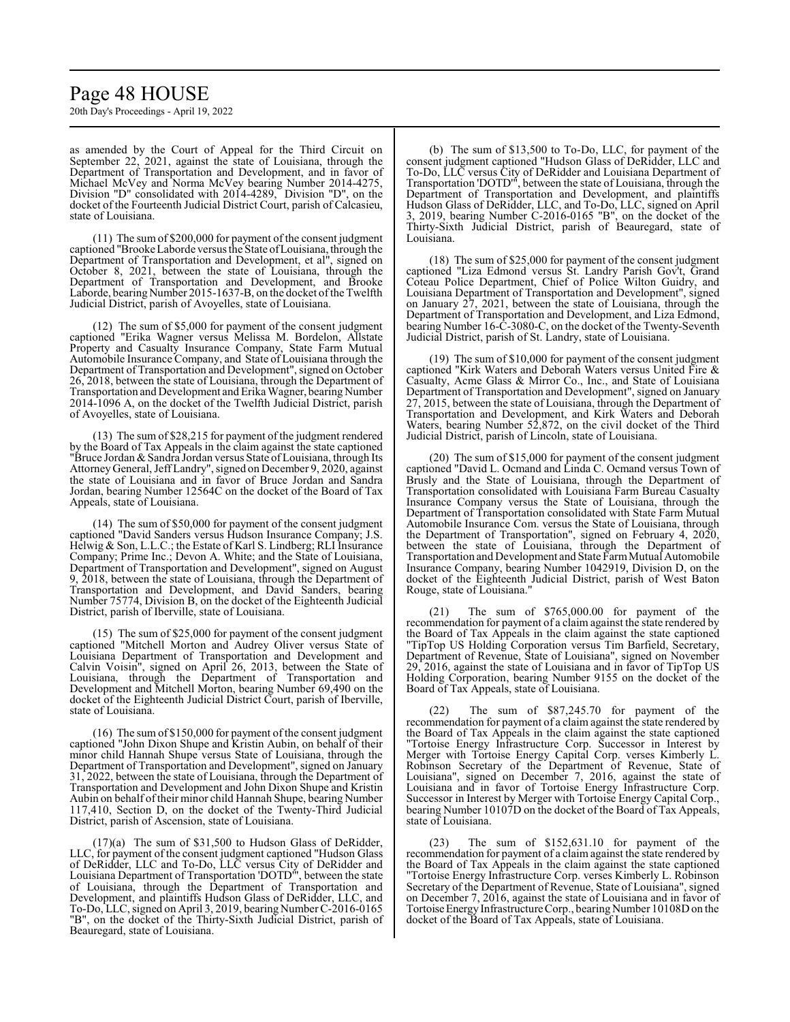## Page 48 HOUSE

20th Day's Proceedings - April 19, 2022

as amended by the Court of Appeal for the Third Circuit on September 22, 2021, against the state of Louisiana, through the Department of Transportation and Development, and in favor of Michael McVey and Norma McVey bearing Number 2014-4275, Division "D" consolidated with 2014-4289, Division "D", on the docket of the Fourteenth Judicial District Court, parish of Calcasieu, state of Louisiana.

(11) The sum of \$200,000 for payment of the consent judgment captioned "BrookeLaborde versus the State ofLouisiana, through the Department of Transportation and Development, et al", signed on October 8, 2021, between the state of Louisiana, through the Department of Transportation and Development, and Brooke Laborde, bearing Number 2015-1637-B, on the docket of the Twelfth Judicial District, parish of Avoyelles, state of Louisiana.

(12) The sum of \$5,000 for payment of the consent judgment captioned "Erika Wagner versus Melissa M. Bordelon, Allstate Property and Casualty Insurance Company, State Farm Mutual Automobile Insurance Company, and State of Louisiana through the Department of Transportation and Development", signed on October 26, 2018, between the state of Louisiana, through the Department of Transportation and Development and Erika Wagner, bearing Number 2014-1096 A, on the docket of the Twelfth Judicial District, parish of Avoyelles, state of Louisiana.

(13) The sum of \$28,215 for payment of the judgment rendered by the Board of Tax Appeals in the claim against the state captioned "Bruce Jordan & Sandra Jordan versus State of Louisiana, through Its Attorney General, JeffLandry", signed on December 9, 2020, against the state of Louisiana and in favor of Bruce Jordan and Sandra Jordan, bearing Number 12564C on the docket of the Board of Tax Appeals, state of Louisiana.

(14) The sum of \$50,000 for payment of the consent judgment captioned "David Sanders versus Hudson Insurance Company; J.S. Helwig & Son, L.L.C.; the Estate of Karl S. Lindberg; RLI Insurance Company; Prime Inc.; Devon A. White; and the State of Louisiana, Department of Transportation and Development", signed on August 9, 2018, between the state of Louisiana, through the Department of Transportation and Development, and David Sanders, bearing Number 75774, Division B, on the docket of the Eighteenth Judicial District, parish of Iberville, state of Louisiana.

(15) The sum of \$25,000 for payment of the consent judgment captioned "Mitchell Morton and Audrey Oliver versus State of Louisiana Department of Transportation and Development and Calvin Voisin", signed on April 26, 2013, between the State of Louisiana, through the Department of Transportation and Development and Mitchell Morton, bearing Number 69,490 on the docket of the Eighteenth Judicial District Court, parish of Iberville, state of Louisiana.

(16) The sum of \$150,000 for payment of the consent judgment captioned "John Dixon Shupe and Kristin Aubin, on behalf of their minor child Hannah Shupe versus State of Louisiana, through the Department of Transportation and Development", signed on January 31, 2022, between the state of Louisiana, through the Department of Transportation and Development and John Dixon Shupe and Kristin Aubin on behalf of their minor child Hannah Shupe, bearing Number 117,410, Section D, on the docket of the Twenty-Third Judicial District, parish of Ascension, state of Louisiana.

(17)(a) The sum of \$31,500 to Hudson Glass of DeRidder, LLC, for payment of the consent judgment captioned "Hudson Glass of DeRidder, LLC and To-Do, LLC versus City of DeRidder and Louisiana Department of Transportation 'DOTD'", between the state of Louisiana, through the Department of Transportation and Development, and plaintiffs Hudson Glass of DeRidder, LLC, and To-Do, LLC, signed on April 3, 2019, bearing Number C-2016-0165 "B", on the docket of the Thirty-Sixth Judicial District, parish of Beauregard, state of Louisiana.

(b) The sum of \$13,500 to To-Do, LLC, for payment of the consent judgment captioned "Hudson Glass of DeRidder, LLC and To-Do, LLC versus City of DeRidder and Louisiana Department of Transportation 'DOTD'", between the state of Louisiana, through the Department of Transportation and Development, and plaintiffs Hudson Glass of DeRidder, LLC, and To-Do, LLC, signed on April 3, 2019, bearing Number C-2016-0165 "B", on the docket of the Thirty-Sixth Judicial District, parish of Beauregard, state of Louisiana.

(18) The sum of \$25,000 for payment of the consent judgment captioned "Liza Edmond versus St. Landry Parish Gov't, Grand Coteau Police Department, Chief of Police Wilton Guidry, and Louisiana Department of Transportation and Development", signed on January 27, 2021, between the state of Louisiana, through the Department of Transportation and Development, and Liza Edmond, bearing Number 16-C-3080-C, on the docket of the Twenty-Seventh Judicial District, parish of St. Landry, state of Louisiana.

(19) The sum of \$10,000 for payment of the consent judgment captioned "Kirk Waters and Deborah Waters versus United Fire & Casualty, Acme Glass & Mirror Co., Inc., and State of Louisiana Department of Transportation and Development", signed on January 27, 2015, between the state of Louisiana, through the Department of Transportation and Development, and Kirk Waters and Deborah Waters, bearing Number 52,872, on the civil docket of the Third Judicial District, parish of Lincoln, state of Louisiana.

(20) The sum of \$15,000 for payment of the consent judgment captioned "David L. Ocmand and Linda C. Ocmand versus Town of Brusly and the State of Louisiana, through the Department of Transportation consolidated with Louisiana Farm Bureau Casualty Insurance Company versus the State of Louisiana, through the Department of Transportation consolidated with State Farm Mutual Automobile Insurance Com. versus the State of Louisiana, through the Department of Transportation", signed on February 4, 2020, between the state of Louisiana, through the Department of Transportation and Development and State Farm Mutual Automobile Insurance Company, bearing Number 1042919, Division D, on the docket of the Eighteenth Judicial District, parish of West Baton Rouge, state of Louisiana."

(21) The sum of \$765,000.00 for payment of the recommendation for payment of a claim against the state rendered by the Board of Tax Appeals in the claim against the state captioned "TipTop US Holding Corporation versus Tim Barfield, Secretary, Department of Revenue, State of Louisiana", signed on November 2016, against the state of Louisiana and in favor of TipTop US Holding Corporation, bearing Number 9155 on the docket of the Board of Tax Appeals, state of Louisiana.

(22) The sum of \$87,245.70 for payment of the recommendation for payment of a claim against the state rendered by the Board of Tax Appeals in the claim against the state captioned "Tortoise Energy Infrastructure Corp. Successor in Interest by Merger with Tortoise Energy Capital Corp. verses Kimberly L. Robinson Secretary of the Department of Revenue, State of Louisiana", signed on December 7, 2016, against the state of Louisiana and in favor of Tortoise Energy Infrastructure Corp. Successor in Interest by Merger with Tortoise Energy Capital Corp., bearing Number 10107D on the docket of the Board of Tax Appeals, state of Louisiana.

(23) The sum of \$152,631.10 for payment of the recommendation for payment of a claim against the state rendered by the Board of Tax Appeals in the claim against the state captioned "Tortoise Energy Infrastructure Corp. verses Kimberly L. Robinson Secretary of the Department of Revenue, State of Louisiana", signed on December 7, 2016, against the state of Louisiana and in favor of Tortoise Energy Infrastructure Corp., bearing Number 10108D on the docket of the Board of Tax Appeals, state of Louisiana.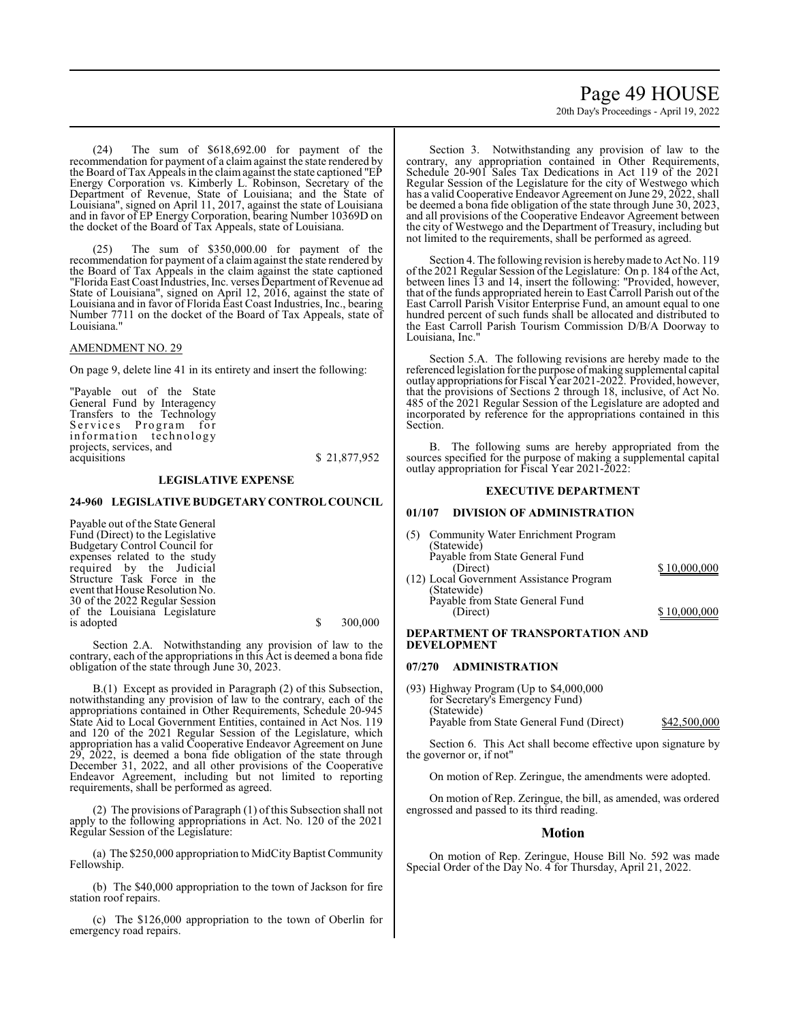20th Day's Proceedings - April 19, 2022

(24) The sum of \$618,692.00 for payment of the recommendation for payment of a claim against the state rendered by the Board of Tax Appeals in the claimagainst the state captioned "EP Energy Corporation vs. Kimberly L. Robinson, Secretary of the Department of Revenue, State of Louisiana; and the State of Louisiana", signed on April 11, 2017, against the state of Louisiana and in favor of EP Energy Corporation, bearing Number 10369D on the docket of the Board of Tax Appeals, state of Louisiana.

(25) The sum of \$350,000.00 for payment of the recommendation for payment of a claim against the state rendered by the Board of Tax Appeals in the claim against the state captioned "Florida East Coast Industries, Inc. verses Department of Revenue ad State of Louisiana", signed on April 12, 2016, against the state of Louisiana and in favor of Florida East Coast Industries, Inc., bearing Number 7711 on the docket of the Board of Tax Appeals, state of Louisiana."

#### AMENDMENT NO. 29

On page 9, delete line 41 in its entirety and insert the following:

"Payable out of the State General Fund by Interagency Transfers to the Technology Services Program for information technology projects, services, and

#### \$ 21,877,952

#### **LEGISLATIVE EXPENSE**

#### **24-960 LEGISLATIVE BUDGETARY CONTROL COUNCIL**

Payable out of the State General Fund (Direct) to the Legislative Budgetary Control Council for expenses related to the study required by the Judicial Structure Task Force in the event that House Resolution No. 30 of the 2022 Regular Session of the Louisiana Legislature  $\frac{1}{\sqrt{2}}$  is adopted  $\frac{1}{\sqrt{2}}$  300,000

Section 2.A. Notwithstanding any provision of law to the contrary, each of the appropriations in this Act is deemed a bona fide obligation of the state through June 30, 2023.

B.(1) Except as provided in Paragraph (2) of this Subsection, notwithstanding any provision of law to the contrary, each of the appropriations contained in Other Requirements, Schedule 20-945 State Aid to Local Government Entities, contained in Act Nos. 119 and 120 of the 2021 Regular Session of the Legislature, which appropriation has a valid Cooperative Endeavor Agreement on June 29, 2022, is deemed a bona fide obligation of the state through December 31, 2022, and all other provisions of the Cooperative Endeavor Agreement, including but not limited to reporting requirements, shall be performed as agreed.

(2) The provisions of Paragraph (1) of this Subsection shall not apply to the following appropriations in Act. No. 120 of the 2021 Regular Session of the Legislature:

(a) The \$250,000 appropriation to MidCity Baptist Community Fellowship.

(b) The \$40,000 appropriation to the town of Jackson for fire station roof repairs.

(c) The \$126,000 appropriation to the town of Oberlin for emergency road repairs.

Section 3. Notwithstanding any provision of law to the contrary, any appropriation contained in Other Requirements, Schedule 20-901 Sales Tax Dedications in Act 119 of the 2021 Regular Session of the Legislature for the city of Westwego which has a valid Cooperative Endeavor Agreement on June 29, 2022, shall be deemed a bona fide obligation of the state through June 30, 2023, and all provisions of the Cooperative Endeavor Agreement between the city of Westwego and the Department of Treasury, including but not limited to the requirements, shall be performed as agreed.

Section 4. The following revision is herebymade to Act No. 119 of the 2021 Regular Session of the Legislature: On p. 184 of the Act, between lines 13 and 14, insert the following: "Provided, however, that of the funds appropriated herein to East Carroll Parish out of the East Carroll Parish Visitor Enterprise Fund, an amount equal to one hundred percent of such funds shall be allocated and distributed to the East Carroll Parish Tourism Commission D/B/A Doorway to Louisiana, Inc."

Section 5.A. The following revisions are hereby made to the referenced legislation for the purpose ofmaking supplemental capital outlay appropriations for Fiscal Year 2021-2022. Provided, however, that the provisions of Sections 2 through 18, inclusive, of Act No. 485 of the 2021 Regular Session of the Legislature are adopted and incorporated by reference for the appropriations contained in this Section.

B. The following sums are hereby appropriated from the sources specified for the purpose of making a supplemental capital outlay appropriation for Fiscal Year 2021-2022:

#### **EXECUTIVE DEPARTMENT**

#### **01/107 DIVISION OF ADMINISTRATION**

(5) Community Water Enrichment Program (Statewide) Payable from State General Fund<br>(Direct) \$ 10,000,000 (12) Local Government Assistance Program (Statewide) Payable from State General Fund<br>(Direct) \$ 10,000,000

#### **DEPARTMENT OF TRANSPORTATION AND DEVELOPMENT**

#### **07/270 ADMINISTRATION**

(93) Highway Program (Up to \$4,000,000 for Secretary's Emergency Fund) (Statewide) Payable from State General Fund (Direct) \$42,500,000

Section 6. This Act shall become effective upon signature by the governor or, if not"

On motion of Rep. Zeringue, the amendments were adopted.

On motion of Rep. Zeringue, the bill, as amended, was ordered engrossed and passed to its third reading.

#### **Motion**

On motion of Rep. Zeringue, House Bill No. 592 was made Special Order of the Day No. 4 for Thursday, April 21, 2022.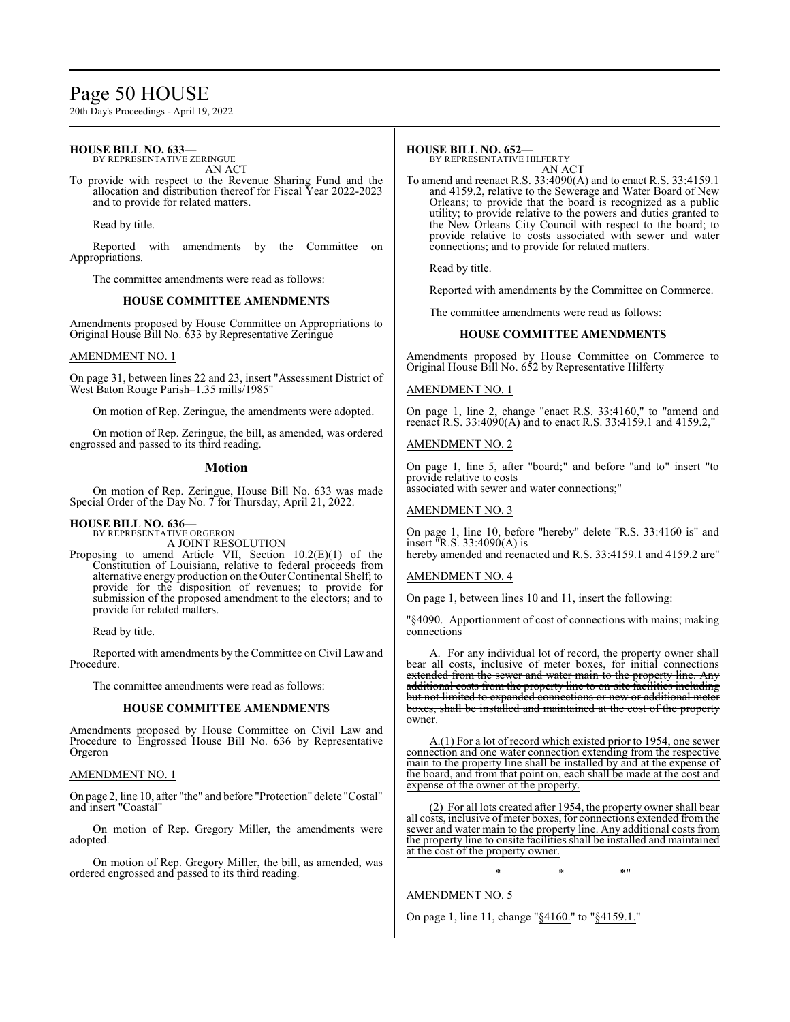## Page 50 HOUSE

20th Day's Proceedings - April 19, 2022

#### **HOUSE BILL NO. 633—** BY REPRESENTATIVE ZERINGUE

AN ACT

To provide with respect to the Revenue Sharing Fund and the allocation and distribution thereof for Fiscal Year 2022-2023 and to provide for related matters.

Read by title.

Reported with amendments by the Committee on Appropriations.

The committee amendments were read as follows:

#### **HOUSE COMMITTEE AMENDMENTS**

Amendments proposed by House Committee on Appropriations to Original House Bill No. 633 by Representative Zeringue

#### AMENDMENT NO. 1

On page 31, between lines 22 and 23, insert "Assessment District of West Baton Rouge Parish–1.35 mills/1985"

On motion of Rep. Zeringue, the amendments were adopted.

On motion of Rep. Zeringue, the bill, as amended, was ordered engrossed and passed to its third reading.

#### **Motion**

On motion of Rep. Zeringue, House Bill No. 633 was made Special Order of the Day No. 7 for Thursday, April 21, 2022.

#### **HOUSE BILL NO. 636—**

BY REPRESENTATIVE ORGERON A JOINT RESOLUTION

Proposing to amend Article VII, Section 10.2(E)(1) of the Constitution of Louisiana, relative to federal proceeds from alternative energy production on theOuter Continental Shelf; to provide for the disposition of revenues; to provide for submission of the proposed amendment to the electors; and to provide for related matters.

Read by title.

Reported with amendments by the Committee on Civil Law and Procedure.

The committee amendments were read as follows:

#### **HOUSE COMMITTEE AMENDMENTS**

Amendments proposed by House Committee on Civil Law and Procedure to Engrossed House Bill No. 636 by Representative Orgeron

#### AMENDMENT NO. 1

On page 2, line 10, after "the" and before "Protection" delete "Costal" and insert "Coastal"

On motion of Rep. Gregory Miller, the amendments were adopted.

On motion of Rep. Gregory Miller, the bill, as amended, was ordered engrossed and passed to its third reading.

## **HOUSE BILL NO. 652—**

BY REPRESENTATIVE HILFERTY AN ACT

To amend and reenact R.S. 33:4090(A) and to enact R.S. 33:4159.1 and 4159.2, relative to the Sewerage and Water Board of New Orleans; to provide that the board is recognized as a public utility; to provide relative to the powers and duties granted to the New Orleans City Council with respect to the board; to provide relative to costs associated with sewer and water connections; and to provide for related matters.

Read by title.

Reported with amendments by the Committee on Commerce.

The committee amendments were read as follows:

#### **HOUSE COMMITTEE AMENDMENTS**

Amendments proposed by House Committee on Commerce to Original House Bill No. 652 by Representative Hilferty

#### AMENDMENT NO. 1

On page 1, line 2, change "enact R.S. 33:4160," to "amend and reenact R.S. 33:4090(A) and to enact R.S. 33:4159.1 and 4159.2,

#### AMENDMENT NO. 2

On page 1, line 5, after "board;" and before "and to" insert "to provide relative to costs associated with sewer and water connections;"

#### AMENDMENT NO. 3

On page 1, line 10, before "hereby" delete "R.S. 33:4160 is" and insert "R.S. 33:4090(A) is hereby amended and reenacted and R.S. 33:4159.1 and 4159.2 are"

#### AMENDMENT NO. 4

On page 1, between lines 10 and 11, insert the following:

"§4090. Apportionment of cost of connections with mains; making connections

For any individual lot of record, the property owner shall bear all costs, inclusive of meter boxes, for initial connections extended from the sewer and water main to the property line. Any additional costs from the property line to on-site facilities including but not limited to expanded connections or new or additional meter boxes, shall be installed and maintained at the cost of the property owner.

A.(1) For a lot of record which existed prior to 1954, one sewer connection and one water connection extending from the respective main to the property line shall be installed by and at the expense of the board, and from that point on, each shall be made at the cost and expense of the owner of the property.

(2) For all lots created after 1954, the property owner shall bear all costs, inclusive of meter boxes, for connections extended fromthe sewer and water main to the property line. Any additional costs from the property line to onsite facilities shall be installed and maintained at the cost of the property owner.

 $*$  \*  $*$  \*

AMENDMENT NO. 5

On page 1, line 11, change "§4160." to "§4159.1."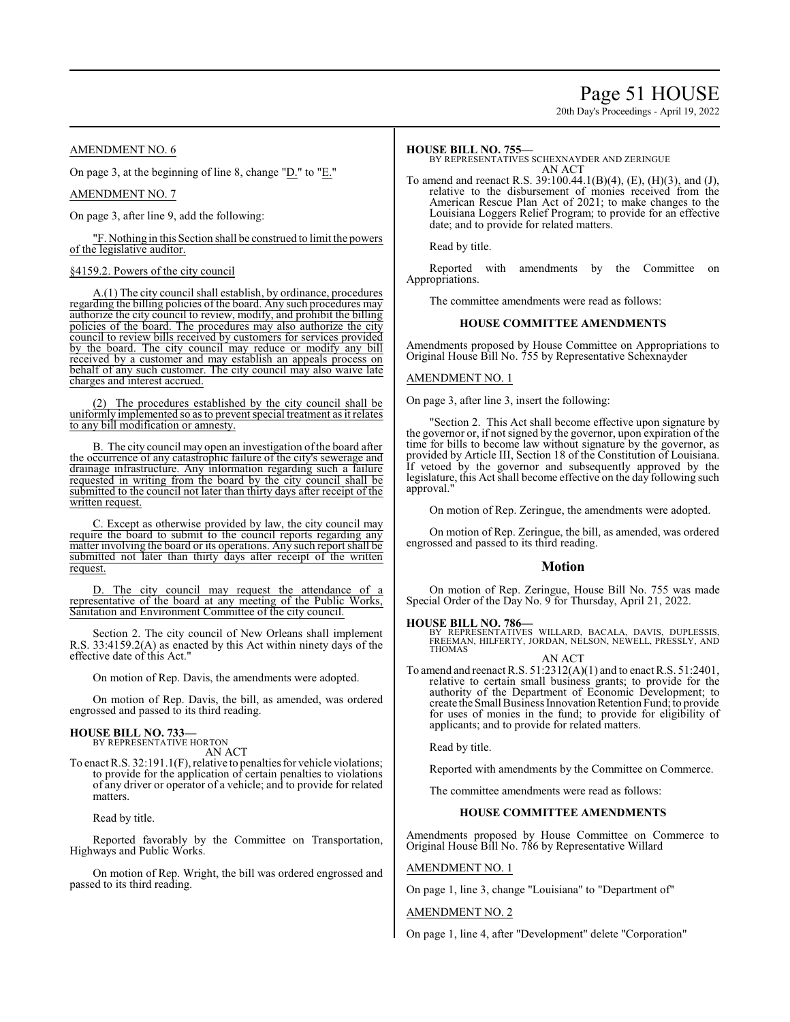## Page 51 HOUSE

20th Day's Proceedings - April 19, 2022

#### AMENDMENT NO. 6

On page 3, at the beginning of line 8, change "D." to "E."

AMENDMENT NO. 7

On page 3, after line 9, add the following:

"F. Nothing in this Section shall be construed to limit the powers of the legislative auditor.

#### §4159.2. Powers of the city council

A.(1) The city council shall establish, by ordinance, procedures regarding the billing policies of the board. Any such procedures may authorize the city council to review, modify, and prohibit the billing policies of the board. The procedures may also authorize the city council to review bills received by customers for services provided by the board. The city council may reduce or modify any bill received by a customer and may establish an appeals process on behalf of any such customer. The city council may also waive late charges and interest accrued.

(2) The procedures established by the city council shall be uniformly implemented so as to prevent special treatment as it relates to any bill modification or amnesty.

B. The city council may open an investigation of the board after the occurrence of any catastrophic failure of the city's sewerage and drainage infrastructure. Any information regarding such a failure requested in writing from the board by the city council shall be submitted to the council not later than thirty days after receipt of the written request.

C. Except as otherwise provided by law, the city council may require the board to submit to the council reports regarding any matter involving the board or its operations. Any such report shall be submitted not later than thirty days after receipt of the written request.

D. The city council may request the attendance of a representative of the board at any meeting of the Public Works, Sanitation and Environment Committee of the city council.

Section 2. The city council of New Orleans shall implement R.S. 33:4159.2(A) as enacted by this Act within ninety days of the effective date of this Act."

On motion of Rep. Davis, the amendments were adopted.

On motion of Rep. Davis, the bill, as amended, was ordered engrossed and passed to its third reading.

#### **HOUSE BILL NO. 733—** BY REPRESENTATIVE HORTON

AN ACT

To enact R.S. 32:191.1(F), relative to penalties for vehicle violations; to provide for the application of certain penalties to violations of any driver or operator of a vehicle; and to provide for related matters.

Read by title.

Reported favorably by the Committee on Transportation, Highways and Public Works.

On motion of Rep. Wright, the bill was ordered engrossed and passed to its third reading.

#### **HOUSE BILL NO. 755—**

BY REPRESENTATIVES SCHEXNAYDER AND ZERINGUE AN ACT

To amend and reenact R.S. 39:100.44.1(B)(4), (E), (H)(3), and (J), relative to the disbursement of monies received from the American Rescue Plan Act of 2021; to make changes to the Louisiana Loggers Relief Program; to provide for an effective date; and to provide for related matters.

Read by title.

Reported with amendments by the Committee on Appropriations.

The committee amendments were read as follows:

#### **HOUSE COMMITTEE AMENDMENTS**

Amendments proposed by House Committee on Appropriations to Original House Bill No. 755 by Representative Schexnayder

#### AMENDMENT NO. 1

On page 3, after line 3, insert the following:

"Section 2. This Act shall become effective upon signature by the governor or, if not signed by the governor, upon expiration of the time for bills to become law without signature by the governor, as provided by Article III, Section 18 of the Constitution of Louisiana. If vetoed by the governor and subsequently approved by the legislature, this Act shall become effective on the day following such approval."

On motion of Rep. Zeringue, the amendments were adopted.

On motion of Rep. Zeringue, the bill, as amended, was ordered engrossed and passed to its third reading.

#### **Motion**

On motion of Rep. Zeringue, House Bill No. 755 was made Special Order of the Day No. 9 for Thursday, April 21, 2022.

#### **HOUSE BILL NO. 786—**

BY REPRESENTATIVES WILLARD, BACALA, DAVIS, DUPLESSIS, FREEMAN, HILFERTY, JORDAN, NELSON, NEWELL, PRESSLY, AND THOMAS

AN ACT

To amend and reenact R.S. 51:2312(A)(1) and to enact R.S. 51:2401, relative to certain small business grants; to provide for the authority of the Department of Economic Development; to create the Small Business Innovation Retention Fund; to provide for uses of monies in the fund; to provide for eligibility of applicants; and to provide for related matters.

Read by title.

Reported with amendments by the Committee on Commerce.

The committee amendments were read as follows:

#### **HOUSE COMMITTEE AMENDMENTS**

Amendments proposed by House Committee on Commerce to Original House Bill No. 786 by Representative Willard

AMENDMENT NO. 1

On page 1, line 3, change "Louisiana" to "Department of"

#### AMENDMENT NO. 2

On page 1, line 4, after "Development" delete "Corporation"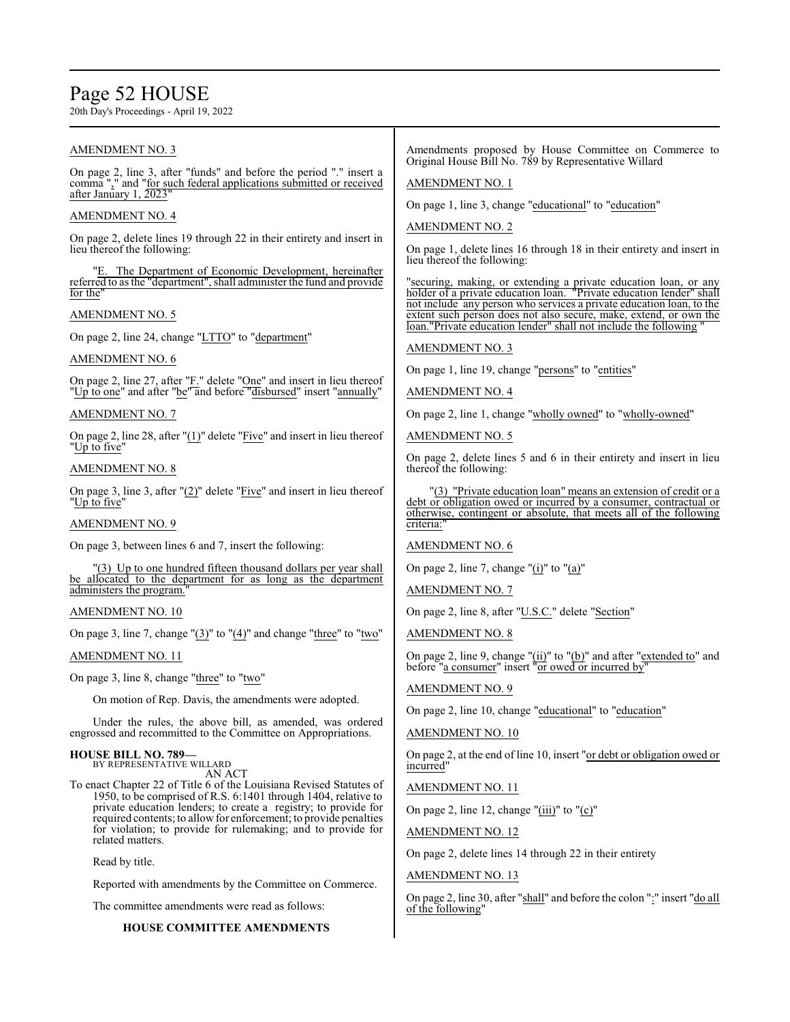## Page 52 HOUSE

20th Day's Proceedings - April 19, 2022

#### AMENDMENT NO. 3

On page 2, line 3, after "funds" and before the period "." insert a comma "," and "for such federal applications submitted or received after January 1, 2023"

#### AMENDMENT NO. 4

On page 2, delete lines 19 through 22 in their entirety and insert in lieu thereof the following:

The Department of Economic Development, hereinafter referred to as the "department", shall administer the fund and provide for the"

#### AMENDMENT NO. 5

On page 2, line 24, change "LTTO" to "department"

#### AMENDMENT NO. 6

On page 2, line 27, after "F." delete "One" and insert in lieu thereof "Up to one" and after "be" and before "disbursed" insert "annually"

#### AMENDMENT NO. 7

On page 2, line 28, after "(1)" delete "Five" and insert in lieu thereof "Up to five"

#### AMENDMENT NO. 8

On page 3, line 3, after "(2)" delete "Five" and insert in lieu thereof "<u>Up to five</u>"

#### AMENDMENT NO. 9

On page 3, between lines 6 and 7, insert the following:

"(3) Up to one hundred fifteen thousand dollars per year shall be allocated to the department for as long as the department administers the program."

#### AMENDMENT NO. 10

On page 3, line 7, change "(3)" to "(4)" and change "three" to "two"

#### AMENDMENT NO. 11

On page 3, line 8, change "three" to "two"

On motion of Rep. Davis, the amendments were adopted.

Under the rules, the above bill, as amended, was ordered engrossed and recommitted to the Committee on Appropriations.

#### **HOUSE BILL NO. 789—** BY REPRESENTATIVE WILLARD

AN ACT

To enact Chapter 22 of Title 6 of the Louisiana Revised Statutes of 1950, to be comprised of R.S. 6:1401 through 1404, relative to private education lenders; to create a registry; to provide for required contents; to allow for enforcement; to provide penalties for violation; to provide for rulemaking; and to provide for related matters.

Read by title.

Reported with amendments by the Committee on Commerce.

The committee amendments were read as follows:

#### **HOUSE COMMITTEE AMENDMENTS**

Amendments proposed by House Committee on Commerce to Original House Bill No. 789 by Representative Willard

#### AMENDMENT NO. 1

On page 1, line 3, change "educational" to "education"

#### AMENDMENT NO. 2

On page 1, delete lines 16 through 18 in their entirety and insert in lieu thereof the following:

"securing, making, or extending a private education loan, or any holder of a private education loan. "Private education lender" shall not include any person who services a private education loan, to the extent such person does not also secure, make, extend, or own the "Private education lender" shall not include the following

#### AMENDMENT NO. 3

On page 1, line 19, change "persons" to "entities"

#### AMENDMENT NO. 4

On page 2, line 1, change "wholly owned" to "wholly-owned"

AMENDMENT NO. 5

On page 2, delete lines 5 and 6 in their entirety and insert in lieu thereof the following:

"(3) "Private education loan" means an extension of credit or a debt or obligation owed or incurred by a consumer, contractual or otherwise, contingent or absolute, that meets all of the following criteria:

#### AMENDMENT NO. 6

On page 2, line 7, change " $(i)$ " to " $(a)$ "

#### AMENDMENT NO. 7

On page 2, line 8, after "U.S.C." delete "Section"

AMENDMENT NO. 8

On page 2, line 9, change "(ii)" to "(b)" and after "extended to" and before "a consumer" insert "or owed or incurred by

#### AMENDMENT NO. 9

On page 2, line 10, change "educational" to "education"

#### AMENDMENT NO. 10

On page 2, at the end of line 10, insert "or debt or obligation owed or incurred"

AMENDMENT NO. 11

On page 2, line 12, change " $(iii)$ " to " $(c)$ "

AMENDMENT NO. 12

On page 2, delete lines 14 through 22 in their entirety

#### AMENDMENT NO. 13

On page 2, line 30, after "shall" and before the colon ":" insert "do all of the following"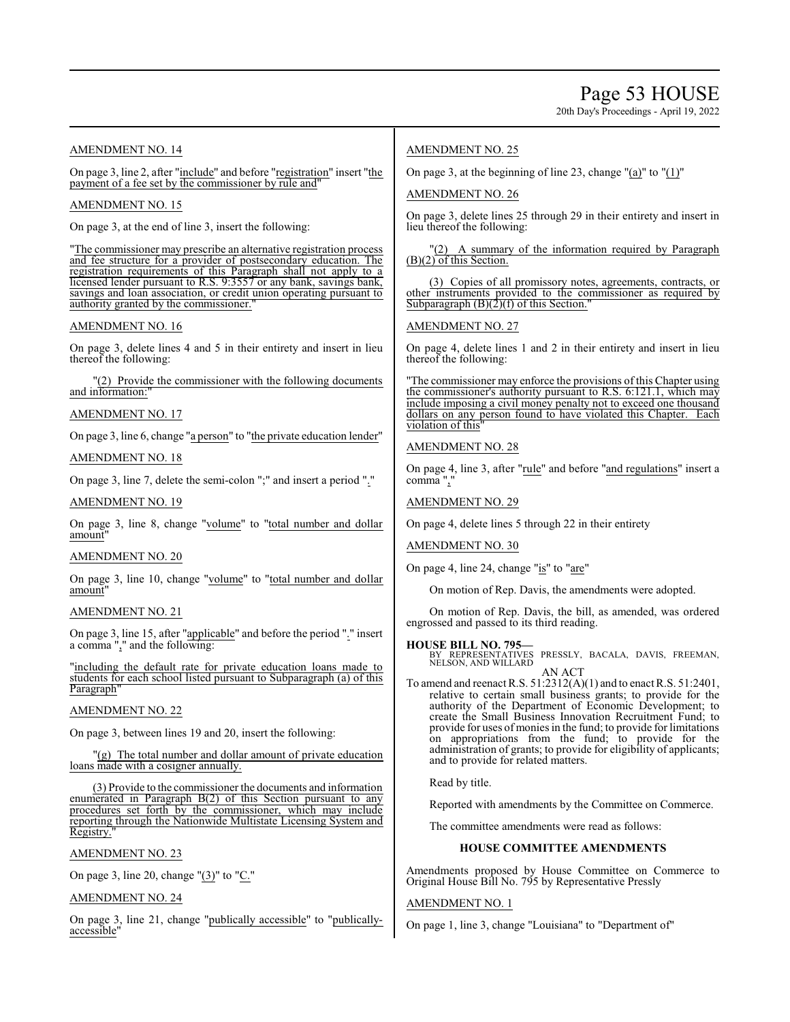20th Day's Proceedings - April 19, 2022

#### AMENDMENT NO. 14

On page 3, line 2, after "include" and before "registration" insert "the payment of a fee set by the commissioner by rule and

#### AMENDMENT NO. 15

On page 3, at the end of line 3, insert the following:

"The commissioner may prescribe an alternative registration process and fee structure for a provider of postsecondary education. The registration requirements of this Paragraph shall not apply to a licensed lender pursuant to R.S. 9:3557 or any bank, savings bank, savings and loan association, or credit union operating pursuant to authority granted by the commissioner.

#### AMENDMENT NO. 16

On page 3, delete lines 4 and 5 in their entirety and insert in lieu thereof the following:

(2) Provide the commissioner with the following documents and information:

#### AMENDMENT NO. 17

On page 3, line 6, change "a person" to "the private education lender"

#### AMENDMENT NO. 18

On page 3, line 7, delete the semi-colon ";" and insert a period "."

#### AMENDMENT NO. 19

On page 3, line 8, change "volume" to "total number and dollar amount"

#### AMENDMENT NO. 20

On page 3, line 10, change "volume" to "total number and dollar amount

#### AMENDMENT NO. 21

On page 3, line 15, after "applicable" and before the period "." insert a comma "," and the following:

"including the default rate for private education loans made to students for each school listed pursuant to Subparagraph (a) of this Paragraph'

#### AMENDMENT NO. 22

On page 3, between lines 19 and 20, insert the following:

"(g) The total number and dollar amount of private education loans made with a cosigner annually.

(3) Provide to the commissioner the documents and information enumerated in Paragraph B(2) of this Section pursuant to any procedures set forth by the commissioner, which may include reporting through the Nationwide Multistate Licensing System and Registry.

#### AMENDMENT NO. 23

On page 3, line 20, change "(3)" to "C."

#### AMENDMENT NO. 24

On page 3, line 21, change "publically accessible" to "publicallyaccessible"

#### AMENDMENT NO. 25

On page 3, at the beginning of line 23, change "(a)" to " $(1)$ "

#### AMENDMENT NO. 26

On page 3, delete lines 25 through 29 in their entirety and insert in lieu thereof the following:

"(2) A summary of the information required by Paragraph (B)(2) of this Section.

(3) Copies of all promissory notes, agreements, contracts, or other instruments provided to the commissioner as required by Subparagraph  $(B)(2)(f)$  of this Section.

#### AMENDMENT NO. 27

On page 4, delete lines 1 and 2 in their entirety and insert in lieu thereof the following:

The commissioner may enforce the provisions of this Chapter using the commissioner's authority pursuant to R.S. 6:121.1, which may include imposing a civil money penalty not to exceed one thousand dollars on any person found to have violated this Chapter. Each violation of this"

#### AMENDMENT NO. 28

On page 4, line 3, after "rule" and before "and regulations" insert a comma",

AMENDMENT NO. 29

On page 4, delete lines 5 through 22 in their entirety

#### AMENDMENT NO. 30

On page 4, line 24, change "is" to "are"

On motion of Rep. Davis, the amendments were adopted.

On motion of Rep. Davis, the bill, as amended, was ordered engrossed and passed to its third reading.

**HOUSE BILL NO. 795—** BY REPRESENTATIVES PRESSLY, BACALA, DAVIS, FREEMAN, NELSON, AND WILLARD AN ACT

To amend and reenact R.S. 51:2312(A)(1) and to enact R.S. 51:2401, relative to certain small business grants; to provide for the authority of the Department of Economic Development; to create the Small Business Innovation Recruitment Fund; to provide for uses of monies in the fund; to provide for limitations on appropriations from the fund; to provide for the administration of grants; to provide for eligibility of applicants; and to provide for related matters.

Read by title.

Reported with amendments by the Committee on Commerce.

The committee amendments were read as follows:

#### **HOUSE COMMITTEE AMENDMENTS**

Amendments proposed by House Committee on Commerce to Original House Bill No. 795 by Representative Pressly

#### AMENDMENT NO. 1

On page 1, line 3, change "Louisiana" to "Department of"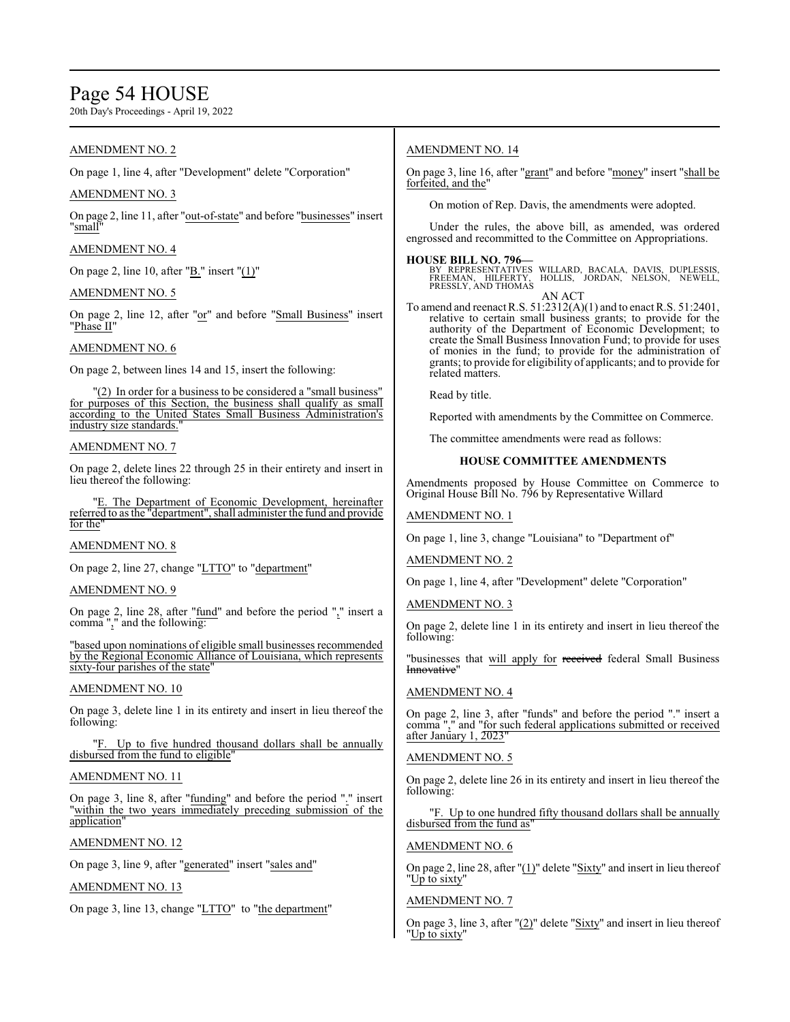## Page 54 HOUSE

20th Day's Proceedings - April 19, 2022

#### AMENDMENT NO. 2

On page 1, line 4, after "Development" delete "Corporation"

#### AMENDMENT NO. 3

On page 2, line 11, after "out-of-state" and before "businesses" insert "small<sup>"</sup>

#### AMENDMENT NO. 4

On page 2, line 10, after "B." insert "(1)"

#### AMENDMENT NO. 5

On page 2, line 12, after "or" and before "Small Business" insert "Phase II"

#### AMENDMENT NO. 6

On page 2, between lines 14 and 15, insert the following:

"(2) In order for a business to be considered a "small business" for purposes of this Section, the business shall qualify as small according to the United States Small Business Administration's industry size standards.

#### AMENDMENT NO. 7

On page 2, delete lines 22 through 25 in their entirety and insert in lieu thereof the following:

"E. The Department of Economic Development, hereinafter referred to as the "department", shall administer the fund and provide for the'

#### AMENDMENT NO. 8

On page 2, line 27, change "LTTO" to "department"

#### AMENDMENT NO. 9

On page 2, line 28, after "fund" and before the period "," insert a comma "," and the following:

"based upon nominations of eligible small businesses recommended by the Regional Economic Alliance of Louisiana, which represents sixty-four parishes of the state

#### AMENDMENT NO. 10

On page 3, delete line 1 in its entirety and insert in lieu thereof the following:

Up to five hundred thousand dollars shall be annually disbursed from the fund to eligible"

#### AMENDMENT NO. 11

On page 3, line 8, after "funding" and before the period "." insert "within the two years immediately preceding submission of the application"

#### AMENDMENT NO. 12

On page 3, line 9, after "generated" insert "sales and"

#### AMENDMENT NO. 13

On page 3, line 13, change "LTTO" to "the department"

#### AMENDMENT NO. 14

On page 3, line 16, after "grant" and before "money" insert "shall be forfeited, and the

On motion of Rep. Davis, the amendments were adopted.

Under the rules, the above bill, as amended, was ordered engrossed and recommitted to the Committee on Appropriations.

#### **HOUSE BILL NO. 796—**

BY REPRESENTATIVES WILLARD, BACALA, DAVIS, DUPLESSIS,<br>FREEMAN, HILFERTY, HOLLIS, JORDAN, NELSON, NEWELL,<br>PRESSLY,ANDTHOMAS AN ACT

To amend and reenact R.S. 51:2312(A)(1) and to enact R.S. 51:2401, relative to certain small business grants; to provide for the authority of the Department of Economic Development; to create the Small Business Innovation Fund; to provide for uses of monies in the fund; to provide for the administration of grants; to provide for eligibility of applicants; and to provide for related matters.

Read by title.

Reported with amendments by the Committee on Commerce.

The committee amendments were read as follows:

#### **HOUSE COMMITTEE AMENDMENTS**

Amendments proposed by House Committee on Commerce to Original House Bill No. 796 by Representative Willard

#### AMENDMENT NO. 1

On page 1, line 3, change "Louisiana" to "Department of"

#### AMENDMENT NO. 2

On page 1, line 4, after "Development" delete "Corporation"

#### AMENDMENT NO. 3

On page 2, delete line 1 in its entirety and insert in lieu thereof the following:

"businesses that will apply for received federal Small Business Innovative'

#### AMENDMENT NO. 4

On page 2, line 3, after "funds" and before the period "." insert a comma "," and "for such federal applications submitted or received after January 1, 2023

#### AMENDMENT NO. 5

On page 2, delete line 26 in its entirety and insert in lieu thereof the following:

"F. Up to one hundred fifty thousand dollars shall be annually disbursed from the fund as'

#### AMENDMENT NO. 6

On page 2, line 28, after "(1)" delete "Sixty" and insert in lieu thereof "Up to sixty"

#### AMENDMENT NO. 7

On page 3, line 3, after "(2)" delete "Sixty" and insert in lieu thereof "Up to sixty"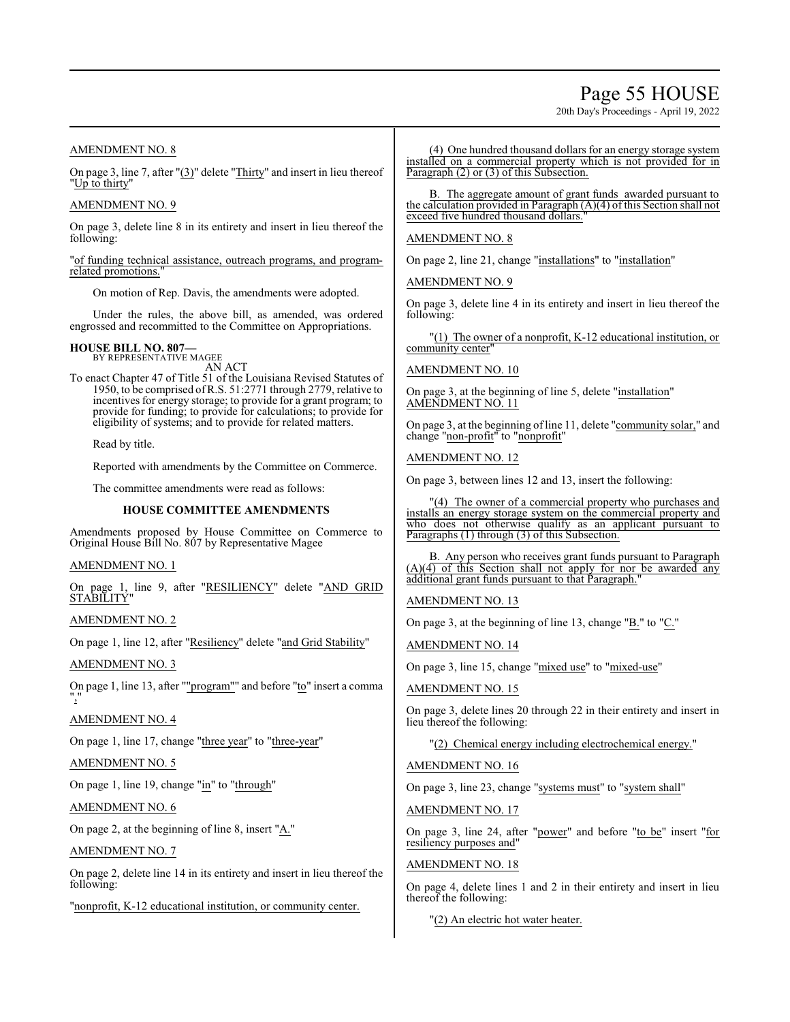## Page 55 HOUSE

20th Day's Proceedings - April 19, 2022

#### AMENDMENT NO. 8

On page 3, line 7, after "(3)" delete "Thirty" and insert in lieu thereof "Up to thirty"

#### AMENDMENT NO. 9

On page 3, delete line 8 in its entirety and insert in lieu thereof the following:

"of funding technical assistance, outreach programs, and programrelated promotions.

On motion of Rep. Davis, the amendments were adopted.

Under the rules, the above bill, as amended, was ordered engrossed and recommitted to the Committee on Appropriations.

## **HOUSE BILL NO. 807—** BY REPRESENTATIVE MAGEE

AN ACT

To enact Chapter 47 of Title 51 of the Louisiana Revised Statutes of 1950, to be comprised ofR.S. 51:2771 through 2779, relative to incentives for energy storage; to provide for a grant program; to provide for funding; to provide for calculations; to provide for eligibility of systems; and to provide for related matters.

Read by title.

Reported with amendments by the Committee on Commerce.

The committee amendments were read as follows:

#### **HOUSE COMMITTEE AMENDMENTS**

Amendments proposed by House Committee on Commerce to Original House Bill No. 807 by Representative Magee

#### AMENDMENT NO. 1

On page 1, line 9, after "RESILIENCY" delete "AND GRID **STABILITY** 

AMENDMENT NO. 2

On page 1, line 12, after "Resiliency" delete "and Grid Stability"

AMENDMENT NO. 3

On page 1, line 13, after ""program"" and before "to" insert a comma ","

#### AMENDMENT NO. 4

On page 1, line 17, change "three year" to "three-year"

AMENDMENT NO. 5

On page 1, line 19, change "in" to "through"

AMENDMENT NO. 6

On page 2, at the beginning of line 8, insert "A."

AMENDMENT NO. 7

On page 2, delete line 14 in its entirety and insert in lieu thereof the following:

"nonprofit, K-12 educational institution, or community center.

(4) One hundred thousand dollars for an energy storage system installed on a commercial property which is not provided for in Paragraph (2) or (3) of this Subsection.

B. The aggregate amount of grant funds awarded pursuant to the calculation provided in Paragraph  $(A)(4)$  of this Section shall not exceed five hundred thousand dollars.

#### AMENDMENT NO. 8

On page 2, line 21, change "installations" to "installation"

AMENDMENT NO. 9

On page 3, delete line 4 in its entirety and insert in lieu thereof the following:

"(1) The owner of a nonprofit, K-12 educational institution, or community center'

AMENDMENT NO. 10

On page 3, at the beginning of line 5, delete "installation" AMENDMENT NO. 11

On page 3, at the beginning of line 11, delete "community solar," and change "non-profit" to "nonprofit"

AMENDMENT NO. 12

On page 3, between lines 12 and 13, insert the following:

"(4) The owner of a commercial property who purchases and installs an energy storage system on the commercial property and who does not otherwise qualify as an applicant pursuant to Paragraphs (1) through (3) of this Subsection.

Any person who receives grant funds pursuant to Paragraph (A)(4) of this Section shall not apply for nor be awarded any additional grant funds pursuant to that Paragraph.

AMENDMENT NO. 13

On page 3, at the beginning of line 13, change "B." to "C."

AMENDMENT NO. 14

On page 3, line 15, change "mixed use" to "mixed-use"

AMENDMENT NO. 15

On page 3, delete lines 20 through 22 in their entirety and insert in lieu thereof the following:

"(2) Chemical energy including electrochemical energy."

AMENDMENT NO. 16

On page 3, line 23, change "systems must" to "system shall"

AMENDMENT NO. 17

On page 3, line 24, after "power" and before "to be" insert "for resiliency purposes and"

AMENDMENT NO. 18

On page 4, delete lines 1 and 2 in their entirety and insert in lieu thereof the following:

"(2) An electric hot water heater.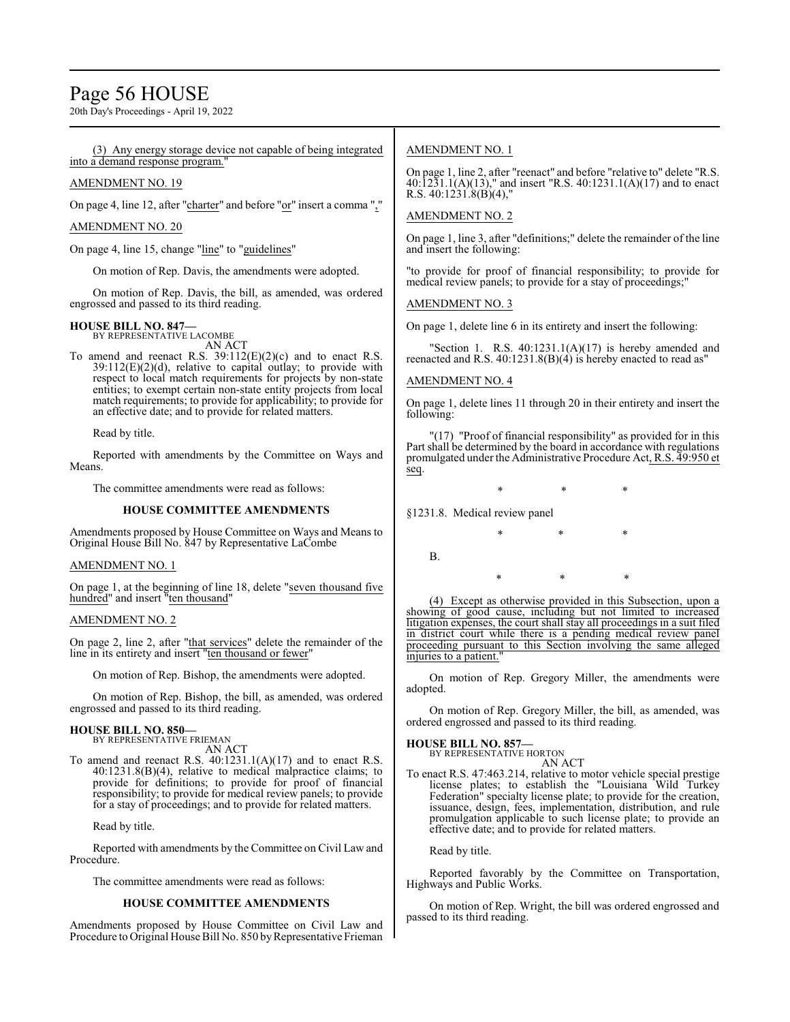## Page 56 HOUSE

20th Day's Proceedings - April 19, 2022

#### (3) Any energy storage device not capable of being integrated into a demand response program.

#### AMENDMENT NO. 19

On page 4, line 12, after "charter" and before "or" insert a comma ","

#### AMENDMENT NO. 20

On page 4, line 15, change "line" to "guidelines"

On motion of Rep. Davis, the amendments were adopted.

On motion of Rep. Davis, the bill, as amended, was ordered engrossed and passed to its third reading.

## **HOUSE BILL NO. 847—** BY REPRESENTATIVE LACOMBE

AN ACT

To amend and reenact R.S. 39:112(E)(2)(c) and to enact R.S. 39:112(E)(2)(d), relative to capital outlay; to provide with respect to local match requirements for projects by non-state entities; to exempt certain non-state entity projects from local match requirements; to provide for applicability; to provide for an effective date; and to provide for related matters.

Read by title.

Reported with amendments by the Committee on Ways and Means.

The committee amendments were read as follows:

#### **HOUSE COMMITTEE AMENDMENTS**

Amendments proposed by House Committee on Ways and Means to Original House Bill No. 847 by Representative LaCombe

#### AMENDMENT NO. 1

On page 1, at the beginning of line 18, delete "seven thousand five hundred" and insert "ten thousand"

#### AMENDMENT NO. 2

On page 2, line 2, after "that services" delete the remainder of the line in its entirety and insert "ten thousand or fewer"

On motion of Rep. Bishop, the amendments were adopted.

On motion of Rep. Bishop, the bill, as amended, was ordered engrossed and passed to its third reading.

#### **HOUSE BILL NO. 850—**

BY REPRESENTATIVE FRIEMAN AN ACT

To amend and reenact R.S. 40:1231.1(A)(17) and to enact R.S. 40:1231.8(B)(4), relative to medical malpractice claims; to provide for definitions; to provide for proof of financial responsibility; to provide for medical review panels; to provide for a stay of proceedings; and to provide for related matters.

Read by title.

Reported with amendments by the Committee on Civil Law and Procedure.

The committee amendments were read as follows:

#### **HOUSE COMMITTEE AMENDMENTS**

Amendments proposed by House Committee on Civil Law and Procedure to Original House Bill No. 850 by Representative Frieman

#### AMENDMENT NO. 1

On page 1, line 2, after "reenact" and before "relative to" delete "R.S. 40:1231.1(A)(13)," and insert "R.S. 40:1231.1(A)(17) and to enact R.S.  $40:1231.8(B)(4)$ ,"

#### AMENDMENT NO. 2

On page 1, line 3, after "definitions;" delete the remainder of the line and insert the following:

"to provide for proof of financial responsibility; to provide for medical review panels; to provide for a stay of proceedings;"

AMENDMENT NO. 3

On page 1, delete line 6 in its entirety and insert the following:

"Section 1. R.S.  $40:1231.1(A)(17)$  is hereby amended and reenacted and R.S. 40:1231.8(B)(4) is hereby enacted to read as"

#### AMENDMENT NO. 4

On page 1, delete lines 11 through 20 in their entirety and insert the following:

"(17) "Proof of financial responsibility" as provided for in this Part shall be determined by the board in accordance with regulations promulgated under the Administrative Procedure Act, R.S. 49:950 et seq.

\* \* \*

\* \* \*

\* \* \*

§1231.8. Medical review panel

B.

(4) Except as otherwise provided in this Subsection, upon a showing of good cause, including but not limited to increased litigation expenses, the court shall stay all proceedings in a suit filed in district court while there is a pending medical review panel proceeding pursuant to this Section involving the same alleged injuries to a patient."

On motion of Rep. Gregory Miller, the amendments were adopted.

On motion of Rep. Gregory Miller, the bill, as amended, was ordered engrossed and passed to its third reading.

#### **HOUSE BILL NO. 857—**

BY REPRESENTATIVE HORTON AN ACT

To enact R.S. 47:463.214, relative to motor vehicle special prestige license plates; to establish the "Louisiana Wild Turkey Federation" specialty license plate; to provide for the creation, issuance, design, fees, implementation, distribution, and rule promulgation applicable to such license plate; to provide an effective date; and to provide for related matters.

Read by title.

Reported favorably by the Committee on Transportation, Highways and Public Works.

On motion of Rep. Wright, the bill was ordered engrossed and passed to its third reading.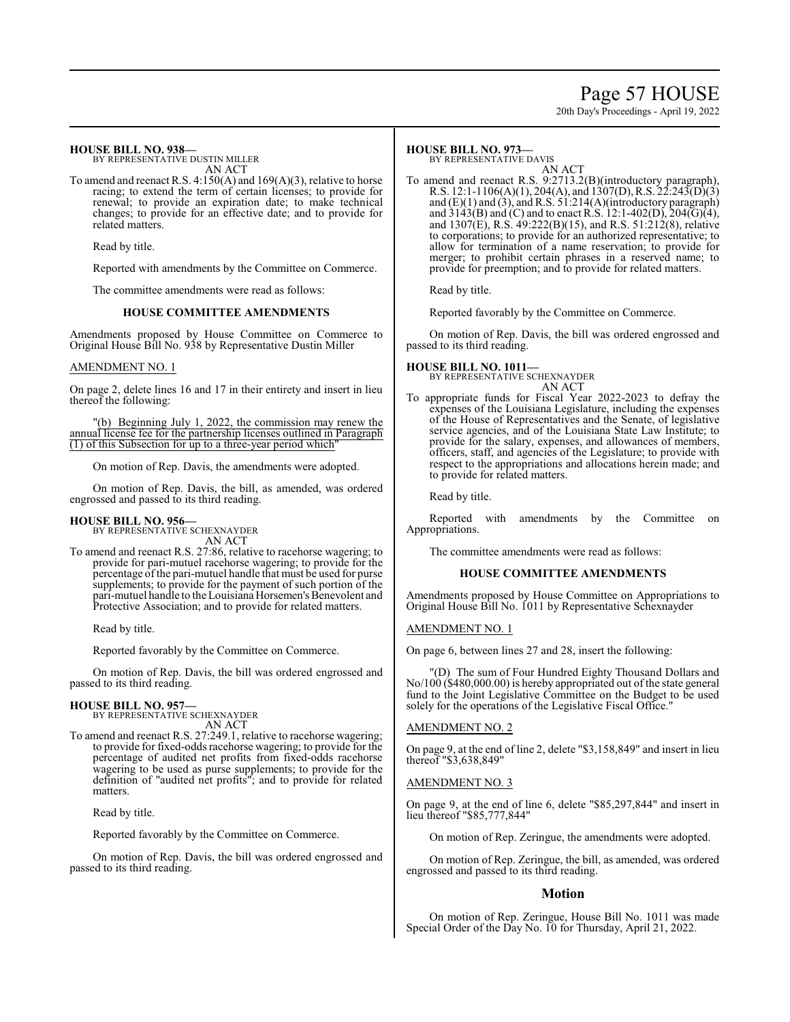## Page 57 HOUSE

20th Day's Proceedings - April 19, 2022

#### **HOUSE BILL NO. 938—** BY REPRESENTATIVE DUSTIN MILLER

AN ACT

To amend and reenact R.S. 4:150(A) and 169(A)(3), relative to horse racing; to extend the term of certain licenses; to provide for renewal; to provide an expiration date; to make technical changes; to provide for an effective date; and to provide for related matters.

Read by title.

Reported with amendments by the Committee on Commerce.

The committee amendments were read as follows:

#### **HOUSE COMMITTEE AMENDMENTS**

Amendments proposed by House Committee on Commerce to Original House Bill No. 938 by Representative Dustin Miller

#### AMENDMENT NO. 1

On page 2, delete lines 16 and 17 in their entirety and insert in lieu thereof the following:

(b) Beginning July 1, 2022, the commission may renew the annual license fee for the partnership licenses outlined in Paragraph  $(1)$  of this Subsection for up to a three-year period which

On motion of Rep. Davis, the amendments were adopted.

On motion of Rep. Davis, the bill, as amended, was ordered engrossed and passed to its third reading.

#### **HOUSE BILL NO. 956—**

BY REPRESENTATIVE SCHEXNAYDER AN ACT

To amend and reenact R.S. 27:86, relative to racehorse wagering; to provide for pari-mutuel racehorse wagering; to provide for the percentage ofthe pari-mutuel handle that must be used for purse supplements; to provide for the payment of such portion of the pari-mutuel handle to the Louisiana Horsemen's Benevolent and Protective Association; and to provide for related matters.

Read by title.

Reported favorably by the Committee on Commerce.

On motion of Rep. Davis, the bill was ordered engrossed and passed to its third reading.

#### **HOUSE BILL NO. 957—**

BY REPRESENTATIVE SCHEXNAYDER AN ACT

To amend and reenact R.S. 27:249.1, relative to racehorse wagering; to provide for fixed-odds racehorse wagering; to provide for the percentage of audited net profits from fixed-odds racehorse wagering to be used as purse supplements; to provide for the definition of "audited net profits"; and to provide for related matters.

Read by title.

Reported favorably by the Committee on Commerce.

On motion of Rep. Davis, the bill was ordered engrossed and passed to its third reading.

#### **HOUSE BILL NO. 973—**

BY REPRESENTATIVE DAVIS

AN ACT To amend and reenact R.S. 9:2713.2(B)(introductory paragraph), R.S. 12:1-1106(A)(1), 204(A), and 1307(D), R.S. 22:243(D)(3) and (E)(1) and (3), and R.S. 51:214(A)(introductory paragraph) and  $3143(B)$  and (C) and to enact R.S. 12:1-402(D), 204(G)(4), and 1307(E), R.S. 49:222(B)(15), and R.S. 51:212(8), relative to corporations; to provide for an authorized representative; to allow for termination of a name reservation; to provide for merger; to prohibit certain phrases in a reserved name; to provide for preemption; and to provide for related matters.

Read by title.

Reported favorably by the Committee on Commerce.

On motion of Rep. Davis, the bill was ordered engrossed and passed to its third reading.

#### **HOUSE BILL NO. 1011—**

BY REPRESENTATIVE SCHEXNAYDER AN ACT

To appropriate funds for Fiscal Year 2022-2023 to defray the expenses of the Louisiana Legislature, including the expenses of the House of Representatives and the Senate, of legislative service agencies, and of the Louisiana State Law Institute; to provide for the salary, expenses, and allowances of members, officers, staff, and agencies of the Legislature; to provide with respect to the appropriations and allocations herein made; and to provide for related matters.

Read by title.

Reported with amendments by the Committee on Appropriations.

The committee amendments were read as follows:

#### **HOUSE COMMITTEE AMENDMENTS**

Amendments proposed by House Committee on Appropriations to Original House Bill No. 1011 by Representative Schexnayder

#### AMENDMENT NO. 1

On page 6, between lines 27 and 28, insert the following:

"(D) The sum of Four Hundred Eighty Thousand Dollars and No/100 (\$480,000.00) is hereby appropriated out of the state general fund to the Joint Legislative Committee on the Budget to be used solely for the operations of the Legislative Fiscal Office."

#### AMENDMENT NO. 2

On page 9, at the end of line 2, delete "\$3,158,849" and insert in lieu thereof "\$3,638,849"

#### AMENDMENT NO. 3

On page 9, at the end of line 6, delete "\$85,297,844" and insert in lieu thereof "\$85,777,844"

On motion of Rep. Zeringue, the amendments were adopted.

On motion of Rep. Zeringue, the bill, as amended, was ordered engrossed and passed to its third reading.

#### **Motion**

On motion of Rep. Zeringue, House Bill No. 1011 was made Special Order of the Day No. 10 for Thursday, April 21, 2022.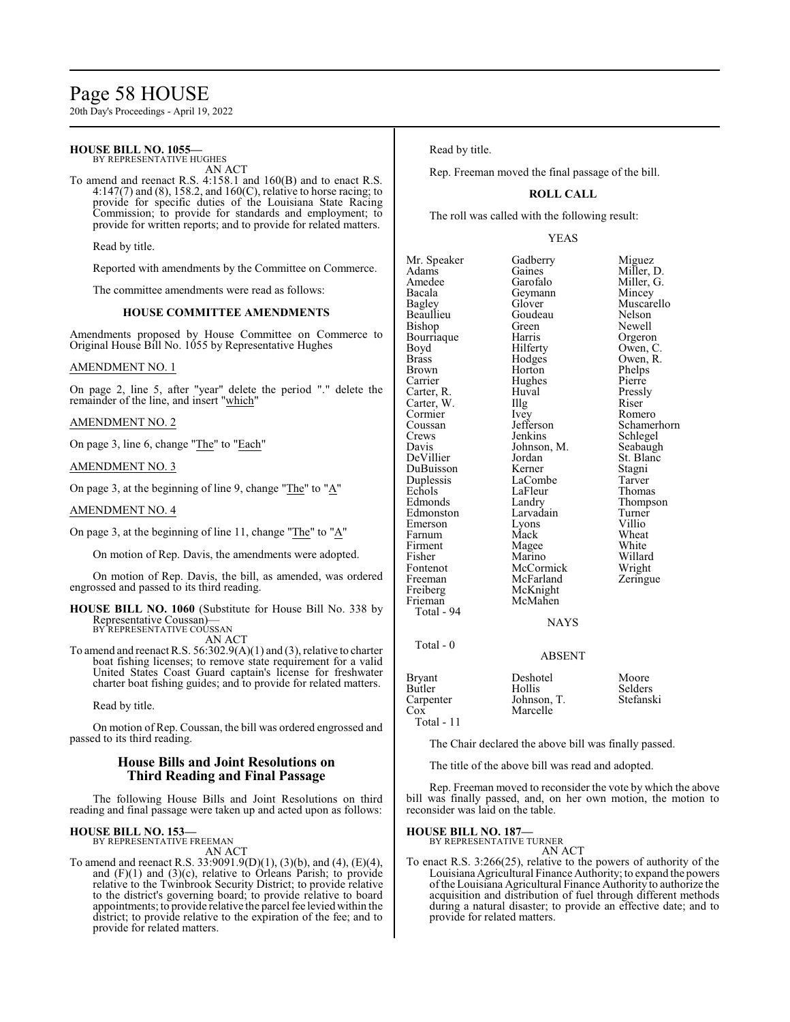## Page 58 HOUSE

20th Day's Proceedings - April 19, 2022

#### **HOUSE BILL NO. 1055—**

BY REPRESENTATIVE HUGHES AN ACT

To amend and reenact R.S. 4:158.1 and 160(B) and to enact R.S. 4:147(7) and (8), 158.2, and 160(C), relative to horse racing; to provide for specific duties of the Louisiana State Racing Commission; to provide for standards and employment; to provide for written reports; and to provide for related matters.

Read by title.

Reported with amendments by the Committee on Commerce.

The committee amendments were read as follows:

#### **HOUSE COMMITTEE AMENDMENTS**

Amendments proposed by House Committee on Commerce to Original House Bill No. 1055 by Representative Hughes

#### AMENDMENT NO. 1

On page 2, line 5, after "year" delete the period "." delete the remainder of the line, and insert "which"

#### AMENDMENT NO. 2

On page 3, line 6, change "The" to "Each"

#### AMENDMENT NO. 3

On page 3, at the beginning of line 9, change "The" to "A"

#### AMENDMENT NO. 4

On page 3, at the beginning of line 11, change "The" to " $A$ "

On motion of Rep. Davis, the amendments were adopted.

On motion of Rep. Davis, the bill, as amended, was ordered engrossed and passed to its third reading.

**HOUSE BILL NO. 1060** (Substitute for House Bill No. 338 by Representative Coussan)— BY REPRESENTATIVE COUSSAN

AN ACT

To amend and reenact R.S. 56:302.9(A)(1) and (3), relative to charter boat fishing licenses; to remove state requirement for a valid United States Coast Guard captain's license for freshwater charter boat fishing guides; and to provide for related matters.

Read by title.

On motion of Rep. Coussan, the bill was ordered engrossed and passed to its third reading.

#### **House Bills and Joint Resolutions on Third Reading and Final Passage**

The following House Bills and Joint Resolutions on third reading and final passage were taken up and acted upon as follows:

#### **HOUSE BILL NO. 153—**

BY REPRESENTATIVE FREEMAN

AN ACT

To amend and reenact R.S. 33:9091.9(D)(1), (3)(b), and (4), (E)(4), and (F)(1) and (3)(c), relative to Orleans Parish; to provide relative to the Twinbrook Security District; to provide relative to the district's governing board; to provide relative to board appointments; to provide relative the parcel fee levied within the district; to provide relative to the expiration of the fee; and to provide for related matters.

#### Read by title.

Rep. Freeman moved the final passage of the bill.

#### **ROLL CALL**

The roll was called with the following result:

#### YEAS

Mr. Speaker Gadberry Miguez<br>Adams Gaines Miller, 1 Adams Gaines Miller, D.<br>Amedee Garofalo Miller, G. Amedee Garofalo Miller, G.<br>Bacala Geymann Mincey Bacala Geymann<br>Bagley Glover Beaullieu Goudeau Nelson<br>Bishop Green Newell Bishop Green Newell<br>Bourriaque Harris Orgeron Bourriaque Harris<br>Boyd Hilferty Boyd Hilferty Owen, C.<br>Brass Hodges Owen, R. Brass Hodges Owen, R. Brown Horton Phelps<br>
Carrier Hughes Pierre Carter, R. Huval Pressl<br>Carter, W. Illg Riser Carter, W. Illg<br>Cormier Ivey Cormier Ivey Romero<br>Coussan Jefferson Schame Coussan Jefferson Schamerhorn<br>Crews Jenkins Schlegel Crews Jenkins Schlegel<br>Davis Johnson, M. Seabaugh Davis Johnson, M.<br>DeVillier Jordan DuBuisson Kerner Stagni Duplessis LaCombe Tarver<br>
Echols LaFleur Thomas Echols LaFleur<br>Edmonds Landry Edmonston Larvadain Turner<br>Emerson Lyons Villio Emerson Lyons Villio<br>
Farnum Mack Wheat Farnum Mack Wheat<br>Firment Magee White Fisher Marino Willard Fontenot McCormick Wright<br>
Freeman McFarland Zeringue Freeman McFarland<br>Freiberg McKnight Freiberg McKnight<br>Frieman McMahen Total - 94

Muscarello Hughes Pierre<br>Huval Pressly Jordan St. Blanc<br>Kerner Stagni Landry Thompson<br>Larvadain Turner

## **NAYS**

ABSENT

## Total - 0

| Bryant       | Deshotel    | Moore     |
|--------------|-------------|-----------|
| Butler       | Hollis      | Selders   |
| Carpenter    | Johnson, T. | Stefanski |
| Cox          | Marcelle    |           |
| Total - $11$ |             |           |

Magee

McMahen

The Chair declared the above bill was finally passed.

The title of the above bill was read and adopted.

Rep. Freeman moved to reconsider the vote by which the above bill was finally passed, and, on her own motion, the motion to reconsider was laid on the table.

#### **HOUSE BILL NO. 187—**

BY REPRESENTATIVE TURNER AN ACT

To enact R.S. 3:266(25), relative to the powers of authority of the Louisiana Agricultural Finance Authority; to expand the powers ofthe Louisiana Agricultural Finance Authority to authorize the acquisition and distribution of fuel through different methods during a natural disaster; to provide an effective date; and to provide for related matters.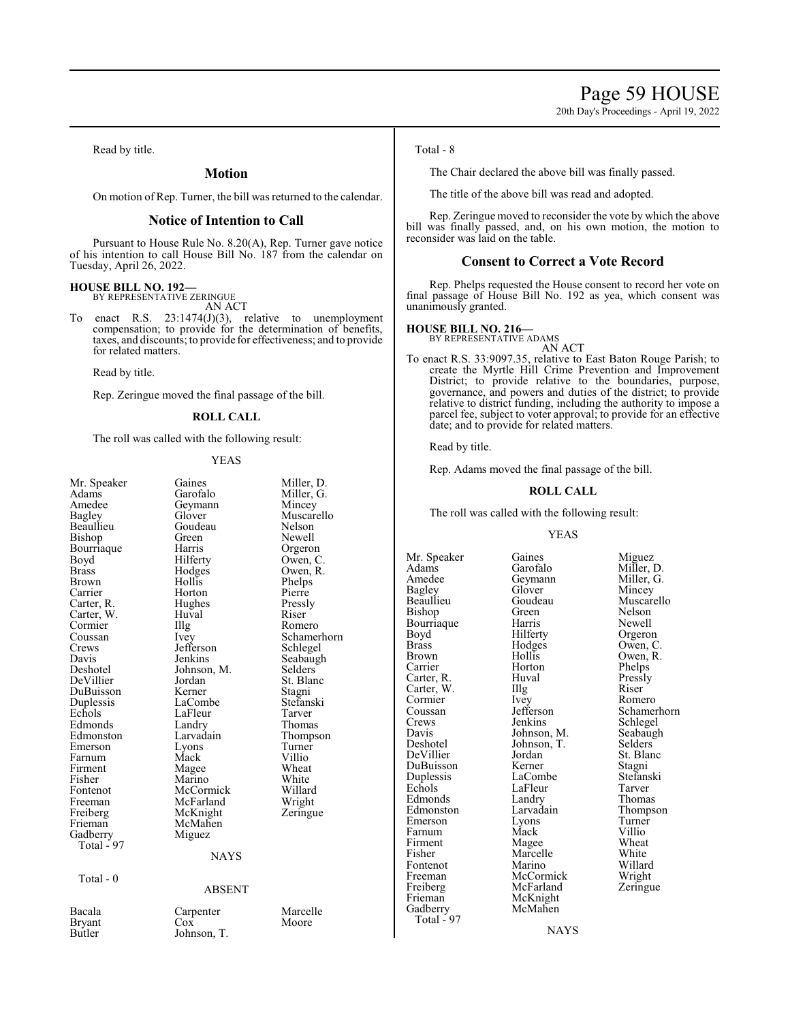20th Day's Proceedings - April 19, 2022

Read by title.

#### **Motion**

On motion of Rep. Turner, the bill was returned to the calendar.

#### **Notice of Intention to Call**

Pursuant to House Rule No. 8.20(A), Rep. Turner gave notice of his intention to call House Bill No. 187 from the calendar on Tuesday, April 26, 2022.

## **HOUSE BILL NO. 192—** BY REPRESENTATIVE ZERINGUE

AN ACT

To enact R.S. 23:1474(J)(3), relative to unemployment compensation; to provide for the determination of benefits, taxes, and discounts; to provide for effectiveness; and to provide for related matters.

Read by title.

Rep. Zeringue moved the final passage of the bill.

#### **ROLL CALL**

The roll was called with the following result:

#### YEAS

| Mr. Speaker | Gaines        | Miller. |
|-------------|---------------|---------|
| Adams       | Garofalo      | Miller. |
| Amedee      | Geymann       | Mince   |
| Bagley      | Glover        | Musca   |
| Beaullieu   | Goudeau       | Nelsor  |
| Bishop      | Green         | Newel   |
| Bourriaque  | Harris        | Orgero  |
| Boyd        | Hilferty      | Owen,   |
| Brass       | Hodges        | Owen,   |
| Brown       | Hollis        | Phelps  |
| Carrier     | Horton        | Pierre  |
| Carter, R.  | Hughes        | Pressly |
| Carter, W.  | Huval         | Riser   |
| Cormier     | Illg          | Romer   |
| Coussan     | Ivey          | Scham   |
| Crews       | Jefferson     | Schleg  |
| Davis       | Jenkins       | Seabaı  |
| Deshotel    | Johnson, M.   | Selder  |
| DeVillier   | Jordan        | St. Bla |
| DuBuisson   | Kerner        | Stagni  |
| Duplessis   | LaCombe       | Stefan  |
| Echols      | LaFleur       | Tarver  |
| Edmonds     | Landry        | Thoma   |
| Edmonston   | Larvadain     | Thomp   |
| Emerson     | Lyons         | Turner  |
| Farnum      | Mack          | Villio  |
| Firment     | Magee         | Wheat   |
| Fisher      | Marino        | White   |
| Fontenot    | McCormick     | Willar  |
| Freeman     | McFarland     | Wrigh   |
| Freiberg    | McKnight      | Zering  |
| Frieman     | McMahen       |         |
| Gadberry    | Miguez        |         |
| Total - 97  |               |         |
|             | <b>NAYS</b>   |         |
| Total - 0   |               |         |
|             | <b>ABSENT</b> |         |
| Bacala      | Carpenter     | Marce   |
| Bryant      | Cox           | Moore   |
| Butler      | Johnson, T.   |         |
|             |               |         |

Miller, D. Miller, G. Mincey Muscarello Nelson Newell Orgeron Owen, C. Owen, R. Phelps<br>Pierre Pressly<br>Riser Romero Schamerhorn Schlegel Seabaugh Selders<sup>®</sup> St. Blanc Stagni Stefanski<br>Tarver Thomas Thompson Turner Villio Wheat<br>White Willard Wright Zeringue

#### NT.

Marcelle Moore

#### Total - 8

The Chair declared the above bill was finally passed.

The title of the above bill was read and adopted.

Rep. Zeringue moved to reconsider the vote by which the above bill was finally passed, and, on his own motion, the motion to reconsider was laid on the table.

#### **Consent to Correct a Vote Record**

Rep. Phelps requested the House consent to record her vote on final passage of House Bill No. 192 as yea, which consent was unanimously granted.

#### **HOUSE BILL NO. 216—**

BY REPRESENTATIVE ADAMS AN ACT

To enact R.S. 33:9097.35, relative to East Baton Rouge Parish; to create the Myrtle Hill Crime Prevention and Improvement District; to provide relative to the boundaries, purpose, governance, and powers and duties of the district; to provide relative to district funding, including the authority to impose a parcel fee, subject to voter approval; to provide for an effective date; and to provide for related matters.

Read by title.

Rep. Adams moved the final passage of the bill.

#### **ROLL CALL**

The roll was called with the following result:

#### YEAS

Amedee Geymann<br>Bagley Glover Bourriaque Harris<br>Boyd Hilferty Cormier Ivey<br>Coussan Jefferson Edmonds Landry<br>Edmonston Larvadain Freeman McCormick<br>Freiberg McFarland Frieman McKnight<br>Gadberry McMahen Total  $-97$ 

Mr. Speaker Gaines Miguez<br>Adams Garofalo Miller, 1 Adams Garofalo Miller, D.<br>Amedee Geymann Miller, G. Bagley Glover Mincey<br>Beaullieu Goudeau Muscare Beaullieu Goudeau Muscarello<br>Bishop Green Nelson Green Nelson<br>Harris Newell Boyd Hilferty Orgeron<br>Brass Hodges Owen, C Brass Hodges Owen, C.<br>Brown Hollis Owen, R. Brown Hollis Owen, R.<br>Carrier Horton Phelps Horton Phelps<br>Huval Pressly Carter, R. Huval Pressl<br>Carter, W. Illg Riser Carter, W. Illg Riser Cormier New Romero Coussan Jefferson Schamerhorn<br>Crews Jenkins Schlegel Crews Jenkins Schlegel<br>Davis Johnson, M. Seabaugh Davis Johnson, M. Seabaughter Seabaughter Seabaughter Seabaughter Seabaughter Seabaughter Seabaughter Seabaughter Seabaughter Seabaughter Seabaughter Seabaughter Seabaughter Seabaughter Seabaughter Seabaughter Seabaughter Johnson, T.<br>Jordan St. Blanc DeVillier Jordan St. Blanc<br>DuBuisson Kerner Stagni DuBuisson Kerner Stagni Duplessis LaCombe Stefans<br>Echols LaFleur Tarver EaFleur Tarver<br>
Landrv Thomas Larvadain Thompson<br>
Lyons Turner Emerson Lyons Turner<br>
Farnum Mack Villio Farnum Mack Villio<br>Firment Mage Wheat Firment Magee Wheat<br>
Fisher Marcelle White Marcelle White<br>
Marino Willard Fontenot Marino Willard<br>
Freeman McCormick Wright Freiberg McFarland Zeringue<br>
Frieman McKnight

**NAYS** 

McMahen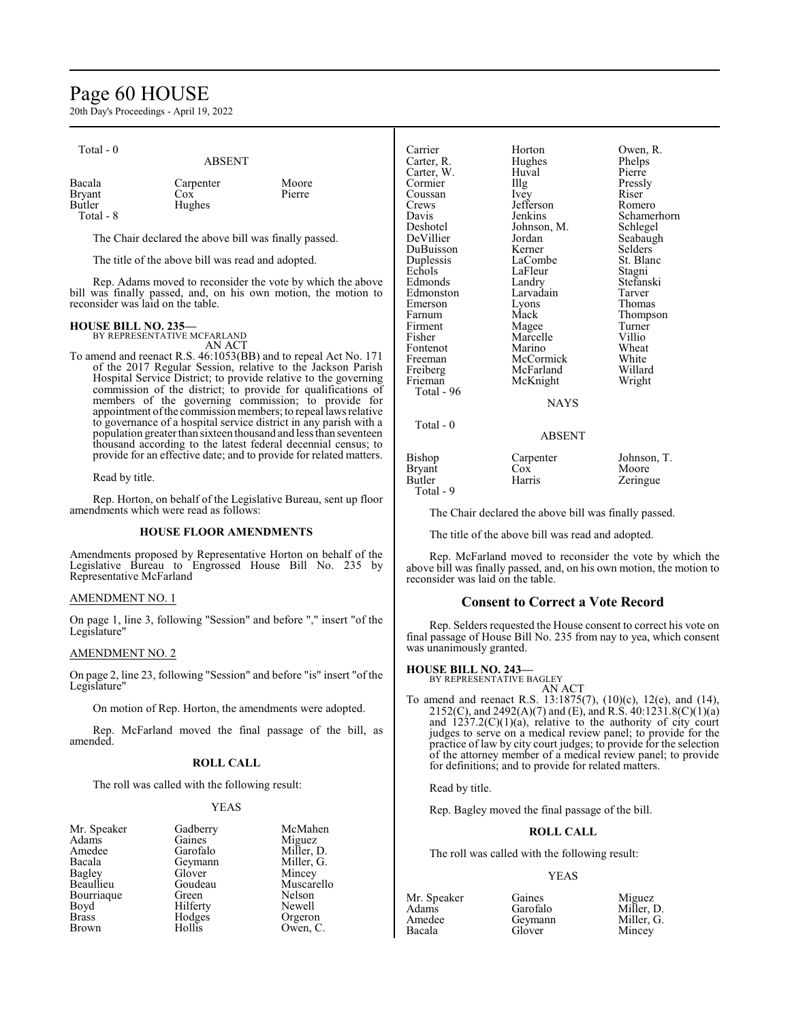## Page 60 HOUSE

20th Day's Proceedings - April 19, 2022

| Total - 0                                      | <b>ABSENT</b>                 |                 |
|------------------------------------------------|-------------------------------|-----------------|
| Bacala<br><b>Bryant</b><br>Butler<br>Total - 8 | Carpenter<br>$\cos$<br>Hughes | Moore<br>Pierre |

The Chair declared the above bill was finally passed.

The title of the above bill was read and adopted.

Rep. Adams moved to reconsider the vote by which the above bill was finally passed, and, on his own motion, the motion to reconsider was laid on the table.

#### **HOUSE BILL NO. 235—**

BY REPRESENTATIVE MCFARLAND AN ACT

To amend and reenact R.S. 46:1053(BB) and to repeal Act No. 171 of the 2017 Regular Session, relative to the Jackson Parish Hospital Service District; to provide relative to the governing commission of the district; to provide for qualifications of members of the governing commission; to provide for appointment of the commission members; to repeal laws relative to governance of a hospital service district in any parish with a population greater than sixteen thousand and less than seventeen thousand according to the latest federal decennial census; to provide for an effective date; and to provide for related matters.

Read by title.

Rep. Horton, on behalf of the Legislative Bureau, sent up floor amendments which were read as follows:

#### **HOUSE FLOOR AMENDMENTS**

Amendments proposed by Representative Horton on behalf of the Legislative Bureau to Engrossed House Bill No. 235 by Representative McFarland

#### AMENDMENT NO. 1

On page 1, line 3, following "Session" and before "," insert "of the Legislature"

#### AMENDMENT NO. 2

On page 2, line 23, following "Session" and before "is" insert "of the Legislature"

On motion of Rep. Horton, the amendments were adopted.

Rep. McFarland moved the final passage of the bill, as amended.

#### **ROLL CALL**

The roll was called with the following result:

Geymann<br>Glover

Hilferty

#### YEAS

| Mr. Speaker |
|-------------|
| Adams       |
| Amedee      |
| Bacala      |
| Bagley      |
| Beaullieu   |
| Bourriaque  |
| Boyd        |
| Brass       |
| Rrown       |

Gadberry McMahen<br>Gaines Miguez Gaines Miguez<br>Garofalo Miller, 1 Miller, D.<br>Miller, G. Glover Mincey<br>Goudeau Muscar Goudeau Muscarello<br>Green Nelson Nelson<br>Newell Hodges Orgeron<br>Hollis Owen, C Owen, C.

| Carrier<br>Carter, R.<br>Carter, W.<br>Cormier<br>Coussan<br>Crews<br>Davis<br>Deshotel<br>DeVillier<br>DuBuisson<br>Duplessis<br>Echols<br>Edmonds<br>Edmonston<br>Emerson<br>Farnum<br>Firment<br>Fisher<br>Fontenot<br>Freeman | Horton<br>Hughes<br>Huval<br>Illg<br><i>lvey</i><br>Jefferson<br>Jenkins<br>Johnson, M.<br>Jordan<br>Kerner<br>LaCombe<br>LaFleur<br>Landry<br>Larvadain<br>Lyons<br>Mack<br>Magee<br>Marcelle<br>Marino<br>McCormick | Owen, R.<br>Phelps<br>Pierre<br>Pressly<br>Riser<br>Romero<br>Schamerhorn<br>Schlegel<br>Seabaugh<br>Selders<br>St. Blanc<br>Stagni<br>Stefanski<br>Tarver<br>Thomas<br>Thompson<br>Turner<br>Villio<br>Wheat<br>White |
|-----------------------------------------------------------------------------------------------------------------------------------------------------------------------------------------------------------------------------------|-----------------------------------------------------------------------------------------------------------------------------------------------------------------------------------------------------------------------|------------------------------------------------------------------------------------------------------------------------------------------------------------------------------------------------------------------------|
| Freiberg<br>Frieman<br>Total - 96                                                                                                                                                                                                 | McFarland<br>McKnight                                                                                                                                                                                                 | Willard<br>Wright                                                                                                                                                                                                      |
| $Total - 0$                                                                                                                                                                                                                       | <b>NAYS</b><br><b>ABSENT</b>                                                                                                                                                                                          |                                                                                                                                                                                                                        |
|                                                                                                                                                                                                                                   |                                                                                                                                                                                                                       |                                                                                                                                                                                                                        |
| Bishop<br>Bryant<br>Butler                                                                                                                                                                                                        | Carpenter<br>Cox<br>Harris                                                                                                                                                                                            | Johnson, T.<br>Moore<br>Zeringue                                                                                                                                                                                       |

The Chair declared the above bill was finally passed.

The title of the above bill was read and adopted.

Rep. McFarland moved to reconsider the vote by which the above bill was finally passed, and, on his own motion, the motion to reconsider was laid on the table.

#### **Consent to Correct a Vote Record**

Rep. Selders requested the House consent to correct his vote on final passage of House Bill No. 235 from nay to yea, which consent was unanimously granted.

#### **HOUSE BILL NO. 243—**

Total - 9

BY REPRESENTATIVE BAGLEY AN ACT

To amend and reenact R.S. 13:1875(7), (10)(c), 12(e), and (14), 2152(C), and 2492(A)(7) and (E), and R.S.  $40:1231.8(C)(1)(a)$ and  $1237.2(C)(1)(a)$ , relative to the authority of city court judges to serve on a medical review panel; to provide for the practice of law by city court judges; to provide for the selection of the attorney member of a medical review panel; to provide for definitions; and to provide for related matters.

Read by title.

Rep. Bagley moved the final passage of the bill.

#### **ROLL CALL**

The roll was called with the following result:

#### YEAS

Amedee Geymann<br>Bacala Glover

Mr. Speaker Gaines Miguez<br>Adams Garofalo Miller, 1 Adams Garofalo Miller, D.

Mincey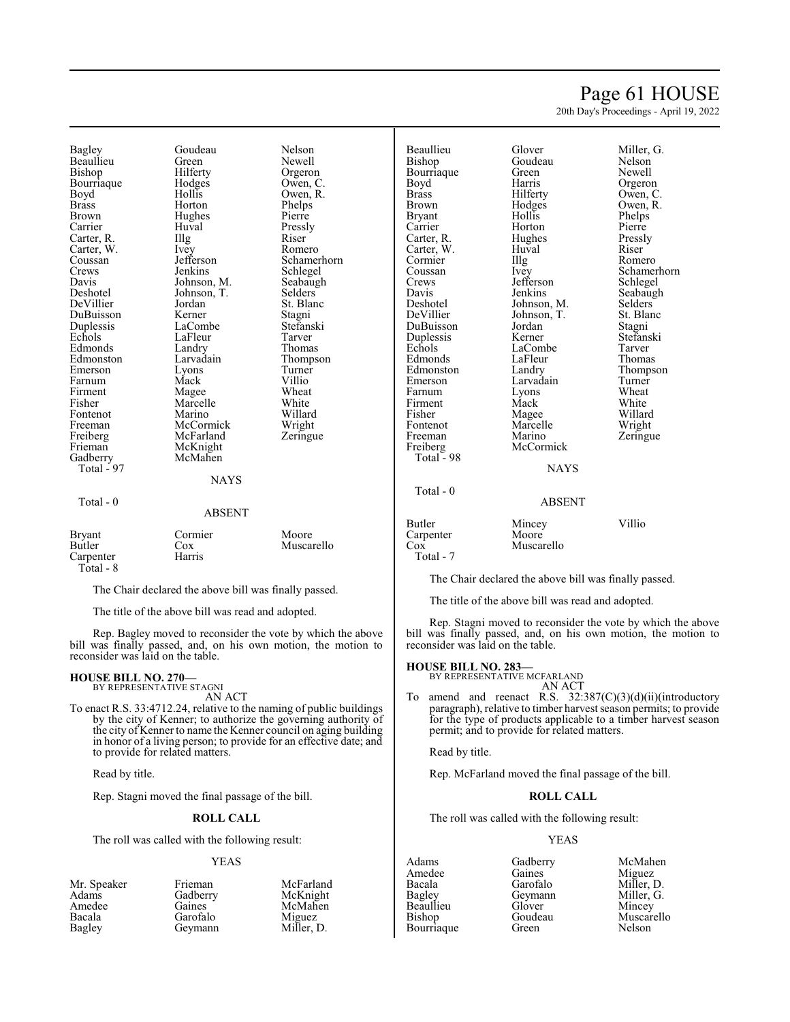## Page 61 HOUSE

20th Day's Proceedings - April 19, 2022

Bagley Goudeau Nelson Beaullieu Green<br>Bishop Hilferty Bourriaque Hodge<br>Boyd Hollis Boyd Hollis Owen, R.<br>Brass Horton Phelps Brown Hughes Pierre<br>
Pressly Huval Pressly Carrier Huval Pressl<br>Carter, R. Illg Riser Carter, R. Illg Riser<br>Carter, W. Ivey Romero Carter, W. Ivey<br>Coussan Jefferson Coussan Jefferson Schamerhorn<br>Crews Jenkins Schlegel Crews Jenkins Schlegel<br>Davis Johnson, M. Seabaugh Davis Johnson, M. Seabaugh<br>
Deshotel Johnson, T. Selders DeVillier Jordan<br>DuBuisson Kerner DuBuisson Kerner Stagni<br>
Duplessis LaCombe Stefanski Duplessis LaCombe Stefans<br>Echols LaFleur Tarver Edmonds Landry<br>Edmonston Larvadain Emerson Lyons Turner<br>
Farnum Mack Villio Farnum Mack Villio<br>Firment Magee Wheat Firment Magee Wheat<br>
Fisher Marcelle White Fontenot Marino Willard<br>Freeman McCormick Wright Freeman McCormick Wright<br>
Freiberg McFarland Zeringue Freiberg McFarland<br>Frieman McKnight Gadberry Total - 97 Total - 0

Hilferty Orgeron<br>Hodges Owen, C Johnson, T. Selders<br>Jordan St. Blanc Example LaFleur Tarver<br>
Example Thomas Larvadain Thompson<br>Lyons Turner Marcelle White<br>
Marino Willard McKnight<br>McMahen **NAYS** 

Phelps<br>Pierre

# ABSENT

| <b>Bryant</b> | Cormier | Moore      |
|---------------|---------|------------|
| Butler        | Cox     | Muscarello |
| Carpenter     | Harris  |            |
| Total - 8     |         |            |

The Chair declared the above bill was finally passed.

The title of the above bill was read and adopted.

Rep. Bagley moved to reconsider the vote by which the above bill was finally passed, and, on his own motion, the motion to reconsider was laid on the table.

#### **HOUSE BILL NO. 270—**

BY REPRESENTATIVE STAGNI AN ACT

To enact R.S. 33:4712.24, relative to the naming of public buildings by the city of Kenner; to authorize the governing authority of the city of Kenner to name the Kenner council on aging building in honor of a living person; to provide for an effective date; and to provide for related matters.

Read by title.

Rep. Stagni moved the final passage of the bill.

#### **ROLL CALL**

The roll was called with the following result:

#### YEAS

| Mr. Speaker | Frieman  | McFarland  |
|-------------|----------|------------|
| Adams       | Gadberry | McKnight   |
| Amedee      | Gaines   | McMahen    |
| Bacala      | Garofalo | Miguez     |
| Bagley      | Geymann  | Miller, D. |
|             |          |            |

Beaullieu Glover Miller, G. Bourriaque Green<br>Boyd Harris Boyd Harris Orgeron<br>Brass Hilferty Owen, C Brass Hilferty Owen, C.<br>Brown Hodges Owen, R. Brown Hodges Owen, R.<br>Bryant Hollis Phelps Bryant Hollis Phelps<br>Carrier Horton Pierre Carter, R. Hughes Pressly Carter, W. Huval Riser<br>
Cormier IIIg Romero Cormier Illg<br>Coussan Ivey Coussan Ivey Schamerhorn<br>Crews Jefferson Schlegel Crews Jefferson<br>Davis Jenkins Davis Jenkins Seabaugh<br>Deshotel Johnson, M. Selders Deshotel Johnson, M. Selders<br>DeVillier Johnson, T. St. Blanc DuBuisson Jordan Stagni<br>
Duplessis Kerner Stefanski Duplessis Kerner Stefans<br>Echols LaCombe Tarver Edmonds LaFleur Thomas<br>Edmonston Landry Thompson Edmonston Landry Thomp<br>Emerson Larvadain Turner Farnum Lyons Wheat<br>
Firment Mack White Firment Mack White Fisher Magee Willard<br>Fontenot Marcelle Wright Fontenot Marcelle<br>Freeman Marino Freiberg McCormick Total - 98 Total - 0

**NAYS** 

Goudeau Nelson<br>Green Newell Horton Pierre<br>Hughes Pressly Johnson, T. St. Bla<br>Jordan Stagni LaCombe Tarver<br>
LaFleur Thomas Larvadain Turner<br>Lyons Wheat Marino Zeringue<br>McCormick

#### ABSENT

| Butler    | Mincey     | Villio |
|-----------|------------|--------|
| Carpenter | Moore      |        |
| Cox       | Muscarello |        |
| Total - 7 |            |        |

The Chair declared the above bill was finally passed.

The title of the above bill was read and adopted.

Rep. Stagni moved to reconsider the vote by which the above bill was finally passed, and, on his own motion, the motion to reconsider was laid on the table.

#### **HOUSE BILL NO. 283—**

BY REPRESENTATIVE MCFARLAND

- AN ACT
- To amend and reenact R.S.  $32:387(C)(3)(d)(ii)(introductory)$ paragraph), relative to timber harvest season permits; to provide for the type of products applicable to a timber harvest season permit; and to provide for related matters.

Read by title.

Rep. McFarland moved the final passage of the bill.

#### **ROLL CALL**

The roll was called with the following result:

#### YEAS

Amedee Gaines<br>Bacala Garofalo Beaullieu Glover<br>Bishop Goudeau **Bourriaque** 

Adams Gadberry McMahen<br>Amedee Gaines Miguez Bacala Garofalo Miller, D.<br>Bagley Geymann Miller, G. Geymann Miller,<br>Glover Mincey Goudeau Muscarello<br>Green Nelson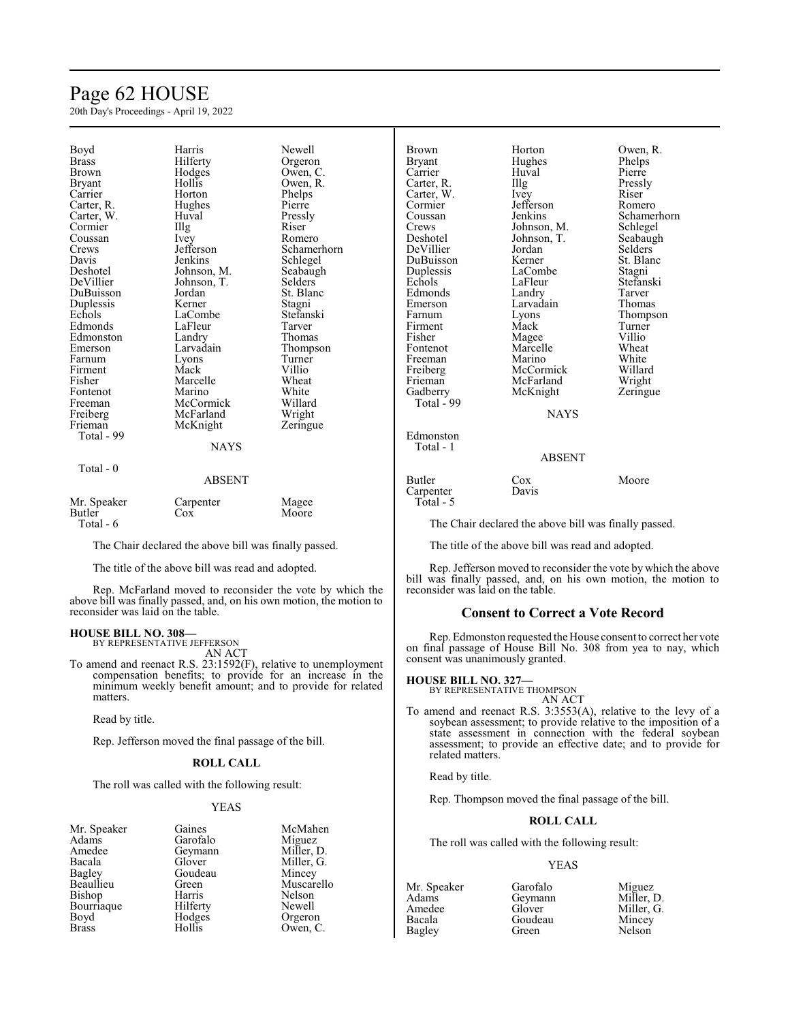## Page 62 HOUSE

20th Day's Proceedings - April 19, 2022

| Boyd<br><b>Brass</b><br><b>Brown</b><br><b>Bryant</b><br>Carrier<br>Carter, R.<br>Carter, W.<br>Cormier<br>Coussan<br>Crews<br>Davis<br>Deshotel<br>DeVillier<br>DuBuisson<br>Duplessis<br>Echols<br>Edmonds<br>Edmonston<br>Emerson<br>Farnum<br>Firment<br>Fisher<br>Fontenot | Harris<br>Hilferty<br>Hodges<br>Hollis<br>Horton<br>Hughes<br>Huval<br>Illg<br>Ivey<br>Jefferson<br>Jenkins<br>Johnson, M.<br>Johnson, T.<br>Jordan<br>Kerner<br>LaCombe<br>LaFleur<br>Landry<br>Larvadain<br>Lyons<br>Mack<br>Marcelle<br>Marino | Newell<br>Orgeron<br>Owen, C.<br>Owen, R.<br>Phelps<br>Pierre<br>Pressly<br>Riser<br>Romero<br>Schamerhorn<br>Schlegel<br>Seabaugh<br>Selders<br>St. Blanc<br>Stagni<br>Stefanski<br>Tarver<br>Thomas<br>Thompson<br>Turner<br>Villio<br>Wheat<br>White | Brown<br><b>Bryant</b><br>Carrier<br>Carter, R.<br>Carter, W.<br>Cormier<br>Coussan<br>Crews<br>Deshotel<br>DeVillier<br>DuBuisson<br>Duplessis<br>Echols<br>Edmonds<br>Emerson<br>Farnum<br>Firment<br>Fisher<br>Fontenot<br>Freeman<br>Freiberg<br>Frieman<br>Gadberry |
|---------------------------------------------------------------------------------------------------------------------------------------------------------------------------------------------------------------------------------------------------------------------------------|---------------------------------------------------------------------------------------------------------------------------------------------------------------------------------------------------------------------------------------------------|---------------------------------------------------------------------------------------------------------------------------------------------------------------------------------------------------------------------------------------------------------|--------------------------------------------------------------------------------------------------------------------------------------------------------------------------------------------------------------------------------------------------------------------------|
|                                                                                                                                                                                                                                                                                 |                                                                                                                                                                                                                                                   |                                                                                                                                                                                                                                                         |                                                                                                                                                                                                                                                                          |
| Freeman<br>Freiberg<br>Frieman                                                                                                                                                                                                                                                  | McCormick<br>McFarland<br>McKnight                                                                                                                                                                                                                | Willard<br>Wright<br>Zeringue                                                                                                                                                                                                                           | Total - 99                                                                                                                                                                                                                                                               |
| Total - 99                                                                                                                                                                                                                                                                      | <b>NAYS</b>                                                                                                                                                                                                                                       |                                                                                                                                                                                                                                                         | Edmonston<br>Total - 1                                                                                                                                                                                                                                                   |
| Total - 0                                                                                                                                                                                                                                                                       | <b>ABSENT</b>                                                                                                                                                                                                                                     |                                                                                                                                                                                                                                                         | <b>Butler</b><br>Carpenter                                                                                                                                                                                                                                               |
| Mr. Speaker<br>Butler<br>Total - 6                                                                                                                                                                                                                                              | Carpenter<br>Cox                                                                                                                                                                                                                                  | Magee<br>Moore                                                                                                                                                                                                                                          | Total - 5<br>The Chair                                                                                                                                                                                                                                                   |

The Chair declared the above bill was finally passed.

The title of the above bill was read and adopted.

Rep. McFarland moved to reconsider the vote by which the above bill was finally passed, and, on his own motion, the motion to reconsider was laid on the table.

#### **HOUSE BILL NO. 308—**

BY REPRESENTATIVE JEFFERSON AN ACT

To amend and reenact R.S. 23:1592(F), relative to unemployment compensation benefits; to provide for an increase in the minimum weekly benefit amount; and to provide for related matters.

Read by title.

Rep. Jefferson moved the final passage of the bill.

#### **ROLL CALL**

The roll was called with the following result:

#### YEAS

| Gaines   | McMaher   |
|----------|-----------|
| Garofalo | Miguez    |
| Geymann  | Miller, D |
| Glover   | Miller, G |
| Goudeau  | Mincey    |
| Green    | Muscarel  |
| Harris   | Nelson    |
| Hilferty | Newell    |
| Hodges   | Orgeron   |
| Hollis   | Owen, C.  |
|          |           |

McMahen Miguez Miller, D. Miller, G. Mincey Muscarello Nelson Newell Orgeron

| <b>Brown</b>  | Horton      | Ower        |
|---------------|-------------|-------------|
| <b>Bryant</b> | Hughes      | Phelp       |
| Carrier       | Huval       | Pierro      |
| Carter, R.    | Illg        | Press       |
| Carter, W.    | Ivey        | Riser       |
| Cormier       | Jefferson   | Rom         |
| Coussan       | Jenkins     | Schai       |
| Crews         | Johnson, M. | Schle       |
| Deshotel      | Johnson, T. | <b>Seab</b> |
| DeVillier     | Jordan      | Selde       |
| DuBuisson     | Kerner      | St. B       |
| Duplessis     | LaCombe     | Stagr       |
| Echols        | LaFleur     | Stefa       |
| Edmonds       | Landry      | Tarve       |
| Emerson       | Larvadain   | Thon        |
| Farnum        | Lyons       | Thon        |
| Firment       | Mack        | Turn        |
| Fisher        | Magee       | Villio      |
| Fontenot      | Marcelle    | Whea        |
| Freeman       | Marino      | Whit        |
| Freiberg      | McCormick   | Willa       |
| Frieman       | McFarland   | Wrig        |
| Gadberry      | McKnight    | Zerin       |
| Total - 99    |             |             |
|               | <b>NAYS</b> |             |
| Edmonston     |             |             |

Horton Owen, R.<br>Hughes Phelps Hughes Phelps<br>Huval Pierre Huval<br>Illg The Pressly<br>
The Pressly<br>
Riser Jefferson Romero Johnson, M.<br>
Johnson, T.<br>
Seabaugh Johnson, T.<br>Jordan Jordan Selders<br>
Kerner St. Blan LaCombe<br>LaFleur Landry Tarver<br>Larvadain Thomas Larvadain Magee Villio<br>Marcelle Wheat Marcelle<br>Marino McCormick Willard<br>
McFarland Wright McFarland Wright<br>
McKnight Zeringue McKnight

# Jenkins Schamerhorn<br>Johnson, M. Schlegel St. Blanc<br>Stagni Stefanski<br>Tarver Lyons Thompson<br>Mack Turner Turner<br>Villio White<br>Willard

#### ABSENT

Cox Moore Davis

The Chair declared the above bill was finally passed.

The title of the above bill was read and adopted.

Rep. Jefferson moved to reconsider the vote by which the above bill was finally passed, and, on his own motion, the motion to reconsider was laid on the table.

#### **Consent to Correct a Vote Record**

Rep.Edmonston requested the House consent to correct her vote on final passage of House Bill No. 308 from yea to nay, which consent was unanimously granted.

## **HOUSE BILL NO. 327—** BY REPRESENTATIVE THOMPSON

AN ACT

To amend and reenact R.S. 3:3553(A), relative to the levy of a soybean assessment; to provide relative to the imposition of a state assessment in connection with the federal soybean assessment; to provide an effective date; and to provide for related matters.

Read by title.

Rep. Thompson moved the final passage of the bill.

#### **ROLL CALL**

The roll was called with the following result:

#### YEAS

Adams Geymann<br>Amedee Glover Bagley

Mr. Speaker Garofalo Miguez<br>Adams Geymann Miller, D. Amedee Glover Miller, G.<br>Bacala Goudeau Mincey Goudeau Mincey<br>Green Nelson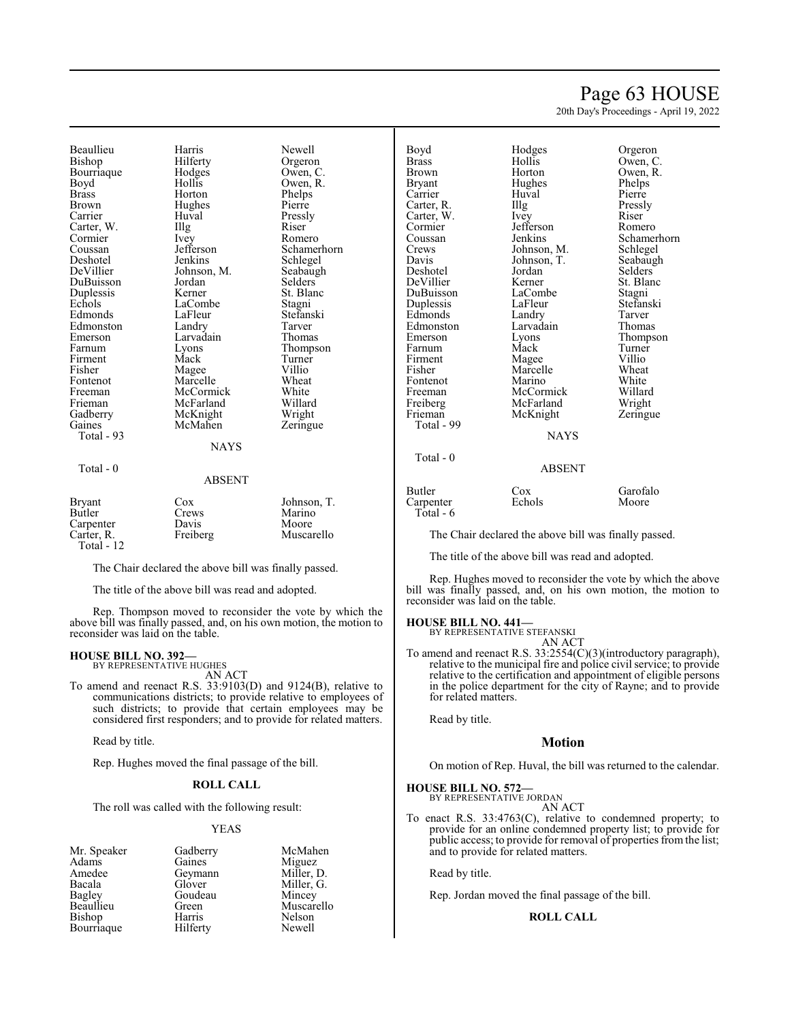## Page 63 HOUSE

20th Day's Proceedings - April 19, 2022

Beaullieu Harris Newell Bourriaque Hodge<br>Boyd Hollis Boyd Hollis Owen, R.<br>Brass Horton Phelps Brass Horton Phelps<br>Brown Hughes Pierre Carrier Huval Pressly Carter, W. Illg Riser Cormier Ney Romero Cormier Ivey<br>Coussan Jefferson Coussan Jefferson Schamerhorn<br>Deshotel Jenkins Schlegel Deshotel Jenkins Schlegel<br>DeVillier Johnson, M. Seabaugh DuBuisson Jordan Selders<br>
Duplessis Kerner St. Blanc Duplessis Kerner St. Blanch<br>Echols LaCombe Stagni Edmonds LaFleur Stefans<br>Edmonston Landry Tarver Edmonston Landry Tarver<br>
Emerson Larvadain Thomas Emerson Larvadain<br>Farnum Lyons Firment Mack Turner<br>
Fisher Magee Villio Fisher Magee Villio<br>Fontenot Marcelle Wheat Fontenot Marcelle Wheat<br>Freeman McCormick White Freeman McCormick White<br>
Frieman McFarland Willard Frieman McFarland Willard<br>Gadberry McKnight Wright Gadberry McKnight Wright<br>Gaines McMahen Zeringue Total - 93

Hilferty Orgeron<br>Hodges Owen, C. Hughes Johnson, M. Seabaught<br>Jordan Selders LaCombe Stagni<br>LaFleur Stefanski Eyons Thompson<br>
Mack Turner McMahen **NAYS** 

#### Total - 0

#### ABSENT

| <b>Bryant</b> | Cox      | Johnson, T. |
|---------------|----------|-------------|
| Butler        | Crews    | Marino      |
| Carpenter     | Davis    | Moore       |
| Carter, R.    | Freiberg | Muscarello  |
| Total - $12$  |          |             |

The Chair declared the above bill was finally passed.

The title of the above bill was read and adopted.

Rep. Thompson moved to reconsider the vote by which the above bill was finally passed, and, on his own motion, the motion to reconsider was laid on the table.

#### **HOUSE BILL NO. 392—**

BY REPRESENTATIVE HUGHES AN ACT

To amend and reenact R.S. 33:9103(D) and 9124(B), relative to communications districts; to provide relative to employees of such districts; to provide that certain employees may be considered first responders; and to provide for related matters.

Read by title.

Rep. Hughes moved the final passage of the bill.

#### **ROLL CALL**

The roll was called with the following result:

#### YEAS

- Mr. Speaker Gadberry McMahen<br>Adams Gaines Miguez Adams Gaines Miguez<br>Amedee Geymann Miller, D. Amedee Geymann<br>Bacala Glover Bacala Glover Miller, G. Bagley Goudeau<br>Beaullieu Green Bishop Harris Nelson<br>Bourriaque Hilferty Newell Bourriaque
- Green Muscarello<br>
Harris Nelson

| Boyd              | Hodges       | Orgeron       |
|-------------------|--------------|---------------|
| Brass             | Hollis       | Owen, C       |
| Brown             | Horton       | Owen, R       |
|                   | Hughes       | Phelps        |
| Bryant<br>Carrier | Huval        | Pierre        |
|                   |              |               |
| Carter, R.        | Illg         | Pressly       |
| Carter, W.        | Ivey         | Riser         |
| Cormier           | Jefferson    | Romero        |
| Coussan           | Jenkins      | Schamer       |
| Crews             | Johnson, M.  | Schlegel      |
| Davis             | Johnson, T.  | Seabaug       |
| Deshotel          | Jordan       | Selders       |
| DeVillier         | Kerner       | St. Blan      |
| DuBuisson         | LaCombe      | Stagni        |
| Duplessis         | LaFleur      | Stefansk      |
| Edmonds           | Landry       | Tarver        |
| Edmonston         | Larvadain    | Thomas        |
| Emerson           | Lyons        | <b>Thomps</b> |
| Farnum            | Mack         | Turner        |
| Firment           | Magee        | Villio        |
| Fisher            | Marcelle     | Wheat         |
| Fontenot          | Marino       | White         |
| Freeman           | McCormick    | Willard       |
| Freiberg          | McFarland    | Wright        |
| Frieman           | McKnight     | Zeringue      |
| Total - 99        |              |               |
|                   | <b>NIAVC</b> |               |

| 200 y se     | 1104500     | $\mathsf{L}_{\mathsf{S}}\mathsf{L}\mathsf{L}\mathsf{L}\mathsf{L}$ |
|--------------|-------------|-------------------------------------------------------------------|
| <b>Brass</b> | Hollis      | Owen, C.                                                          |
| Brown        | Horton      | Owen, R.                                                          |
| Bryant       | Hughes      | Phelps                                                            |
| Carrier      | Huval       | Pierre                                                            |
| Carter, R.   | Illg        | Pressly                                                           |
| Carter, W.   | Ivey        | Riser                                                             |
| Cormier      | Jefferson   | Romero                                                            |
| Coussan      | Jenkins     | Schamerhorn                                                       |
| Crews        | Johnson, M. | Schlegel                                                          |
| Davis        | Johnson, T. | Seabaugh                                                          |
| Deshotel     | Jordan      | Selders                                                           |
| DeVillier    | Kerner      | St. Blanc                                                         |
| DuBuisson    | LaCombe     | Stagni                                                            |
| Duplessis    | LaFleur     | Stefanski                                                         |
| Edmonds      | Landry      | Tarver                                                            |
| Edmonston    | Larvadain   | Thomas                                                            |
| Emerson      | Lyons       | Thompson                                                          |
| Farnum       | Mack        | Turner                                                            |
| Firment      | Magee       | Villio                                                            |
| Fisher       | Marcelle    | Wheat                                                             |
| Fontenot     | Marino      | White                                                             |
| Freeman      | McCormick   | Willard                                                           |
| Freiberg     | McFarland   | Wright                                                            |
| Frieman      | McKnight    | Zeringue                                                          |
| Total - 99   |             |                                                                   |
|              | NAYS        |                                                                   |
| $Total - 0$  |             |                                                                   |

Total - 0

### ABSENT

Butler Cox Garofalo<br>Carpenter Echols Moore Carpenter Total - 6

The Chair declared the above bill was finally passed.

The title of the above bill was read and adopted.

Rep. Hughes moved to reconsider the vote by which the above bill was finally passed, and, on his own motion, the motion to reconsider was laid on the table.

#### **HOUSE BILL NO. 441—**

BY REPRESENTATIVE STEFANSKI

AN ACT

To amend and reenact R.S. 33:2554(C)(3)(introductory paragraph), relative to the municipal fire and police civil service; to provide relative to the certification and appointment of eligible persons in the police department for the city of Rayne; and to provide for related matters.

Read by title.

#### **Motion**

On motion of Rep. Huval, the bill was returned to the calendar.

**HOUSE BILL NO. 572—** BY REPRESENTATIVE JORDAN

AN ACT

To enact R.S. 33:4763(C), relative to condemned property; to provide for an online condemned property list; to provide for public access; to provide for removal of properties from the list; and to provide for related matters.

Read by title.

Rep. Jordan moved the final passage of the bill.

#### **ROLL CALL**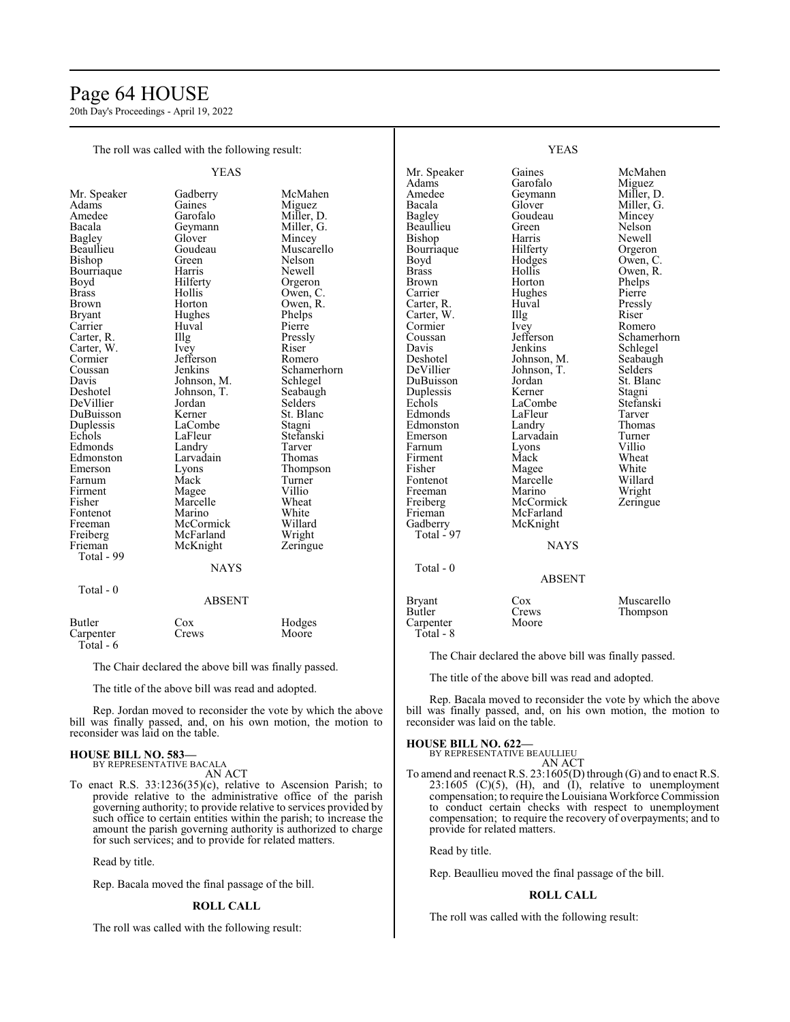## Page 64 HOUSE

20th Day's Proceedings - April 19, 2022

The roll was called with the following result:

|                                                                                                                                                                                                                                                                                                                                                                                                            | YEAS                                                                                                                                                                                                                                                                                                                                                                     |                                                                                                                                                                                                                                                                                                                                                                             |
|------------------------------------------------------------------------------------------------------------------------------------------------------------------------------------------------------------------------------------------------------------------------------------------------------------------------------------------------------------------------------------------------------------|--------------------------------------------------------------------------------------------------------------------------------------------------------------------------------------------------------------------------------------------------------------------------------------------------------------------------------------------------------------------------|-----------------------------------------------------------------------------------------------------------------------------------------------------------------------------------------------------------------------------------------------------------------------------------------------------------------------------------------------------------------------------|
| Mr. Speaker<br>Adams<br>Amedee<br>Bacala<br>Bagley<br>Beaullieu<br>Bishop<br>Bourriaque<br>Boyd<br><b>Brass</b><br>Brown<br><b>Bryant</b><br>Carrier<br>Carter, R.<br>Carter, W.<br>Cormier<br>Coussan<br>Davis<br>Deshotel<br>DeVillier<br>DuBuisson<br>Duplessis<br>Echols<br>Edmonds<br>Edmonston<br>Emerson<br>Farnum<br>Firment<br>Fisher<br>Fontenot<br>Freeman<br>Freiberg<br>Frieman<br>Total - 99 | Gadberry<br>Gaines<br>Garofalo<br>Geymann<br>Glover<br>Goudeau<br>Green<br>Harris<br>Hilferty<br>Hollis<br>Horton<br>Hughes<br>Huval<br>Illg<br><i>lvey</i><br>Jefferson<br>Jenkins<br>Johnson, M.<br>Johnson, T.<br>Jordan<br>Kerner<br>LaCombe<br>LaFleur<br>Landry<br>Larvadain<br>Lyons<br>Mack<br>Magee<br>Marcelle<br>Marino<br>McCormick<br>McFarland<br>McKnight | McMahen<br>Miguez<br>Miller, D.<br>Miller, G.<br>Mincey<br>Muscarello<br>Nelson<br>Newell<br>Orgeron<br>Owen, C.<br>Owen, R.<br>Phelps<br>Pierre<br>Pressly<br>Riser<br>Romero<br>Schamerhorn<br>Schlegel<br>Seabaugh<br>Selders<br>St. Blanc<br>Stagni<br>Stefanski<br>Tarver<br>Thomas<br>Thompson<br>Turner<br>Villio<br>Wheat<br>White<br>Willard<br>Wright<br>Zeringue |
|                                                                                                                                                                                                                                                                                                                                                                                                            | <b>NAYS</b>                                                                                                                                                                                                                                                                                                                                                              |                                                                                                                                                                                                                                                                                                                                                                             |
| Total - 0                                                                                                                                                                                                                                                                                                                                                                                                  | <b>ABSENT</b>                                                                                                                                                                                                                                                                                                                                                            |                                                                                                                                                                                                                                                                                                                                                                             |
| Butler<br>Carpenter<br>Total - 6                                                                                                                                                                                                                                                                                                                                                                           | Cox<br>Crews                                                                                                                                                                                                                                                                                                                                                             | Hodges<br>Moore                                                                                                                                                                                                                                                                                                                                                             |

The Chair declared the above bill was finally passed.

The title of the above bill was read and adopted.

Rep. Jordan moved to reconsider the vote by which the above bill was finally passed, and, on his own motion, the motion to reconsider was laid on the table.

#### **HOUSE BILL NO. 583—** BY REPRESENTATIVE BACALA

AN ACT

To enact R.S. 33:1236(35)(c), relative to Ascension Parish; to provide relative to the administrative office of the parish governing authority; to provide relative to services provided by such office to certain entities within the parish; to increase the amount the parish governing authority is authorized to charge for such services; and to provide for related matters.

Read by title.

Rep. Bacala moved the final passage of the bill.

#### **ROLL CALL**

The roll was called with the following result:

| Mr. Speaker  | Gaines      | McMahen     |
|--------------|-------------|-------------|
| Adams        | Garofalo    | Miguez      |
| Amedee       | Geymann     | Miller, D.  |
| Bacala       | Glover      | Miller, G.  |
| Bagley       | Goudeau     | Mincey      |
| Beaullieu    | Green       | Nelson      |
| Bishop       | Harris      | Newell      |
| Bourriaque   | Hilferty    | Orgeron     |
| Boyd         | Hodges      | Owen, C.    |
| <b>Brass</b> | Hollis      | Owen, R.    |
| Brown        | Horton      | Phelps      |
| Carrier      | Hughes      | Pierre      |
| Carter, R.   | Huval       | Pressly     |
| Carter, W.   | Illg        | Riser       |
| Cormier      | Ivey        | Romero      |
| Coussan      | Jefferson   | Schamerhorn |
| Davis        | Jenkins     | Schlegel    |
| Deshotel     | Johnson, M. | Seabaugh    |
| DeVillier    | Johnson, T. | Selders     |
| DuBuisson    | Jordan      | St. Blanc   |
| Duplessis    | Kerner      | Stagni      |
| Echols       | LaCombe     | Stefanski   |
| Edmonds      | LaFleur     | Tarver      |
| Edmonston    | Landry      | Thomas      |
| Emerson      | Larvadain   | Turner      |
| Farnum       | Lyons       | Villio      |
| Firment      | Mack        | Wheat       |
| Fisher       | Magee       | White       |
| Fontenot     | Marcelle    | Willard     |
| Freeman      | Marino      | Wright      |
| Freiberg     | McCormick   | Zeringue    |
| Frieman      | McFarland   |             |
| Gadberry     | McKnight    |             |
| Total - 97   |             |             |
|              | <b>NAYS</b> |             |
|              |             |             |
| Total - 0    |             |             |
|              | ABSENT      |             |
|              |             |             |

YEAS

Bryant Cox Muscarello<br>Butler Crews Thompson Crews Thompson<br>Moore Carpenter Total - 8

The Chair declared the above bill was finally passed.

The title of the above bill was read and adopted.

Rep. Bacala moved to reconsider the vote by which the above bill was finally passed, and, on his own motion, the motion to reconsider was laid on the table.

#### **HOUSE BILL NO. 622—**

BY REPRESENTATIVE BEAULLIEU AN ACT

To amend and reenact R.S. 23:1605(D) through (G) and to enact R.S.  $23:1605$  (C)(5), (H), and (I), relative to unemployment compensation; to require the Louisiana Workforce Commission to conduct certain checks with respect to unemployment compensation; to require the recovery of overpayments; and to provide for related matters.

Read by title.

Rep. Beaullieu moved the final passage of the bill.

#### **ROLL CALL**

The roll was called with the following result: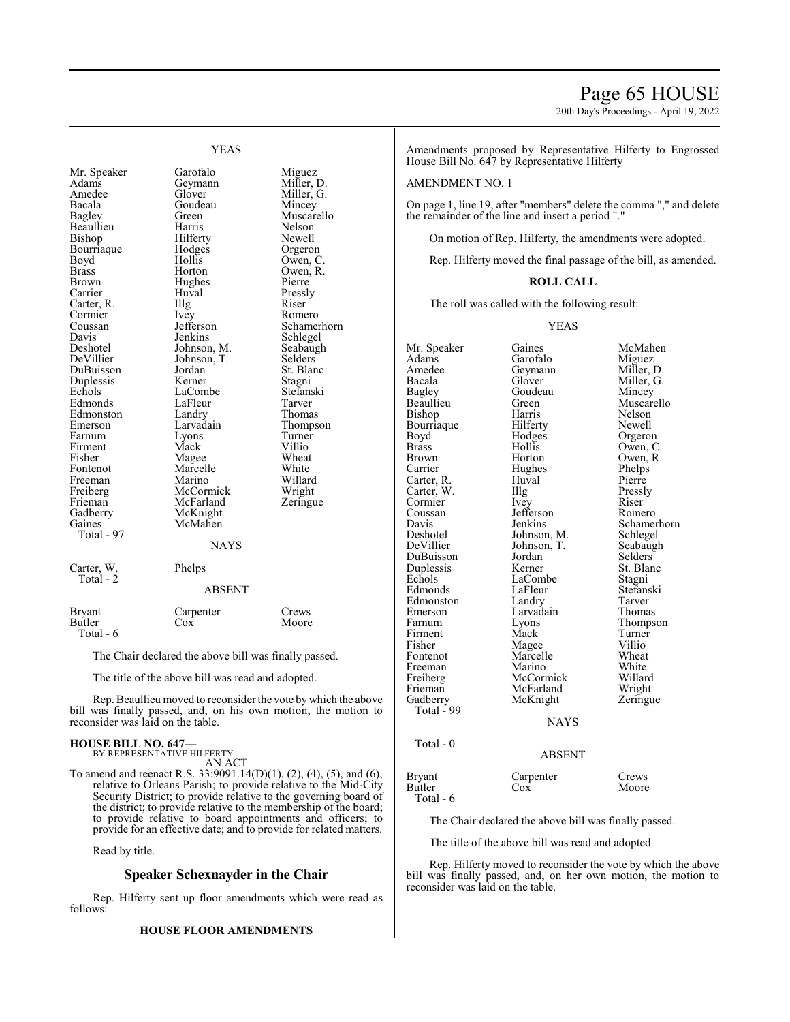## Page 65 HOUSE

20th Day's Proceedings - April 19, 2022

YEAS

Adams Geymann Miller, D.<br>Amedee Glover Miller, G. Amedee Glover Miller, G.<br>Bacala Goudeau Mincey Bagley Green Muscarello<br>
Beaullieu Harris Nelson<br>
Muscarello Beaullieu Harris Nelson Bourriaque Hodge<br>Boyd Hollis Boyd Hollis Owen, C.<br>Brass Horton Owen, R. Brass Horton Owen, R. Carrier Huval Pressl<br>Carter, R. Illg Riser Carter, R. Cormier Ivey Romero<br>
Coussan Iefferson Schame Coussan Jefferson Schamerhorn<br>
Davis Jenkins Schlegel Davis Jenkins Schlegel<br>Deshotel Johnson, M. Seabaugh Deshotel Johnson, M. Seabaughter Johnson, T. Selders DuBuisson Jordan St. Blanc<br>
Duplessis Kerner Stagni Duplessis Kerner Stagni<br>
Echols LaCombe Stefanski Edmonds LaFleur Tarver<br>
Edmonston Landry Thomas Edmonston Landry<br>Emerson Larvadain Farnum Lyons Turne<br>
Firment Mack Villio Firment Mack Villio<br>Fisher Magee Wheat Fisher Magee Wheat<br>Fontenot Marcelle White Freeman Marino Willard<br>
Freiberg McCormick Wright Freiberg McCormick Wright<br>
Frieman McFarland Zeringue Frieman McFarland<br>Gadberry McKnight Gadberry McKnight<br>
Gaines McMahen Total - 97 Carter, W. Phelps Total - 2

Mr. Speaker Garofalo Miguez<br>Adams Geymann Miller, 1 Goudeau Hilferty Newell<br>
Hodges Orgeron Hughes Pierre<br>Huval Pressly Johnson, T. Selders<br>Jordan St. Blanc LaCombe Stefans<br>LaFleur Tarver Larvadain Thompson<br>Lyons Turner Marcelle White<br>
Marino Willard McMahen

#### **NAYS**

## ABSENT

## Bryant Carpenter Crews<br>Butler Cox Moore **Butler**

The Chair declared the above bill was finally passed.

The title of the above bill was read and adopted.

Rep. Beaullieu moved to reconsider the vote bywhich the above bill was finally passed, and, on his own motion, the motion to reconsider was laid on the table.

#### **HOUSE BILL NO. 647—**

Total - 6

BY REPRESENTATIVE HILFERTY AN ACT

To amend and reenact R.S. 33:9091.14(D)(1), (2), (4), (5), and (6), relative to Orleans Parish; to provide relative to the Mid-City Security District; to provide relative to the governing board of the district; to provide relative to the membership of the board; to provide relative to board appointments and officers; to provide for an effective date; and to provide for related matters.

Read by title.

#### **Speaker Schexnayder in the Chair**

Rep. Hilferty sent up floor amendments which were read as follows:

#### **HOUSE FLOOR AMENDMENTS**

Amendments proposed by Representative Hilferty to Engrossed House Bill No. 647 by Representative Hilferty

#### AMENDMENT NO. 1

On page 1, line 19, after "members" delete the comma "," and delete the remainder of the line and insert a period "."

On motion of Rep. Hilferty, the amendments were adopted.

Rep. Hilferty moved the final passage of the bill, as amended.

#### **ROLL CALL**

The roll was called with the following result:

YEAS

Mr. Speaker Gaines McMahen<br>Adams Garofalo Miguez Adams Garofalo<br>Amedee Geymann Amedee Geymann Miller, D.<br>Bacala Glover Miller, G. Bacala Glover Miller, G. Bagley Goudeau<br>Beaullieu Green Bishop Harris Nelson<br>Bourriaque Hilferty Newell Bourriaque Hilferty<br>Boyd Hodges Boyd Hodges Orgeron<br>Brass Hollis Owen Brass Hollis Owen, C. Brown Horton Owen, R.<br>
Carrier Hughes Phelps Hughes Phelps<br>Huval Pierre Carter, R. Huval Pierre<br>Carter, W. Illg Pressly Carter, W. Illg Pressly Cormier Ivey Riser<br>
Coussan Iefferson Romero Coussan Jefferson<br>Davis Jenkins Davis Jenkins Schamerhorn<br>Deshotel Johnson, M. Schlegel Deshotel Johnson, M. Schlegel<br>DeVillier Johnson, T. Seabaugh Johnson, T. DuBuisson Jordan Selders<br>
Duplessis Kerner St. Blanc Duplessis Kerner St. Blanch<br>Echols LaCombe Stagni Edmonds LaFleur Stefans<br>Edmonston Landry Tarver Edmonston Landry Tarver<br>
Emerson Larvadain Thomas Emerson Larvadain<br>Farnum Lyons Firment Mack Turner<br>
Fisher Magee Villio Fisher Magee Villio<br>Fontenot Marcelle Wheat Marcelle Wheat<br>
Marino White Freeman Marino White<br>
Freiberg McCormick Willard Freiberg McCormick Willard<br>
Frieman McFarland Wright Frieman McFarland Wright<br>
Gadberry McKnight Zeringue McKnight Total  $-99$ **NAYS** Total - 0

Green Muscarello<br>Harris Nelson LaCombe Stagni<br>LaFleur Stefanski Lyons Thompson<br>Mack Turner

#### ABSENT

Bryant Carpenter Crews<br>Butler Cox Moore Butler Cox Moore Total - 6

The Chair declared the above bill was finally passed.

The title of the above bill was read and adopted.

Rep. Hilferty moved to reconsider the vote by which the above bill was finally passed, and, on her own motion, the motion to reconsider was laid on the table.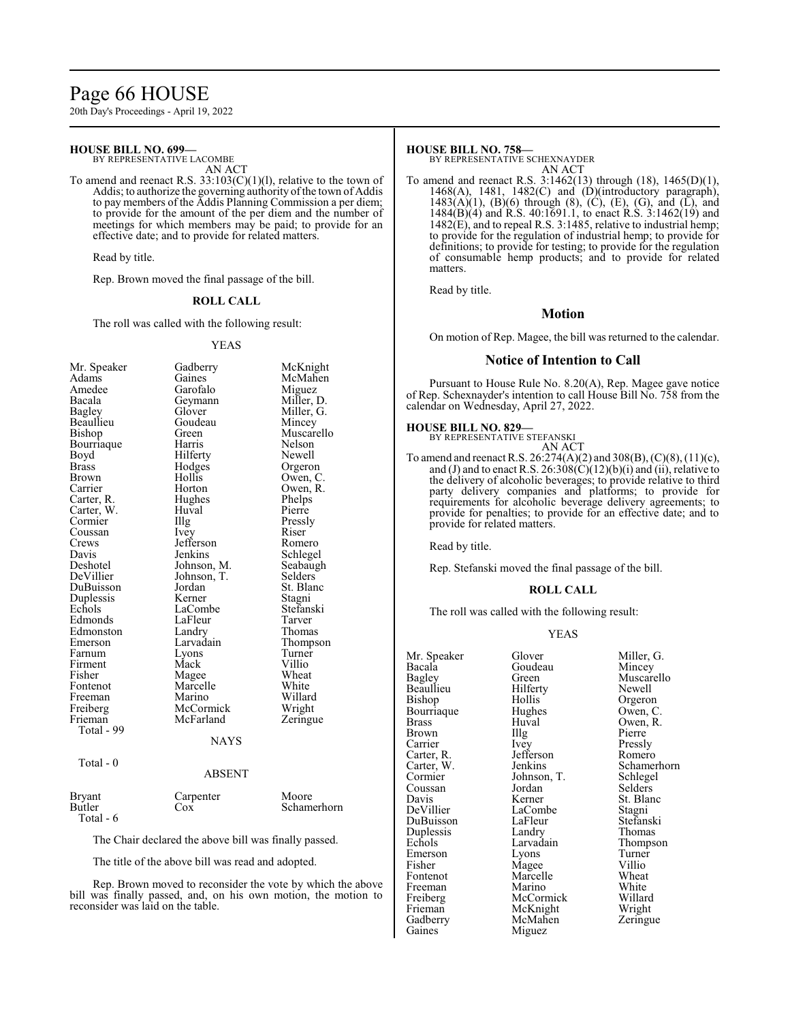## Page 66 HOUSE

20th Day's Proceedings - April 19, 2022

#### **HOUSE BILL NO. 699—**

BY REPRESENTATIVE LACOMBE AN ACT

To amend and reenact R.S.  $33:103(C)(1)(1)$ , relative to the town of Addis; to authorize the governing authority of the town of Addis to pay members of the Addis Planning Commission a per diem; to provide for the amount of the per diem and the number of meetings for which members may be paid; to provide for an effective date; and to provide for related matters.

Read by title.

Rep. Brown moved the final passage of the bill.

#### **ROLL CALL**

The roll was called with the following result:

#### YEAS

| Mr. Speaker  | Gadberry    | McKnight   |
|--------------|-------------|------------|
| Adams        | Gaines      | McMahen    |
| Amedee       | Garofalo    | Miguez     |
| Bacala       | Geymann     | Miller, D. |
| Bagley       | Glover      | Miller, G. |
| Beaullieu    | Goudeau     | Mincey     |
| Bishop       | Green       | Muscarello |
| Bourriaque   | Harris      | Nelson     |
| Boyd         | Hilferty    | Newell     |
| <b>Brass</b> | Hodges      | Orgeron    |
| Brown        | Hollis      | Owen, C.   |
| Carrier      | Horton      | Owen, R.   |
| Carter, R.   | Hughes      | Phelps     |
| Carter, W.   | Huval       | Pierre     |
| Cormier      | Illg        | Pressly    |
| Coussan      | Ivey        | Riser      |
| Crews        | Jefferson   | Romero     |
| Davis        | Jenkins     | Schlegel   |
| Deshotel     | Johnson, M. | Seabaugh   |
| DeVillier    | Johnson, T. | Selders    |
| DuBuisson    | Jordan      | St. Blanc  |
| Duplessis    | Kerner      | Stagni     |
| Echols       | LaCombe     | Stefanski  |
| Edmonds      | LaFleur     | Tarver     |
| Edmonston    | Landry      | Thomas     |
| Emerson      | Larvadain   | Thompson   |
| Farnum       | Lyons       | Turner     |
| Firment      | Mack        | Villio     |
| Fisher       | Magee       | Wheat      |
| Fontenot     | Marcelle    | White      |
| Freeman      | Marino      | Willard    |
| Freiberg     | McCormick   | Wright     |
| Frieman      | McFarland   | Zeringue   |
| Total - 99   |             |            |
|              | <b>NAYS</b> |            |
|              |             |            |

Total - 0

Bryant<br>Butler

#### ABSENT

| Bryant    | Carpenter | Moore       |
|-----------|-----------|-------------|
| Butler    | Cox       | Schamerhorn |
| Total - 6 |           |             |

The Chair declared the above bill was finally passed.

The title of the above bill was read and adopted.

Rep. Brown moved to reconsider the vote by which the above bill was finally passed, and, on his own motion, the motion to reconsider was laid on the table.

#### **HOUSE BILL NO. 758—**

BY REPRESENTATIVE SCHEXNAYDER AN ACT

To amend and reenact R.S. 3:1462(13) through (18), 1465(D)(1), 1468(A), 1481, 1482(C) and (D)(introductory paragraph),  $1483(A)(1)$ , (B)(6) through (8), (C), (E), (G), and (L), and 1484(B)(4) and R.S. 40:1691.1, to enact R.S. 3:1462(19) and 1482(E), and to repeal R.S. 3:1485, relative to industrial hemp; to provide for the regulation of industrial hemp; to provide for definitions; to provide for testing; to provide for the regulation of consumable hemp products; and to provide for related matters.

Read by title.

#### **Motion**

On motion of Rep. Magee, the bill was returned to the calendar.

#### **Notice of Intention to Call**

Pursuant to House Rule No. 8.20(A), Rep. Magee gave notice of Rep. Schexnayder's intention to call House Bill No. 758 from the calendar on Wednesday, April 27, 2022.

#### **HOUSE BILL NO. 829—**

BY REPRESENTATIVE STEFANSKI

AN ACT To amend and reenact R.S. 26:274(A)(2) and 308(B), (C)(8), (11)(c), and (J) and to enact R.S.  $26:308(\tilde{C})(12)(b)(i)$  and (ii), relative to the delivery of alcoholic beverages; to provide relative to third party delivery companies and platforms; to provide for requirements for alcoholic beverage delivery agreements; to provide for penalties; to provide for an effective date; and to provide for related matters.

Read by title.

Rep. Stefanski moved the final passage of the bill.

#### **ROLL CALL**

The roll was called with the following result:

#### YEAS

| Mr. Speaker   | Glover      | Miller, G.  |
|---------------|-------------|-------------|
| Bacala        | Goudeau     | Mincey      |
| <b>Bagley</b> | Green       | Muscarello  |
| Beaullieu     | Hilferty    | Newell      |
| Bishop        | Hollis      | Orgeron     |
| Bourriaque    | Hughes      | Owen, C.    |
| Brass         | Huval       | Owen, R.    |
| Brown         | Illg        | Pierre      |
| Carrier       | <i>lvey</i> | Pressly     |
| Carter, R.    | Jefferson   | Romero      |
| Carter, W.    | Jenkins     | Schamerhorn |
| Cormier       | Johnson, T. | Schlegel    |
| Coussan       | Jordan      | Selders     |
| Davis         | Kerner      | St. Blanc   |
| DeVillier     | LaCombe     | Stagni      |
| DuBuisson     | LaFleur     | Stefanski   |
| Duplessis     | Landry      | Thomas      |
| Echols        | Larvadain   | Thompson    |
| Emerson       | Lyons       | Turner      |
| Fisher        | Magee       | Villio      |
| Fontenot      | Marcelle    | Wheat       |
| Freeman       | Marino      | White       |
| Freiberg      | McCormick   | Willard     |
| Frieman       | McKnight    | Wright      |
| Gadberry      | McMahen     | Zeringue    |
| Gaines        | Miguez      |             |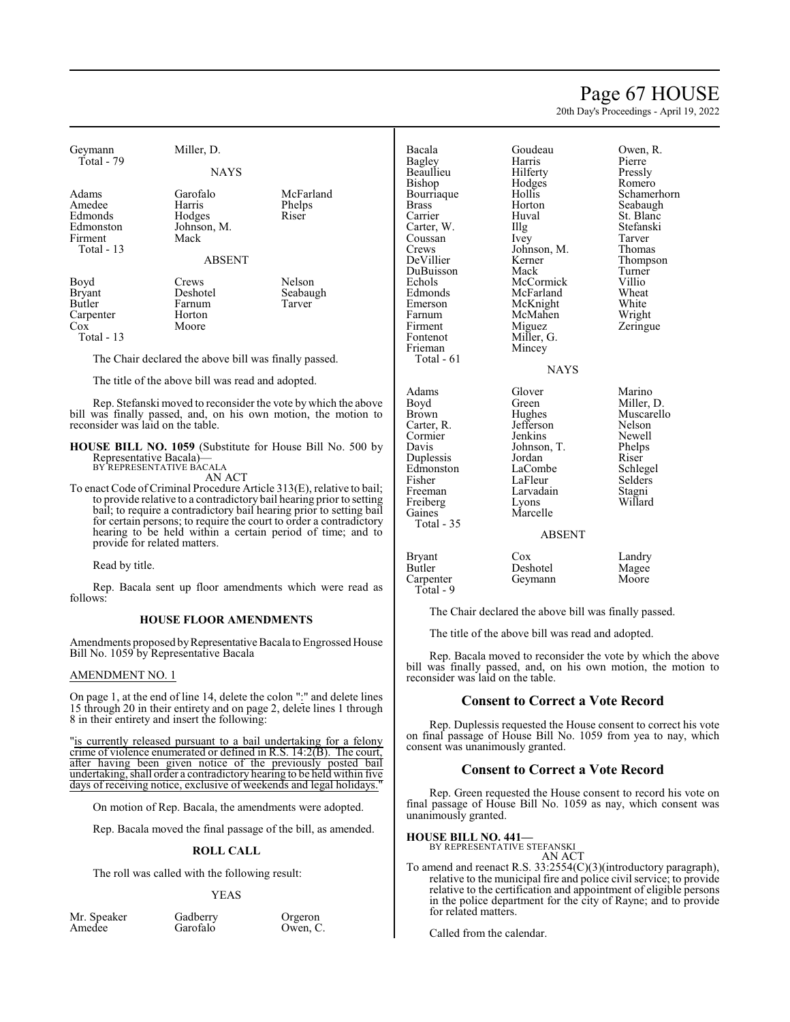## Page 67 HOUSE

20th Day's Proceedings - April 19, 2022

| Geymann                           | Miller, D.                                            |                                                                  | Bacala        | Goudeau     | Owen, R.    |
|-----------------------------------|-------------------------------------------------------|------------------------------------------------------------------|---------------|-------------|-------------|
| Total - 79                        |                                                       |                                                                  | <b>Bagley</b> | Harris      | Pierre      |
|                                   | <b>NAYS</b>                                           |                                                                  | Beaullieu     | Hilferty    | Pressly     |
|                                   |                                                       |                                                                  | Bishop        | Hodges      | Romero      |
| Adams                             | Garofalo                                              | McFarland                                                        | Bourriaque    | Hollis      | Schamerhorn |
| Amedee                            | Harris                                                | Phelps                                                           | <b>Brass</b>  | Horton      | Seabaugh    |
| Edmonds                           | Hodges                                                | Riser                                                            | Carrier       | Huval       | St. Blanc   |
| Edmonston                         | Johnson, M.                                           |                                                                  | Carter, W.    | Illg        | Stefanski   |
| Firment                           | Mack                                                  |                                                                  | Coussan       | Ivey        | Tarver      |
| Total - 13                        |                                                       |                                                                  | Crews         | Johnson, M. | Thomas      |
|                                   | <b>ABSENT</b>                                         |                                                                  | DeVillier     | Kerner      | Thompson    |
|                                   |                                                       |                                                                  | DuBuisson     | Mack        | Turner      |
| Boyd                              | Crews                                                 | Nelson                                                           | Echols        | McCormick   | Villio      |
| Bryant                            | Deshotel                                              | Seabaugh                                                         | Edmonds       | McFarland   | Wheat       |
| Butler                            | Farnum                                                | Tarver                                                           | Emerson       | McKnight    | White       |
| Carpenter                         | Horton                                                |                                                                  | Farnum        | McMahen     | Wright      |
| $\overline{\mathrm{Cox}}$         | Moore                                                 |                                                                  | Firment       | Miguez      | Zeringue    |
| Total $-13$                       |                                                       |                                                                  | Fontenot      | Miller, G.  |             |
|                                   |                                                       |                                                                  | Frieman       | Mincey      |             |
|                                   | The Chair declared the above bill was finally passed. |                                                                  | Total $-61$   |             |             |
|                                   |                                                       |                                                                  |               | <b>NAYS</b> |             |
|                                   | The title of the above bill was read and adopted.     |                                                                  |               |             |             |
|                                   |                                                       |                                                                  | Adams         | Glover      | Marino      |
|                                   |                                                       | Rep. Stefanski moved to reconsider the vote by which the above   | Boyd          | Green       | Miller, D.  |
|                                   |                                                       | bill was finally passed, and, on his own motion, the motion to   | <b>Brown</b>  | Hughes      | Muscarello  |
| reconsider was laid on the table. |                                                       |                                                                  | Carter, R.    | Jefferson   | Nelson      |
|                                   |                                                       |                                                                  | Cormier       | Jenkins     | Newell      |
|                                   |                                                       | <b>HOUSE BILL NO. 1059</b> (Substitute for House Bill No. 500 by | Davis         | Johnson, T. | Phelps      |
|                                   | Representative Bacala)—<br>BY REPRESENTATIVE BÁCALA   |                                                                  | Duplessis     | Jordan      | Riser       |
|                                   | AN ACT                                                |                                                                  | Edmonston     | LaCombe     | Schlegel    |
|                                   |                                                       |                                                                  | Fisher        | LaFleur     | Selders     |

Freiberg<br>Gaines

Total - 35

Total - 9

To enact Code of Criminal Procedure Article 313(E), relative to bail; to provide relative to a contradictory bail hearing prior to setting bail; to require a contradictory bail hearing prior to setting bail for certain persons; to require the court to order a contradictory hearing to be held within a certain period of time; and to provide for related matters.

Read by title.

Rep. Bacala sent up floor amendments which were read as follows:

#### **HOUSE FLOOR AMENDMENTS**

Amendments proposed byRepresentative Bacala to Engrossed House Bill No. 1059 by Representative Bacala

#### AMENDMENT NO. 1

On page 1, at the end of line 14, delete the colon ":" and delete lines 15 through 20 in their entirety and on page 2, delete lines 1 through 8 in their entirety and insert the following:

"is currently released pursuant to a bail undertaking for a felony crime of violence enumerated or defined in R.S. 14:2(B). The court, after having been given notice of the previously posted bail undertaking, shall order a contradictory hearing to be held within five days of receiving notice, exclusive of weekends and legal holidays.

On motion of Rep. Bacala, the amendments were adopted.

Rep. Bacala moved the final passage of the bill, as amended.

#### **ROLL CALL**

The roll was called with the following result:

#### YEAS

| Mr. Speaker |  |
|-------------|--|
| Amedee      |  |

Gadberry Orgeron<br>Garofalo Owen, C Owen, C. **Consent to Correct a Vote Record**

Fisher LaFleur Selders<br>Freeman Larvadain Stagni

Marcelle

Bryant Cox Landry<br>Butler Deshotel Magee Butler Deshotel Magee<br>
Carpenter Geymann Moore Geymann

Larvadain Stagni<br>Lyons Willard

ABSENT

The Chair declared the above bill was finally passed. The title of the above bill was read and adopted.

Rep. Bacala moved to reconsider the vote by which the above bill was finally passed, and, on his own motion, the motion to

Rep. Duplessis requested the House consent to correct his vote on final passage of House Bill No. 1059 from yea to nay, which

**Consent to Correct a Vote Record**

Rep. Green requested the House consent to record his vote on final passage of House Bill No. 1059 as nay, which consent was unanimously granted.

**HOUSE BILL NO. 441—**

reconsider was laid on the table.

consent was unanimously granted.

BY REPRESENTATIVE STEFANSKI

AN ACT To amend and reenact R.S. 33:2554(C)(3)(introductory paragraph), relative to the municipal fire and police civil service; to provide relative to the certification and appointment of eligible persons in the police department for the city of Rayne; and to provide for related matters.

Called from the calendar.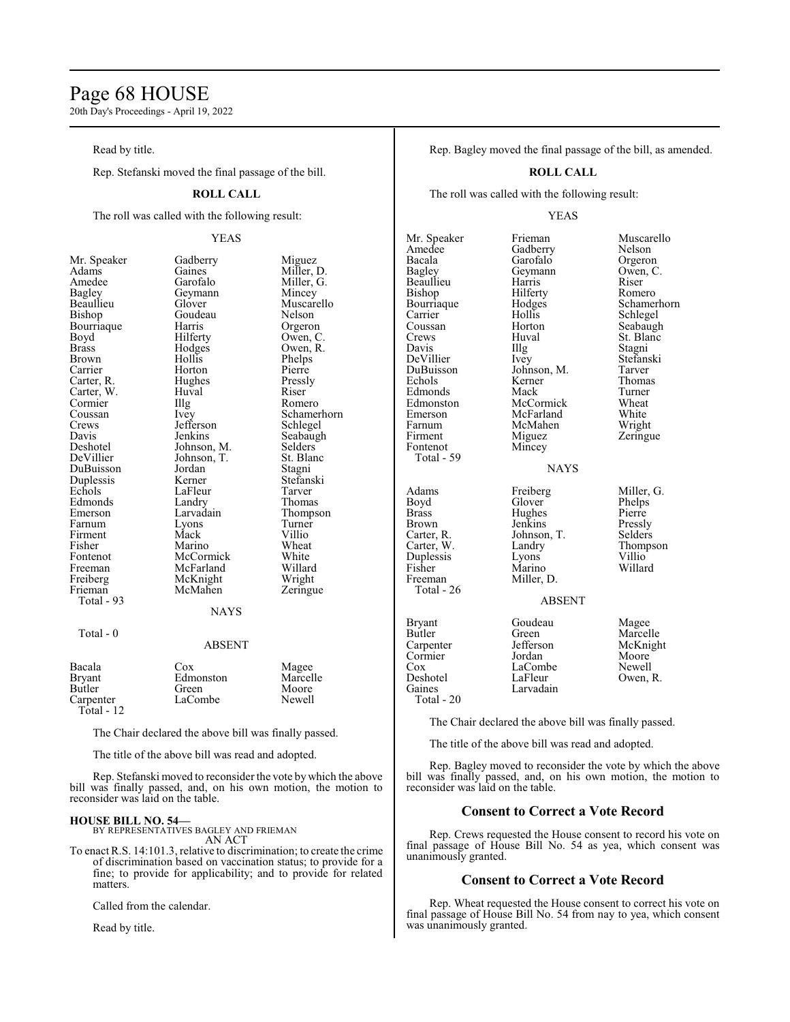## Page 68 HOUSE

20th Day's Proceedings - April 19, 2022

Read by title.

Rep. Stefanski moved the final passage of the bill.

#### **ROLL CALL**

The roll was called with the following result:

#### YEAS

Miller, G.<br>Mincey

Muscarello<br>Nelson

Owen, R.<br>Phelps

Schamerhorn<br>Schlegel

Seabaugh<br>Selders

Stefanski<br>Tarver

Thompson<br>Turner

| ічі. әреакеі        |
|---------------------|
| Adams               |
| Amedee              |
| <b>Bagley</b>       |
| Beaullieu           |
| Bishop              |
| Bourriaque          |
| Boyd                |
| <b>Brass</b>        |
| <b>Brown</b>        |
| Carrier             |
| Carter, R.          |
| Carter, W.          |
| Cormier<br>Coussan  |
|                     |
| Crews               |
| Davis               |
| Deshotel            |
| DeVillier           |
| DuBuisson           |
| Duplessis<br>Echols |
|                     |
| Edmonds             |
| Emerson             |
| Farnum              |
| Firment             |
| Fisher              |
| Fontenot            |
| Freeman             |
| Freiberg            |
| Frieman             |
| Total - 93          |

Mr. Speaker Gadberry Miguez<br>Adams Gaines Miller, 1 Gaines Miller, D.<br>Garofalo Miller, G. Geymann<br>Glover Goudeau<br>Harris Harris Orgeron<br>Hilferty Owen, C Hilferty Owen, C.<br>Hodges Owen, R. Hollis Phelps<br>Horton Pierre Horton Pierre<br>Hughes Pressly Hughes Pressl<br>Huval Riser Huval<br>Illg Illg Romero<br>Ivey Schame Jefferson<br>Jenkins Johnson, M. Selders<br>Johnson, T. St. Blanc Johnson, T.<br>Jordan Jordan Stagni<br>Kerner Stefans LaFleur<br>Landry Landry Thomas<br>
Larvadain Thomps Lyons Turner<br>Mack Villio Mack Villio<br>Marino Wheat Marino Wheat<br>
McCormick White McCormick White<br>
McFarland Willard McFarland Willard<br>
McKnight Wright McKnight<br>
McMahen Zeringue McMahen **NAYS** 

#### Total - 0

#### ABSENT

| Bacala<br><b>Bryant</b><br>Butler<br>Carpenter<br>Total - $12$ | Cox<br>Edmonston<br>Green<br>LaCombe | Magee<br>Marcelle<br>Moore<br>Newell |  |
|----------------------------------------------------------------|--------------------------------------|--------------------------------------|--|
|----------------------------------------------------------------|--------------------------------------|--------------------------------------|--|

The Chair declared the above bill was finally passed.

The title of the above bill was read and adopted.

Rep. Stefanski moved to reconsider the vote by which the above bill was finally passed, and, on his own motion, the motion to reconsider was laid on the table.

#### **HOUSE BILL NO. 54—**

BY REPRESENTATIVES BAGLEY AND FRIEMAN AN ACT

To enact R.S. 14:101.3, relative to discrimination; to create the crime of discrimination based on vaccination status; to provide for a fine; to provide for applicability; and to provide for related matters.

Called from the calendar.

Read by title.

Rep. Bagley moved the final passage of the bill, as amended.

#### **ROLL CALL**

The roll was called with the following result:

#### YEAS

| Mr. Speaker<br>Amedee<br>Bacala<br>Bagley<br>Beaullieu<br>Bishop<br>Bourriaque<br>Carrier<br>Coussan<br>Crews<br>Davis<br>DeVillier<br>DuBuisson<br>Echols<br>Edmonds<br>Edmonston<br>Emerson<br>Farnum<br>Firment<br>Fontenot<br>Total - 59 | Frieman<br>Gadberry<br>Garofalo<br>Geymann<br>Harris<br>Hilferty<br>Hodges<br>Hollis<br>Horton<br>Huval<br>Illg<br>Ivey<br>Johnson, M.<br>Kerner<br>Mack<br>McCormick<br>McFarland<br>McMahen<br>Miguez<br>Mincey<br><b>NAYS</b> | Muscarello<br>Nelson<br>Orgeron<br>Owen, C.<br>Riser<br>Romero<br>Schamerhorn<br>Schlegel<br>Seabaugh<br>St. Blanc<br>Stagni<br>Stefanski<br>Tarver<br>Thomas<br>Turner<br>Wheat<br>White<br>Wright<br>Zeringue |
|----------------------------------------------------------------------------------------------------------------------------------------------------------------------------------------------------------------------------------------------|----------------------------------------------------------------------------------------------------------------------------------------------------------------------------------------------------------------------------------|-----------------------------------------------------------------------------------------------------------------------------------------------------------------------------------------------------------------|
| Adams<br>Boyd<br><b>Brass</b><br>Brown<br>Carter, R.<br>Carter, W.<br>Duplessis<br>Fisher<br>Freeman<br>Total - 26                                                                                                                           | Freiberg<br>Glover<br>Hughes<br>Jenkins<br>Johnson, T.<br>Landry<br>Lyons<br>Marino<br>Miller, D.<br><b>ABSENT</b>                                                                                                               | Miller, G.<br>Phelps<br>Pierre<br>Pressly<br>Selders<br>Thompson<br>Villio<br>Willard                                                                                                                           |
| <b>Bryant</b><br>Butler<br>Carpenter<br>Cormier<br>$\cos$<br>Deshotel<br>Gaines                                                                                                                                                              | Goudeau<br>Green<br>Jefferson<br>Jordan<br>LaCombe<br>LaFleur<br>Larvadain                                                                                                                                                       | Magee<br>Marcelle<br>McKnight<br>Moore<br>Newell<br>Owen, R.                                                                                                                                                    |

Total - 20

The Chair declared the above bill was finally passed.

The title of the above bill was read and adopted.

Rep. Bagley moved to reconsider the vote by which the above bill was finally passed, and, on his own motion, the motion to reconsider was laid on the table.

#### **Consent to Correct a Vote Record**

Rep. Crews requested the House consent to record his vote on final passage of House Bill No. 54 as yea, which consent was unanimously granted.

#### **Consent to Correct a Vote Record**

Rep. Wheat requested the House consent to correct his vote on final passage of House Bill No. 54 from nay to yea, which consent was unanimously granted.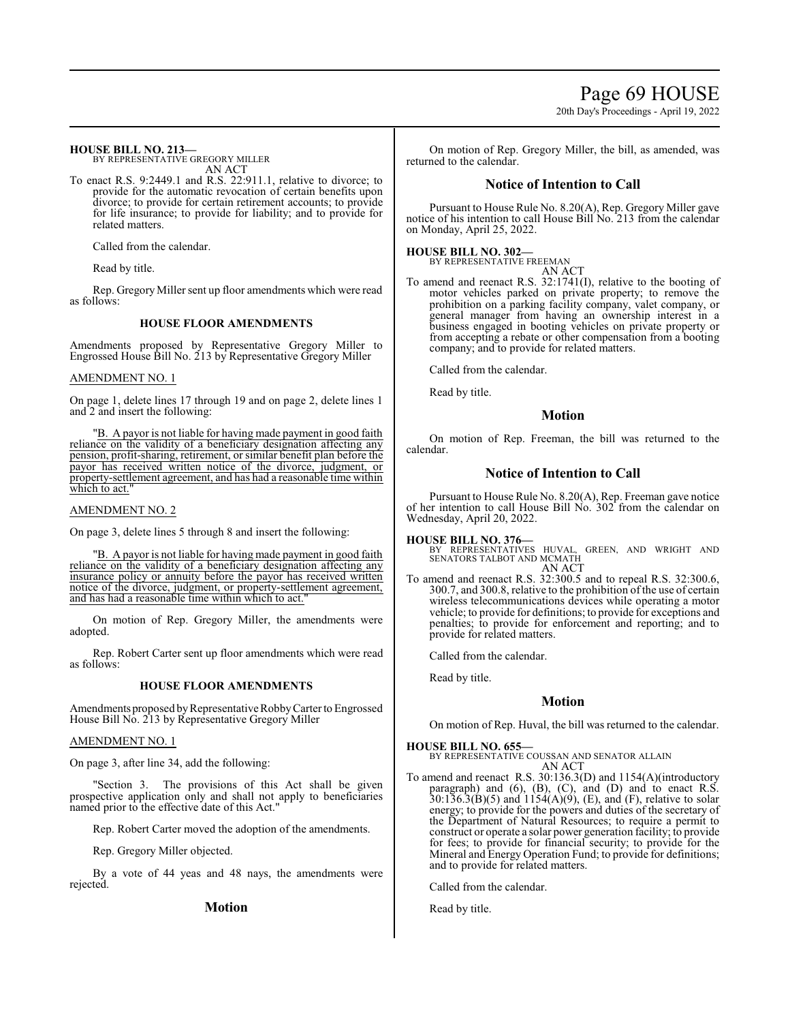Page 69 HOUSE

20th Day's Proceedings - April 19, 2022

**HOUSE BILL NO. 213—** BY REPRESENTATIVE GREGORY MILLER

AN ACT To enact R.S. 9:2449.1 and R.S. 22:911.1, relative to divorce; to provide for the automatic revocation of certain benefits upon divorce; to provide for certain retirement accounts; to provide for life insurance; to provide for liability; and to provide for related matters.

Called from the calendar.

Read by title.

Rep. GregoryMiller sent up floor amendments which were read as follows:

#### **HOUSE FLOOR AMENDMENTS**

Amendments proposed by Representative Gregory Miller to Engrossed House Bill No. 213 by Representative Gregory Miller

#### AMENDMENT NO. 1

On page 1, delete lines 17 through 19 and on page 2, delete lines 1 and 2 and insert the following:

"B. A payor is not liable for having made payment in good faith reliance on the validity of a beneficiary designation affecting any pension, profit-sharing, retirement, or similar benefit plan before the payor has received written notice of the divorce, judgment, or property-settlement agreement, and has had a reasonable time within which to act."

#### AMENDMENT NO. 2

On page 3, delete lines 5 through 8 and insert the following:

"B. A payor is not liable for having made payment in good faith reliance on the validity of a beneficiary designation affecting any insurance policy or annuity before the payor has received written notice of the divorce, judgment, or property-settlement agreement, and has had a reasonable time within which to act.

On motion of Rep. Gregory Miller, the amendments were adopted.

Rep. Robert Carter sent up floor amendments which were read as follows:

#### **HOUSE FLOOR AMENDMENTS**

Amendments proposed by Representative Robby Carter to Engrossed House Bill No. 213 by Representative Gregory Miller

#### AMENDMENT NO. 1

On page 3, after line 34, add the following:

"Section 3. The provisions of this Act shall be given prospective application only and shall not apply to beneficiaries named prior to the effective date of this Act."

Rep. Robert Carter moved the adoption of the amendments.

Rep. Gregory Miller objected.

By a vote of 44 yeas and 48 nays, the amendments were rejected.

#### **Motion**

On motion of Rep. Gregory Miller, the bill, as amended, was returned to the calendar.

#### **Notice of Intention to Call**

Pursuant to House Rule No. 8.20(A), Rep. Gregory Miller gave notice of his intention to call House Bill No. 213 from the calendar on Monday, April 25, 2022.

## **HOUSE BILL NO. 302—** BY REPRESENTATIVE FREEMAN

AN ACT

To amend and reenact R.S. 32:1741(I), relative to the booting of motor vehicles parked on private property; to remove the prohibition on a parking facility company, valet company, or general manager from having an ownership interest in a business engaged in booting vehicles on private property or from accepting a rebate or other compensation from a booting company; and to provide for related matters.

Called from the calendar.

Read by title.

#### **Motion**

On motion of Rep. Freeman, the bill was returned to the calendar.

#### **Notice of Intention to Call**

Pursuant to House Rule No. 8.20(A), Rep. Freeman gave notice of her intention to call House Bill No. 302 from the calendar on Wednesday, April 20, 2022.

#### **HOUSE BILL NO. 376—**

BY REPRESENTATIVES HUVAL, GREEN, AND WRIGHT AND SENATORS TALBOT AND MCMATH AN ACT

To amend and reenact R.S. 32:300.5 and to repeal R.S. 32:300.6, 300.7, and 300.8, relative to the prohibition of the use of certain wireless telecommunications devices while operating a motor vehicle; to provide for definitions; to provide for exceptions and penalties; to provide for enforcement and reporting; and to provide for related matters.

Called from the calendar.

Read by title.

#### **Motion**

On motion of Rep. Huval, the bill was returned to the calendar.

#### **HOUSE BILL NO. 655—**

BY REPRESENTATIVE COUSSAN AND SENATOR ALLAIN AN ACT

To amend and reenact R.S. 30:136.3(D) and 1154(A)(introductory paragraph) and (6), (B), (C), and (D) and to enact R.S.  $30:136.3(B)(5)$  and  $1154(A)(9)$ , (E), and (F), relative to solar energy; to provide for the powers and duties of the secretary of the Department of Natural Resources; to require a permit to construct or operate a solar power generation facility; to provide for fees; to provide for financial security; to provide for the Mineral and Energy Operation Fund; to provide for definitions; and to provide for related matters.

Called from the calendar.

Read by title.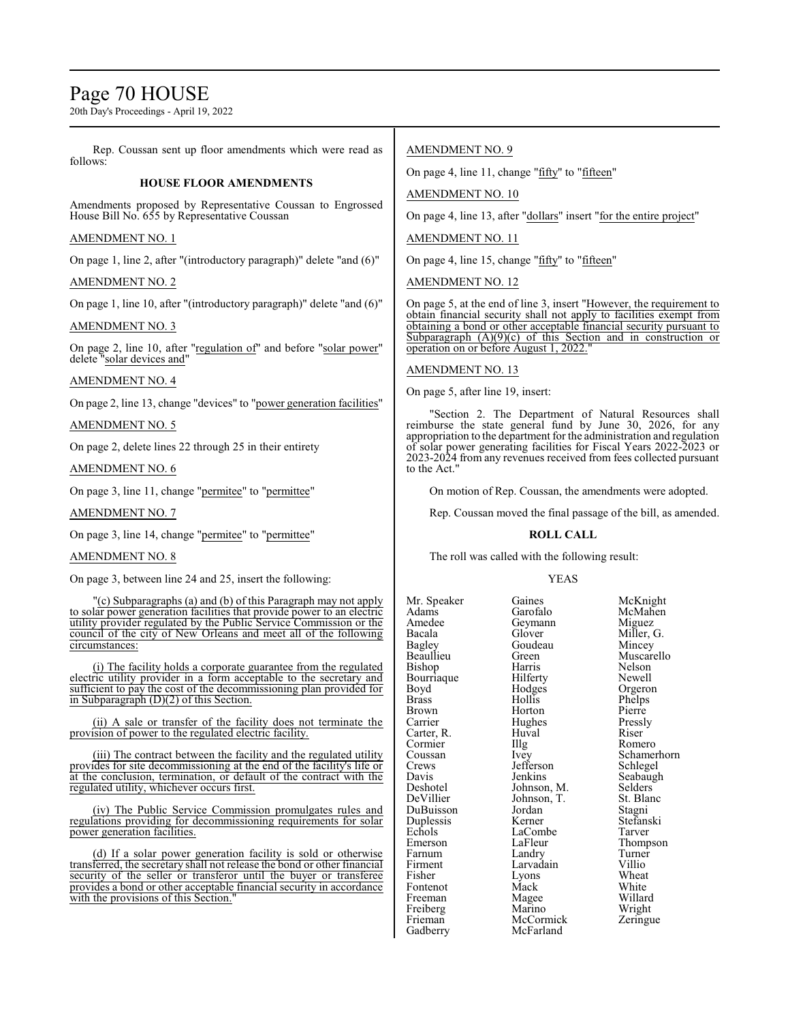## Page 70 HOUSE

20th Day's Proceedings - April 19, 2022

Rep. Coussan sent up floor amendments which were read as follows:

#### **HOUSE FLOOR AMENDMENTS**

Amendments proposed by Representative Coussan to Engrossed House Bill No. 655 by Representative Coussan

#### AMENDMENT NO. 1

On page 1, line 2, after "(introductory paragraph)" delete "and (6)"

#### AMENDMENT NO. 2

On page 1, line 10, after "(introductory paragraph)" delete "and (6)"

#### AMENDMENT NO. 3

On page 2, line 10, after "regulation of" and before "solar power" delete "solar devices and"

#### AMENDMENT NO. 4

On page 2, line 13, change "devices" to "power generation facilities"

AMENDMENT NO. 5

On page 2, delete lines 22 through 25 in their entirety

#### AMENDMENT NO. 6

On page 3, line 11, change "permitee" to "permittee"

AMENDMENT NO. 7

On page 3, line 14, change "permitee" to "permittee"

#### AMENDMENT NO. 8

On page 3, between line 24 and 25, insert the following:

"(c) Subparagraphs (a) and (b) of this Paragraph may not apply to solar power generation facilities that provide power to an electric utility provider regulated by the Public Service Commission or the council of the city of New Orleans and meet all of the following circumstances:

(i) The facility holds a corporate guarantee from the regulated electric utility provider in a form acceptable to the secretary and sufficient to pay the cost of the decommissioning plan provided for in Subparagraph (D)(2) of this Section.

(ii) A sale or transfer of the facility does not terminate the provision of power to the regulated electric facility.

(iii) The contract between the facility and the regulated utility provides for site decommissioning at the end of the facility's life or at the conclusion, termination, or default of the contract with the regulated utility, whichever occurs first.

(iv) The Public Service Commission promulgates rules and regulations providing for decommissioning requirements for solar power generation facilities.

(d) If a solar power generation facility is sold or otherwise transferred, the secretary shall not release the bond or other financial security of the seller or transferor until the buyer or transferee provides a bond or other acceptable financial security in accordance with the provisions of this Section."

#### AMENDMENT NO. 9

On page 4, line 11, change "fifty" to "fifteen"

AMENDMENT NO. 10

On page 4, line 13, after "dollars" insert "for the entire project"

#### AMENDMENT NO. 11

On page 4, line 15, change "fifty" to "fifteen"

AMENDMENT NO. 12

On page 5, at the end of line 3, insert "However, the requirement to obtain financial security shall not apply to facilities exempt from obtaining a bond or other acceptable financial security pursuant to Subparagraph  $(A)(9)(c)$  of this Section and in construction or operation on or before August 1, 2022.

#### AMENDMENT NO. 13

On page 5, after line 19, insert:

'Section 2. The Department of Natural Resources shall reimburse the state general fund by June 30, 2026, for any appropriation to the department for the administration and regulation of solar power generating facilities for Fiscal Years 2022-2023 or 2023-2024 from any revenues received from fees collected pursuant to the Act."

On motion of Rep. Coussan, the amendments were adopted.

Rep. Coussan moved the final passage of the bill, as amended.

#### **ROLL CALL**

The roll was called with the following result:

McFarland

#### YEAS

Mr. Speaker Gaines McKnight<br>
Adams Garofalo McMahen Adams Garofalo McMahen<br>Amedee Geymann Miguez Amedee Geymann<br>Bacala Glover Bacala Glover Miller, G. Bagley Goudeau<br>Beaullieu Green Bishop Harris Nelson Bourriaque Hilferty Newell<br>Boyd Hodges Orgeron Boyd Hodges<br>Brass Hollis Brass Hollis Phelps Brown Horton Pierre<br>
Pressly Hughes Pressly Carter, R. Huval Riser<br>
Cormier – Huval Riser<br>
Romero – Hugh Romero Cormier Illg<br>Coussan Ivey Coussan Ivey Schamerhorn<br>Crews Jefferson Schlegel Crews Jefferson<br>Davis Jenkins Davis Jenkins Seabaugh<br>Deshotel Johnson M Selders Deshotel Johnson, M. Selders<br>DeVillier Johnson, T. St. Blanc DuBuisson Jordan Stagni Duplessis Kerner Stefans<br>Echols LaCombe Tarver Echols LaCombe<br>Emerson LaFleur Emerson LaFleur Thompson<br>Farnum Landrv Turner Farnum Landry Turner<br>
Firment Larvadain Villio Fisher Lyons Wheat<br>
Fontenot Mack White Fontenot Mack White<br>
Freeman Magee Willard Freeman Magee Willard<br>Freiberg Marino Wright Freiberg Marino Wright<br>
Frieman McCormick Zeringue Frieman McCormick<br>Gadberry McFarland

Green Muscarello<br>Harris Nelson Hughes Pressl<br>Huval Riser Johnson, T. St. Blanch<br>Jordan Stagni Larvadain Villio<br>Lyons Wheat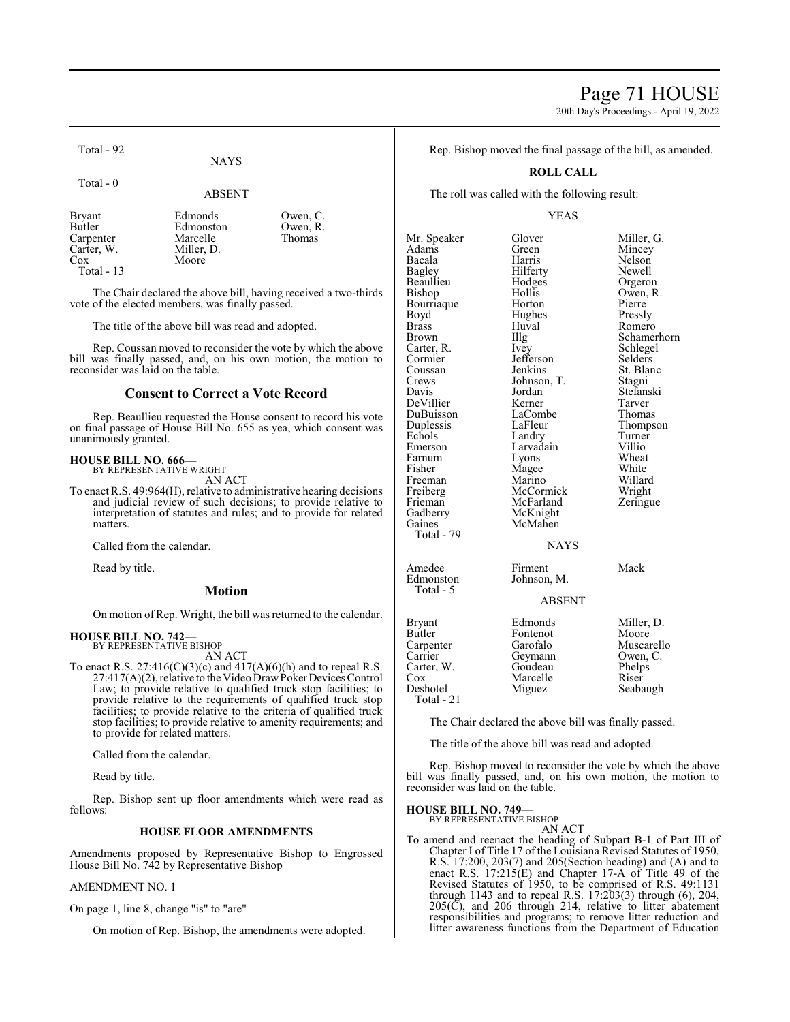## Page 71 HOUSE

20th Day's Proceedings - April 19, 2022

Total - 92

Total - 0

#### ABSENT

Bryant Edmonds Owen, C.<br>Butler Edmonston Owen, R. Edmonston Owen, F<br>Marcelle Thomas Carpenter Marcelle<br>Carter, W. Miller, D. Carter, W.<br>Cox Moore Total - 13

The Chair declared the above bill, having received a two-thirds vote of the elected members, was finally passed.

The title of the above bill was read and adopted.

Rep. Coussan moved to reconsider the vote by which the above bill was finally passed, and, on his own motion, the motion to reconsider was laid on the table.

#### **Consent to Correct a Vote Record**

Rep. Beaullieu requested the House consent to record his vote on final passage of House Bill No. 655 as yea, which consent was unanimously granted.

#### **HOUSE BILL NO. 666—**

BY REPRESENTATIVE WRIGHT AN ACT

To enact R.S. 49:964(H), relative to administrative hearing decisions and judicial review of such decisions; to provide relative to interpretation of statutes and rules; and to provide for related matters.

Called from the calendar.

Read by title.

#### **Motion**

On motion of Rep. Wright, the bill was returned to the calendar.

#### **HOUSE BILL NO. 742—** BY REPRESENTATIVE BISHOP

AN ACT

To enact R.S.  $27:416(C)(3)(c)$  and  $417(A)(6)(h)$  and to repeal R.S. 27:417(A)(2), relative to the Video DrawPokerDevices Control Law; to provide relative to qualified truck stop facilities; to provide relative to the requirements of qualified truck stop facilities; to provide relative to the criteria of qualified truck stop facilities; to provide relative to amenity requirements; and to provide for related matters.

Called from the calendar.

Read by title.

Rep. Bishop sent up floor amendments which were read as follows:

#### **HOUSE FLOOR AMENDMENTS**

Amendments proposed by Representative Bishop to Engrossed House Bill No. 742 by Representative Bishop

#### AMENDMENT NO. 1

On page 1, line 8, change "is" to "are"

On motion of Rep. Bishop, the amendments were adopted.

Rep. Bishop moved the final passage of the bill, as amended.

#### **ROLL CALL**

The roll was called with the following result:

#### YEAS

Mr. Speaker Glover Miller, G.<br>Adams Green Mincey Adams Green Mincey<br>
Bacala Harris Nelson Bacala Harris Nelson Bagley Hilferty Newell Beaullieu Hodge<br>Bishop Hollis Bourriaque Boyd Hughes Pressly<br>Brass Huval Romer Brass Huval Romero<br>Brown IIIg Schame Brown Illg Schamerhorn<br>Carter, R. Ivey Schlegel Carter, R. Ivey Schlegel Cormier Jefferson<br>Coussan Jenkins Coussan Jenkins St. Blanc<br>Crews Johnson, T. Stagni Crews Johnson, T.<br>Davis Jordan DeVillier Kerner Tarver DuBuisson LaComb<br>
Duplessis LaFleur Duplessis LaFleur Thompson<br>
Echols Landry Turner Echols Landry Turner<br>
Emerson Larvadain Villio Emerson Larvadain Villio<br>Farnum Lyons Wheat Farnum Lyons Wheat<br>
Fisher Magee White Freeman Marino Willard<br>
Freiberg McCormick Wright Freiberg McCormick<br>Frieman McFarland Frieman McFarland Zeringue<br>Gadberry McKnight Gadberry McKnight<br>
Gaines McMahen McMahen Total - 79 Amedee Firment Mack<br>Edmonston Johnson, M. Total - 5

Hollis Owen, R.<br>Horton Pierre Jordan Stefanski<br>Kerner Tarver Magee White<br>Marino Willard

#### **NAYS**

Johnson, M.

#### ABSENT

| Bryant     | Edmonds  | Miller, D. |
|------------|----------|------------|
|            |          |            |
| Butler     | Fontenot | Moore      |
| Carpenter  | Garofalo | Muscarello |
| Carrier    | Geymann  | Owen, C.   |
| Carter, W. | Goudeau  | Phelps     |
| Cox        | Marcelle | Riser      |
| Deshotel   | Miguez   | Seabaugh   |
| Total - 21 |          |            |

The Chair declared the above bill was finally passed.

The title of the above bill was read and adopted.

Rep. Bishop moved to reconsider the vote by which the above bill was finally passed, and, on his own motion, the motion to reconsider was laid on the table.

#### **HOUSE BILL NO. 749—**

BY REPRESENTATIVE BISHOP AN ACT

To amend and reenact the heading of Subpart B-1 of Part III of Chapter I of Title 17 of the Louisiana Revised Statutes of 1950, R.S. 17:200, 203(7) and 205(Section heading) and (A) and to enact R.S. 17:215(E) and Chapter 17-A of Title 49 of the Revised Statutes of 1950, to be comprised of R.S. 49:1131 through 1143 and to repeal R.S. 17:203(3) through (6), 204,  $205(\overline{C})$ , and  $206$  through 214, relative to litter abatement responsibilities and programs; to remove litter reduction and litter awareness functions from the Department of Education

**NAYS**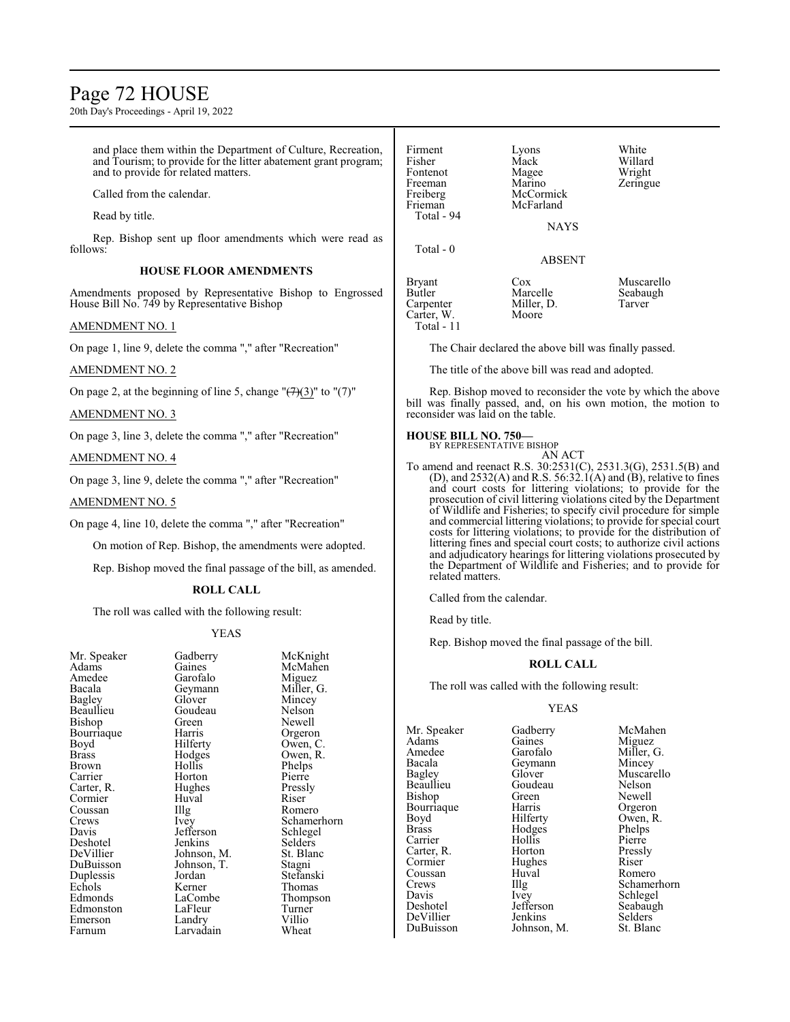## Page 72 HOUSE

20th Day's Proceedings - April 19, 2022

and place them within the Department of Culture, Recreation, and Tourism; to provide for the litter abatement grant program; and to provide for related matters.

Called from the calendar.

Read by title.

Rep. Bishop sent up floor amendments which were read as follows:

#### **HOUSE FLOOR AMENDMENTS**

Amendments proposed by Representative Bishop to Engrossed House Bill No. 749 by Representative Bishop

#### AMENDMENT NO. 1

On page 1, line 9, delete the comma "," after "Recreation"

#### AMENDMENT NO. 2

On page 2, at the beginning of line 5, change " $\left(\frac{7}{3}\right)$ " to "(7)"

#### AMENDMENT NO. 3

On page 3, line 3, delete the comma "," after "Recreation"

#### AMENDMENT NO. 4

On page 3, line 9, delete the comma "," after "Recreation"

#### AMENDMENT NO. 5

On page 4, line 10, delete the comma "," after "Recreation"

On motion of Rep. Bishop, the amendments were adopted.

Rep. Bishop moved the final passage of the bill, as amended.

#### **ROLL CALL**

The roll was called with the following result:

#### YEAS

| Mr. Speaker  | Gadberry    | MCK         |
|--------------|-------------|-------------|
| Adams        | Gaines      | McM         |
| Amedee       | Garofalo    | Migu        |
| Bacala       | Geymann     | Mille       |
| Bagley       | Glover      | Minc        |
| Beaullieu    | Goudeau     | Nelso       |
| Bishop       | Green       | <b>Newe</b> |
| Bourriaque   | Harris      | Orgei       |
| Boyd         | Hilferty    | Ower        |
| <b>Brass</b> | Hodges      | Ower        |
| Brown        | Hollis      | Phelp       |
| Carrier      | Horton      | Pierro      |
| Carter, R.   | Hughes      | Press       |
| Cormier      | Huval       | Riser       |
| Coussan      | Illg        | Rom         |
| Crews        | Ivey        | Schai       |
| Davis        | Jefferson   | Schle       |
| Deshotel     | Jenkins     | Selde       |
| DeVillier    | Johnson, M. | St. B       |
| DuBuisson    | Johnson, T. | Stagr       |
| Duplessis    | Jordan      | Stefa       |
| Echols       | Kerner      | Thon        |
| Edmonds      | LaCombe     | Thon        |
| Edmonston    | LaFleur     | Turn        |
| Emerson      | Landry      | Villio      |
| Farnum       | Larvadain   | Whea        |
|              |             |             |

Speaker Gadberry McKnight<br>ams Gaines McMahen Garofalo<br>Geymann Geymann Miller, G.<br>Glover Mincev Goudeau<br>Green Green Newell<br>Harris Orgeror Harris Orgeron<br>
Hilferty Owen, C Hilferty Owen, C.<br>Hodges Owen, R. Hodges Owen, R.<br>Hollis Phelps Horton Pierre<br>Hughes Pressly Hughes Pressl<br>
Huval Riser Illg Romero<br>Ivey Schame Jefferson Schlege<br>Jenkins Selders Jenkins Selders<br>Johnson, M. St. Blanc Johnson, M. St. Blanch<br>Johnson, T. Stagni Johnson, T.<br>Jordan Jordan Stefanski<br>Kerner Thomas Kerner Thomas<br>
LaCombe Thomps LaFleur Turner<br>
Landry Villio Landry Villio<br>Larvadain Wheat Larvadain

McMahen<br>Miguez

Mincey<br>Nelson

Phelps<br>Pierre

Schamerhorn<br>Schlegel

Thompson<br>Turner

| Firment<br>Fisher<br>Fontenot<br>Freeman<br>Freiberg<br>Frieman<br>Total - 94 | Lyons<br>Mack<br>Magee<br>Marino<br>McCormick<br>McFarland<br><b>NAYS</b> | White<br>Willard<br>Wright<br>Zeringue |
|-------------------------------------------------------------------------------|---------------------------------------------------------------------------|----------------------------------------|
| Total - 0                                                                     | <b>ABSENT</b>                                                             |                                        |
| <b>Bryant</b><br><b>Butler</b><br>Carpenter<br>Carter, W.<br>Total - 11       | Cox<br>Marcelle<br>Miller, D.<br>Moore                                    | Muscarello<br>Seabaugh<br>Tarver       |

The Chair declared the above bill was finally passed.

The title of the above bill was read and adopted.

Rep. Bishop moved to reconsider the vote by which the above bill was finally passed, and, on his own motion, the motion to reconsider was laid on the table.

#### **HOUSE BILL NO. 750—**

BY REPRESENTATIVE BISHOP AN ACT

To amend and reenact R.S. 30:2531(C), 2531.3(G), 2531.5(B) and (D), and  $2532(A)$  and R.S. 56:32.1(A) and (B), relative to fines and court costs for littering violations; to provide for the prosecution of civil littering violations cited by the Department of Wildlife and Fisheries; to specify civil procedure for simple and commercial littering violations; to provide for special court costs for littering violations; to provide for the distribution of littering fines and special court costs; to authorize civil actions and adjudicatory hearings for littering violations prosecuted by the Department of Wildlife and Fisheries; and to provide for related matters.

Called from the calendar.

Read by title.

Rep. Bishop moved the final passage of the bill.

#### **ROLL CALL**

The roll was called with the following result:

#### YEAS

Mr. Speaker Gadberry McMahen<br>Adams Gaines Miguez Adams Gaines Miguez<br>Amedee Garofalo Miller, Amedee Garofalo Miller, G.<br>Bacala Geymann Mincey Bacala Geymann<br>Bagley Glover Beaullieu Goudeau Nelson<br>Bishop Green Newell Bishop Green Newell<br>Bourriaque Harris Orgeron Bourriaque Harris<br>Boyd Hilferty Boyd Hilferty Owen, R.<br>Brass Hodges Phelps Carrier Hollis Pierre<br>Carter, R. Horton Pressly Carter, R. Horton Pressly Coussan Huv<br>Crews IIIg Davis Ivey Schlegel<br>Deshotel Jefferson Seabaugl

Hodges Phelps<br>Hollis Pierre Hughes Riser Riser DeVillier Jenkins Selders<br>DuBuisson Johnson, M. St. Blanc Johnson, M.

Glover Muscarello<br>Goudeau Nelson Crews Illg Schamerhorn<br>
Davis Ivey Schlegel Seabaugh<br>Selders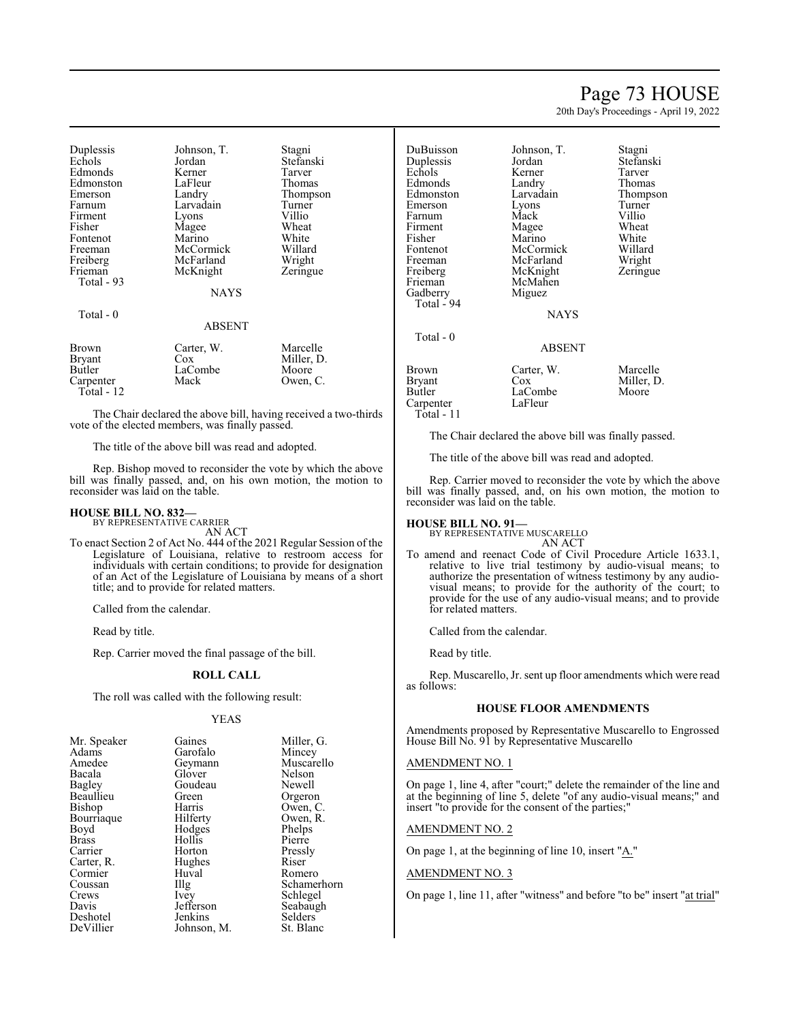# Page 73 HOUSE

20th Day's Proceedings - April 19, 2022

| Duplessis<br>Echols                                  | Johnson, T.<br>Jordan                | Stagni<br>Stefanski                         |
|------------------------------------------------------|--------------------------------------|---------------------------------------------|
| Edmonds                                              | Kerner                               | Tarver                                      |
| Edmonston<br>Emerson                                 | LaFleur<br>Landry                    | Thomas<br>Thompson                          |
| Farnum                                               | Larvadain                            | Turner                                      |
| Firment                                              | Lyons                                | Villio                                      |
| Fisher<br>Fontenot                                   | Magee<br>Marino                      | Wheat<br>White                              |
| Freeman<br>Freiberg                                  | McCormick<br>McFarland               | Willard<br>Wright                           |
| Frieman<br>Total - 93                                | McKnight                             | Zeringue                                    |
|                                                      | NAYS                                 |                                             |
| Total - 0                                            |                                      |                                             |
|                                                      | ABSENT                               |                                             |
| Brown<br>Bryant<br>Butler<br>Carpenter<br>Total - 12 | Carter, W.<br>Cox<br>LaCombe<br>Mack | Marcelle<br>Miller, D.<br>Moore<br>Owen, C. |
|                                                      |                                      |                                             |

The Chair declared the above bill, having received a two-thirds vote of the elected members, was finally passed.

The title of the above bill was read and adopted.

Rep. Bishop moved to reconsider the vote by which the above bill was finally passed, and, on his own motion, the motion to reconsider was laid on the table.

## **HOUSE BILL NO. 832—**

BY REPRESENTATIVE CARRIER AN ACT

To enact Section 2 of Act No. 444 of the 2021 Regular Session of the Legislature of Louisiana, relative to restroom access for individuals with certain conditions; to provide for designation of an Act of the Legislature of Louisiana by means of a short title; and to provide for related matters.

Called from the calendar.

Read by title.

Rep. Carrier moved the final passage of the bill.

### **ROLL CALL**

The roll was called with the following result:

#### YEAS

| Mr. Speaker  | Gaines      | Miller, G.  |
|--------------|-------------|-------------|
| Adams        | Garofalo    | Mincey      |
| Amedee       | Geymann     | Muscarello  |
| Bacala       | Glover      | Nelson      |
|              | Goudeau     | Newell      |
| Bagley       |             |             |
| Beaullieu    | Green       | Orgeron     |
| Bishop       | Harris      | Owen, C.    |
| Bourriaque   | Hilferty    | Owen, R.    |
| Boyd         | Hodges      | Phelps      |
| <b>Brass</b> | Hollis      | Pierre      |
| Carrier      | Horton      | Pressly     |
| Carter, R.   | Hughes      | Riser       |
| Cormier      | Huval       | Romero      |
| Coussan      | Illg        | Schamerhorn |
| Crews        | <i>lvey</i> | Schlegel    |
| Davis        | Jefferson   | Seabaugh    |
| Deshotel     | Jenkins     | Selders     |
| DeVillier    | Johnson, M. | St. Blanc   |

| DuBuisson<br>Duplessis<br>Echols<br>Edmonds<br>Edmonston<br>Emerson<br>Farnum<br>Firment<br>Fisher<br>Fontenot<br>Freeman<br>Freiberg<br>Frieman<br>Gadberry<br>Total - 94<br>Total - 0 | Johnson, T.<br>Jordan<br>Kerner<br>Landry<br>Larvadain<br>Lyons<br>Mack<br>Magee<br>Marino<br>McCormick<br>McFarland<br>McKnight<br>McMahen<br>Miguez<br><b>NAYS</b> | Stagni<br>Stefanski<br>Tarver<br>Thomas<br>Thompson<br>Turner<br>Villio<br>Wheat<br>White<br>Willard<br>Wright<br>Zeringue |
|-----------------------------------------------------------------------------------------------------------------------------------------------------------------------------------------|----------------------------------------------------------------------------------------------------------------------------------------------------------------------|----------------------------------------------------------------------------------------------------------------------------|
|                                                                                                                                                                                         | <b>ABSENT</b>                                                                                                                                                        |                                                                                                                            |
| Brown<br>Bryant<br>Butler<br>Carpenter<br>$Total - 11$                                                                                                                                  | Carter, W.<br>Cox<br>LaCombe<br>LaFleur                                                                                                                              | Marcelle<br>Miller, D.<br>Moore                                                                                            |

The Chair declared the above bill was finally passed.

The title of the above bill was read and adopted.

Rep. Carrier moved to reconsider the vote by which the above bill was finally passed, and, on his own motion, the motion to reconsider was laid on the table.

### **HOUSE BILL NO. 91—**

BY REPRESENTATIVE MUSCARELLO AN ACT

To amend and reenact Code of Civil Procedure Article 1633.1, relative to live trial testimony by audio-visual means; to authorize the presentation of witness testimony by any audiovisual means; to provide for the authority of the court; to provide for the use of any audio-visual means; and to provide for related matters.

Called from the calendar.

Read by title.

Rep. Muscarello, Jr. sent up floor amendments which were read as follows:

### **HOUSE FLOOR AMENDMENTS**

Amendments proposed by Representative Muscarello to Engrossed House Bill No. 91 by Representative Muscarello

### AMENDMENT NO. 1

On page 1, line 4, after "court;" delete the remainder of the line and at the beginning of line 5, delete "of any audio-visual means;" and insert "to provide for the consent of the parties;"

### AMENDMENT NO. 2

On page 1, at the beginning of line 10, insert "A."

### AMENDMENT NO. 3

On page 1, line 11, after "witness" and before "to be" insert "at trial"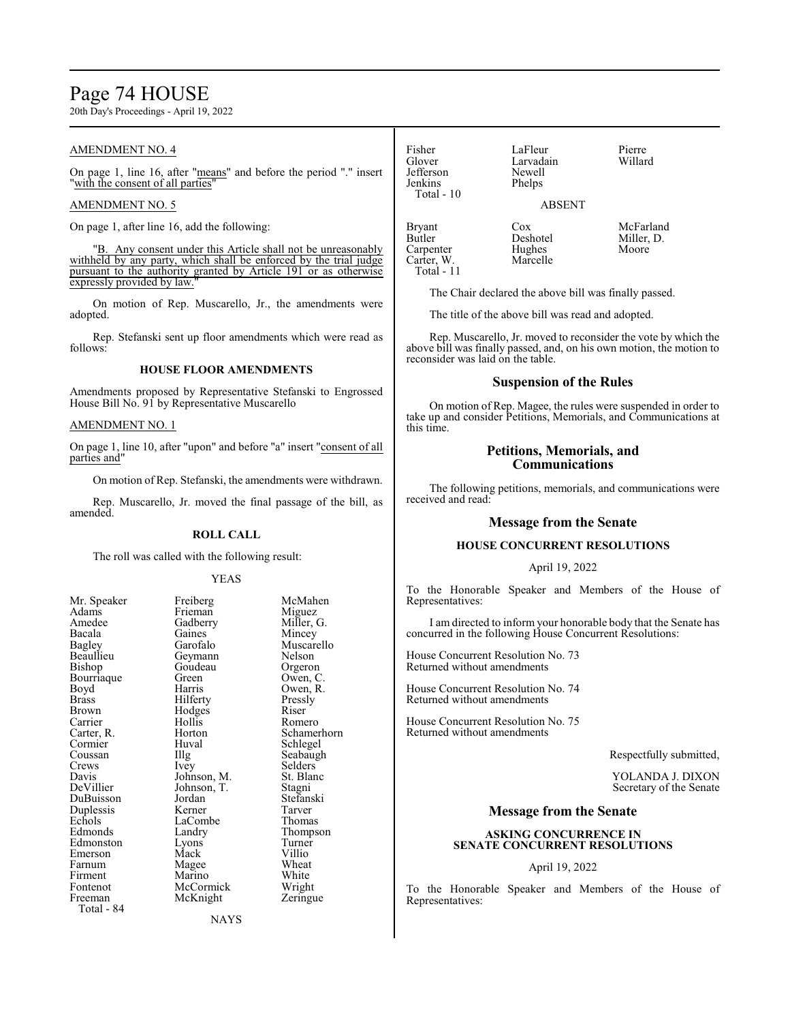## Page 74 HOUSE

20th Day's Proceedings - April 19, 2022

### AMENDMENT NO. 4

On page 1, line 16, after "means" and before the period "." insert "with the consent of all parties"

### AMENDMENT NO. 5

On page 1, after line 16, add the following:

Any consent under this Article shall not be unreasonably withheld by any party, which shall be enforced by the trial judge pursuant to the authority granted by Article 191 or as otherwise expressly provided by law.

On motion of Rep. Muscarello, Jr., the amendments were adopted.

Rep. Stefanski sent up floor amendments which were read as follows:

### **HOUSE FLOOR AMENDMENTS**

Amendments proposed by Representative Stefanski to Engrossed House Bill No. 91 by Representative Muscarello

### AMENDMENT NO. 1

On page 1, line 10, after "upon" and before "a" insert "consent of all parties and"

On motion of Rep. Stefanski, the amendments were withdrawn.

Rep. Muscarello, Jr. moved the final passage of the bill, as amended.

#### **ROLL CALL**

The roll was called with the following result:

Frieman<br>Gadberry

Gaines<br>Garofalo

Goudeau<br>Green

Hodges<br>Hollis

LaCombe<br>Landry

McKnight

#### YEAS

| <b>NII.</b> Spearei   |
|-----------------------|
| Adams                 |
| Amedee                |
| Bacala                |
| Bagley                |
| Beaullieu             |
| Bishop                |
| Bourriaque            |
| Boyd                  |
| <b>Brass</b>          |
| <b>Brown</b>          |
| Carrier               |
| Carter, R.<br>Cormier |
|                       |
| Coussan               |
| Crews                 |
| Davis                 |
| DeVillier             |
| DuBuisson             |
| Duplessis             |
| Echols                |
| Edmonds               |
| Edmonston             |
| Emerson               |
| Farnum                |
| Firment               |
| Fontenot              |
| Freeman               |
| Total - 84            |

Mr. Speaker Freiberg McMahen<br>Adams Frieman Miguez Miller, G.<br>Mincev Muscarello<br>Nelson Geymann Nelson<br>Goudeau Orgeron Green Owen, C.<br>Harris Owen, R. Owen, R.<br>Pressly Hilferty Pressl<br>Hodges Riser Hollis Romero<br>Horton Schamer Horton Schamerhorn<br>Huval Schlegel Huval Schlegel<br>Illg Seabaugl Illg Seabaugh<br>Ivey Selders Selders<br>St. Blanc Johnson, M. St. Blanch<br>Johnson, T. Stagni Johnson, T.<br>Jordan Stefanski<br>Tarver Kerner Tarver<br>
LaCombe Thomas Thompson<br>Turner Lyons Turner<br>
Mack Villio Mack Villio<br>
Magee Wheat Magee Wheat<br>
Marino White Marino White<br>
McCormick Wright McCormick Wright<br>
McKnight Zeringue

**NAYS** 

Fisher LaFleur Pierre<br>
Clover Larvadain Willard Jefferson Newell Jenkins Total - 10

Carter, W. Total - 11 Larvadain<br>Newell

### ABSENT

Carpenter Hughes<br>Carter, W. Marcelle

Bryant Cox McFarland<br>Butler Deshotel Miller, D. Deshotel Miller, D.<br>Hughes Moore

The Chair declared the above bill was finally passed.

The title of the above bill was read and adopted.

Rep. Muscarello, Jr. moved to reconsider the vote by which the above bill was finally passed, and, on his own motion, the motion to reconsider was laid on the table.

### **Suspension of the Rules**

On motion of Rep. Magee, the rules were suspended in order to take up and consider Petitions, Memorials, and Communications at this time.

## **Petitions, Memorials, and Communications**

The following petitions, memorials, and communications were received and read:

### **Message from the Senate**

### **HOUSE CONCURRENT RESOLUTIONS**

#### April 19, 2022

To the Honorable Speaker and Members of the House of Representatives:

I am directed to inform your honorable body that the Senate has concurred in the following House Concurrent Resolutions:

House Concurrent Resolution No. 73 Returned without amendments

House Concurrent Resolution No. 74 Returned without amendments

House Concurrent Resolution No. 75 Returned without amendments

Respectfully submitted,

YOLANDA J. DIXON Secretary of the Senate

### **Message from the Senate**

### **ASKING CONCURRENCE IN SENATE CONCURRENT RESOLUTIONS**

### April 19, 2022

To the Honorable Speaker and Members of the House of Representatives: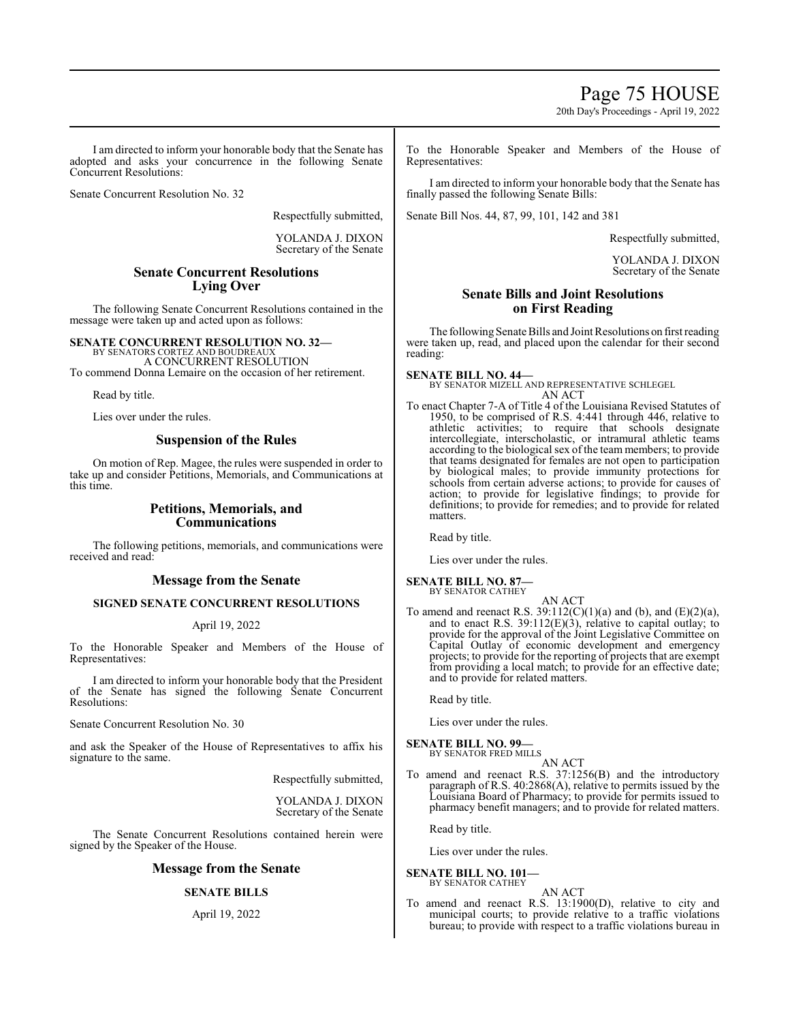Page 75 HOUSE

20th Day's Proceedings - April 19, 2022

I am directed to inform your honorable body that the Senate has adopted and asks your concurrence in the following Senate Concurrent Resolutions:

Senate Concurrent Resolution No. 32

Respectfully submitted,

YOLANDA J. DIXON Secretary of the Senate

## **Senate Concurrent Resolutions Lying Over**

The following Senate Concurrent Resolutions contained in the message were taken up and acted upon as follows:

**SENATE CONCURRENT RESOLUTION NO. 32—** BY SENATORS CORTEZ AND BOUDREAUX A CONCURRENT RESOLUTION

To commend Donna Lemaire on the occasion of her retirement.

Read by title.

Lies over under the rules.

## **Suspension of the Rules**

On motion of Rep. Magee, the rules were suspended in order to take up and consider Petitions, Memorials, and Communications at this time.

## **Petitions, Memorials, and Communications**

The following petitions, memorials, and communications were received and read:

### **Message from the Senate**

## **SIGNED SENATE CONCURRENT RESOLUTIONS**

### April 19, 2022

To the Honorable Speaker and Members of the House of Representatives:

I am directed to inform your honorable body that the President of the Senate has signed the following Senate Concurrent Resolutions:

Senate Concurrent Resolution No. 30

and ask the Speaker of the House of Representatives to affix his signature to the same.

Respectfully submitted,

YOLANDA J. DIXON Secretary of the Senate

The Senate Concurrent Resolutions contained herein were signed by the Speaker of the House.

### **Message from the Senate**

## **SENATE BILLS**

April 19, 2022

To the Honorable Speaker and Members of the House of Representatives:

I am directed to inform your honorable body that the Senate has finally passed the following Senate Bills:

Senate Bill Nos. 44, 87, 99, 101, 142 and 381

Respectfully submitted,

YOLANDA J. DIXON Secretary of the Senate

## **Senate Bills and Joint Resolutions on First Reading**

The following Senate Bills and Joint Resolutions on first reading were taken up, read, and placed upon the calendar for their second reading:

**SENATE BILL NO. 44—** BY SENATOR MIZELL AND REPRESENTATIVE SCHLEGEL AN ACT

To enact Chapter 7-A of Title 4 of the Louisiana Revised Statutes of 1950, to be comprised of R.S. 4:441 through 446, relative to athletic activities; to require that schools designate intercollegiate, interscholastic, or intramural athletic teams according to the biological sex of the team members; to provide that teams designated for females are not open to participation by biological males; to provide immunity protections for schools from certain adverse actions; to provide for causes of action; to provide for legislative findings; to provide for definitions; to provide for remedies; and to provide for related matters.

Read by title.

Lies over under the rules.

**SENATE BILL NO. 87—** BY SENATOR CATHEY

AN ACT

To amend and reenact R.S.  $39:112(C)(1)(a)$  and (b), and (E)(2)(a), and to enact R.S.  $39:112(E)(3)$ , relative to capital outlay; to provide for the approval of the Joint Legislative Committee on Capital Outlay of economic development and emergency projects; to provide for the reporting of projects that are exempt from providing a local match; to provide for an effective date; and to provide for related matters.

Read by title.

Lies over under the rules.

**SENATE BILL NO. 99—** BY SENATOR FRED MILLS

AN ACT To amend and reenact R.S. 37:1256(B) and the introductory paragraph of R.S. 40:2868(A), relative to permits issued by the Louisiana Board of Pharmacy; to provide for permits issued to pharmacy benefit managers; and to provide for related matters.

Read by title.

Lies over under the rules.

**SENATE BILL NO. 101—** BY SENATOR CATHEY

AN ACT

To amend and reenact R.S. 13:1900(D), relative to city and municipal courts; to provide relative to a traffic violations bureau; to provide with respect to a traffic violations bureau in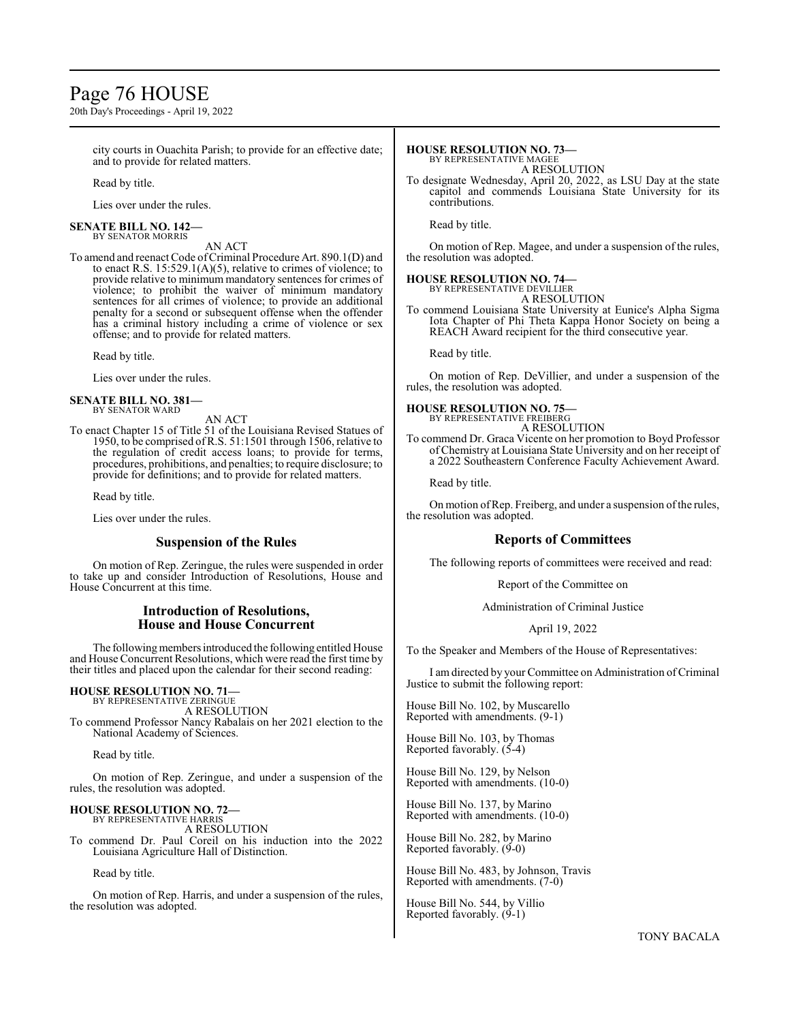## Page 76 HOUSE

20th Day's Proceedings - April 19, 2022

city courts in Ouachita Parish; to provide for an effective date; and to provide for related matters.

Read by title.

Lies over under the rules.

#### **SENATE BILL NO. 142—** BY SENATOR MORRIS

AN ACT

To amend and reenact Code of Criminal Procedure Art. 890.1(D) and to enact R.S.  $15:529.1(A)(5)$ , relative to crimes of violence; to provide relative to minimum mandatory sentences for crimes of violence; to prohibit the waiver of minimum mandatory sentences for all crimes of violence; to provide an additional penalty for a second or subsequent offense when the offender has a criminal history including a crime of violence or sex offense; and to provide for related matters.

Read by title.

Lies over under the rules.

#### **SENATE BILL NO. 381—** BY SENATOR WARD

AN ACT

To enact Chapter 15 of Title 51 of the Louisiana Revised Statues of 1950, to be comprised ofR.S. 51:1501 through 1506, relative to the regulation of credit access loans; to provide for terms, procedures, prohibitions, and penalties; to require disclosure; to provide for definitions; and to provide for related matters.

Read by title.

Lies over under the rules.

## **Suspension of the Rules**

On motion of Rep. Zeringue, the rules were suspended in order to take up and consider Introduction of Resolutions, House and House Concurrent at this time.

## **Introduction of Resolutions, House and House Concurrent**

The following members introduced the following entitled House and House Concurrent Resolutions, which were read the first time by their titles and placed upon the calendar for their second reading:

### **HOUSE RESOLUTION NO. 71—**

BY REPRESENTATIVE ZERINGUE A RESOLUTION To commend Professor Nancy Rabalais on her 2021 election to the

National Academy of Sciences.

Read by title.

On motion of Rep. Zeringue, and under a suspension of the rules, the resolution was adopted.

#### **HOUSE RESOLUTION NO. 72—** BY REPRESENTATIVE HARRIS

A RESOLUTION To commend Dr. Paul Coreil on his induction into the 2022 Louisiana Agriculture Hall of Distinction.

Read by title.

On motion of Rep. Harris, and under a suspension of the rules, the resolution was adopted.

## **HOUSE RESOLUTION NO. 73—**

BY REPRESENTATIVE MAGEE

A RESOLUTION To designate Wednesday, April 20, 2022, as LSU Day at the state capitol and commends Louisiana State University for its contributions.

Read by title.

On motion of Rep. Magee, and under a suspension of the rules, the resolution was adopted.

### **HOUSE RESOLUTION NO. 74—**

BY REPRESENTATIVE DEVILLIER

A RESOLUTION To commend Louisiana State University at Eunice's Alpha Sigma Iota Chapter of Phi Theta Kappa Honor Society on being a REACH Award recipient for the third consecutive year.

Read by title.

On motion of Rep. DeVillier, and under a suspension of the rules, the resolution was adopted.

## **HOUSE RESOLUTION NO. 75—**

BY REPRESENTATIVE FREIBERG A RESOLUTION

To commend Dr. Graca Vicente on her promotion to Boyd Professor of Chemistry at Louisiana State University and on her receipt of a 2022 Southeastern Conference Faculty Achievement Award.

Read by title.

On motion of Rep. Freiberg, and under a suspension of the rules, the resolution was adopted.

## **Reports of Committees**

The following reports of committees were received and read:

Report of the Committee on

Administration of Criminal Justice

April 19, 2022

To the Speaker and Members of the House of Representatives:

I amdirected by your Committee on Administration ofCriminal Justice to submit the following report:

House Bill No. 102, by Muscarello Reported with amendments. (9-1)

House Bill No. 103, by Thomas Reported favorably. (5-4)

House Bill No. 129, by Nelson Reported with amendments. (10-0)

House Bill No. 137, by Marino Reported with amendments. (10-0)

House Bill No. 282, by Marino Reported favorably. (9-0)

House Bill No. 483, by Johnson, Travis Reported with amendments. (7-0)

House Bill No. 544, by Villio Reported favorably. (9-1)

TONY BACALA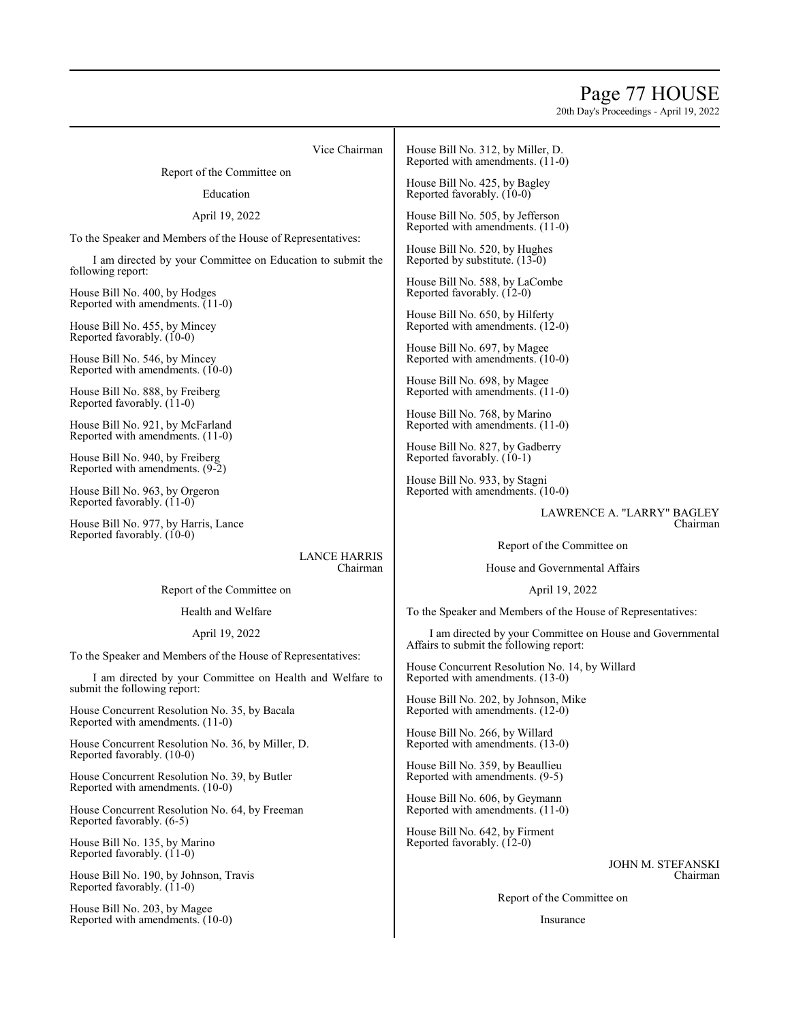## Page 77 HOUSE

20th Day's Proceedings - April 19, 2022

Vice Chairman

Report of the Committee on

### Education

April 19, 2022

To the Speaker and Members of the House of Representatives:

I am directed by your Committee on Education to submit the following report:

House Bill No. 400, by Hodges Reported with amendments. (11-0)

House Bill No. 455, by Mincey Reported favorably.  $(10-0)$ 

House Bill No. 546, by Mincey Reported with amendments. (10-0)

House Bill No. 888, by Freiberg Reported favorably. (11-0)

House Bill No. 921, by McFarland Reported with amendments. (11-0)

House Bill No. 940, by Freiberg Reported with amendments. (9-2)

House Bill No. 963, by Orgeron Reported favorably.  $(11-0)$ 

House Bill No. 977, by Harris, Lance Reported favorably. (10-0)

> LANCE HARRIS Chairman

Report of the Committee on

Health and Welfare

April 19, 2022

To the Speaker and Members of the House of Representatives:

I am directed by your Committee on Health and Welfare to submit the following report:

House Concurrent Resolution No. 35, by Bacala Reported with amendments. (11-0)

House Concurrent Resolution No. 36, by Miller, D. Reported favorably. (10-0)

House Concurrent Resolution No. 39, by Butler Reported with amendments. (10-0)

House Concurrent Resolution No. 64, by Freeman Reported favorably. (6-5)

House Bill No. 135, by Marino Reported favorably. (11-0)

House Bill No. 190, by Johnson, Travis Reported favorably. (11-0)

House Bill No. 203, by Magee Reported with amendments. (10-0) House Bill No. 312, by Miller, D. Reported with amendments. (11-0)

House Bill No. 425, by Bagley Reported favorably. (10-0)

House Bill No. 505, by Jefferson Reported with amendments. (11-0)

House Bill No. 520, by Hughes Reported by substitute. (13-0)

House Bill No. 588, by LaCombe Reported favorably. (12-0)

House Bill No. 650, by Hilferty Reported with amendments. (12-0)

House Bill No. 697, by Magee Reported with amendments. (10-0)

House Bill No. 698, by Magee Reported with amendments. (11-0)

House Bill No. 768, by Marino Reported with amendments. (11-0)

House Bill No. 827, by Gadberry Reported favorably. (10-1)

House Bill No. 933, by Stagni Reported with amendments. (10-0)

> LAWRENCE A. "LARRY" BAGLEY Chairman

Report of the Committee on

House and Governmental Affairs

April 19, 2022

To the Speaker and Members of the House of Representatives:

I am directed by your Committee on House and Governmental Affairs to submit the following report:

House Concurrent Resolution No. 14, by Willard Reported with amendments. (13-0)

House Bill No. 202, by Johnson, Mike Reported with amendments. (12-0)

House Bill No. 266, by Willard Reported with amendments. (13-0)

House Bill No. 359, by Beaullieu Reported with amendments. (9-5)

House Bill No. 606, by Geymann Reported with amendments. (11-0)

House Bill No. 642, by Firment Reported favorably. (12-0)

> JOHN M. STEFANSKI Chairman

Report of the Committee on

Insurance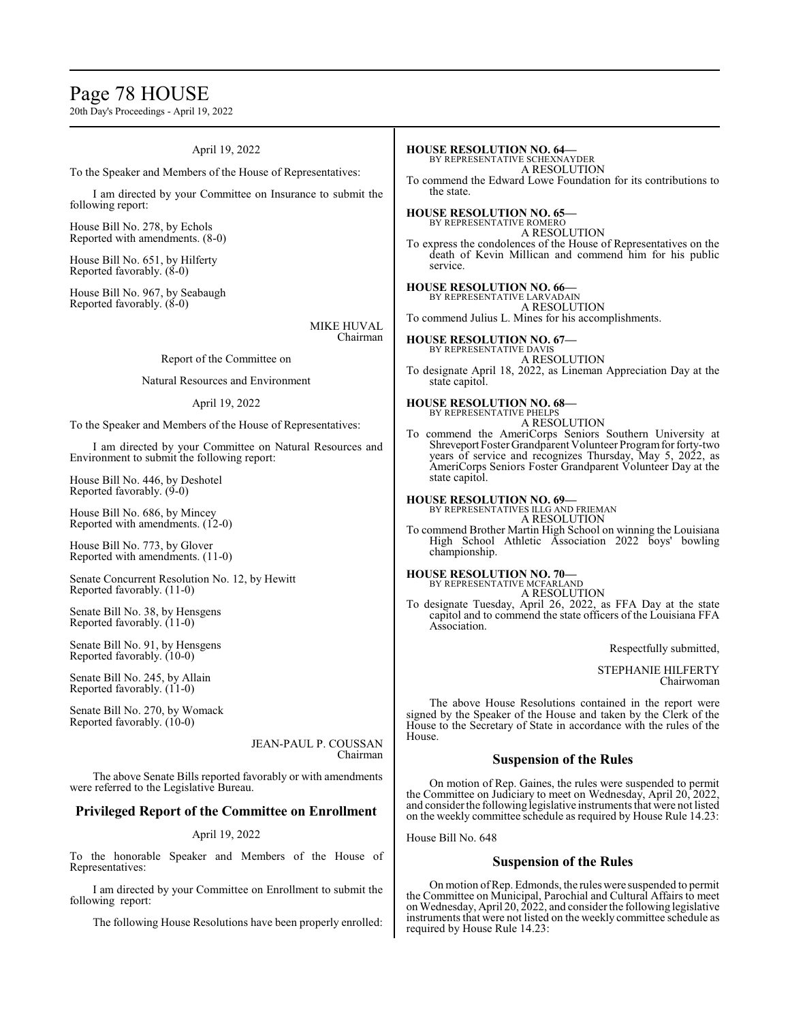## Page 78 HOUSE

20th Day's Proceedings - April 19, 2022

### April 19, 2022

To the Speaker and Members of the House of Representatives:

I am directed by your Committee on Insurance to submit the following report:

House Bill No. 278, by Echols Reported with amendments. (8-0)

House Bill No. 651, by Hilferty Reported favorably. (8-0)

House Bill No. 967, by Seabaugh Reported favorably. (8-0)

> MIKE HUVAL Chairman

### Report of the Committee on

### Natural Resources and Environment

### April 19, 2022

To the Speaker and Members of the House of Representatives:

I am directed by your Committee on Natural Resources and Environment to submit the following report:

House Bill No. 446, by Deshotel Reported favorably.  $(9-0)$ 

House Bill No. 686, by Mincey Reported with amendments. (12-0)

House Bill No. 773, by Glover Reported with amendments. (11-0)

Senate Concurrent Resolution No. 12, by Hewitt Reported favorably. (11-0)

Senate Bill No. 38, by Hensgens Reported favorably. (11-0)

Senate Bill No. 91, by Hensgens Reported favorably. (10-0)

Senate Bill No. 245, by Allain Reported favorably. (11-0)

Senate Bill No. 270, by Womack Reported favorably. (10-0)

> JEAN-PAUL P. COUSSAN Chairman

The above Senate Bills reported favorably or with amendments were referred to the Legislative Bureau.

### **Privileged Report of the Committee on Enrollment**

### April 19, 2022

To the honorable Speaker and Members of the House of Representatives:

I am directed by your Committee on Enrollment to submit the following report:

The following House Resolutions have been properly enrolled:

BY REPRESENTATIVE SCHEXNAYDER A RESOLUTION To commend the Edward Lowe Foundation for its contributions to the state. **HOUSE RESOLUTION NO. 65—** BY REPRESENTATIVE ROMERO A RESOLUTION To express the condolences of the House of Representatives on the death of Kevin Millican and commend him for his public service. **HOUSE RESOLUTION NO. 66—** BY REPRESENTATIVE LARVADAIN A RESOLUTION To commend Julius L. Mines for his accomplishments. **HOUSE RESOLUTION NO. 67—** BY REPRESENTATIVE DAVIS A RESOLUTION To designate April 18, 2022, as Lineman Appreciation Day at the state capitol. **HOUSE RESOLUTION NO. 68—** BY REPRESENTATIVE PHELPS A RESOLUTION To commend the AmeriCorps Seniors Southern University at Shreveport Foster Grandparent Volunteer Program for forty-two years of service and recognizes Thursday, May 5, 2022, as AmeriCorps Seniors Foster Grandparent Volunteer Day at the state capitol. **HOUSE RESOLUTION NO. 69—** BY REPRESENTATIVES ILLG AND FRIEMAN

A RESOLUTION To commend Brother Martin High School on winning the Louisiana High School Athletic Association 2022 boys' bowling championship.

**HOUSE RESOLUTION NO. 70—** BY REPRESENTATIVE MCFARLAND A RESOLUTION

**HOUSE RESOLUTION NO. 64—**

To designate Tuesday, April 26, 2022, as FFA Day at the state capitol and to commend the state officers of the Louisiana FFA Association.

Respectfully submitted,

STEPHANIE HILFERTY Chairwoman

The above House Resolutions contained in the report were signed by the Speaker of the House and taken by the Clerk of the House to the Secretary of State in accordance with the rules of the House.

### **Suspension of the Rules**

On motion of Rep. Gaines, the rules were suspended to permit the Committee on Judiciary to meet on Wednesday, April 20, 2022, and consider the following legislative instruments that were not listed on the weekly committee schedule as required by House Rule 14.23:

House Bill No. 648

### **Suspension of the Rules**

On motion ofRep. Edmonds, the rules were suspended to permit the Committee on Municipal, Parochial and Cultural Affairs to meet onWednesday, April 20, 2022, and consider the following legislative instruments that were not listed on the weekly committee schedule as required by House Rule 14.23: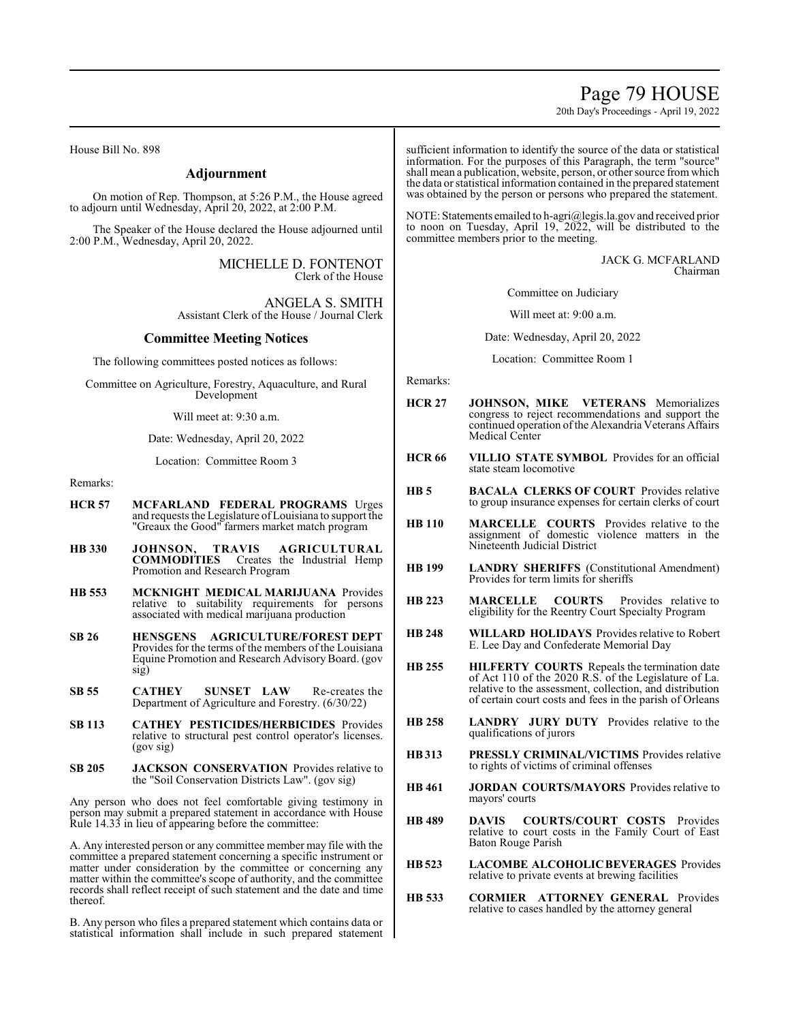Page 79 HOUSE

20th Day's Proceedings - April 19, 2022

House Bill No. 898

### **Adjournment**

On motion of Rep. Thompson, at 5:26 P.M., the House agreed to adjourn until Wednesday, April 20, 2022, at 2:00 P.M.

The Speaker of the House declared the House adjourned until 2:00 P.M., Wednesday, April 20, 2022.

> MICHELLE D. FONTENOT Clerk of the House

ANGELA S. SMITH Assistant Clerk of the House / Journal Clerk

### **Committee Meeting Notices**

The following committees posted notices as follows:

Committee on Agriculture, Forestry, Aquaculture, and Rural Development

Will meet at: 9:30 a.m.

Date: Wednesday, April 20, 2022

Location: Committee Room 3

Remarks:

- **HCR 57 MCFARLAND FEDERAL PROGRAMS** Urges and requests the Legislature ofLouisiana to support the "Greaux the Good" farmers market match program
- **HB 330 JOHNSON, TRAVIS AGRICULTURAL COMMODITIES** Creates the Industrial Hemp Promotion and Research Program
- **HB 553 MCKNIGHT MEDICAL MARIJUANA** Provides relative to suitability requirements for persons associated with medical marijuana production
- **SB 26 HENSGENS AGRICULTURE/FOREST DEPT**  Provides for the terms of the members of the Louisiana Equine Promotion and Research Advisory Board. (gov sig)
- **SB 55 CATHEY SUNSET LAW** Re-creates the Department of Agriculture and Forestry. (6/30/22)
- **SB 113 CATHEY PESTICIDES/HERBICIDES** Provides relative to structural pest control operator's licenses. (gov sig)
- **SB 205 JACKSON CONSERVATION** Provides relative to the "Soil Conservation Districts Law". (gov sig)

Any person who does not feel comfortable giving testimony in person may submit a prepared statement in accordance with House Rule 14.33 in lieu of appearing before the committee:

A. Any interested person or any committee member may file with the committee a prepared statement concerning a specific instrument or matter under consideration by the committee or concerning any matter within the committee's scope of authority, and the committee records shall reflect receipt of such statement and the date and time thereof.

B. Any person who files a prepared statement which contains data or statistical information shall include in such prepared statement sufficient information to identify the source of the data or statistical information. For the purposes of this Paragraph, the term "source" shall mean a publication, website, person, or other source fromwhich the data or statistical information contained in the prepared statement was obtained by the person or persons who prepared the statement.

NOTE: Statements emailed to h-agri@legis.la.gov and received prior to noon on Tuesday, April 19, 2022, will be distributed to the committee members prior to the meeting.

> JACK G. MCFARLAND Chairman

Committee on Judiciary

Will meet at: 9:00 a.m.

Date: Wednesday, April 20, 2022

Location: Committee Room 1

Remarks:

- **HCR 27 JOHNSON, MIKE VETERANS** Memorializes congress to reject recommendations and support the continued operation of the Alexandria Veterans Affairs Medical Center
- **HCR 66 VILLIO STATE SYMBOL** Provides for an official state steam locomotive
- **HB 5 BACALA CLERKS OF COURT** Provides relative to group insurance expenses for certain clerks of court
- **HB 110 MARCELLE COURTS** Provides relative to the assignment of domestic violence matters in the Nineteenth Judicial District
- **HB 199 LANDRY SHERIFFS** (Constitutional Amendment) Provides for term limits for sheriffs
- **HB 223 MARCELLE COURTS** Provides relative to eligibility for the Reentry Court Specialty Program
- **HB 248 WILLARD HOLIDAYS** Provides relative to Robert E. Lee Day and Confederate Memorial Day
- **HB 255 HILFERTY COURTS** Repeals the termination date of Act 110 of the 2020 R.S. of the Legislature of La. relative to the assessment, collection, and distribution of certain court costs and fees in the parish of Orleans
- **HB 258 LANDRY JURY DUTY** Provides relative to the qualifications of jurors
- **HB313 PRESSLY CRIMINAL/VICTIMS** Provides relative to rights of victims of criminal offenses
- **HB 461 JORDAN COURTS/MAYORS** Provides relative to mayors' courts
- **HB 489 DAVIS COURTS/COURT COSTS** Provides relative to court costs in the Family Court of East Baton Rouge Parish
- **HB523 LACOMBE ALCOHOLIC BEVERAGES** Provides relative to private events at brewing facilities
- **HB 533 CORMIER ATTORNEY GENERAL** Provides relative to cases handled by the attorney general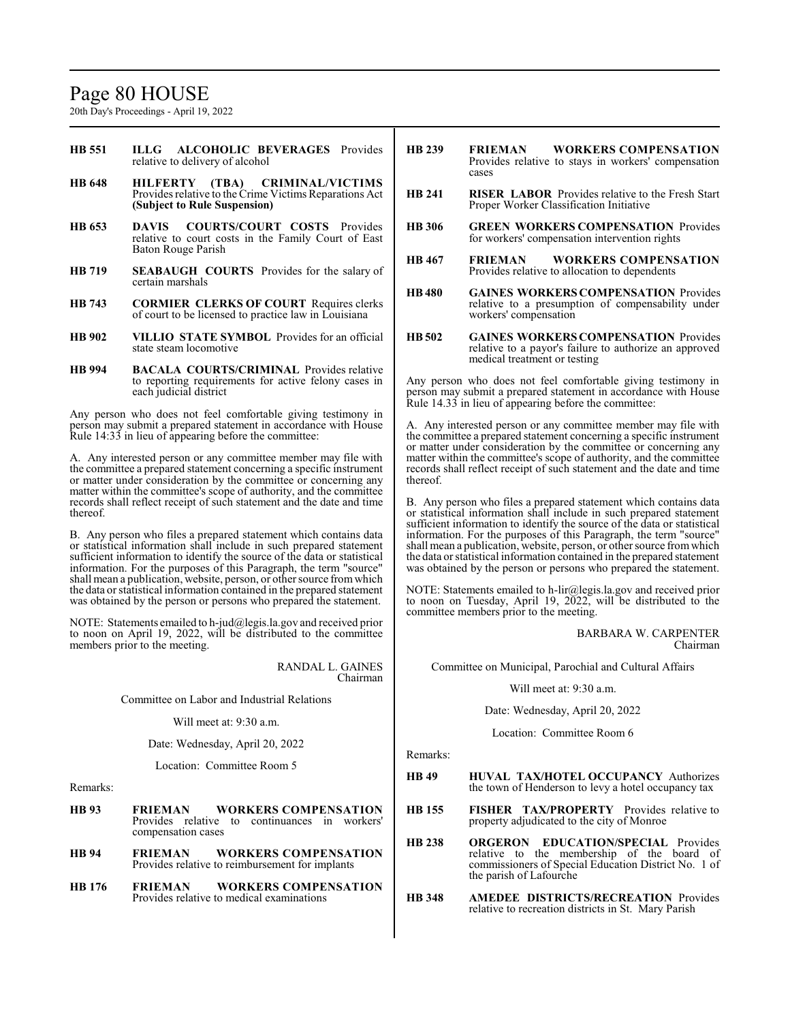## Page 80 HOUSE

20th Day's Proceedings - April 19, 2022

- **HB 551 ILLG ALCOHOLIC BEVERAGES** Provides relative to delivery of alcohol
- **HB 648 HILFERTY (TBA) CRIMINAL/VICTIMS**  Provides relative to the Crime Victims Reparations Act **(Subject to Rule Suspension)**
- **HB 653 DAVIS COURTS/COURT COSTS** Provides relative to court costs in the Family Court of East Baton Rouge Parish
- **HB 719 SEABAUGH COURTS** Provides for the salary of certain marshals
- **HB 743 CORMIER CLERKS OF COURT** Requires clerks of court to be licensed to practice law in Louisiana
- **HB 902 VILLIO STATE SYMBOL** Provides for an official state steam locomotive
- **HB 994 BACALA COURTS/CRIMINAL** Provides relative to reporting requirements for active felony cases in each judicial district

Any person who does not feel comfortable giving testimony in person may submit a prepared statement in accordance with House Rule 14:33 in lieu of appearing before the committee:

A. Any interested person or any committee member may file with the committee a prepared statement concerning a specific instrument or matter under consideration by the committee or concerning any matter within the committee's scope of authority, and the committee records shall reflect receipt of such statement and the date and time thereof.

B. Any person who files a prepared statement which contains data or statistical information shall include in such prepared statement sufficient information to identify the source of the data or statistical information. For the purposes of this Paragraph, the term "source" shall mean a publication, website, person, or other source fromwhich the data or statistical information contained in the prepared statement was obtained by the person or persons who prepared the statement.

NOTE: Statements emailed to h-jud@legis.la.gov and received prior to noon on April 19, 2022, will be distributed to the committee members prior to the meeting.

> RANDAL L. GAINES Chairman

Committee on Labor and Industrial Relations

Will meet at: 9:30 a.m.

Date: Wednesday, April 20, 2022

Location: Committee Room 5

Remarks:

- **HB 93 FRIEMAN WORKERS COMPENSATION**  Provides relative to continuances in workers' compensation cases **HB 94 FRIEMAN WORKERS COMPENSATION**  Provides relative to reimbursement for implants
- **HB 176 FRIEMAN WORKERS COMPENSATION**  Provides relative to medical examinations
- **HB 239 FRIEMAN WORKERS COMPENSATION**  Provides relative to stays in workers' compensation cases
- **HB 241 RISER LABOR** Provides relative to the Fresh Start Proper Worker Classification Initiative
- **HB 306 GREEN WORKERS COMPENSATION** Provides for workers' compensation intervention rights
- **HB 467 FRIEMAN WORKERS COMPENSATION**  Provides relative to allocation to dependents
- **HB 480 GAINES WORKERS COMPENSATION** Provides relative to a presumption of compensability under workers' compensation
- **HB 502 GAINES WORKERS COMPENSATION** Provides relative to a payor's failure to authorize an approved medical treatment or testing

Any person who does not feel comfortable giving testimony in person may submit a prepared statement in accordance with House Rule 14.33 in lieu of appearing before the committee:

A. Any interested person or any committee member may file with the committee a prepared statement concerning a specific instrument or matter under consideration by the committee or concerning any matter within the committee's scope of authority, and the committee records shall reflect receipt of such statement and the date and time thereof.

B. Any person who files a prepared statement which contains data or statistical information shall include in such prepared statement sufficient information to identify the source of the data or statistical information. For the purposes of this Paragraph, the term "source" shall mean a publication, website, person, or other source fromwhich the data or statistical information contained in the prepared statement was obtained by the person or persons who prepared the statement.

NOTE: Statements emailed to h-lir@legis.la.gov and received prior to noon on Tuesday, April 19, 2022, will be distributed to the committee members prior to the meeting.

#### BARBARA W. CARPENTER Chairman

Committee on Municipal, Parochial and Cultural Affairs

Will meet at: 9:30 a.m.

Date: Wednesday, April 20, 2022

Location: Committee Room 6

Remarks:

- **HB 49 HUVAL TAX/HOTEL OCCUPANCY** Authorizes the town of Henderson to levy a hotel occupancy tax
- **HB 155 FISHER TAX/PROPERTY** Provides relative to property adjudicated to the city of Monroe
- **HB 238 ORGERON EDUCATION/SPECIAL** Provides relative to the membership of the board of commissioners of Special Education District No. 1 of the parish of Lafourche
- **HB 348 AMEDEE DISTRICTS/RECREATION** Provides relative to recreation districts in St. Mary Parish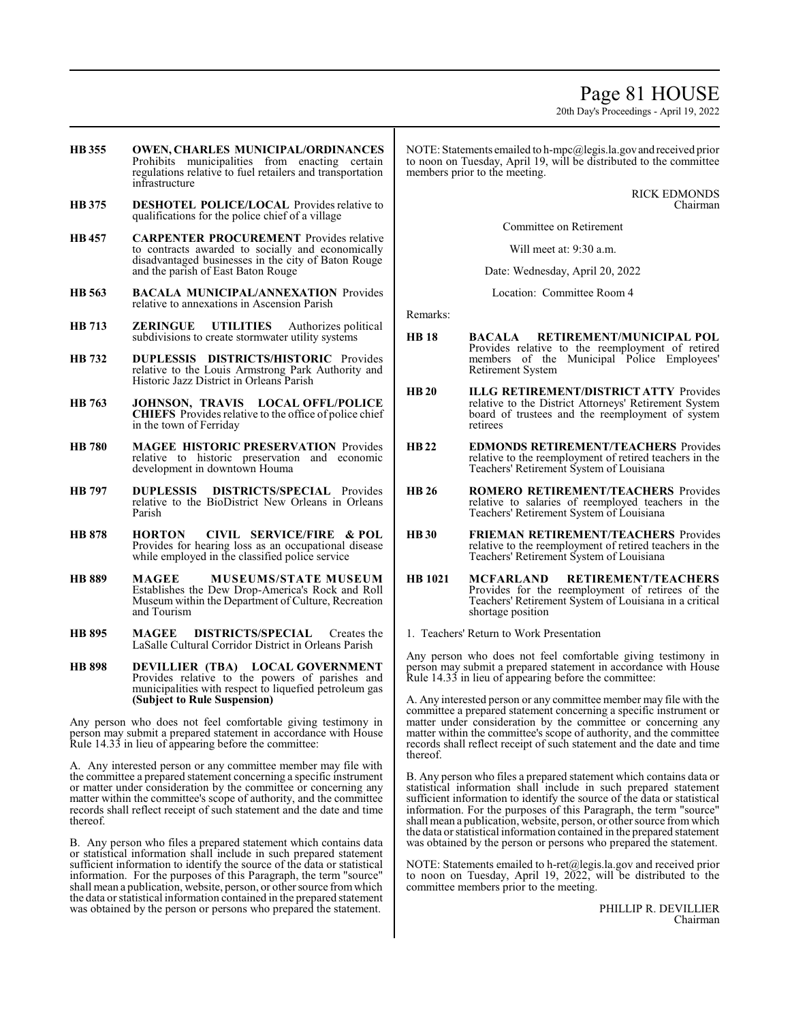## Page 81 HOUSE

20th Day's Proceedings - April 19, 2022

- **HB 355 OWEN, CHARLES MUNICIPAL/ORDINANCES**  Prohibits municipalities from enacting certain regulations relative to fuel retailers and transportation infrastructure
- **HB 375 DESHOTEL POLICE/LOCAL** Provides relative to qualifications for the police chief of a village
- **HB 457 CARPENTER PROCUREMENT** Provides relative to contracts awarded to socially and economically disadvantaged businesses in the city of Baton Rouge and the parish of East Baton Rouge
- **HB 563 BACALA MUNICIPAL/ANNEXATION** Provides relative to annexations in Ascension Parish
- **HB 713 ZERINGUE UTILITIES** Authorizes political subdivisions to create stormwater utility systems
- **HB 732 DUPLESSIS DISTRICTS/HISTORIC** Provides relative to the Louis Armstrong Park Authority and Historic Jazz District in Orleans Parish
- **HB 763 JOHNSON, TRAVIS LOCAL OFFL/POLICE CHIEFS** Provides relative to the office of police chief in the town of Ferriday
- **HB 780 MAGEE HISTORIC PRESERVATION** Provides relative to historic preservation and economic development in downtown Houma
- **HB 797 DUPLESSIS DISTRICTS/SPECIAL** Provides relative to the BioDistrict New Orleans in Orleans Parish
- **HB 878 HORTON CIVIL SERVICE/FIRE & POL**  Provides for hearing loss as an occupational disease while employed in the classified police service
- **HB 889 MAGEE MUSEUMS/STATE MUSEUM** Establishes the Dew Drop-America's Rock and Roll Museum within the Department of Culture, Recreation and Tourism
- **HB 895 MAGEE DISTRICTS/SPECIAL** Creates the LaSalle Cultural Corridor District in Orleans Parish
- **HB 898 DEVILLIER (TBA) LOCAL GOVERNMENT**  Provides relative to the powers of parishes and municipalities with respect to liquefied petroleum gas **(Subject to Rule Suspension)**

Any person who does not feel comfortable giving testimony in person may submit a prepared statement in accordance with House Rule 14.33 in lieu of appearing before the committee:

A. Any interested person or any committee member may file with the committee a prepared statement concerning a specific instrument or matter under consideration by the committee or concerning any matter within the committee's scope of authority, and the committee records shall reflect receipt of such statement and the date and time thereof.

B. Any person who files a prepared statement which contains data or statistical information shall include in such prepared statement sufficient information to identify the source of the data or statistical information. For the purposes of this Paragraph, the term "source" shall mean a publication, website, person, or other source from which the data or statistical information contained in the prepared statement was obtained by the person or persons who prepared the statement.

NOTE: Statements emailed to h-mpc@legis.la.govand received prior to noon on Tuesday, April 19, will be distributed to the committee members prior to the meeting.

> RICK EDMONDS Chairman

Committee on Retirement

Will meet at: 9:30 a.m.

Date: Wednesday, April 20, 2022

Location: Committee Room 4

Remarks:

- **HB 18 BACALA RETIREMENT/MUNICIPAL POL**  Provides relative to the reemployment of retired members of the Municipal Police Employees' Retirement System
- **HB 20 ILLG RETIREMENT/DISTRICT ATTY** Provides relative to the District Attorneys' Retirement System board of trustees and the reemployment of system retirees
- **HB22 EDMONDS RETIREMENT/TEACHERS** Provides relative to the reemployment of retired teachers in the Teachers' Retirement System of Louisiana
- **HB 26 ROMERO RETIREMENT/TEACHERS** Provides relative to salaries of reemployed teachers in the Teachers' Retirement System of Louisiana
- **HB 30 FRIEMAN RETIREMENT/TEACHERS** Provides relative to the reemployment of retired teachers in the Teachers' Retirement System of Louisiana
- **HB 1021 MCFARLAND RETIREMENT/TEACHERS**  Provides for the reemployment of retirees of the Teachers' Retirement System of Louisiana in a critical shortage position
- 1. Teachers' Return to Work Presentation

Any person who does not feel comfortable giving testimony in person may submit a prepared statement in accordance with House Rule 14.33 in lieu of appearing before the committee:

A. Any interested person or any committee member may file with the committee a prepared statement concerning a specific instrument or matter under consideration by the committee or concerning any matter within the committee's scope of authority, and the committee records shall reflect receipt of such statement and the date and time thereof.

B. Any person who files a prepared statement which contains data or statistical information shall include in such prepared statement sufficient information to identify the source of the data or statistical information. For the purposes of this Paragraph, the term "source" shall mean a publication, website, person, or other source fromwhich the data or statistical information contained in the prepared statement was obtained by the person or persons who prepared the statement.

NOTE: Statements emailed to h-ret@legis.la.gov and received prior to noon on Tuesday, April 19, 2022, will be distributed to the committee members prior to the meeting.

> PHILLIP R. DEVILLIER Chairman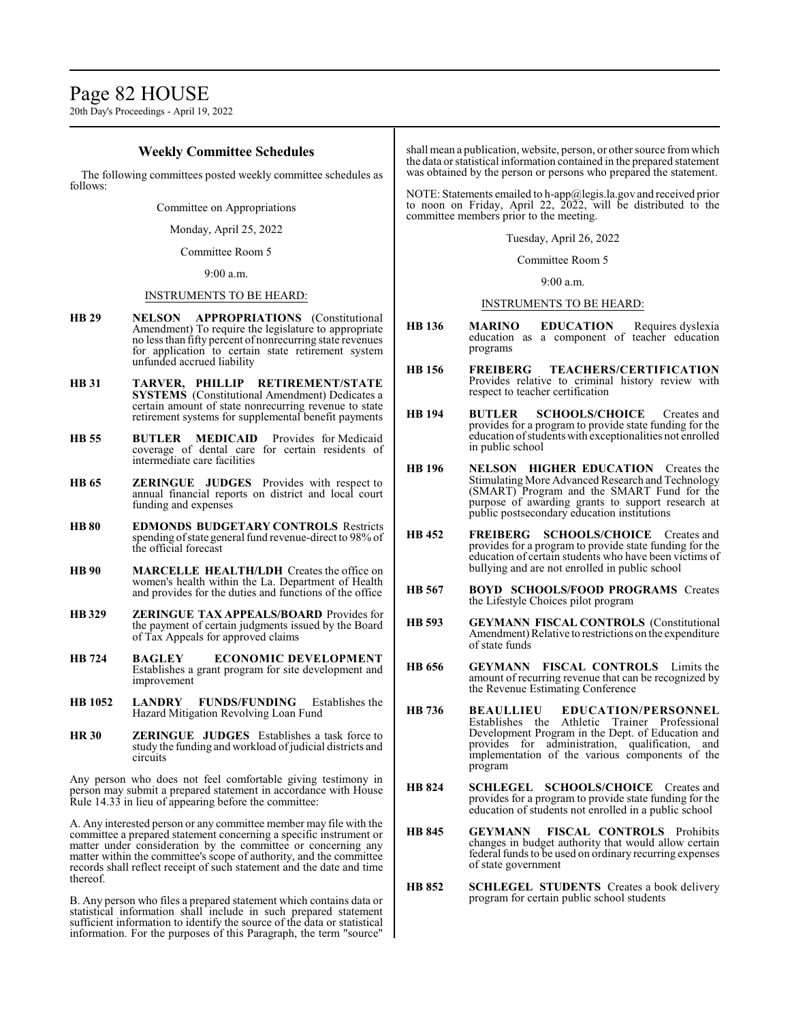20th Day's Proceedings - April 19, 2022

### **Weekly Committee Schedules**

The following committees posted weekly committee schedules as follows:

Committee on Appropriations

Monday, April 25, 2022

Committee Room 5

9:00 a.m.

### INSTRUMENTS TO BE HEARD:

- **HB 29 NELSON APPROPRIATIONS** (Constitutional Amendment) To require the legislature to appropriate no less than fifty percent of nonrecurring state revenues for application to certain state retirement system unfunded accrued liability
- **HB 31 TARVER, PHILLIP RETIREMENT/STATE SYSTEMS** (Constitutional Amendment) Dedicates a certain amount of state nonrecurring revenue to state retirement systems for supplemental benefit payments
- **HB 55 BUTLER MEDICAID** Provides for Medicaid coverage of dental care for certain residents of intermediate care facilities
- **HB 65 ZERINGUE JUDGES** Provides with respect to annual financial reports on district and local court funding and expenses
- **HB 80 EDMONDS BUDGETARY CONTROLS** Restricts spending of state general fund revenue-direct to 98% of the official forecast
- **HB 90 MARCELLE HEALTH/LDH** Creates the office on women's health within the La. Department of Health and provides for the duties and functions of the office
- **HB 329 ZERINGUE TAX APPEALS/BOARD** Provides for the payment of certain judgments issued by the Board of Tax Appeals for approved claims
- **HB 724 BAGLEY ECONOMIC DEVELOPMENT** Establishes a grant program for site development and improvement
- **HB 1052 LANDRY FUNDS/FUNDING** Establishes the Hazard Mitigation Revolving Loan Fund
- **HR 30 ZERINGUE JUDGES** Establishes a task force to study the funding and workload of judicial districts and circuits

Any person who does not feel comfortable giving testimony in person may submit a prepared statement in accordance with House Rule 14.33 in lieu of appearing before the committee:

A. Any interested person or any committee member may file with the committee a prepared statement concerning a specific instrument or matter under consideration by the committee or concerning any matter within the committee's scope of authority, and the committee records shall reflect receipt of such statement and the date and time thereof.

B. Any person who files a prepared statement which contains data or statistical information shall include in such prepared statement sufficient information to identify the source of the data or statistical information. For the purposes of this Paragraph, the term "source"

shall mean a publication, website, person, or other source fromwhich the data or statistical information contained in the prepared statement was obtained by the person or persons who prepared the statement.

NOTE: Statements emailed to h-app@legis.la.gov and received prior to noon on Friday, April 22, 2022, will be distributed to the committee members prior to the meeting.

Tuesday, April 26, 2022

Committee Room 5

9:00 a.m.

### INSTRUMENTS TO BE HEARD:

- **HB 136 MARINO EDUCATION** Requires dyslexia education as a component of teacher education programs
- **HB 156 FREIBERG TEACHERS/CERTIFICATION** Provides relative to criminal history review with respect to teacher certification
- **HB 194 BUTLER SCHOOLS/CHOICE** Creates and provides for a program to provide state funding for the education ofstudents with exceptionalities not enrolled in public school
- **HB 196 NELSON HIGHER EDUCATION** Creates the Stimulating More Advanced Research and Technology (SMART) Program and the SMART Fund for the purpose of awarding grants to support research at public postsecondary education institutions
- **HB 452 FREIBERG SCHOOLS/CHOICE** Creates and provides for a program to provide state funding for the education of certain students who have been victims of bullying and are not enrolled in public school
- **HB 567 BOYD SCHOOLS/FOOD PROGRAMS** Creates the Lifestyle Choices pilot program
- **HB 593 GEYMANN FISCAL CONTROLS** (Constitutional Amendment) Relative to restrictions on the expenditure of state funds
- **HB 656 GEYMANN FISCAL CONTROLS** Limits the amount of recurring revenue that can be recognized by the Revenue Estimating Conference
- **HB 736 BEAULLIEU EDUCATION/PERSONNEL** Establishes the Athletic Trainer Professional Development Program in the Dept. of Education and provides for administration, qualification, and implementation of the various components of the program
- **HB 824 SCHLEGEL SCHOOLS/CHOICE** Creates and provides for a program to provide state funding for the education of students not enrolled in a public school
- **HB 845 GEYMANN FISCAL CONTROLS** Prohibits changes in budget authority that would allow certain federal funds to be used on ordinary recurring expenses of state government
- **HB 852 SCHLEGEL STUDENTS** Creates a book delivery program for certain public school students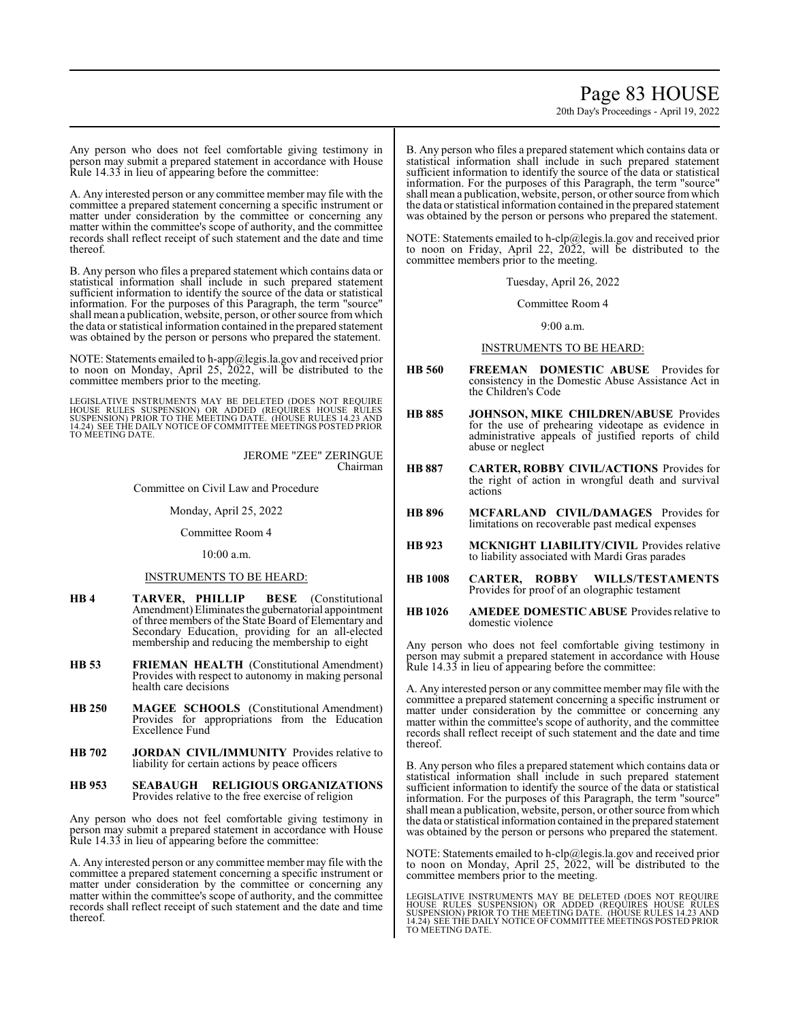## Page 83 HOUSE

20th Day's Proceedings - April 19, 2022

Any person who does not feel comfortable giving testimony in person may submit a prepared statement in accordance with House Rule 14.33 in lieu of appearing before the committee:

A. Any interested person or any committee member may file with the committee a prepared statement concerning a specific instrument or matter under consideration by the committee or concerning any matter within the committee's scope of authority, and the committee records shall reflect receipt of such statement and the date and time thereof.

B. Any person who files a prepared statement which contains data or statistical information shall include in such prepared statement sufficient information to identify the source of the data or statistical information. For the purposes of this Paragraph, the term "source" shall mean a publication, website, person, or other source fromwhich the data or statistical information contained in the prepared statement was obtained by the person or persons who prepared the statement.

NOTE: Statements emailed to h-app@legis.la.gov and received prior to noon on Monday, April 25, 2022, will be distributed to the committee members prior to the meeting.

LEGISLATIVE INSTRUMENTS MAY BE DELETED (DOES NOT REQUIRE<br>HOUSE RULES SUSPENSION) OR ADDED (REQUIRES HOUSE RULES<br>SUSPENSION) PRIOR TO THE MEETING DATE. (HOUSE RULES 14.23 AND<br>14.24) SEE THE DAILY NOTICE OF COMMITTEE MEETING TO MEETING DATE.

> JEROME "ZEE" ZERINGUE Chairman

Committee on Civil Law and Procedure

Monday, April 25, 2022

Committee Room 4

10:00 a.m.

### INSTRUMENTS TO BE HEARD:

- **HB 4 TARVER, PHILLIP BESE** (Constitutional Amendment) Eliminates the gubernatorial appointment of three members of the State Board of Elementary and Secondary Education, providing for an all-elected membership and reducing the membership to eight
- **HB 53 FRIEMAN HEALTH** (Constitutional Amendment) Provides with respect to autonomy in making personal health care decisions
- **HB 250 MAGEE SCHOOLS** (Constitutional Amendment) Provides for appropriations from the Education Excellence Fund
- **HB 702 JORDAN CIVIL/IMMUNITY** Provides relative to liability for certain actions by peace officers
- **HB 953 SEABAUGH RELIGIOUS ORGANIZATIONS** Provides relative to the free exercise of religion

Any person who does not feel comfortable giving testimony in person may submit a prepared statement in accordance with House Rule 14.33 in lieu of appearing before the committee:

A. Any interested person or any committee member may file with the committee a prepared statement concerning a specific instrument or matter under consideration by the committee or concerning any matter within the committee's scope of authority, and the committee records shall reflect receipt of such statement and the date and time thereof.

B. Any person who files a prepared statement which contains data or statistical information shall include in such prepared statement sufficient information to identify the source of the data or statistical information. For the purposes of this Paragraph, the term "source" shall mean a publication, website, person, or other source fromwhich the data or statistical information contained in the prepared statement was obtained by the person or persons who prepared the statement.

NOTE: Statements emailed to h-clp@legis.la.gov and received prior to noon on Friday, April 22, 2022, will be distributed to the committee members prior to the meeting.

Tuesday, April 26, 2022

Committee Room 4

9:00 a.m.

### INSTRUMENTS TO BE HEARD:

- **HB 560 FREEMAN DOMESTIC ABUSE** Provides for consistency in the Domestic Abuse Assistance Act in the Children's Code
- **HB 885 JOHNSON, MIKE CHILDREN/ABUSE** Provides for the use of prehearing videotape as evidence in administrative appeals of justified reports of child abuse or neglect
- **HB 887 CARTER, ROBBY CIVIL/ACTIONS** Provides for the right of action in wrongful death and survival actions
- **HB 896 MCFARLAND CIVIL/DAMAGES** Provides for limitations on recoverable past medical expenses
- **HB 923 MCKNIGHT LIABILITY/CIVIL** Provides relative to liability associated with Mardi Gras parades
- **HB 1008 CARTER, ROBBY WILLS/TESTAMENTS** Provides for proof of an olographic testament
- **HB 1026 AMEDEE DOMESTIC ABUSE** Provides relative to domestic violence

Any person who does not feel comfortable giving testimony in person may submit a prepared statement in accordance with House Rule 14.33 in lieu of appearing before the committee:

A. Any interested person or any committee member may file with the committee a prepared statement concerning a specific instrument or matter under consideration by the committee or concerning any matter within the committee's scope of authority, and the committee records shall reflect receipt of such statement and the date and time thereof.

B. Any person who files a prepared statement which contains data or statistical information shall include in such prepared statement sufficient information to identify the source of the data or statistical information. For the purposes of this Paragraph, the term "source" shall mean a publication, website, person, or other source fromwhich the data or statistical information contained in the prepared statement was obtained by the person or persons who prepared the statement.

NOTE: Statements emailed to h-clp@legis.la.gov and received prior to noon on Monday, April 25, 2022, will be distributed to the committee members prior to the meeting.

LEGISLATIVE INSTRUMENTS MAY BE DELETED (DOES NOT REQUIRE<br>HOUSE RULES SUSPENSION) OR ADDED (REQUIRES HOUSE RULES<br>SUSPENSION) PRIOR TO THE MEETING DATE. (HOUSE RULES 14.23 AND<br>14.24) SEE THE DAILY NOTICE OF COMMITTEE MEETING TO MEETING DATE.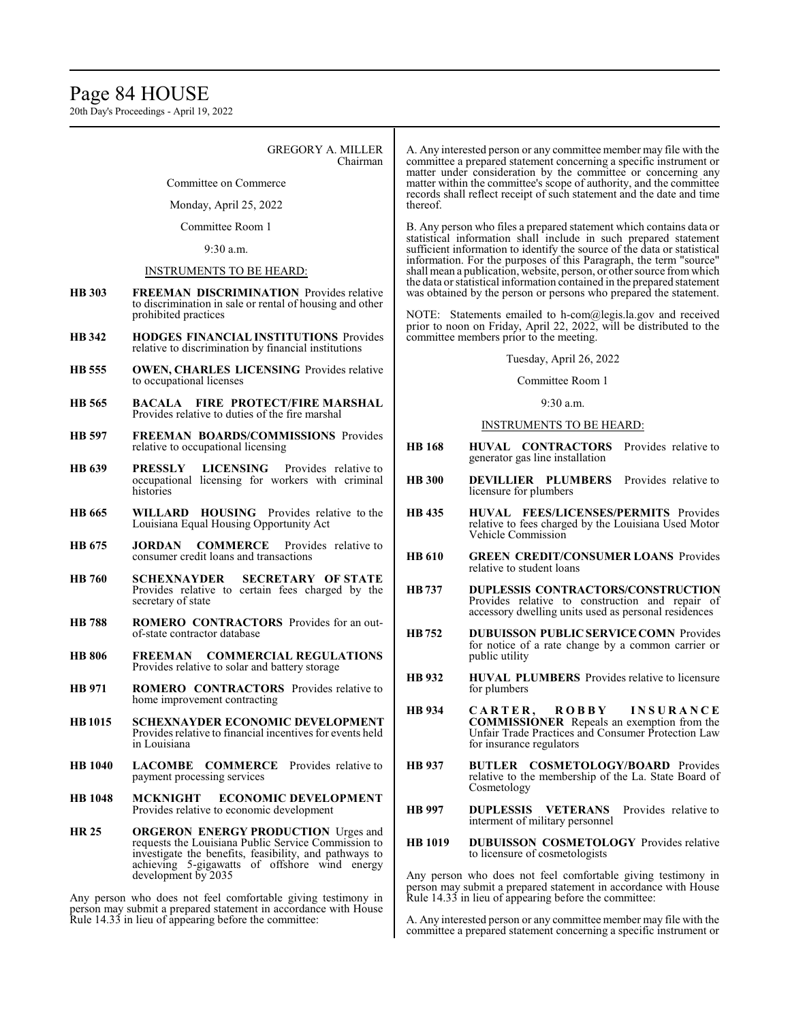## Page 84 HOUSE

20th Day's Proceedings - April 19, 2022

### GREGORY A. MILLER Chairman

Committee on Commerce

Monday, April 25, 2022

Committee Room 1

9:30 a.m.

## INSTRUMENTS TO BE HEARD:

- **HB 303 FREEMAN DISCRIMINATION** Provides relative to discrimination in sale or rental of housing and other prohibited practices
- **HB 342 HODGES FINANCIAL INSTITUTIONS** Provides relative to discrimination by financial institutions
- **HB 555 OWEN, CHARLES LICENSING** Provides relative to occupational licenses
- **HB 565 BACALA FIRE PROTECT/FIRE MARSHAL** Provides relative to duties of the fire marshal
- **HB 597 FREEMAN BOARDS/COMMISSIONS** Provides relative to occupational licensing
- **HB 639 PRESSLY LICENSING** Provides relative to occupational licensing for workers with criminal histories
- **HB 665 WILLARD HOUSING** Provides relative to the Louisiana Equal Housing Opportunity Act
- **HB 675 JORDAN COMMERCE** Provides relative to consumer credit loans and transactions
- **HB 760 SCHEXNAYDER SECRETARY OF STATE** Provides relative to certain fees charged by the secretary of state
- **HB 788 ROMERO CONTRACTORS** Provides for an outof-state contractor database
- **HB 806 FREEMAN COMMERCIAL REGULATIONS** Provides relative to solar and battery storage
- **HB 971 ROMERO CONTRACTORS** Provides relative to home improvement contracting
- **HB1015 SCHEXNAYDER ECONOMIC DEVELOPMENT** Provides relative to financial incentives for events held in Louisiana
- **HB 1040 LACOMBE COMMERCE** Provides relative to payment processing services
- **HB 1048 MCKNIGHT ECONOMIC DEVELOPMENT** Provides relative to economic development
- **HR 25 ORGERON ENERGY PRODUCTION** Urges and requests the Louisiana Public Service Commission to investigate the benefits, feasibility, and pathways to achieving 5-gigawatts of offshore wind energy development by 2035

Any person who does not feel comfortable giving testimony in person may submit a prepared statement in accordance with House Rule 14.33 in lieu of appearing before the committee:

A. Any interested person or any committee member may file with the committee a prepared statement concerning a specific instrument or matter under consideration by the committee or concerning any matter within the committee's scope of authority, and the committee records shall reflect receipt of such statement and the date and time thereof.

B. Any person who files a prepared statement which contains data or statistical information shall include in such prepared statement sufficient information to identify the source of the data or statistical information. For the purposes of this Paragraph, the term "source" shall mean a publication, website, person, or other source fromwhich the data or statistical information contained in the prepared statement was obtained by the person or persons who prepared the statement.

NOTE: Statements emailed to h-com@legis.la.gov and received prior to noon on Friday, April 22, 2022, will be distributed to the committee members prior to the meeting.

### Tuesday, April 26, 2022

### Committee Room 1

#### $9.30 a m$

### INSTRUMENTS TO BE HEARD:

- **HB 168 HUVAL CONTRACTORS** Provides relative to generator gas line installation
- **HB 300 DEVILLIER PLUMBERS** Provides relative to licensure for plumbers
- **HB 435 HUVAL FEES/LICENSES/PERMITS** Provides relative to fees charged by the Louisiana Used Motor Vehicle Commission
- **HB 610 GREEN CREDIT/CONSUMER LOANS** Provides relative to student loans
- **HB737 DUPLESSIS CONTRACTORS/CONSTRUCTION** Provides relative to construction and repair of accessory dwelling units used as personal residences
- **HB752 DUBUISSON PUBLIC SERVICECOMN** Provides for notice of a rate change by a common carrier or public utility
- **HB 932 HUVAL PLUMBERS** Provides relative to licensure for plumbers
- **HB 934 C A R T E R , R O B B Y I N S U R A N C E COMMISSIONER** Repeals an exemption from the Unfair Trade Practices and Consumer Protection Law for insurance regulators
- **HB 937 BUTLER COSMETOLOGY/BOARD** Provides relative to the membership of the La. State Board of Cosmetology
- **HB 997 DUPLESSIS VETERANS** Provides relative to interment of military personnel
- **HB 1019 DUBUISSON COSMETOLOGY** Provides relative to licensure of cosmetologists

Any person who does not feel comfortable giving testimony in person may submit a prepared statement in accordance with House Rule 14.33 in lieu of appearing before the committee:

A. Any interested person or any committee member may file with the committee a prepared statement concerning a specific instrument or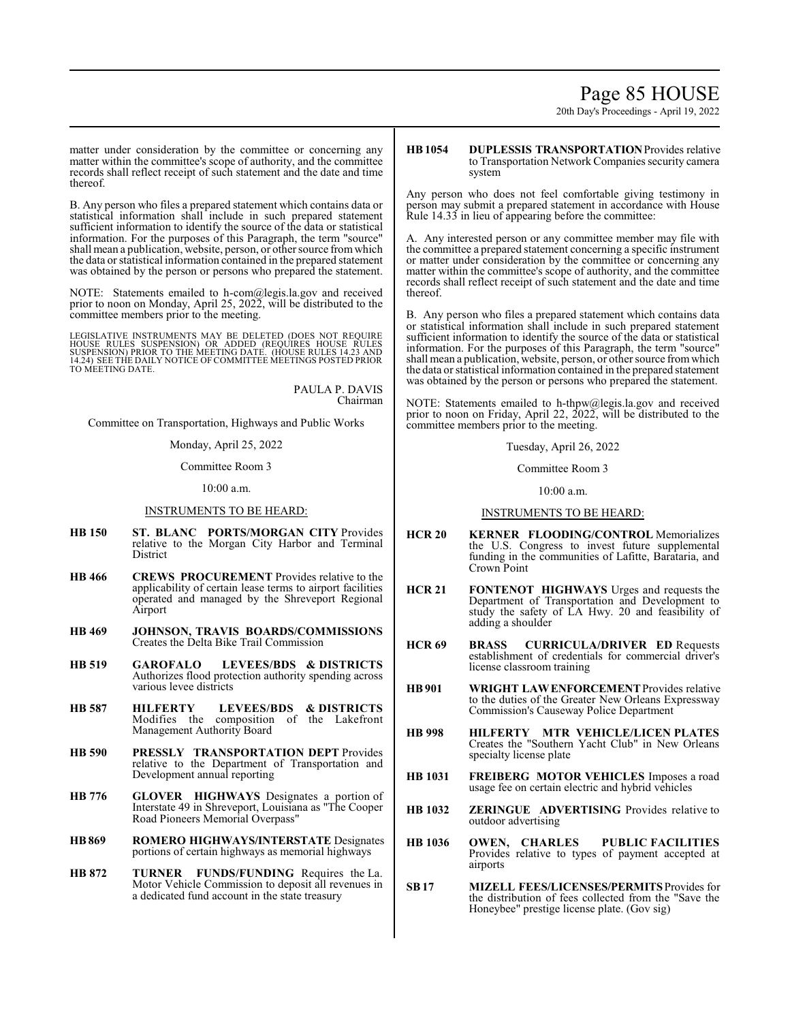## Page 85 HOUSE

20th Day's Proceedings - April 19, 2022

matter under consideration by the committee or concerning any matter within the committee's scope of authority, and the committee records shall reflect receipt of such statement and the date and time thereof.

B. Any person who files a prepared statement which contains data or statistical information shall include in such prepared statement sufficient information to identify the source of the data or statistical information. For the purposes of this Paragraph, the term "source" shall mean a publication, website, person, or other source fromwhich the data or statistical information contained in the prepared statement was obtained by the person or persons who prepared the statement.

NOTE: Statements emailed to h-com@legis.la.gov and received prior to noon on Monday, April 25, 2022, will be distributed to the committee members prior to the meeting.

LEGISLATIVE INSTRUMENTS MAY BE DELETED (DOES NOT REQUIRE<br>HOUSE RULES SUSPENSION) OR ADDED (REQUIRES HOUSE RULES<br>SUSPENSION) PRIOR TO THE MEETING DATE. (HOUSE RULES 14.23 AND 14.24) SEE THE DAILY NOTICE OF COMMITTEE MEETINGS POSTED PRIOR TO MEETING DATE.

> PAULA P. DAVIS Chairman

Committee on Transportation, Highways and Public Works

Monday, April 25, 2022

Committee Room 3

10:00 a.m.

### INSTRUMENTS TO BE HEARD:

- **HB 150 ST. BLANC PORTS/MORGAN CITY** Provides relative to the Morgan City Harbor and Terminal District
- **HB 466 CREWS PROCUREMENT** Provides relative to the applicability of certain lease terms to airport facilities operated and managed by the Shreveport Regional Airport
- **HB 469 JOHNSON, TRAVIS BOARDS/COMMISSIONS** Creates the Delta Bike Trail Commission
- **HB 519 GAROFALO LEVEES/BDS & DISTRICTS** Authorizes flood protection authority spending across various levee districts
- **HB 587 HILFERTY LEVEES/BDS & DISTRICTS** Modifies the composition of the Lakefront Management Authority Board
- **HB 590 PRESSLY TRANSPORTATION DEPT** Provides relative to the Department of Transportation and Development annual reporting
- **HB 776 GLOVER HIGHWAYS** Designates a portion of Interstate 49 in Shreveport, Louisiana as "The Cooper Road Pioneers Memorial Overpass"
- **HB869 ROMERO HIGHWAYS/INTERSTATE** Designates portions of certain highways as memorial highways
- **HB 872 TURNER FUNDS/FUNDING** Requires the La. Motor Vehicle Commission to deposit all revenues in a dedicated fund account in the state treasury

**HB1054 DUPLESSIS TRANSPORTATION**Provides relative to Transportation Network Companies security camera system

Any person who does not feel comfortable giving testimony in person may submit a prepared statement in accordance with House Rule 14.33 in lieu of appearing before the committee:

A. Any interested person or any committee member may file with the committee a prepared statement concerning a specific instrument or matter under consideration by the committee or concerning any matter within the committee's scope of authority, and the committee records shall reflect receipt of such statement and the date and time thereof.

B. Any person who files a prepared statement which contains data or statistical information shall include in such prepared statement sufficient information to identify the source of the data or statistical information. For the purposes of this Paragraph, the term "source" shall mean a publication, website, person, or other source fromwhich the data or statistical information contained in the prepared statement was obtained by the person or persons who prepared the statement.

NOTE: Statements emailed to h-thpw@legis.la.gov and received prior to noon on Friday, April 22, 2022, will be distributed to the committee members prior to the meeting.

Tuesday, April 26, 2022

Committee Room 3

10:00 a.m.

#### INSTRUMENTS TO BE HEARD:

- **HCR 20 KERNER FLOODING/CONTROL** Memorializes the U.S. Congress to invest future supplemental funding in the communities of Lafitte, Barataria, and Crown Point
- **HCR 21 FONTENOT HIGHWAYS** Urges and requests the Department of Transportation and Development to study the safety of LA Hwy. 20 and feasibility of adding a shoulder
- **HCR 69 BRASS CURRICULA/DRIVER ED** Requests establishment of credentials for commercial driver's license classroom training
- **HB901 WRIGHT LAWENFORCEMENT**Provides relative to the duties of the Greater New Orleans Expressway Commission's Causeway Police Department
- **HB 998 HILFERTY MTR VEHICLE/LICEN PLATES** Creates the "Southern Yacht Club" in New Orleans specialty license plate
- **HB 1031 FREIBERG MOTOR VEHICLES** Imposes a road usage fee on certain electric and hybrid vehicles
- **HB 1032 ZERINGUE ADVERTISING** Provides relative to outdoor advertising
- **HB 1036 OWEN, CHARLES PUBLIC FACILITIES** Provides relative to types of payment accepted at airports
- **SB17 MIZELL FEES/LICENSES/PERMITS**Provides for the distribution of fees collected from the "Save the Honeybee" prestige license plate. (Gov sig)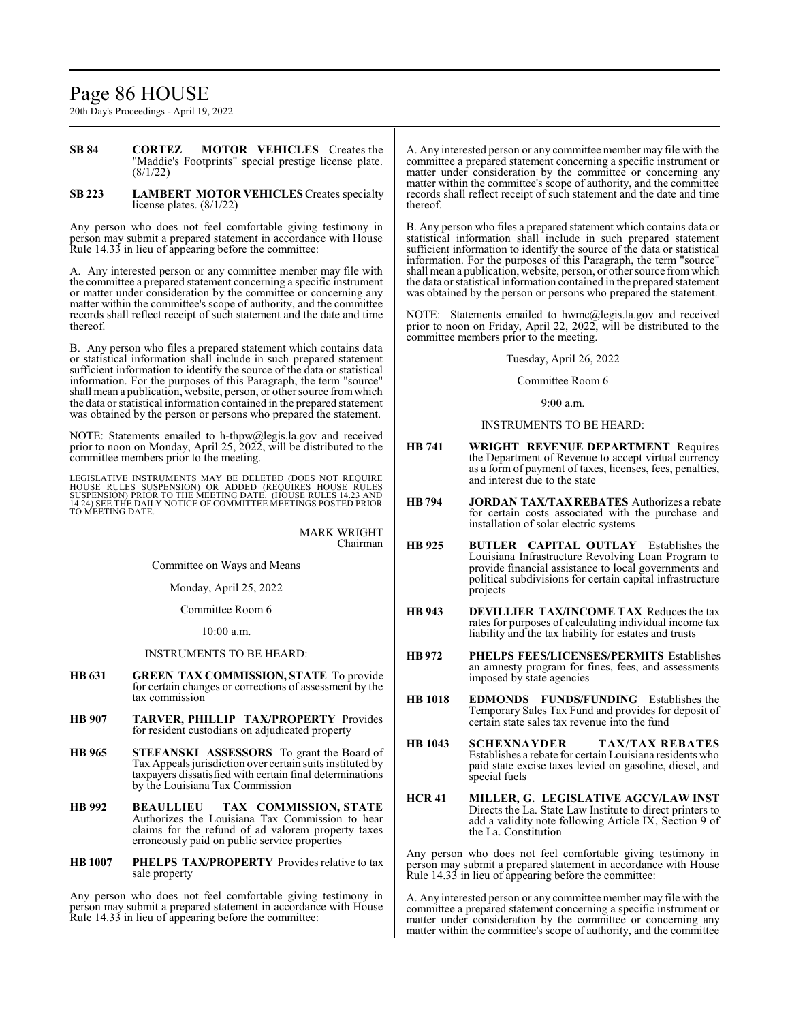## Page 86 HOUSE

20th Day's Proceedings - April 19, 2022

- **SB 84 CORTEZ MOTOR VEHICLES** Creates the "Maddie's Footprints" special prestige license plate. (8/1/22)
- **SB 223 LAMBERT MOTOR VEHICLES** Creates specialty license plates. (8/1/22)

Any person who does not feel comfortable giving testimony in person may submit a prepared statement in accordance with House Rule 14.33 in lieu of appearing before the committee:

A. Any interested person or any committee member may file with the committee a prepared statement concerning a specific instrument or matter under consideration by the committee or concerning any matter within the committee's scope of authority, and the committee records shall reflect receipt of such statement and the date and time thereof.

B. Any person who files a prepared statement which contains data or statistical information shall include in such prepared statement sufficient information to identify the source of the data or statistical information. For the purposes of this Paragraph, the term "source" shall mean a publication, website, person, or other source fromwhich the data or statistical information contained in the prepared statement was obtained by the person or persons who prepared the statement.

NOTE: Statements emailed to h-thpw@legis.la.gov and received prior to noon on Monday, April 25, 2022, will be distributed to the committee members prior to the meeting.

LEGISLATIVE INSTRUMENTS MAY BE DELETED (DOES NOT REQUIRE<br>HOUSE RULES SUSPENSION) OR ADDED (REQUIRES HOUSE RULES<br>SUSPENSION) PRIOR TO THE MEETING DATE. (HOUSE RULES 14.23 AND<br>14.24) SEE THE DAILY NOTICE OF COMMITTEE MEETING

MARK WRIGHT Chairman

Committee on Ways and Means

Monday, April 25, 2022

Committee Room 6

10:00 a.m.

### INSTRUMENTS TO BE HEARD:

- **HB 631 GREEN TAX COMMISSION, STATE** To provide for certain changes or corrections of assessment by the tax commission
- **HB 907 TARVER, PHILLIP TAX/PROPERTY** Provides for resident custodians on adjudicated property
- **HB 965 STEFANSKI ASSESSORS** To grant the Board of Tax Appeals jurisdiction over certain suits instituted by taxpayers dissatisfied with certain final determinations by the Louisiana Tax Commission
- **HB 992 BEAULLIEU TAX COMMISSION, STATE** Authorizes the Louisiana Tax Commission to hear claims for the refund of ad valorem property taxes erroneously paid on public service properties
- **HB 1007 PHELPS TAX/PROPERTY** Provides relative to tax sale property

Any person who does not feel comfortable giving testimony in person may submit a prepared statement in accordance with House Rule 14.33 in lieu of appearing before the committee:

A. Any interested person or any committee member may file with the committee a prepared statement concerning a specific instrument or matter under consideration by the committee or concerning any matter within the committee's scope of authority, and the committee records shall reflect receipt of such statement and the date and time thereof.

B. Any person who files a prepared statement which contains data or statistical information shall include in such prepared statement sufficient information to identify the source of the data or statistical information. For the purposes of this Paragraph, the term "source" shall mean a publication, website, person, or other source fromwhich the data or statistical information contained in the prepared statement was obtained by the person or persons who prepared the statement.

NOTE: Statements emailed to hwmc@legis.la.gov and received prior to noon on Friday, April 22, 2022, will be distributed to the committee members prior to the meeting.

Tuesday, April 26, 2022

### Committee Room 6

 $9.00 a m$ 

### INSTRUMENTS TO BE HEARD:

- **HB 741 WRIGHT REVENUE DEPARTMENT** Requires the Department of Revenue to accept virtual currency as a form of payment of taxes, licenses, fees, penalties, and interest due to the state
- **HB794 JORDAN TAX/TAXREBATES** Authorizes a rebate for certain costs associated with the purchase and installation of solar electric systems
- **HB 925 BUTLER CAPITAL OUTLAY** Establishes the Louisiana Infrastructure Revolving Loan Program to provide financial assistance to local governments and political subdivisions for certain capital infrastructure projects
- **HB 943 DEVILLIER TAX/INCOME TAX** Reduces the tax rates for purposes of calculating individual income tax liability and the tax liability for estates and trusts
- **HB 972 PHELPS FEES/LICENSES/PERMITS** Establishes an amnesty program for fines, fees, and assessments imposed by state agencies
- **HB 1018 EDMONDS FUNDS/FUNDING** Establishes the Temporary Sales Tax Fund and provides for deposit of certain state sales tax revenue into the fund
- **HB 1043 SCHEXNAYDER TAX/TAX REBATES** Establishes a rebate for certain Louisiana residents who paid state excise taxes levied on gasoline, diesel, and special fuels
- **HCR 41 MILLER, G. LEGISLATIVE AGCY/LAW INST** Directs the La. State Law Institute to direct printers to add a validity note following Article IX, Section 9 of the La. Constitution

Any person who does not feel comfortable giving testimony in person may submit a prepared statement in accordance with House Rule 14.33 in lieu of appearing before the committee:

A. Any interested person or any committee member may file with the committee a prepared statement concerning a specific instrument or matter under consideration by the committee or concerning any matter within the committee's scope of authority, and the committee